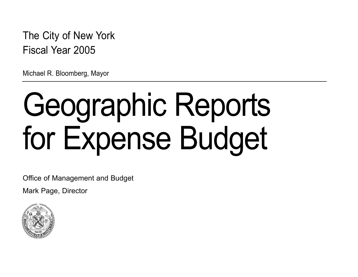The City of New York Fiscal Year 2005

Michael R. Bloomberg, Mayor

# Geographic Reports for Expense Budget

Office of Management and Budget

Mark Page, Director

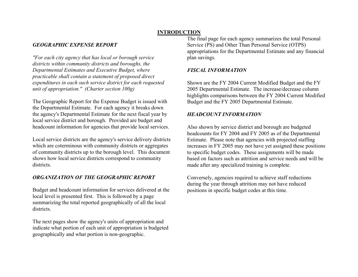### **INTRODUCTION**

### *GEOGRAPHIC EXPENSE REPORT*

*"For each city agency that has local or borough service districts within community districts and boroughs, the Departmental Estimates and Executive Budget, where practicable shall contain a statement of proposed direct expenditures in each such service district for each requested unit of appropriation." (Charter section 100g)*

The Geographic Report for the Expense Budget is issued with the Departmental Estimate. For each agency it breaks down the agency's Departmental Estimate for the next fiscal year by local service district and borough. Provided are budget and headcount information for agencies that provide local services.

Local service districts are the agency's service delivery districts which are coterminous with community districts or aggregates of community districts up to the borough level. This document shows how local service districts correspond to community districts.

### *ORGANIZATION OF THE GEOGRAPHIC REPORT*

Budget and headcount information for services delivered at the local level is presented first. This is followed by a page summarizing the total reported geographically of all the local districts.

The next pages show the agency's units of appropriation and indicate what portion of each unit of appropriation is budgeted geographically and what portion is non-geographic.

The final page for each agency summarizes the total Personal Service (PS) and Other Than Personal Service (OTPS) appropriations for the Departmental Estimate and any financial plan savings.

### *FISCAL INFORMATION*

Shown are the FY 2004 Current Modified Budget and the FY 2005 Departmental Estimate. The increase/decrease column highlights comparisons between the FY 2004 Current Modified Budget and the FY 2005 Departmental Estimate.

### *HEADCOUNT INFORMATION*

Also shown by service district and borough are budgeted headcounts for FY 2004 and FY 2005 as of the Departmental Estimate. Please note that agencies with projected staffing increases in FY 2005 may not have yet assigned these positions to specific budget codes. These assignments will be made based on factors such as attrition and service needs and will be made after any specialized training is complete.

Conversely, agencies required to achieve staff reductions during the year through attrition may not have reduced positions in specific budget codes at this time.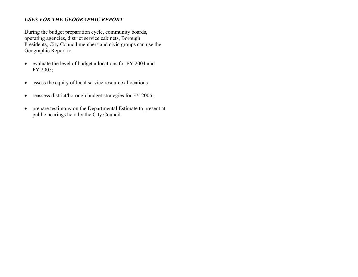### *USES FOR THE GEOGRAPHIC REPORT*

During the budget preparation cycle, community boards, operating agencies, district service cabinets, Borough Presidents, City Council members and civic groups can use the Geographic Report to:

- evaluate the level of budget allocations for FY 2004 and FY 2005;
- $\bullet$ assess the equity of local service resource allocations;
- $\bullet$ reassess district/borough budget strategies for FY 2005;
- $\bullet$  prepare testimony on the Departmental Estimate to present at public hearings held by the City Council.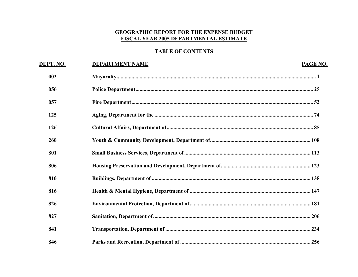### **GEOGRAPHIC REPORT FOR THE EXPENSE BUDGET** FISCAL YEAR 2005 DEPARTMENTAL ESTIMATE

### **TABLE OF CONTENTS**

| DEPT. NO. | <b>DEPARTMENT NAME</b> | <b>PAGE NO.</b> |
|-----------|------------------------|-----------------|
| 002       |                        |                 |
| 056       |                        |                 |
| 057       |                        |                 |
| 125       |                        |                 |
| 126       |                        |                 |
| 260       |                        |                 |
| 801       |                        |                 |
| 806       |                        |                 |
| 810       |                        |                 |
| 816       |                        |                 |
| 826       |                        |                 |
| 827       |                        |                 |
| 841       |                        |                 |
| 846       |                        |                 |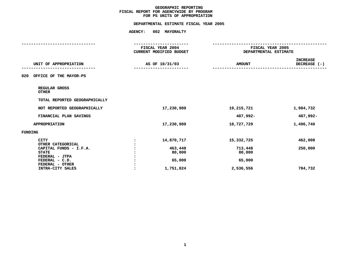<span id="page-4-0"></span>

|                                                          | <b>AGENCY:</b> | 002 MAYORALTY                                                           |                   |                                           |  |  |
|----------------------------------------------------------|----------------|-------------------------------------------------------------------------|-------------------|-------------------------------------------|--|--|
|                                                          |                | -----------------<br>FISCAL YEAR 2004<br><b>CURRENT MODIFIED BUDGET</b> |                   | FISCAL YEAR 2005<br>DEPARTMENTAL ESTIMATE |  |  |
| UNIT OF APPROPRIATION                                    |                | AS OF 10/31/03                                                          | <b>AMOUNT</b>     | <b>INCREASE</b><br>DECREASE (-)           |  |  |
| 020<br>OFFICE OF THE MAYOR-PS                            |                |                                                                         |                   |                                           |  |  |
| REGULAR GROSS<br><b>OTHER</b>                            |                |                                                                         |                   |                                           |  |  |
| TOTAL REPORTED GEOGRAPHICALLY                            |                |                                                                         |                   |                                           |  |  |
| NOT REPORTED GEOGRAPHICALLY                              |                | 17,230,989                                                              | 19,215,721        | 1,984,732                                 |  |  |
| FINANCIAL PLAN SAVINGS                                   |                |                                                                         | 487,992-          | 487,992-                                  |  |  |
| <b>APPROPRIATION</b>                                     |                | 17,230,989                                                              | 18,727,729        | 1,496,740                                 |  |  |
| <b>FUNDING</b>                                           |                |                                                                         |                   |                                           |  |  |
| <b>CITY</b><br>OTHER CATEGORICAL                         |                | 14,870,717                                                              | 15,332,725        | 462,008                                   |  |  |
| CAPITAL FUNDS - I.F.A.<br><b>STATE</b><br>FEDERAL - JTPA |                | 463,448<br>80,000                                                       | 713,448<br>80,000 | 250,000                                   |  |  |
| FEDERAL - C.D.<br>FEDERAL - OTHER                        |                | 65,000                                                                  | 65,000            |                                           |  |  |
| INTRA-CITY SALES                                         |                | 1,751,824                                                               | 2,536,556         | 784,732                                   |  |  |
|                                                          |                |                                                                         |                   |                                           |  |  |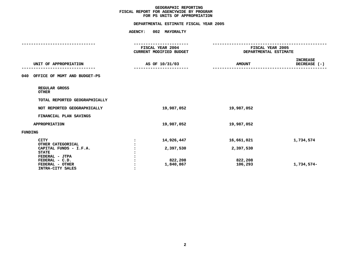|                                     | <b>AGENCY:</b> | 002 MAYORALTY                          |               |                       |
|-------------------------------------|----------------|----------------------------------------|---------------|-----------------------|
|                                     |                | ------------------<br>FISCAL YEAR 2004 |               | FISCAL YEAR 2005      |
|                                     |                | CURRENT MODIFIED BUDGET                |               | DEPARTMENTAL ESTIMATE |
|                                     |                |                                        |               |                       |
|                                     |                |                                        |               | <b>INCREASE</b>       |
| UNIT OF APPROPRIATION               |                | AS OF 10/31/03                         | <b>AMOUNT</b> | DECREASE (-)          |
|                                     |                |                                        |               |                       |
| OFFICE OF MGMT AND BUDGET-PS<br>040 |                |                                        |               |                       |
|                                     |                |                                        |               |                       |
| REGULAR GROSS                       |                |                                        |               |                       |
| <b>OTHER</b>                        |                |                                        |               |                       |
|                                     |                |                                        |               |                       |
| TOTAL REPORTED GEOGRAPHICALLY       |                |                                        |               |                       |
| NOT REPORTED GEOGRAPHICALLY         |                | 19,987,052                             | 19,987,052    |                       |
|                                     |                |                                        |               |                       |
| FINANCIAL PLAN SAVINGS              |                |                                        |               |                       |
|                                     |                |                                        |               |                       |
| <b>APPROPRIATION</b>                |                | 19,987,052                             | 19,987,052    |                       |
| FUNDING                             |                |                                        |               |                       |
|                                     |                |                                        |               |                       |
| <b>CITY</b>                         |                | 14,926,447                             | 16,661,021    | 1,734,574             |
| OTHER CATEGORICAL                   |                |                                        |               |                       |
| CAPITAL FUNDS - I.F.A.              |                | 2,397,530                              | 2,397,530     |                       |
| <b>STATE</b>                        |                |                                        |               |                       |
| FEDERAL - JTPA                      |                |                                        |               |                       |
| FEDERAL - C.D.                      |                | 822,208                                | 822,208       |                       |
| FEDERAL - OTHER                     |                | 1,840,867                              | 106,293       | 1,734,574-            |
| INTRA-CITY SALES                    |                |                                        |               |                       |
|                                     |                |                                        |               |                       |
|                                     |                |                                        |               |                       |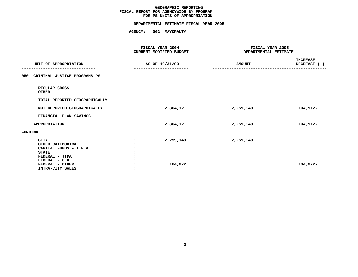### **GEOGRAPHIC**C REPORTING<br>WIDE BY PRO<br>F APPROPRIA FISCAL REPORT FOR AGENCYWIDE BY PROGRAM **REPORT FOR AGENCYWIDE BY PROGRAM FOR**

| <b>AGENCY:</b><br>002 MAYORALTY |                         |                                                |  |  |
|---------------------------------|-------------------------|------------------------------------------------|--|--|
| FISCAL YEAR 2004                |                         | --------------------------<br>FISCAL YEAR 2005 |  |  |
|                                 |                         |                                                |  |  |
| AS OF 10/31/03                  | <b>AMOUNT</b>           | <b>INCREASE</b><br>DECREASE (-)                |  |  |
|                                 |                         |                                                |  |  |
|                                 |                         |                                                |  |  |
|                                 |                         |                                                |  |  |
| 2,364,121                       | 2,259,149               | 104,972-                                       |  |  |
|                                 |                         |                                                |  |  |
| 2,364,121                       | 2,259,149               | 104,972-                                       |  |  |
|                                 |                         |                                                |  |  |
| 2,259,149<br>104,972            | 2,259,149               | 104,972-                                       |  |  |
|                                 | CURRENT MODIFIED BUDGET | DEPARTMENTAL ESTIMATE                          |  |  |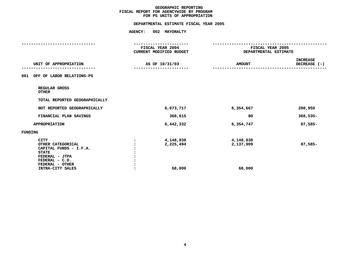### **GEOGRAPHIC**C REPORTING<br>WIDE BY PRO<br>F APPROPRIA FISCAL REPORT FOR AGENCYWIDE BY PROGRAM **REPORT FOR AGENCYWIDE BY PROGRAM FOR**

|                                                                                                                | <b>AGENCY:</b> | 002 MAYORALTY                               |                        |                                           |
|----------------------------------------------------------------------------------------------------------------|----------------|---------------------------------------------|------------------------|-------------------------------------------|
|                                                                                                                |                | ------------------                          |                        | -------------------                       |
|                                                                                                                |                | FISCAL YEAR 2004<br>CURRENT MODIFIED BUDGET |                        | FISCAL YEAR 2005<br>DEPARTMENTAL ESTIMATE |
| UNIT OF APPROPRIATION                                                                                          |                | AS OF 10/31/03                              | <b>AMOUNT</b>          | <b>INCREASE</b><br>DECREASE (-)           |
| OFF OF LABOR RELATIONS-PS<br>061                                                                               |                |                                             |                        |                                           |
| REGULAR GROSS<br><b>OTHER</b>                                                                                  |                |                                             |                        |                                           |
| TOTAL REPORTED GEOGRAPHICALLY                                                                                  |                |                                             |                        |                                           |
| NOT REPORTED GEOGRAPHICALLY                                                                                    |                | 6,073,717                                   | 6,354,667              | 280,950                                   |
| FINANCIAL PLAN SAVINGS                                                                                         |                | 368,615                                     | 80                     | $368,535-$                                |
| <b>APPROPRIATION</b>                                                                                           |                | 6,442,332                                   | 6,354,747              | 87,585-                                   |
| <b>FUNDING</b>                                                                                                 |                |                                             |                        |                                           |
| <b>CITY</b><br>OTHER CATEGORICAL<br>CAPITAL FUNDS - I.F.A.<br><b>STATE</b><br>FEDERAL - JTPA<br>FEDERAL - C.D. |                | 4,148,838<br>2,225,494                      | 4,148,838<br>2,137,909 | $87,585-$                                 |
| FEDERAL - OTHER<br>INTRA-CITY SALES                                                                            |                | 68,000                                      | 68,000                 |                                           |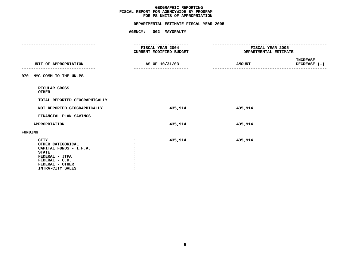|         | <b>AMOUNT</b>                                                                                                | <b>INCREASE</b><br>DECREASE (-)                                            |
|---------|--------------------------------------------------------------------------------------------------------------|----------------------------------------------------------------------------|
|         |                                                                                                              |                                                                            |
|         |                                                                                                              |                                                                            |
|         |                                                                                                              |                                                                            |
| 435,914 | 435,914                                                                                                      |                                                                            |
|         |                                                                                                              |                                                                            |
| 435,914 | 435,914                                                                                                      |                                                                            |
|         |                                                                                                              |                                                                            |
| 435,914 | 435,914                                                                                                      |                                                                            |
|         | AGENCY: 002 MAYORALTY<br>------------------<br>FISCAL YEAR 2004<br>CURRENT MODIFIED BUDGET<br>AS OF 10/31/03 | -----------------------------<br>FISCAL YEAR 2005<br>DEPARTMENTAL ESTIMATE |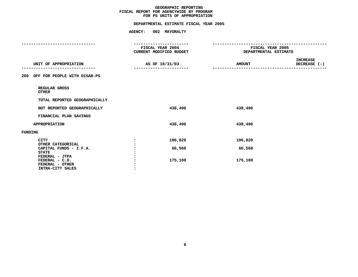|                                                                         | AGENCY: 002 MAYORALTY                       |               |                                           |
|-------------------------------------------------------------------------|---------------------------------------------|---------------|-------------------------------------------|
|                                                                         | ------------------                          |               | ---------------------------               |
|                                                                         | FISCAL YEAR 2004<br>CURRENT MODIFIED BUDGET |               | FISCAL YEAR 2005<br>DEPARTMENTAL ESTIMATE |
| UNIT OF APPROPRIATION                                                   | AS OF 10/31/03                              | <b>AMOUNT</b> | <b>INCREASE</b><br>DECREASE (-)           |
| OFF FOR PEOPLE WITH DISAB-PS<br>260                                     |                                             |               |                                           |
| REGULAR GROSS<br><b>OTHER</b>                                           |                                             |               |                                           |
| TOTAL REPORTED GEOGRAPHICALLY                                           |                                             |               |                                           |
| NOT REPORTED GEOGRAPHICALLY                                             | 438,496                                     | 438,496       |                                           |
| FINANCIAL PLAN SAVINGS                                                  |                                             |               |                                           |
| <b>APPROPRIATION</b>                                                    | 438,496                                     | 438,496       |                                           |
| <b>FUNDING</b>                                                          |                                             |               |                                           |
| <b>CITY</b><br>OTHER CATEGORICAL                                        | 196,820                                     | 196,820       |                                           |
| CAPITAL FUNDS - I.F.A.<br><b>STATE</b>                                  | 66,568                                      | 66,568        |                                           |
| FEDERAL - JTPA<br>FEDERAL - C.D.<br>FEDERAL - OTHER<br>INTRA-CITY SALES | 175,108                                     | 175,108       |                                           |
|                                                                         |                                             |               |                                           |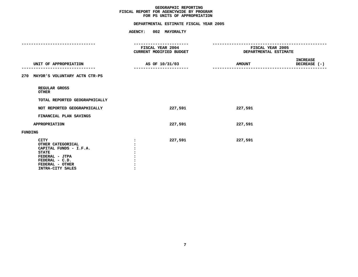|         |                                                                                        | FISCAL YEAR 2005 |                                                                                                            |
|---------|----------------------------------------------------------------------------------------|------------------|------------------------------------------------------------------------------------------------------------|
|         |                                                                                        |                  | <b>INCREASE</b><br>DECREASE (-)                                                                            |
|         |                                                                                        |                  |                                                                                                            |
|         |                                                                                        |                  |                                                                                                            |
|         |                                                                                        |                  |                                                                                                            |
| 227,591 |                                                                                        |                  |                                                                                                            |
|         |                                                                                        |                  |                                                                                                            |
| 227,591 |                                                                                        |                  |                                                                                                            |
|         |                                                                                        |                  |                                                                                                            |
| 227,591 |                                                                                        |                  |                                                                                                            |
|         | AGENCY: 002 MAYORALTY<br>FISCAL YEAR 2004<br>CURRENT MODIFIED BUDGET<br>AS OF 10/31/03 |                  | -------------------------------<br>DEPARTMENTAL ESTIMATE<br><b>AMOUNT</b><br>227,591<br>227,591<br>227,591 |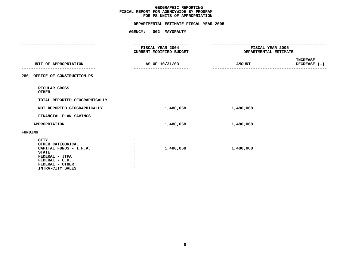### **GEOGRAPHIC**C REPORTING<br>WIDE BY PRO<br>F APPROPRIA FISCAL REPORT FOR AGENCYWIDE BY PROGRAM **REPORT FOR AGENCYWIDE BY PROGRAM FOR**

## **PS UNITS OF APPROPRIATION DEPARTMENTAL ESTIMATE FISCAL YEAR <sup>2005</sup>**

**SALES :**

|                                                                                                                                                       | AGENCY: 002 MAYORALTY                       |                                           |                          |
|-------------------------------------------------------------------------------------------------------------------------------------------------------|---------------------------------------------|-------------------------------------------|--------------------------|
|                                                                                                                                                       | -----------------                           |                                           |                          |
|                                                                                                                                                       | FISCAL YEAR 2004<br>CURRENT MODIFIED BUDGET | FISCAL YEAR 2005<br>DEPARTMENTAL ESTIMATE |                          |
| UNIT OF APPROPRIATION                                                                                                                                 | AS OF 10/31/03                              | <b>AMOUNT</b>                             | INCREASE<br>DECREASE (-) |
| 280 OFFICE OF CONSTRUCTION-PS                                                                                                                         |                                             |                                           |                          |
| REGULAR GROSS<br><b>OTHER</b>                                                                                                                         |                                             |                                           |                          |
| TOTAL REPORTED GEOGRAPHICALLY                                                                                                                         |                                             |                                           |                          |
| NOT REPORTED GEOGRAPHICALLY                                                                                                                           | 1,480,068                                   | 1,480,068                                 |                          |
| FINANCIAL PLAN SAVINGS                                                                                                                                |                                             |                                           |                          |
| <b>APPROPRIATION</b>                                                                                                                                  | 1,480,068                                   | 1,480,068                                 |                          |
| FUNDING                                                                                                                                               |                                             |                                           |                          |
| <b>CITY</b><br>OTHER CATEGORICAL<br>CAPITAL FUNDS - I.F.A.<br><b>STATE</b><br>FEDERAL - JTPA<br>FEDERAL - C.D.<br>FEDERAL - OTHER<br>INTRA-CITY SALES | 1,480,068                                   | 1,480,068                                 |                          |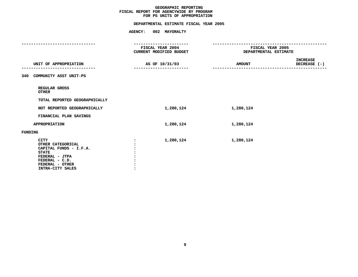|                                                                                                                                                       | AGENCY: 002 MAYORALTY                       |                                           |                                 |
|-------------------------------------------------------------------------------------------------------------------------------------------------------|---------------------------------------------|-------------------------------------------|---------------------------------|
|                                                                                                                                                       | -------------------                         | -------------------------                 |                                 |
|                                                                                                                                                       | FISCAL YEAR 2004<br>CURRENT MODIFIED BUDGET | FISCAL YEAR 2005<br>DEPARTMENTAL ESTIMATE |                                 |
| UNIT OF APPROPRIATION                                                                                                                                 | AS OF 10/31/03                              | <b>AMOUNT</b>                             | <b>INCREASE</b><br>DECREASE (-) |
| 340 COMMUNITY ASST UNIT-PS                                                                                                                            |                                             |                                           |                                 |
| REGULAR GROSS<br><b>OTHER</b>                                                                                                                         |                                             |                                           |                                 |
| TOTAL REPORTED GEOGRAPHICALLY                                                                                                                         |                                             |                                           |                                 |
| NOT REPORTED GEOGRAPHICALLY                                                                                                                           | 1,280,124                                   | 1,280,124                                 |                                 |
| FINANCIAL PLAN SAVINGS                                                                                                                                |                                             |                                           |                                 |
| <b>APPROPRIATION</b>                                                                                                                                  | 1,280,124                                   | 1,280,124                                 |                                 |
| <b>FUNDING</b>                                                                                                                                        |                                             |                                           |                                 |
| <b>CITY</b><br>OTHER CATEGORICAL<br>CAPITAL FUNDS - I.F.A.<br><b>STATE</b><br>FEDERAL - JTPA<br>FEDERAL - C.D.<br>FEDERAL - OTHER<br>INTRA-CITY SALES | 1,280,124                                   | 1,280,124                                 |                                 |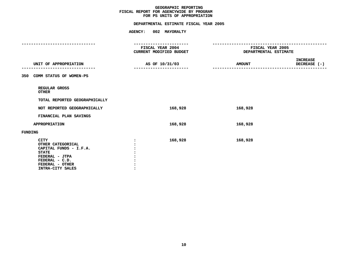|                                                                                                                                                       | AGENCY: 002 MAYORALTY                       |                                           |                                 |
|-------------------------------------------------------------------------------------------------------------------------------------------------------|---------------------------------------------|-------------------------------------------|---------------------------------|
|                                                                                                                                                       | ------------------                          | -----------------------------             |                                 |
|                                                                                                                                                       | FISCAL YEAR 2004<br>CURRENT MODIFIED BUDGET | FISCAL YEAR 2005<br>DEPARTMENTAL ESTIMATE |                                 |
| UNIT OF APPROPRIATION                                                                                                                                 | AS OF 10/31/03                              | <b>AMOUNT</b>                             | <b>INCREASE</b><br>DECREASE (-) |
| COMM STATUS OF WOMEN-PS<br>350                                                                                                                        |                                             |                                           |                                 |
| REGULAR GROSS<br><b>OTHER</b>                                                                                                                         |                                             |                                           |                                 |
| TOTAL REPORTED GEOGRAPHICALLY                                                                                                                         |                                             |                                           |                                 |
| NOT REPORTED GEOGRAPHICALLY                                                                                                                           | 168,928                                     | 168,928                                   |                                 |
| FINANCIAL PLAN SAVINGS                                                                                                                                |                                             |                                           |                                 |
| <b>APPROPRIATION</b>                                                                                                                                  | 168,928                                     | 168,928                                   |                                 |
| <b>FUNDING</b>                                                                                                                                        |                                             |                                           |                                 |
| <b>CITY</b><br>OTHER CATEGORICAL<br>CAPITAL FUNDS - I.F.A.<br><b>STATE</b><br>FEDERAL - JTPA<br>FEDERAL - C.D.<br>FEDERAL - OTHER<br>INTRA-CITY SALES | 168,928                                     | 168,928                                   |                                 |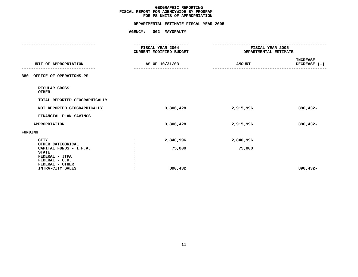|                                             | <b>AGENCY:</b> | 002 MAYORALTY                               |               |                                           |
|---------------------------------------------|----------------|---------------------------------------------|---------------|-------------------------------------------|
|                                             |                | . <b>.</b> .                                |               | ----------------------                    |
|                                             |                | FISCAL YEAR 2004<br>CURRENT MODIFIED BUDGET |               | FISCAL YEAR 2005<br>DEPARTMENTAL ESTIMATE |
|                                             |                |                                             |               |                                           |
| UNIT OF APPROPRIATION                       |                | AS OF 10/31/03                              | <b>AMOUNT</b> | <b>INCREASE</b><br>DECREASE (-)           |
|                                             |                |                                             |               |                                           |
| OFFICE OF OPERATIONS-PS<br>380              |                |                                             |               |                                           |
| REGULAR GROSS<br><b>OTHER</b>               |                |                                             |               |                                           |
| TOTAL REPORTED GEOGRAPHICALLY               |                |                                             |               |                                           |
| NOT REPORTED GEOGRAPHICALLY                 |                | 3,806,428                                   | 2,915,996     | 890,432-                                  |
| FINANCIAL PLAN SAVINGS                      |                |                                             |               |                                           |
| <b>APPROPRIATION</b>                        |                | 3,806,428                                   | 2,915,996     | 890,432-                                  |
| <b>FUNDING</b>                              |                |                                             |               |                                           |
| <b>CITY</b>                                 |                | 2,840,996                                   | 2,840,996     |                                           |
| OTHER CATEGORICAL<br>CAPITAL FUNDS - I.F.A. |                | 75,000                                      | 75,000        |                                           |
| <b>STATE</b>                                |                |                                             |               |                                           |
| FEDERAL - JTPA                              |                |                                             |               |                                           |
| FEDERAL - C.D.<br>FEDERAL - OTHER           |                |                                             |               |                                           |
| INTRA-CITY SALES                            |                | 890,432                                     |               | 890,432-                                  |
|                                             |                |                                             |               |                                           |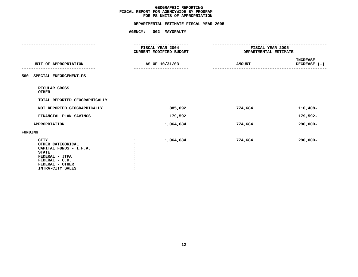|                                                                                                                                                       | <b>AGENCY:</b><br>002 MAYORALTY             |                                           |                                 |
|-------------------------------------------------------------------------------------------------------------------------------------------------------|---------------------------------------------|-------------------------------------------|---------------------------------|
|                                                                                                                                                       | ------------------                          | ---------------------                     |                                 |
|                                                                                                                                                       | FISCAL YEAR 2004<br>CURRENT MODIFIED BUDGET | FISCAL YEAR 2005<br>DEPARTMENTAL ESTIMATE |                                 |
| UNIT OF APPROPRIATION                                                                                                                                 | AS OF 10/31/03                              | <b>AMOUNT</b>                             | <b>INCREASE</b><br>DECREASE (-) |
| 560 SPECIAL ENFORCEMENT-PS                                                                                                                            |                                             |                                           |                                 |
| REGULAR GROSS<br><b>OTHER</b>                                                                                                                         |                                             |                                           |                                 |
| TOTAL REPORTED GEOGRAPHICALLY                                                                                                                         |                                             |                                           |                                 |
| NOT REPORTED GEOGRAPHICALLY                                                                                                                           | 885,092                                     | 774,684                                   | 110,408-                        |
| FINANCIAL PLAN SAVINGS                                                                                                                                | 179,592                                     |                                           | 179,592-                        |
| <b>APPROPRIATION</b>                                                                                                                                  | 1,064,684                                   | 774,684                                   | $290,000 -$                     |
| <b>FUNDING</b>                                                                                                                                        |                                             |                                           |                                 |
| <b>CITY</b><br>OTHER CATEGORICAL<br>CAPITAL FUNDS - I.F.A.<br><b>STATE</b><br>FEDERAL - JTPA<br>FEDERAL - C.D.<br>FEDERAL - OTHER<br>INTRA-CITY SALES | 1,064,684                                   | 774,684                                   | $290,000 -$                     |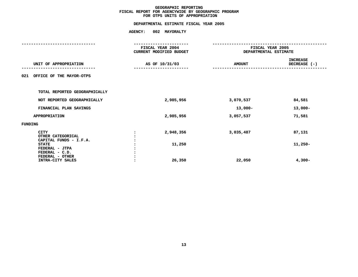|                                                          | <b>AGENCY:</b> | 002 MAYORALTY                                      |                                           |                                 |
|----------------------------------------------------------|----------------|----------------------------------------------------|-------------------------------------------|---------------------------------|
|                                                          |                |                                                    |                                           |                                 |
|                                                          |                | <b>FISCAL YEAR 2004</b><br>CURRENT MODIFIED BUDGET | FISCAL YEAR 2005<br>DEPARTMENTAL ESTIMATE |                                 |
| UNIT OF APPROPRIATION                                    |                | AS OF 10/31/03                                     | <b>AMOUNT</b>                             | <b>INCREASE</b><br>DECREASE (-) |
| OFFICE OF THE MAYOR-OTPS<br>021                          |                |                                                    |                                           |                                 |
| TOTAL REPORTED GEOGRAPHICALLY                            |                |                                                    |                                           |                                 |
| NOT REPORTED GEOGRAPHICALLY                              |                | 2,985,956                                          | 3,070,537                                 | 84,581                          |
| FINANCIAL PLAN SAVINGS                                   |                |                                                    | 13,000-                                   | $13,000-$                       |
| <b>APPROPRIATION</b>                                     |                | 2,985,956                                          | 3,057,537                                 | 71,581                          |
| <b>FUNDING</b>                                           |                |                                                    |                                           |                                 |
| <b>CITY</b><br>OTHER CATEGORICAL                         |                | 2,948,356                                          | 3,035,487                                 | 87,131                          |
| CAPITAL FUNDS - I.F.A.<br><b>STATE</b><br>FEDERAL - JTPA |                | 11,250                                             |                                           | $11,250-$                       |
| FEDERAL - C.D.<br>FEDERAL - OTHER<br>INTRA-CITY SALES    |                | 26,350                                             | 22,050                                    | $4,300-$                        |
|                                                          |                |                                                    |                                           |                                 |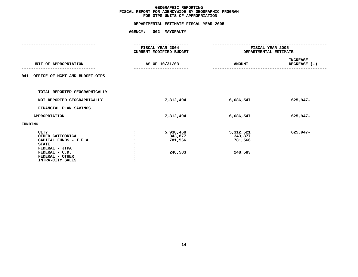|                                                                                                                                                       | <b>AGENCY:</b> | 002 MAYORALTY                               |                                            |                                 |
|-------------------------------------------------------------------------------------------------------------------------------------------------------|----------------|---------------------------------------------|--------------------------------------------|---------------------------------|
|                                                                                                                                                       |                |                                             |                                            |                                 |
|                                                                                                                                                       |                | FISCAL YEAR 2004<br>CURRENT MODIFIED BUDGET | FISCAL YEAR 2005<br>DEPARTMENTAL ESTIMATE  |                                 |
| UNIT OF APPROPRIATION                                                                                                                                 |                | AS OF 10/31/03                              | <b>AMOUNT</b>                              | <b>INCREASE</b><br>DECREASE (-) |
| 041 OFFICE OF MGMT AND BUDGET-OTPS                                                                                                                    |                |                                             |                                            |                                 |
| TOTAL REPORTED GEOGRAPHICALLY                                                                                                                         |                |                                             |                                            |                                 |
| NOT REPORTED GEOGRAPHICALLY                                                                                                                           |                | 7,312,494                                   | 6,686,547                                  | 625,947-                        |
| FINANCIAL PLAN SAVINGS                                                                                                                                |                |                                             |                                            |                                 |
| <b>APPROPRIATION</b>                                                                                                                                  |                | 7,312,494                                   | 6,686,547                                  | 625,947-                        |
| <b>FUNDING</b>                                                                                                                                        |                |                                             |                                            |                                 |
| <b>CITY</b><br>OTHER CATEGORICAL<br>CAPITAL FUNDS - I.F.A.<br><b>STATE</b><br>FEDERAL - JTPA<br>FEDERAL - C.D.<br>FEDERAL - OTHER<br>INTRA-CITY SALES |                | 5,938,468<br>343,877<br>781,566<br>248,583  | 5,312,521<br>343,877<br>781,566<br>248,583 | 625,947-                        |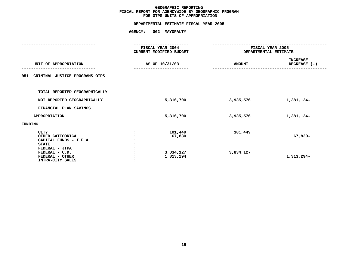## **OTPS UNITS OF APPROPRIATION DEPARTMENTAL ESTIMATE FISCAL YEAR <sup>2005</sup>**

|                                                                                                                                                       |  | FISCAL YEAR 2004<br>CURRENT MODIFIED BUDGET | DEPARTMENTAL ESTIMATE | FISCAL YEAR 2005                |  |
|-------------------------------------------------------------------------------------------------------------------------------------------------------|--|---------------------------------------------|-----------------------|---------------------------------|--|
| UNIT OF APPROPRIATION                                                                                                                                 |  | AS OF 10/31/03                              | <b>AMOUNT</b>         | <b>INCREASE</b><br>DECREASE (-) |  |
| CRIMINAL JUSTICE PROGRAMS OTPS<br>051                                                                                                                 |  |                                             |                       |                                 |  |
| TOTAL REPORTED GEOGRAPHICALLY                                                                                                                         |  |                                             |                       |                                 |  |
| NOT REPORTED GEOGRAPHICALLY                                                                                                                           |  | 5,316,700                                   | 3,935,576             | 1,381,124-                      |  |
| FINANCIAL PLAN SAVINGS                                                                                                                                |  |                                             |                       |                                 |  |
| <b>APPROPRIATION</b>                                                                                                                                  |  | 5,316,700                                   | 3,935,576             | 1,381,124-                      |  |
| FUNDING                                                                                                                                               |  |                                             |                       |                                 |  |
| <b>CITY</b><br>OTHER CATEGORICAL<br>CAPITAL FUNDS - I.F.A.<br><b>STATE</b><br>FEDERAL - JTPA<br>FEDERAL - C.D.<br>FEDERAL - OTHER<br>INTRA-CITY SALES |  | 101,449<br>67,830<br>3,834,127<br>1,313,294 | 101,449<br>3,834,127  | 67,830-<br>1,313,294-           |  |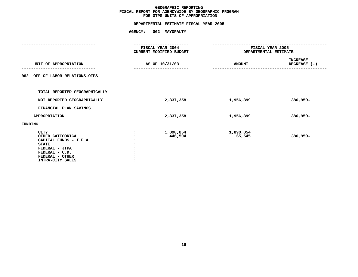## **OTPS UNITS OF APPROPRIATION DEPARTMENTAL ESTIMATE FISCAL YEAR <sup>2005</sup>**

|                                                                                                                                                       | FISCAL YEAR 2004<br>CURRENT MODIFIED BUDGET | FISCAL YEAR 2005<br>DEPARTMENTAL ESTIMATE |                                 |  |
|-------------------------------------------------------------------------------------------------------------------------------------------------------|---------------------------------------------|-------------------------------------------|---------------------------------|--|
|                                                                                                                                                       |                                             |                                           |                                 |  |
| UNIT OF APPROPRIATION<br>-----------                                                                                                                  | AS OF 10/31/03                              | <b>AMOUNT</b>                             | <b>INCREASE</b><br>DECREASE (-) |  |
| OFF OF LABOR RELATIONS-OTPS<br>062                                                                                                                    |                                             |                                           |                                 |  |
| TOTAL REPORTED GEOGRAPHICALLY                                                                                                                         |                                             |                                           |                                 |  |
| NOT REPORTED GEOGRAPHICALLY                                                                                                                           | 2,337,358                                   | 1,956,399                                 | $380,959 -$                     |  |
| FINANCIAL PLAN SAVINGS                                                                                                                                |                                             |                                           |                                 |  |
| <b>APPROPRIATION</b>                                                                                                                                  | 2,337,358                                   | 1,956,399                                 | 380,959-                        |  |
| FUNDING                                                                                                                                               |                                             |                                           |                                 |  |
| <b>CITY</b><br>OTHER CATEGORICAL<br>CAPITAL FUNDS - I.F.A.<br><b>STATE</b><br>FEDERAL - JTPA<br>FEDERAL - C.D.<br>FEDERAL - OTHER<br>INTRA-CITY SALES | 1,890,854<br>446,504                        | 1,890,854<br>65,545                       | 380,959-                        |  |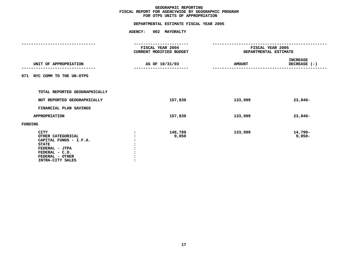## **OTPS UNITS OF APPROPRIATION DEPARTMENTAL ESTIMATE FISCAL YEAR <sup>2005</sup>**

|                               | FISCAL YEAR 2004<br>CURRENT MODIFIED BUDGET |         | FISCAL YEAR 2005<br>DEPARTMENTAL ESTIMATE |                                 |  |
|-------------------------------|---------------------------------------------|---------|-------------------------------------------|---------------------------------|--|
|                               |                                             |         |                                           |                                 |  |
| UNIT OF APPROPRIATION         | AS OF 10/31/03                              |         | <b>AMOUNT</b>                             | <b>INCREASE</b><br>DECREASE (-) |  |
| 071 NYC COMM TO THE UN-OTPS   |                                             |         |                                           |                                 |  |
| TOTAL REPORTED GEOGRAPHICALLY |                                             |         |                                           |                                 |  |
|                               |                                             |         |                                           |                                 |  |
| NOT REPORTED GEOGRAPHICALLY   |                                             | 157,839 | 133,999                                   | $23,840-$                       |  |
| FINANCIAL PLAN SAVINGS        |                                             |         |                                           |                                 |  |
| APPROPRIATION                 |                                             | 157,839 | 133,999                                   | $23,840-$                       |  |
| <b>FUNDING</b>                |                                             |         |                                           |                                 |  |
| CITY                          |                                             | 148,789 | 133,999                                   | 14,790-                         |  |
| OTHER CATEGORICAL             |                                             | 9,050   |                                           | $9,050-$                        |  |
| CAPITAL FUNDS - I.F.A.        |                                             |         |                                           |                                 |  |
| <b>STATE</b>                  |                                             |         |                                           |                                 |  |
| FEDERAL - JTPA                |                                             |         |                                           |                                 |  |
| FEDERAL - C.D.                |                                             |         |                                           |                                 |  |
| FEDERAL - OTHER               |                                             |         |                                           |                                 |  |
| INTRA-CITY SALES              |                                             |         |                                           |                                 |  |
|                               |                                             |         |                                           |                                 |  |
|                               |                                             |         |                                           |                                 |  |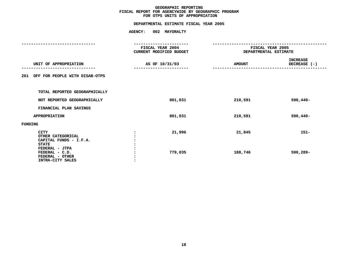|                                                                                       | <b>AGENCY:</b> | 002 MAYORALTY                               |                                           |                                 |
|---------------------------------------------------------------------------------------|----------------|---------------------------------------------|-------------------------------------------|---------------------------------|
|                                                                                       |                |                                             |                                           |                                 |
|                                                                                       |                | FISCAL YEAR 2004<br>CURRENT MODIFIED BUDGET | FISCAL YEAR 2005<br>DEPARTMENTAL ESTIMATE |                                 |
| UNIT OF APPROPRIATION                                                                 |                | AS OF 10/31/03                              | <b>AMOUNT</b>                             | <b>INCREASE</b><br>DECREASE (-) |
| 261 OFF FOR PEOPLE WITH DISAB-OTPS                                                    |                |                                             |                                           |                                 |
| TOTAL REPORTED GEOGRAPHICALLY                                                         |                |                                             |                                           |                                 |
| NOT REPORTED GEOGRAPHICALLY                                                           |                | 801,031                                     | 210,591                                   | $590,440-$                      |
| FINANCIAL PLAN SAVINGS                                                                |                |                                             |                                           |                                 |
| APPROPRIATION                                                                         |                | 801,031                                     | 210,591                                   | $590,440-$                      |
| FUNDING                                                                               |                |                                             |                                           |                                 |
| CITY<br>OTHER CATEGORICAL<br>CAPITAL FUNDS - I.F.A.<br><b>STATE</b><br>FEDERAL - JTPA |                | 21,996                                      | 21,845                                    | $151 -$                         |
| FEDERAL - C.D.<br>FEDERAL - OTHER<br>INTRA-CITY SALES                                 |                | 779,035                                     | 188,746                                   | 590,289-                        |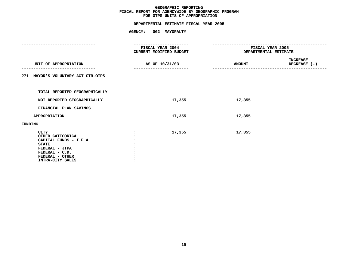| AGENCY: 002 MAYORALTY                  |                         |                                                  |  |  |
|----------------------------------------|-------------------------|--------------------------------------------------|--|--|
| ------------------<br>FISCAL YEAR 2004 |                         | FISCAL YEAR 2005<br><b>DEPARTMENTAL ESTIMATE</b> |  |  |
|                                        |                         |                                                  |  |  |
| AS OF 10/31/03                         | <b>AMOUNT</b>           | INCREASE<br>DECREASE (-)<br>-----------------    |  |  |
|                                        |                         |                                                  |  |  |
|                                        |                         |                                                  |  |  |
| 17,355                                 | 17,355                  |                                                  |  |  |
|                                        |                         |                                                  |  |  |
| 17,355                                 | 17,355                  |                                                  |  |  |
|                                        |                         |                                                  |  |  |
| 17,355                                 | 17,355                  |                                                  |  |  |
|                                        | CURRENT MODIFIED BUDGET |                                                  |  |  |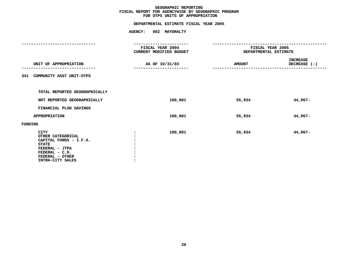## **OTPS UNITS OF APPROPRIATION DEPARTMENTAL ESTIMATE FISCAL YEAR <sup>2005</sup>**

|                                                                                                                                                       | FISCAL YEAR 2004<br>CURRENT MODIFIED BUDGET | FISCAL YEAR 2005<br>DEPARTMENTAL ESTIMATE |                                 |  |
|-------------------------------------------------------------------------------------------------------------------------------------------------------|---------------------------------------------|-------------------------------------------|---------------------------------|--|
| UNIT OF APPROPRIATION<br>-----------                                                                                                                  | AS OF 10/31/03                              | <b>AMOUNT</b>                             | <b>INCREASE</b><br>DECREASE (-) |  |
| 341 COMMUNITY ASST UNIT-OTPS                                                                                                                          |                                             |                                           |                                 |  |
| TOTAL REPORTED GEOGRAPHICALLY                                                                                                                         |                                             |                                           |                                 |  |
| NOT REPORTED GEOGRAPHICALLY                                                                                                                           | 100,001                                     | 55,934                                    | 44,067-                         |  |
| FINANCIAL PLAN SAVINGS                                                                                                                                |                                             |                                           |                                 |  |
| APPROPRIATION                                                                                                                                         | 100,001                                     | 55,934                                    | 44,067-                         |  |
| FUNDING                                                                                                                                               |                                             |                                           |                                 |  |
| <b>CITY</b><br>OTHER CATEGORICAL<br>CAPITAL FUNDS - I.F.A.<br><b>STATE</b><br>FEDERAL - JTPA<br>FEDERAL - C.D.<br>FEDERAL - OTHER<br>INTRA-CITY SALES | 100,001                                     | 55,934                                    | 44,067-                         |  |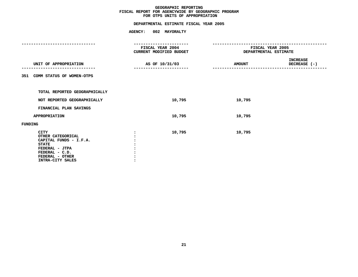|                                                                                                                                                       | AGENCY: 002 MAYORALTY                   |                              |                               |  |  |
|-------------------------------------------------------------------------------------------------------------------------------------------------------|-----------------------------------------|------------------------------|-------------------------------|--|--|
|                                                                                                                                                       | -------------------<br>FISCAL YEAR 2004 |                              | FISCAL YEAR 2005              |  |  |
|                                                                                                                                                       | CURRENT MODIFIED BUDGET                 | <b>DEPARTMENTAL ESTIMATE</b> |                               |  |  |
|                                                                                                                                                       |                                         |                              |                               |  |  |
| UNIT OF APPROPRIATION                                                                                                                                 | AS OF 10/31/03                          | <b>AMOUNT</b>                | INCREASE<br>DECREASE (-)<br>. |  |  |
| 351 COMM STATUS OF WOMEN-OTPS                                                                                                                         |                                         |                              |                               |  |  |
|                                                                                                                                                       |                                         |                              |                               |  |  |
| TOTAL REPORTED GEOGRAPHICALLY                                                                                                                         |                                         |                              |                               |  |  |
| NOT REPORTED GEOGRAPHICALLY                                                                                                                           | 10,795                                  | 10,795                       |                               |  |  |
| FINANCIAL PLAN SAVINGS                                                                                                                                |                                         |                              |                               |  |  |
| <b>APPROPRIATION</b>                                                                                                                                  | 10,795                                  | 10,795                       |                               |  |  |
| FUNDING                                                                                                                                               |                                         |                              |                               |  |  |
| <b>CITY</b><br>OTHER CATEGORICAL<br>CAPITAL FUNDS - I.F.A.<br><b>STATE</b><br>FEDERAL - JTPA<br>FEDERAL - C.D.<br>FEDERAL - OTHER<br>INTRA-CITY SALES | 10,795                                  | 10,795                       |                               |  |  |
|                                                                                                                                                       |                                         |                              |                               |  |  |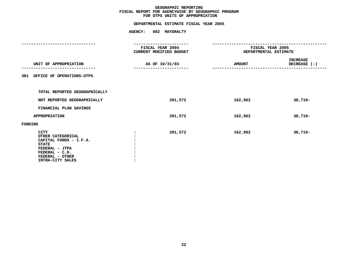## **OTPS UNITS OF APPROPRIATION DEPARTMENTAL ESTIMATE FISCAL YEAR <sup>2005</sup>**

|                                                                                                                                                       | FISCAL YEAR 2004<br>CURRENT MODIFIED BUDGET | FISCAL YEAR 2005<br>DEPARTMENTAL ESTIMATE |                                 |  |
|-------------------------------------------------------------------------------------------------------------------------------------------------------|---------------------------------------------|-------------------------------------------|---------------------------------|--|
| UNIT OF APPROPRIATION<br>----------                                                                                                                   | AS OF 10/31/03                              | <b>AMOUNT</b>                             | <b>INCREASE</b><br>DECREASE (-) |  |
| 381 OFFICE OF OPERATIONS-OTPS                                                                                                                         |                                             |                                           |                                 |  |
| TOTAL REPORTED GEOGRAPHICALLY                                                                                                                         |                                             |                                           |                                 |  |
| NOT REPORTED GEOGRAPHICALLY                                                                                                                           | 201,572                                     | 162,862                                   | 38,710-                         |  |
| FINANCIAL PLAN SAVINGS                                                                                                                                |                                             |                                           |                                 |  |
| <b>APPROPRIATION</b>                                                                                                                                  | 201,572                                     | 162,862                                   | $38,710-$                       |  |
| FUNDING                                                                                                                                               |                                             |                                           |                                 |  |
| <b>CITY</b><br>OTHER CATEGORICAL<br>CAPITAL FUNDS - I.F.A.<br><b>STATE</b><br>FEDERAL - JTPA<br>FEDERAL - C.D.<br>FEDERAL - OTHER<br>INTRA-CITY SALES | 201,572                                     | 162,862                                   | $38,710-$                       |  |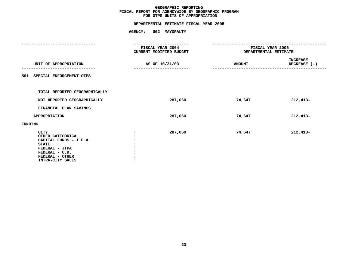## **OTPS UNITS OF APPROPRIATION DEPARTMENTAL ESTIMATE FISCAL YEAR <sup>2005</sup>**

|                                                                                                                                                       | FISCAL YEAR 2004<br>CURRENT MODIFIED BUDGET | FISCAL YEAR 2005<br>DEPARTMENTAL ESTIMATE |                                 |  |
|-------------------------------------------------------------------------------------------------------------------------------------------------------|---------------------------------------------|-------------------------------------------|---------------------------------|--|
| UNIT OF APPROPRIATION<br>-----------                                                                                                                  | AS OF 10/31/03                              | <b>AMOUNT</b>                             | <b>INCREASE</b><br>DECREASE (-) |  |
| 561 SPECIAL ENFORCEMENT-OTPS                                                                                                                          |                                             |                                           |                                 |  |
| TOTAL REPORTED GEOGRAPHICALLY                                                                                                                         |                                             |                                           |                                 |  |
| NOT REPORTED GEOGRAPHICALLY                                                                                                                           | 287,060                                     | 74,647                                    | $212,413-$                      |  |
| FINANCIAL PLAN SAVINGS                                                                                                                                |                                             |                                           |                                 |  |
| APPROPRIATION                                                                                                                                         | 287,060                                     | 74,647                                    | $212,413-$                      |  |
| FUNDING                                                                                                                                               |                                             |                                           |                                 |  |
| <b>CITY</b><br>OTHER CATEGORICAL<br>CAPITAL FUNDS - I.F.A.<br><b>STATE</b><br>FEDERAL - JTPA<br>FEDERAL - C.D.<br>FEDERAL - OTHER<br>INTRA-CITY SALES | 287,060                                     | 74,647                                    | $212,413-$                      |  |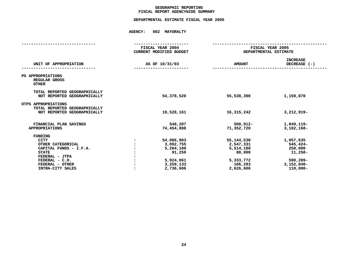### **GEOGRAPHICC REPORTING<br>ENCYWIDE SU<br>--- ------**-**FISCAL**

## **REPORT AGENCYWIDE SUMMARY DEPARTMENTAL ESTIMATE FISCAL YEAR <sup>2005</sup>**

|                                                                                                                                                                                | FISCAL YEAR 2004<br>CURRENT MODIFIED BUDGET                                           | FISCAL YEAR 2005<br>DEPARTMENTAL ESTIMATE                                             |                                                                                          |  |  |
|--------------------------------------------------------------------------------------------------------------------------------------------------------------------------------|---------------------------------------------------------------------------------------|---------------------------------------------------------------------------------------|------------------------------------------------------------------------------------------|--|--|
| UNIT OF APPROPRIATION                                                                                                                                                          | AS OF 10/31/03                                                                        | <b>AMOUNT</b>                                                                         | <b>INCREASE</b><br>DECREASE (-)                                                          |  |  |
| PS APPROPRIATIONS<br>REGULAR GROSS<br><b>OTHER</b>                                                                                                                             |                                                                                       |                                                                                       |                                                                                          |  |  |
| TOTAL REPORTED GEOGRAPHICALLY<br>NOT REPORTED GEOGRAPHICALLY                                                                                                                   | 54,378,520                                                                            | 55,538,390                                                                            | 1,159,870                                                                                |  |  |
| OTPS APPROPRIATIONS<br>TOTAL REPORTED GEOGRAPHICALLY<br>NOT REPORTED GEOGRAPHICALLY                                                                                            | 19,528,161                                                                            | 16, 315, 242                                                                          | 3,212,919-                                                                               |  |  |
| FINANCIAL PLAN SAVINGS<br><b>APPROPRIATIONS</b>                                                                                                                                | 548,207<br>74,454,888                                                                 | 500,912-<br>71,352,720                                                                | 1,049,119-<br>$3,102,168-$                                                               |  |  |
| <b>FUNDING</b><br><b>CITY</b><br>OTHER CATEGORICAL<br>CAPITAL FUNDS - I.F.A.<br><b>STATE</b><br>FEDERAL - JTPA<br>FEDERAL - C.D.<br>FEDERAL - OTHER<br><b>INTRA-CITY SALES</b> | 54,086,903<br>3,092,755<br>5,264,180<br>91,250<br>5,924,061<br>3,259,133<br>2,736,606 | 55, 144, 538<br>2,547,331<br>5,514,180<br>80,000<br>5,333,772<br>106,293<br>2,626,606 | 1,057,635<br>545,424-<br>250,000<br>11,250-<br>$590,289-$<br>$3,152,840-$<br>$110,000 -$ |  |  |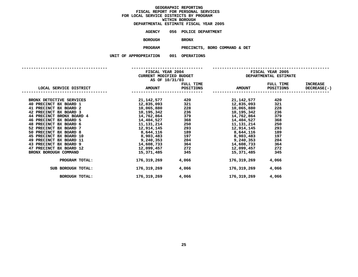| DEPARTMENTAL ESTIMATE FISCAL YEAR 2005 |                       |              |                    |  |
|----------------------------------------|-----------------------|--------------|--------------------|--|
| AGENCY                                 | 056 POLICE DEPARTMENT |              |                    |  |
| <b>BOROUGH</b>                         |                       | <b>BRONX</b> |                    |  |
| <b>PROGRAM</b>                         |                       |              | PRECINCTS, BORO CO |  |

**PROGRAMPRECINCTS, BORO COMMAND & DET**

<span id="page-28-0"></span>

|                           | AS OF 10/31/03             |                  | FISCAL YEAR 2004 FISCAL YEAR 2005<br>CURRENT MODIFIED BUDGET THE SERA DEPARTMENTAL ESTIMATE                                                                                                                                  |           |                 |  |
|---------------------------|----------------------------|------------------|------------------------------------------------------------------------------------------------------------------------------------------------------------------------------------------------------------------------------|-----------|-----------------|--|
|                           |                            | FULL TIME        |                                                                                                                                                                                                                              | FULL TIME | <b>INCREASE</b> |  |
| LOCAL SERVICE DISTRICT    | <b>EXECUTE 2018 AMOUNT</b> | <b>POSITIONS</b> | <b>AMOUNT</b>                                                                                                                                                                                                                | POSITIONS | DECREASE ( - )  |  |
| BRONX DETECTIVE SERVICES  |                            |                  | $21,142,577$<br>$12,835,093$<br>$10,065,880$<br>$10,195,342$<br>$14,762,864$<br>$14,762,864$<br>$14,762,864$<br>$14,762,864$<br>$14,762,864$<br>$14,762,864$<br>$14,762,864$<br>$14,762,864$<br>$14,762,864$<br>$14,762,864$ | 420       |                 |  |
| 40 PRECINCT BX BOARD 1    |                            |                  |                                                                                                                                                                                                                              | 321       |                 |  |
| 41 PRECINCT BX BOARD 2    |                            |                  |                                                                                                                                                                                                                              | 228       |                 |  |
| 42 PRECINCT BX BOARD 3    |                            |                  |                                                                                                                                                                                                                              | 236       |                 |  |
| 44 PRECINCT BRONX BOARD 4 |                            |                  |                                                                                                                                                                                                                              | 379       |                 |  |
| 46 PRECINCT BX BOARD 5    |                            |                  |                                                                                                                                                                                                                              | 368       |                 |  |
| 48 PRECINCT BX BOARD 6    |                            |                  | 11, 131, 214                                                                                                                                                                                                                 | 250       |                 |  |
| 52 PRECINCT BX BOARD 7    |                            |                  | $14,404,527$<br>$11,131,214$<br>$12,914,145$<br>$250$<br>$11,131,214$<br>$250$<br>$11,131,214$<br>$293$<br>$12,914,145$                                                                                                      | 293       |                 |  |
| 50 PRECINCT BX BOARD 8    |                            |                  |                                                                                                                                                                                                                              | 189       |                 |  |
| 45 PRECINCT BX BOARD 10   |                            |                  |                                                                                                                                                                                                                              | 197       |                 |  |
| 49 PRECINCT BX BOARD 11   |                            |                  |                                                                                                                                                                                                                              | 204       |                 |  |
| 43 PRECINCT BX BOARD 9    |                            |                  |                                                                                                                                                                                                                              | 364       |                 |  |
| 47 PRECINCT BX BOARD 12   |                            | 12,099,457 272   | 12,099,457                                                                                                                                                                                                                   | 272       |                 |  |
| BRONX BOROUGH COMMAND     |                            | 15,371,485 345   | 15,371,485                                                                                                                                                                                                                   | 345       |                 |  |
| PROGRAM TOTAL:            | 176,319,269                | 4,066            | 176,319,269                                                                                                                                                                                                                  | 4,066     |                 |  |
| SUB BOROUGH TOTAL:        | 176,319,269                | 4,066 2001       | 176,319,269                                                                                                                                                                                                                  | 4,066     |                 |  |
| BOROUGH TOTAL:            | 176,319,269                | 4,066            | 176,319,269                                                                                                                                                                                                                  | 4,066     |                 |  |
|                           |                            |                  |                                                                                                                                                                                                                              |           |                 |  |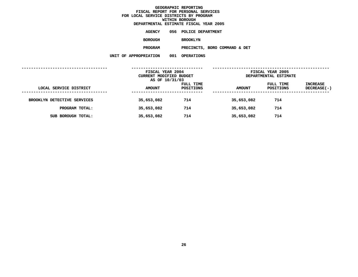|                      |     | DEPARTMENTAL ESTIMATE FISCAL YEAR 2005 |
|----------------------|-----|----------------------------------------|
| AGENCY               |     | 056 POLICE DEPARTMENT                  |
| <b>BOROUGH</b>       |     | <b>BROOKLYN</b>                        |
| <b>PROGRAM</b>       |     | PRECINCTS, BORO COMMAND & DET          |
| <b>\PPROPRIATION</b> | 001 | <b>OPERATIONS</b>                      |

| ------ | . | u munteun |  |
|--------|---|-----------|--|
|        |   |           |  |
|        |   |           |  |

|                             | FISCAL YEAR 2004<br>CURRENT MODIFIED BUDGET<br>AS OF 10/31/03 |                        | FISCAL YEAR 2005<br>DEPARTMENTAL ESTIMATE |                        |                                |
|-----------------------------|---------------------------------------------------------------|------------------------|-------------------------------------------|------------------------|--------------------------------|
| LOCAL SERVICE DISTRICT      | <b>AMOUNT</b>                                                 | FULL TIME<br>POSITIONS | <b>AMOUNT</b>                             | FULL TIME<br>POSITIONS | <b>INCREASE</b><br>DECREASE(-) |
| BROOKLYN DETECTIVE SERVICES | 35,653,082                                                    | 714                    | 35,653,082                                | 714                    |                                |
| PROGRAM TOTAL:              | 35,653,082                                                    | 714                    | 35,653,082                                | 714                    |                                |
| SUB BOROUGH TOTAL:          | 35,653,082                                                    | 714                    | 35,653,082                                | 714                    |                                |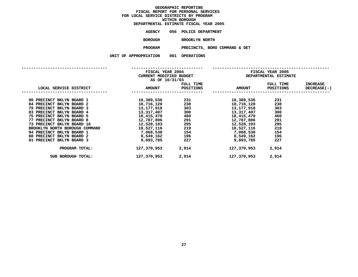|                    | DEPARTMENTAL ESTIMATE FISCAL YEAR 2005 |
|--------------------|----------------------------------------|
| <b>AGENCY</b>      | 056 POLICE DEPARTMENT                  |
| <b>BOROUGH</b>     | <b>BROOKLYN NORTH</b>                  |
| <b>PROGRAM</b>     | PRECINCTS, BORO COMMAND & DET          |
| <b>PROPRIATION</b> | 001 OPERATIONS                         |

**UNIT OF APPROPRIATION <sup>001</sup> OPERATIONS**

| UUT<br>OP. |
|------------|
|            |

|                                |               | FISCAL YEAR 2004<br><b>CURRENT MODIFIED BUDGET</b><br>AS OF 10/31/03 |               | FISCAL YEAR 2005<br>DEPARTMENTAL ESTIMATE |                                |  |
|--------------------------------|---------------|----------------------------------------------------------------------|---------------|-------------------------------------------|--------------------------------|--|
| LOCAL SERVICE DISTRICT         | <b>AMOUNT</b> | FULL TIME<br>POSITIONS                                               | <b>AMOUNT</b> | FULL TIME<br>POSITIONS                    | <b>INCREASE</b><br>DECREASE(-) |  |
| 90 PRECINCT BKLYN BOARD 1      | 10,389,536    | 231                                                                  | 10,389,536    | 231                                       |                                |  |
| 84 PRECINCT BKLYN BOARD 2      | 10,716,120    | 238                                                                  | 10,716,120    | 238                                       |                                |  |
| 79 PRECINCT BKLYN BOARD 3      | 13,177,918    | 303                                                                  | 13,177,918    | 303                                       |                                |  |
| 83 PRECINCT BKLYN BOARD 4      | 13,317,407    | 300                                                                  | 13,317,407    | 300                                       |                                |  |
| 75 PRECINCT BKLYN BOARD 5      | 18,415,470    | 460                                                                  | 18,415,470    | 460                                       |                                |  |
| 77 PRECINCT BKLYN BOARD 8      | 12,787,806    | 291                                                                  | 12,787,806    | 291                                       |                                |  |
| 73 PRECINCT BKLYN BOARD 16     | 12,528,103    | 295                                                                  | 12,528,103    | 295                                       |                                |  |
| BROOKLYN NORTH BOROUGH COMMAND | 10,527,116    | 219                                                                  | 10,527,116    | 219                                       |                                |  |
| 94 PRECINCT BKLYN BOARD 1      | 7,068,530     | 154                                                                  | 7,068,530     | 154                                       |                                |  |
| 88 PRECINCT BKLYN BOARD 2      | 8,549,162     | 196                                                                  | 8,549,162     | 196                                       |                                |  |
| 81 PRECINCT BKLYN BOARD 3      | 9,893,785     | 227                                                                  | 9,893,785     | 227                                       |                                |  |
| PROGRAM TOTAL:                 | 127,370,953   | 2,914                                                                | 127,370,953   | 2,914                                     |                                |  |
| SUB BOROUGH TOTAL:             | 127,370,953   | 2,914                                                                | 127,370,953   | 2,914                                     |                                |  |

SUB BOROUGH TOTAL: **BOROUGH TOTAL: 127,370,953 2,914 127,370,953 2,914**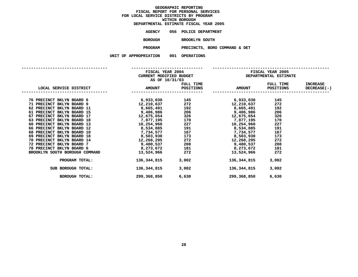|                | DEPARTMENTAL ESTIMATE FISCAL YEAR 2005 |  |
|----------------|----------------------------------------|--|
| AGENCY         | 056 POLICE DEPARTMENT                  |  |
| <b>BOROUGH</b> | <b>BROOKLYN SOUTH</b>                  |  |

 **BROOKLYN SOUTH PROGRAMPRECINCTS, BORO COMMAND & DET**

|                                         | AS OF 10/31/03 |       |                           |                  |                    |  |
|-----------------------------------------|----------------|-------|---------------------------|------------------|--------------------|--|
|                                         |                |       | FULL TIME                 | FULL TIME        | INCREASE           |  |
| LOCAL SERVICE DISTRICT AMOUNT POSITIONS |                |       | <b>AMOUNT</b>             | <b>POSITIONS</b> | <b>DECREASE(-)</b> |  |
| 76 PRECINCT BKLYN BOARD 6               |                |       | $6,933,030$ 145 6,933,030 | 145              |                    |  |
| 71 PRECINCT BKLYN BOARD 9               |                |       |                           | 272              |                    |  |
| 62 PRECINCT BKLYN BOARD 11              |                |       |                           | 192              |                    |  |
| 61 PRECINCT BKLYN BOARD 15              |                |       |                           | 206              |                    |  |
| 67 PRECINCT BKLYN BOARD 17              |                |       |                           | 326              |                    |  |
| 63 PRECINCT BKLYN BOARD 18              |                |       |                           | 170              |                    |  |
| 60 PRECINCT BKLYN BOARD 13              |                |       |                           | 227              |                    |  |
| 66 PRECINCT BKLYN BOARD 12              |                |       |                           | 191              |                    |  |
| 68 PRECINCT BKLYN BOARD 10              |                |       |                           | 167              |                    |  |
| 69 PRECINCT BKLYN BOARD 18              |                |       |                           | 173              |                    |  |
| 70 PRECINCT BKLYN BOARD 14              |                |       |                           | 272              |                    |  |
| 72 PRECINCT BKLYN BOARD 7               |                |       |                           | 208              |                    |  |
| 78 PRECINCT BKLYN BOARD 6               | 8,273,672 181  |       | 8,273,672                 | 181              |                    |  |
| BROOKLYN SOUTH BOROUGH COMMAND          | 13,524,966     | 272   | 13,524,966                | 272              |                    |  |
| PROGRAM TOTAL:                          | 136,344,815    | 3,002 | 136,344,815               | 3,002            |                    |  |
| SUB BOROUGH TOTAL:                      | 136,344,815    | 3,002 | 136,344,815               | 3,002            |                    |  |
| BOROUGH TOTAL:                          | 299,368,850    | 6,630 | 299,368,850               | 6,630            |                    |  |
|                                         |                |       |                           |                  |                    |  |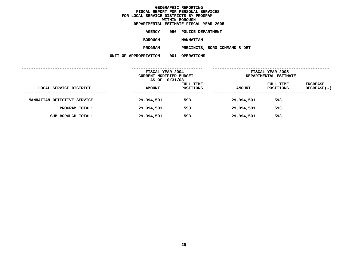|                    |     | DEPARTMENTAL ESTIMATE FISCAL YEAR 2005 |
|--------------------|-----|----------------------------------------|
| AGENCY             | 056 | POLICE DEPARTMENT                      |
| <b>BOROUGH</b>     |     | <b>MANHATTAN</b>                       |
| <b>PROGRAM</b>     |     | PRECINCTS, BORO COMMAND & DET          |
| <b>PROPRIATION</b> | 001 | <b>OPERATIONS</b>                      |

| ייטו ומנה | . u l | <b>UFLMILLUN</b> |
|-----------|-------|------------------|
|           |       |                  |

|                                                  | FISCAL YEAR 2004<br>CURRENT MODIFIED BUDGET<br>AS OF 10/31/03 |                        |               | FISCAL YEAR 2005<br>DEPARTMENTAL ESTIMATE |                                  |
|--------------------------------------------------|---------------------------------------------------------------|------------------------|---------------|-------------------------------------------|----------------------------------|
| LOCAL SERVICE DISTRICT<br>---------------------- | <b>AMOUNT</b>                                                 | FULL TIME<br>POSITIONS | <b>AMOUNT</b> | FULL TIME<br>POSITIONS                    | <b>INCREASE</b><br>$DECREASE(-)$ |
| MANHATTAN DETECTIVE SERVICE                      | 29,994,501                                                    | 593                    | 29,994,501    | 593                                       |                                  |
| PROGRAM TOTAL:                                   | 29,994,501                                                    | 593                    | 29,994,501    | 593                                       |                                  |
| SUB BOROUGH TOTAL:                               | 29,994,501                                                    | 593                    | 29,994,501    | 593                                       |                                  |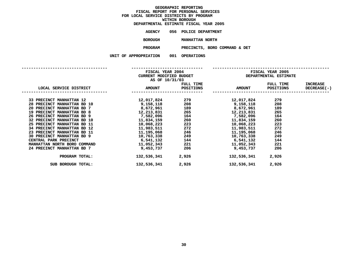| DEPARTMENTAL ESTIMATE FISCAL YEAR 2005 |     |                   |  |
|----------------------------------------|-----|-------------------|--|
| AGENCY                                 | 056 | POLICE DEPARTMENT |  |

**<sup>056</sup> POLICE DEPARTMENT BOROUGH**

**MANHATTAN NORTH PROGRAM PRECINCTS, BORO COMMAND & DET**

|  |  | 1 PROPRIAI LON |  |  |  |
|--|--|----------------|--|--|--|
|  |  |                |  |  |  |

| <b>UU</b> | <b>OPERATIONS</b> |  |
|-----------|-------------------|--|
|           |                   |  |

|                                         | FISCAL YEAR 2004<br>CURRENT MODIFIED BUDGET                                                                                                          |                   | FISCAL YEAR 2005<br><b>DEPARTMENTAL ESTIMATE</b>                                  |           |                    |  |  |
|-----------------------------------------|------------------------------------------------------------------------------------------------------------------------------------------------------|-------------------|-----------------------------------------------------------------------------------|-----------|--------------------|--|--|
|                                         | AS OF 10/31/03                                                                                                                                       |                   |                                                                                   |           |                    |  |  |
|                                         |                                                                                                                                                      | FULL TIME         |                                                                                   | FULL TIME | INCREASE           |  |  |
| LOCAL SERVICE DISTRICT AMOUNT POSITIONS |                                                                                                                                                      |                   | AMOUNT POSITIONS                                                                  |           | <b>DECREASE(-)</b> |  |  |
| 33 PRECINCT MANHATTAN 12                |                                                                                                                                                      |                   | 12,017,824                                                                        | 279       |                    |  |  |
| 28 PRECINCT MANHATTAN BD 10             |                                                                                                                                                      |                   |                                                                                   | 208       |                    |  |  |
| 20 PRECINCT MANHATTAN BD 7              |                                                                                                                                                      |                   | $8,672,961$ 189 $8,672,961$                                                       | 189       |                    |  |  |
| 19 PRECINCT MANHATTAN BD 8              |                                                                                                                                                      |                   |                                                                                   | 265       |                    |  |  |
| 26 PRECINCT MANHATTAN BD 9              |                                                                                                                                                      |                   |                                                                                   | 164       |                    |  |  |
| 32 PRECINCT MANHATTAN BD 10             | $12, 213, 831$<br>$7, 582, 096$<br>$11, 834, 159$<br>$10, 068, 223$<br>$223$<br>$223$<br>$223$<br>$223$<br>$10, 068, 223$<br>$223$<br>$10, 068, 223$ |                   |                                                                                   | 260       |                    |  |  |
| 25 PRECINCT MANHATTAN BD 11             |                                                                                                                                                      |                   |                                                                                   | 223       |                    |  |  |
| 34 PRECINCT MANHATTAN BD 12             |                                                                                                                                                      | 11,983,511 272    | 11,983,511                                                                        | 272       |                    |  |  |
| 23 PRECINCT MANHATTAN BD 11             |                                                                                                                                                      |                   | 11,195,068 246 11,195,068<br>10,763,338 249 10,763,338<br>6,541,132 144 6,541,132 | 246       |                    |  |  |
| 30 PRECINCT MANHATTAN BD 9              |                                                                                                                                                      |                   |                                                                                   | 249       |                    |  |  |
| CENTRAL PARK PRECINCT                   |                                                                                                                                                      |                   |                                                                                   | 144       |                    |  |  |
| MANHATTAN NORTH BORO COMMAND            |                                                                                                                                                      |                   | $11,052,343$ 221 $11,052,343$                                                     | 221       |                    |  |  |
| 24 PRECINCT MANHATTAN BD 7              | 9,453,737                                                                                                                                            | 206               | 9,453,737                                                                         | 206       |                    |  |  |
| PROGRAM TOTAL:                          |                                                                                                                                                      | 132,536,341 2,926 | 132,536,341                                                                       | 2,926     |                    |  |  |
| SUB BOROUGH TOTAL:                      | 132,536,341                                                                                                                                          | 2,926             | 132,536,341                                                                       | 2,926     |                    |  |  |
|                                         |                                                                                                                                                      |                   |                                                                                   |           |                    |  |  |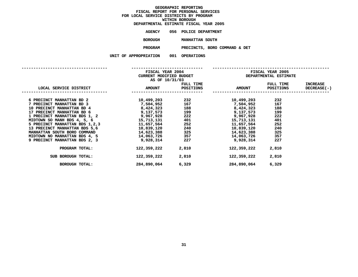| DEPARTMENTAL ESTIMATE FISCAL YEAR 2005 |     |                   |  |
|----------------------------------------|-----|-------------------|--|
| AGENCY                                 | 056 | POLICE DEPARTMENT |  |

**<sup>056</sup> POLICE DEPARTMENT BOROUGH**

PRECINCTS, BORO COMMAND & DET **PROGRAMPRECINCTS, BORO COMMAND & DET UNIT OF APPROPRIATION <sup>001</sup> OPERATIONS**

| FRIATION | UUT |
|----------|-----|
|----------|-----|

|                                   |                             | FISCAL YEAR 2004<br>CURRENT MODIFIED BUDGET<br>AS OF 10/31/03 |               | <b>FISCAL YEAR 2005</b><br><b>DEPARTMENTAL ESTIMATE</b> |                                          |  |  |
|-----------------------------------|-----------------------------|---------------------------------------------------------------|---------------|---------------------------------------------------------|------------------------------------------|--|--|
| LOCAL SERVICE DISTRICT            |                             | FULL TIME<br>AMOUNT POSITIONS                                 | <b>AMOUNT</b> | FULL TIME                                               | <b>INCREASE</b><br>POSITIONS DECREASE(-) |  |  |
| 6 PRECINCT MANHATTAN BD 2         |                             | 10,499,203 232                                                | 10,499,203    | 232                                                     |                                          |  |  |
| 7 PRECINCT MANHATTAN BD 3         | 7,504,952 167               |                                                               | 7,504,952     | 167                                                     |                                          |  |  |
| <b>10 PRECINCT MANHATTAN BD 4</b> | $8,424,323$ 188 $8,424,323$ |                                                               |               | 188                                                     |                                          |  |  |
| 17 PRECINCT MANHATTAN BD 6        |                             |                                                               | 9,137,573     | 199                                                     |                                          |  |  |
| 1 PRECINCT MANHATTAN BDS 1, 2     |                             |                                                               | 9,967,928     | 222                                                     |                                          |  |  |
| MIDTOWN SO MANH BDS 4, 5, 6       | 15,713,131 401              |                                                               | 15,713,131    | 401                                                     |                                          |  |  |
| 5 PRECINCT MANHATTAN BDS 1,2,3    | 11,657,564                  | 252                                                           | 11,657,564    | 252                                                     |                                          |  |  |
| 13 PRECINCT MANHATTAN BDS 5,6     |                             |                                                               | 10,839,120    | 240                                                     |                                          |  |  |
| MANHATTAN SOUTH BORO COMMAND      |                             |                                                               | 14,623,388    | 325                                                     |                                          |  |  |
| MIDTOWN NO MANHATTAN BDS 4, 5     | 14,063,726 357              |                                                               | 14,063,726    | 357                                                     |                                          |  |  |
| 9 PRECINCT MANHATTAN BDS 2, 3     | 9,928,314                   | 227                                                           | 9,928,314     | 227                                                     |                                          |  |  |
| PROGRAM TOTAL:                    | 122,359,222                 | 2,810                                                         | 122,359,222   | 2,810                                                   |                                          |  |  |
| SUB BOROUGH TOTAL:                | 122,359,222                 | 2,810                                                         | 122,359,222   | 2,810                                                   |                                          |  |  |
| BOROUGH TOTAL:                    | 284,890,064                 | 6,329                                                         | 284,890,064   | 6,329                                                   |                                          |  |  |
|                                   |                             |                                                               |               |                                                         |                                          |  |  |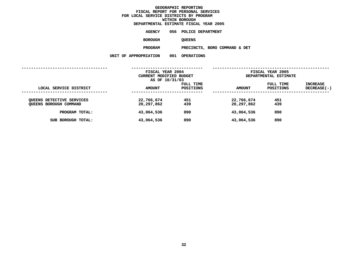|                      |     | DEPARTMENTAL ESTIMATE FISCAL YEAR 2005 |
|----------------------|-----|----------------------------------------|
| <b>AGENCY</b>        |     | 056 POLICE DEPARTMENT                  |
| <b>BOROUGH</b>       |     | <b>OUEENS</b>                          |
| <b>PROGRAM</b>       |     | PRECINCTS, BORO COMMAND & DET          |
| <b>\PPROPRIATION</b> | 001 | <b>OPERATIONS</b>                      |

| ATIUN | UUL | <b>OPERATIO</b> |
|-------|-----|-----------------|
|       |     |                 |

|                                                                   | FISCAL YEAR 2004<br>CURRENT MODIFIED BUDGET<br>AS OF 10/31/03 |                        | FISCAL YEAR 2005<br>DEPARTMENTAL ESTIMATE |                        |                           |
|-------------------------------------------------------------------|---------------------------------------------------------------|------------------------|-------------------------------------------|------------------------|---------------------------|
| LOCAL SERVICE DISTRICT                                            | <b>AMOUNT</b>                                                 | FULL TIME<br>POSITIONS | <b>AMOUNT</b>                             | FULL TIME<br>POSITIONS | INCREASE<br>$DECREASE(-)$ |
| <b>QUEENS DETECTIVE SERVICES</b><br><b>QUEENS BOROUGH COMMAND</b> | 22,766,674<br>20,297,862                                      | 451<br>439             | 22,766,674<br>20,297,862                  | 451<br>439             |                           |
| PROGRAM TOTAL:                                                    | 43,064,536                                                    | 890                    | 43,064,536                                | 890                    |                           |
| SUB BOROUGH TOTAL:                                                | 43,064,536                                                    | 890                    | 43,064,536                                | 890                    |                           |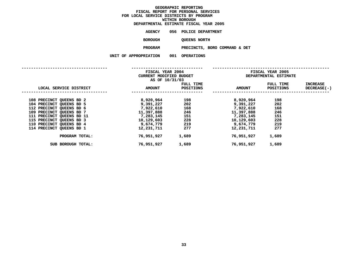|                | DEPARTMENTAL ESTIMATE FISCAL YEAR 2005 |
|----------------|----------------------------------------|
| AGENCY         | 056 POLICE DEPARTMENT                  |
| <b>BOROUGH</b> | <b>OUEENS NORTH</b>                    |
| <b>PROGRAM</b> | PRECINCTS, BORO COMMAND & DET          |
| PPROPRIATION   | 001 OPERATIONS                         |

**UNIT OF APPROPRIATION <sup>001</sup> OPERATIONS**

|                           |               | FISCAL YEAR 2004<br>CURRENT MODIFIED BUDGET<br>AS OF 10/31/03 |               | FISCAL YEAR 2005<br>DEPARTMENTAL ESTIMATE |                                |  |
|---------------------------|---------------|---------------------------------------------------------------|---------------|-------------------------------------------|--------------------------------|--|
| LOCAL SERVICE DISTRICT    | <b>AMOUNT</b> | FULL TIME<br>POSITIONS                                        | <b>AMOUNT</b> | FULL TIME<br>POSITIONS                    | <b>INCREASE</b><br>DECREASE(-) |  |
| 108 PRECINCT QUEENS BD 2  | 8,920,964     | 198                                                           | 8,920,964     | 198                                       |                                |  |
| 104 PRECINCT QUEENS BD 5  | 9,391,227     | 202                                                           | 9,391,227     | 202                                       |                                |  |
| 112 PRECINCT QUEENS BD 6  | 7,922,610     | 168                                                           | 7,922,610     | 168                                       |                                |  |
| 109 PRECINCT QUEENS BD 7  | 11,397,888    | 246                                                           | 11,397,888    | 246                                       |                                |  |
| 111 PRECINCT QUEENS BD 11 | 7,283,145     | 151                                                           | 7,283,145     | 151                                       |                                |  |
| 115 PRECINCT QUEENS BD 3  | 10,129,603    | 228                                                           | 10,129,603    | 228                                       |                                |  |
| 110 PRECINCT QUEENS BD 4  | 9,674,779     | 219                                                           | 9,674,779     | 219                                       |                                |  |
| 114 PRECINCT QUEENS BD 1  | 12,231,711    | 277                                                           | 12,231,711    | 277                                       |                                |  |
| PROGRAM TOTAL:            | 76,951,927    | 1,689                                                         | 76,951,927    | 1,689                                     |                                |  |
| SUB BOROUGH TOTAL:        | 76,951,927    | 1,689                                                         | 76,951,927    | 1,689                                     |                                |  |
|                           |               |                                                               |               |                                           |                                |  |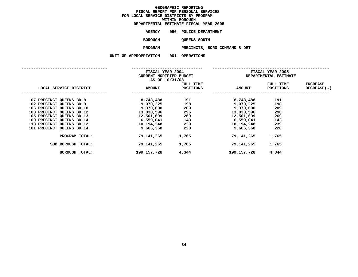|  |                       | DEPARTMENTAL ESTIMATE FISCAL YEAR 2005 |
|--|-----------------------|----------------------------------------|
|  | AGENCY                | 056 POLICE DEPARTMENT                  |
|  | <b>BOROUGH</b>        | <b>QUEENS SOUTH</b>                    |
|  | <b>PROGRAM</b>        | PRECINCTS, BORO COMMAND & DET          |
|  | UNIT OF APPROPRIATION | 001 OPERATIONS                         |
|  |                       |                                        |

|                                                                                                                                                                                                                                    |                                         | FISCAL YEAR 2004<br>CURRENT MODIFIED BUDGET<br>AS OF 10/31/03                                           |                                                      | FISCAL YEAR 2005<br>DEPARTMENTAL ESTIMATE                                                               |                                                      |                         |
|------------------------------------------------------------------------------------------------------------------------------------------------------------------------------------------------------------------------------------|-----------------------------------------|---------------------------------------------------------------------------------------------------------|------------------------------------------------------|---------------------------------------------------------------------------------------------------------|------------------------------------------------------|-------------------------|
| LOCAL SERVICE DISTRICT                                                                                                                                                                                                             |                                         | <b>AMOUNT</b>                                                                                           | FULL TIME<br>POSITIONS                               | <b>AMOUNT</b>                                                                                           | FULL TIME<br>POSITIONS                               | INCREASE<br>DECREASE(-) |
| 107 PRECINCT QUEENS BD 8<br>102 PRECINCT QUEENS BD 9<br>106 PRECINCT QUEENS BD 10<br>103 PRECINCT QUEENS BD 12<br>105 PRECINCT QUEENS BD 13<br>100 PRECINCT QUEENS BD 14<br>113 PRECINCT QUEENS BD 12<br>101 PRECINCT QUEENS BD 14 |                                         | 8,748,488<br>9,070,225<br>9,370,600<br>13,030,596<br>12,501,699<br>6,559,041<br>10,194,248<br>9,666,368 | 191<br>198<br>209<br>296<br>269<br>143<br>239<br>220 | 8,748,488<br>9,070,225<br>9,370,600<br>13,030,596<br>12,501,699<br>6,559,041<br>10,194,248<br>9,666,368 | 191<br>198<br>209<br>296<br>269<br>143<br>239<br>220 |                         |
| SUB BOROUGH TOTAL:                                                                                                                                                                                                                 | PROGRAM TOTAL:<br><b>BOROUGH TOTAL:</b> | 79,141,265<br>79,141,265<br>199,157,728                                                                 | 1,765<br>1,765<br>4,344                              | 79,141,265<br>79,141,265<br>199,157,728                                                                 | 1,765<br>1,765<br>4,344                              |                         |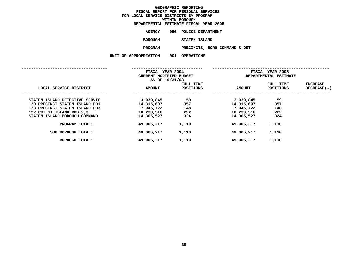|  |                       | DEPARTMENTAL ESTIMATE FISCAL YEAR 2005 |
|--|-----------------------|----------------------------------------|
|  | AGENCY                | 056 POLICE DEPARTMENT                  |
|  | BOROUGH               | STATEN ISLAND                          |
|  | <b>PROGRAM</b>        | PRECINCTS, BORO COMMAND & DET          |
|  | UNIT OF APPROPRIATION | 001 OPERATIONS                         |
|  |                       |                                        |

|                                                                                                                                                                  | FISCAL YEAR 2004<br>CURRENT MODIFIED BUDGET<br>AS OF 10/31/03    |                                | FISCAL YEAR 2005<br>DEPARTMENTAL ESTIMATE                        |                                |                                  |
|------------------------------------------------------------------------------------------------------------------------------------------------------------------|------------------------------------------------------------------|--------------------------------|------------------------------------------------------------------|--------------------------------|----------------------------------|
| LOCAL SERVICE DISTRICT                                                                                                                                           | <b>AMOUNT</b>                                                    | FULL TIME<br>POSITIONS         | <b>AMOUNT</b>                                                    | FULL TIME<br><b>POSITIONS</b>  | <b>INCREASE</b><br>$DECREASE(-)$ |
| STATEN ISLAND DETECTIVE SERVIC<br>120 PRECINCT STATEN ISLAND BD1<br>123 PRECINCT STATEN ISLAND BD3<br>122 PCT ST ISLAND BDS 2,3<br>STATEN ISLAND BOROUGH COMMAND | 3,039,845<br>14,315,607<br>7,045,722<br>10,239,516<br>14,365,527 | 59<br>357<br>148<br>222<br>324 | 3,039,845<br>14,315,607<br>7,045,722<br>10,239,516<br>14,365,527 | 59<br>357<br>148<br>222<br>324 |                                  |
| PROGRAM TOTAL:                                                                                                                                                   | 49,006,217                                                       | 1,110                          | 49,006,217                                                       | 1,110                          |                                  |
| SUB BOROUGH TOTAL:                                                                                                                                               | 49,006,217                                                       | 1,110                          | 49,006,217                                                       | 1,110                          |                                  |
| <b>BOROUGH TOTAL:</b>                                                                                                                                            | 49,006,217                                                       | 1,110                          | 49,006,217                                                       | 1,110                          |                                  |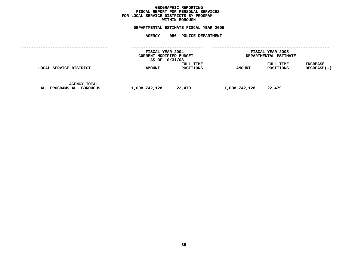## **GEOGRAPHICC REPORTING<br>PERSONAL S<br>ICTS BY PRO FISCAL REPORT FOR PERSONAL SERVICES FOR LOCAL SERVICE DISTRICTS BY PROGRAM WITHIN**

# WITHIN BOROUGH<br>D<mark>EPARTMENTAL ESTIMATE FISC</mark> **ESTIMATE FISCAL YEAR <sup>2005</sup> AGENCY <sup>056</sup> POLICE DEPARTMENT**

|                                            | FISCAL YEAR 2004<br>CURRENT MODIFIED BUDGET<br>AS OF 10/31/03 |                        | FISCAL YEAR 2005<br>DEPARTMENTAL ESTIMATE |                        |                                         |
|--------------------------------------------|---------------------------------------------------------------|------------------------|-------------------------------------------|------------------------|-----------------------------------------|
| LOCAL SERVICE DISTRICT                     | <b>AMOUNT</b><br>----------------                             | FULL TIME<br>POSITIONS | <b>AMOUNT</b>                             | FULL TIME<br>POSITIONS | INCREASE<br>DECREASE(-)<br>------------ |
| AGENCY TOTAL:<br>ALL PROGRAMS ALL BOROUGHS | 1,008,742,128                                                 | 22,479                 | 1,008,742,128                             | 22,479                 |                                         |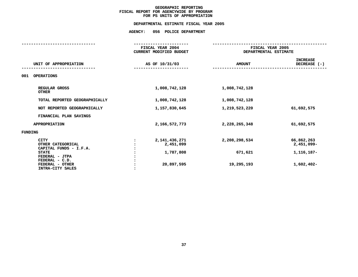|                                                                                                                                   | FISCAL YEAR 2004<br><b>CURRENT MODIFIED BUDGET</b>       | FISCAL YEAR 2005<br>DEPARTMENTAL ESTIMATE |                                                          |
|-----------------------------------------------------------------------------------------------------------------------------------|----------------------------------------------------------|-------------------------------------------|----------------------------------------------------------|
| UNIT OF APPROPRIATION                                                                                                             | AS OF 10/31/03                                           | <b>AMOUNT</b>                             | <b>INCREASE</b><br>DECREASE $(-)$                        |
| 001<br><b>OPERATIONS</b>                                                                                                          |                                                          |                                           |                                                          |
| REGULAR GROSS<br><b>OTHER</b>                                                                                                     | 1,008,742,128                                            | 1,008,742,128                             |                                                          |
| TOTAL REPORTED GEOGRAPHICALLY                                                                                                     | 1,008,742,128                                            | 1,008,742,128                             |                                                          |
| NOT REPORTED GEOGRAPHICALLY                                                                                                       | 1,157,830,645                                            | 1,219,523,220                             | 61,692,575                                               |
| FINANCIAL PLAN SAVINGS                                                                                                            |                                                          |                                           |                                                          |
| <b>APPROPRIATION</b>                                                                                                              | 2,166,572,773                                            | 2,228,265,348                             | 61,692,575                                               |
| FUNDING                                                                                                                           |                                                          |                                           |                                                          |
| <b>CITY</b><br>OTHER CATEGORICAL<br>CAPITAL FUNDS - I.F.A.<br><b>STATE</b><br>FEDERAL - JTPA<br>FEDERAL - C.D.<br>FEDERAL - OTHER | 2, 141, 436, 271<br>2,451,099<br>1,787,808<br>20,897,595 | 2,208,298,534<br>671,621<br>19,295,193    | 66,862,263<br>2,451,099-<br>1, 116, 187-<br>$1,602,402-$ |
| INTRA-CITY SALES                                                                                                                  |                                                          |                                           |                                                          |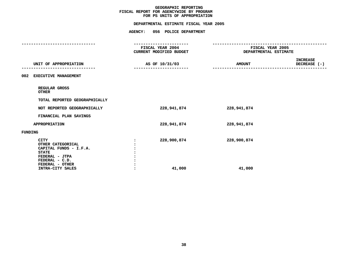| FISCAL YEAR 2004<br>CURRENT MODIFIED BUDGET | FISCAL YEAR 2005<br>DEPARTMENTAL ESTIMATE |                                 |
|---------------------------------------------|-------------------------------------------|---------------------------------|
| AS OF 10/31/03                              | <b>AMOUNT</b>                             | <b>INCREASE</b><br>DECREASE (-) |
|                                             |                                           |                                 |
|                                             |                                           |                                 |
|                                             |                                           |                                 |
| 228,941,874                                 | 228,941,874                               |                                 |
|                                             |                                           |                                 |
| 228,941,874                                 | 228,941,874                               |                                 |
|                                             |                                           |                                 |
| 228,900,874<br>41,000                       | 228,900,874<br>41,000                     |                                 |
|                                             |                                           |                                 |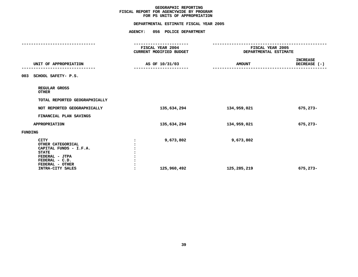## **PS UNITS OF APPROPRIATION DEPARTMENTAL**

|                                                                                                                                                       |                                 | DEPARTMENTAL ESTIMATE FISCAL YEAR 2005                                     |                                                         |                                 |
|-------------------------------------------------------------------------------------------------------------------------------------------------------|---------------------------------|----------------------------------------------------------------------------|---------------------------------------------------------|---------------------------------|
|                                                                                                                                                       |                                 | AGENCY: 056 POLICE DEPARTMENT                                              |                                                         |                                 |
|                                                                                                                                                       |                                 | --------------------<br><b>FISCAL YEAR 2004</b><br>CURRENT MODIFIED BUDGET | <b>FISCAL YEAR 2005</b><br><b>DEPARTMENTAL ESTIMATE</b> |                                 |
| UNIT OF APPROPRIATION                                                                                                                                 |                                 | AS OF 10/31/03                                                             | <b>AMOUNT</b>                                           | <b>INCREASE</b><br>DECREASE (-) |
| 003 SCHOOL SAFETY- P.S.                                                                                                                               |                                 |                                                                            |                                                         |                                 |
| REGULAR GROSS<br><b>OTHER</b>                                                                                                                         |                                 |                                                                            |                                                         |                                 |
| TOTAL REPORTED GEOGRAPHICALLY                                                                                                                         |                                 |                                                                            |                                                         |                                 |
| NOT REPORTED GEOGRAPHICALLY                                                                                                                           |                                 | 135,634,294                                                                | 134,959,021                                             | 675,273-                        |
| FINANCIAL PLAN SAVINGS                                                                                                                                |                                 |                                                                            |                                                         |                                 |
| <b>APPROPRIATION</b>                                                                                                                                  |                                 | 135,634,294                                                                | 134,959,021                                             | 675,273-                        |
| <b>FUNDING</b>                                                                                                                                        |                                 |                                                                            |                                                         |                                 |
| <b>CITY</b><br>OTHER CATEGORICAL<br>CAPITAL FUNDS - I.F.A.<br><b>STATE</b><br>FEDERAL - JTPA<br>FEDERAL - C.D.<br>FEDERAL - OTHER<br>INTRA-CITY SALES | $\cdot$<br>$\ddot{\phantom{a}}$ | 9,673,802<br>125,960,492                                                   | 9,673,802<br>125,285,219                                | 675,273-                        |
|                                                                                                                                                       |                                 |                                                                            |                                                         |                                 |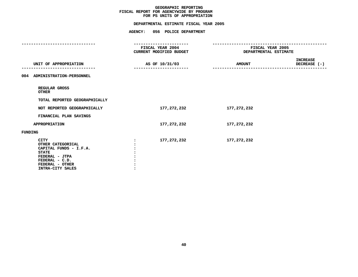|                                                                                                                                                       | FISCAL YEAR 2004<br>CURRENT MODIFIED BUDGET | FISCAL YEAR 2005<br>DEPARTMENTAL ESTIMATE |                                 |
|-------------------------------------------------------------------------------------------------------------------------------------------------------|---------------------------------------------|-------------------------------------------|---------------------------------|
| UNIT OF APPROPRIATION                                                                                                                                 | AS OF 10/31/03                              | <b>AMOUNT</b>                             | <b>INCREASE</b><br>DECREASE (-) |
| ADMINISTRATION-PERSONNEL<br>004                                                                                                                       |                                             |                                           |                                 |
| REGULAR GROSS<br><b>OTHER</b>                                                                                                                         |                                             |                                           |                                 |
| TOTAL REPORTED GEOGRAPHICALLY                                                                                                                         |                                             |                                           |                                 |
| NOT REPORTED GEOGRAPHICALLY                                                                                                                           | 177,272,232                                 | 177,272,232                               |                                 |
| FINANCIAL PLAN SAVINGS                                                                                                                                |                                             |                                           |                                 |
| <b>APPROPRIATION</b>                                                                                                                                  | 177,272,232                                 | 177,272,232                               |                                 |
| <b>FUNDING</b>                                                                                                                                        |                                             |                                           |                                 |
| <b>CITY</b><br>OTHER CATEGORICAL<br>CAPITAL FUNDS - I.F.A.<br><b>STATE</b><br>FEDERAL - JTPA<br>FEDERAL - C.D.<br>FEDERAL - OTHER<br>INTRA-CITY SALES | 177,272,232                                 | 177,272,232                               |                                 |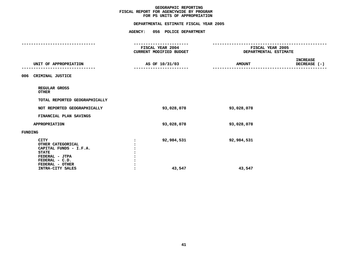|                                                                                                                                                       | FISCAL YEAR 2004<br>CURRENT MODIFIED BUDGET | FISCAL YEAR 2005<br>DEPARTMENTAL ESTIMATE |                                 |  |
|-------------------------------------------------------------------------------------------------------------------------------------------------------|---------------------------------------------|-------------------------------------------|---------------------------------|--|
| UNIT OF APPROPRIATION                                                                                                                                 | AS OF 10/31/03                              | <b>AMOUNT</b>                             | <b>INCREASE</b><br>DECREASE (-) |  |
| CRIMINAL JUSTICE<br>006                                                                                                                               |                                             |                                           |                                 |  |
| REGULAR GROSS<br><b>OTHER</b>                                                                                                                         |                                             |                                           |                                 |  |
| TOTAL REPORTED GEOGRAPHICALLY                                                                                                                         |                                             |                                           |                                 |  |
| NOT REPORTED GEOGRAPHICALLY                                                                                                                           | 93,028,078                                  | 93,028,078                                |                                 |  |
| FINANCIAL PLAN SAVINGS                                                                                                                                |                                             |                                           |                                 |  |
| <b>APPROPRIATION</b>                                                                                                                                  | 93,028,078                                  | 93,028,078                                |                                 |  |
| <b>FUNDING</b>                                                                                                                                        |                                             |                                           |                                 |  |
| <b>CITY</b><br>OTHER CATEGORICAL<br>CAPITAL FUNDS - I.F.A.<br><b>STATE</b><br>FEDERAL - JTPA<br>FEDERAL - C.D.<br>FEDERAL - OTHER<br>INTRA-CITY SALES | 92,984,531<br>43,547                        | 92,984,531<br>43,547                      |                                 |  |
|                                                                                                                                                       |                                             |                                           |                                 |  |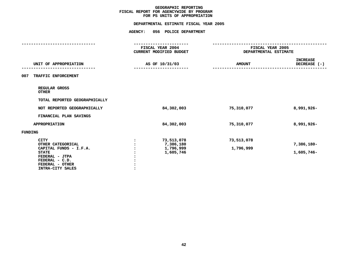## **GEOGRAPHIC**C REPORTING<br>WIDE BY PRO<br>F APPROPRIA FISCAL REPORT FOR AGENCYWIDE BY PROGRAM **REPORT FOR AGENCYWIDE BY PROGRAM FOR**

|  |  | <b>AMOUNT</b>                                                                                                                                         | <b>INCREASE</b><br>DECREASE (-)           |  |
|--|--|-------------------------------------------------------------------------------------------------------------------------------------------------------|-------------------------------------------|--|
|  |  |                                                                                                                                                       |                                           |  |
|  |  |                                                                                                                                                       |                                           |  |
|  |  |                                                                                                                                                       |                                           |  |
|  |  | 75,310,077                                                                                                                                            | 8,991,926-                                |  |
|  |  |                                                                                                                                                       |                                           |  |
|  |  | 75,310,077                                                                                                                                            | 8,991,926-                                |  |
|  |  |                                                                                                                                                       |                                           |  |
|  |  | 73,513,078<br>1,796,999                                                                                                                               | 7,386,180-<br>1,605,746-                  |  |
|  |  | FISCAL YEAR 2004<br><b>CURRENT MODIFIED BUDGET</b><br>AS OF 10/31/03<br>84,302,003<br>84,302,003<br>73,513,078<br>7,386,180<br>1,796,999<br>1,605,746 | FISCAL YEAR 2005<br>DEPARTMENTAL ESTIMATE |  |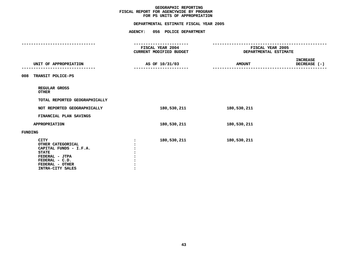## **GEOGRAPHIC**C REPORTING<br>WIDE BY PRO<br>F APPROPRIA FISCAL REPORT FOR AGENCYWIDE BY PROGRAM **REPORT FOR AGENCYWIDE BY PROGRAM FOR**

|                                                                                                                                                       | FISCAL YEAR 2004<br>CURRENT MODIFIED BUDGET | FISCAL YEAR 2005<br>DEPARTMENTAL ESTIMATE |                                 |
|-------------------------------------------------------------------------------------------------------------------------------------------------------|---------------------------------------------|-------------------------------------------|---------------------------------|
| UNIT OF APPROPRIATION                                                                                                                                 | AS OF 10/31/03                              | <b>AMOUNT</b>                             | <b>INCREASE</b><br>DECREASE (-) |
| 008<br>TRANSIT POLICE-PS                                                                                                                              |                                             |                                           |                                 |
| REGULAR GROSS<br><b>OTHER</b>                                                                                                                         |                                             |                                           |                                 |
| TOTAL REPORTED GEOGRAPHICALLY                                                                                                                         |                                             |                                           |                                 |
| NOT REPORTED GEOGRAPHICALLY                                                                                                                           | 180,530,211                                 | 180,530,211                               |                                 |
| FINANCIAL PLAN SAVINGS                                                                                                                                |                                             |                                           |                                 |
| <b>APPROPRIATION</b>                                                                                                                                  | 180,530,211                                 | 180,530,211                               |                                 |
| <b>FUNDING</b>                                                                                                                                        |                                             |                                           |                                 |
| <b>CITY</b><br>OTHER CATEGORICAL<br>CAPITAL FUNDS - I.F.A.<br><b>STATE</b><br>FEDERAL - JTPA<br>FEDERAL - C.D.<br>FEDERAL - OTHER<br>INTRA-CITY SALES | 180,530,211                                 | 180,530,211                               |                                 |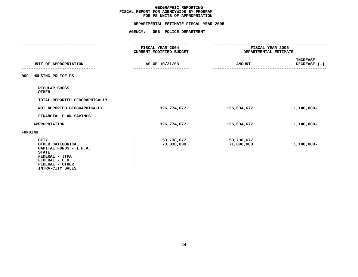## **GEOGRAPHIC**C REPORTING<br>WIDE BY PRO<br>F APPROPRIA FISCAL REPORT FOR AGENCYWIDE BY PROGRAM **REPORT FOR AGENCYWIDE BY PROGRAM FOR**

|                                                                                                                                                       | FISCAL YEAR 2004<br><b>CURRENT MODIFIED BUDGET</b> |                          | FISCAL YEAR 2005<br>DEPARTMENTAL ESTIMATE |  |
|-------------------------------------------------------------------------------------------------------------------------------------------------------|----------------------------------------------------|--------------------------|-------------------------------------------|--|
| UNIT OF APPROPRIATION                                                                                                                                 | AS OF 10/31/03                                     | <b>AMOUNT</b>            | <b>INCREASE</b><br>DECREASE (-)           |  |
| HOUSING POLICE-PS<br>009                                                                                                                              |                                                    |                          |                                           |  |
| REGULAR GROSS<br><b>OTHER</b>                                                                                                                         |                                                    |                          |                                           |  |
| TOTAL REPORTED GEOGRAPHICALLY                                                                                                                         |                                                    |                          |                                           |  |
| NOT REPORTED GEOGRAPHICALLY                                                                                                                           | 126,774,677                                        | 125,634,677              | $1,140,000 -$                             |  |
| FINANCIAL PLAN SAVINGS                                                                                                                                |                                                    |                          |                                           |  |
| <b>APPROPRIATION</b>                                                                                                                                  | 126, 774, 677                                      | 125,634,677              | 1,140,000-                                |  |
| <b>FUNDING</b>                                                                                                                                        |                                                    |                          |                                           |  |
| <b>CITY</b><br>OTHER CATEGORICAL<br>CAPITAL FUNDS - I.F.A.<br><b>STATE</b><br>FEDERAL - JTPA<br>FEDERAL - C.D.<br>FEDERAL - OTHER<br>INTRA-CITY SALES | 53,738,677<br>73,036,000                           | 53,738,677<br>71,896,000 | $1,140,000 -$                             |  |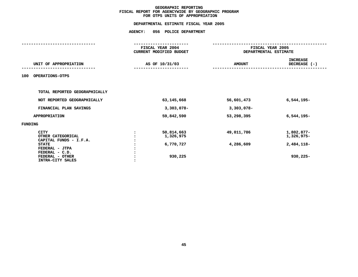|                               | FISCAL YEAR 2004               |              | FISCAL YEAR 2005 |                       |  |
|-------------------------------|--------------------------------|--------------|------------------|-----------------------|--|
|                               | <b>CURRENT MODIFIED BUDGET</b> |              |                  | DEPARTMENTAL ESTIMATE |  |
|                               |                                |              |                  | <b>INCREASE</b>       |  |
| UNIT OF APPROPRIATION         | AS OF 10/31/03                 |              | <b>AMOUNT</b>    | DECREASE (-)          |  |
|                               |                                |              |                  |                       |  |
| <b>OPERATIONS-OTPS</b><br>100 |                                |              |                  |                       |  |
|                               |                                |              |                  |                       |  |
|                               |                                |              |                  |                       |  |
| TOTAL REPORTED GEOGRAPHICALLY |                                |              |                  |                       |  |
| NOT REPORTED GEOGRAPHICALLY   |                                | 63, 145, 668 | 56,601,473       | $6,544,195-$          |  |
|                               |                                |              |                  |                       |  |
| FINANCIAL PLAN SAVINGS        |                                | $3,303,078-$ | $3,303,078-$     |                       |  |
| APPROPRIATION                 |                                | 59,842,590   | 53,298,395       | $6,544,195-$          |  |
|                               |                                |              |                  |                       |  |
| FUNDING                       |                                |              |                  |                       |  |
| <b>CITY</b>                   |                                | 50,814,663   | 49,011,786       | 1,802,877-            |  |
| OTHER CATEGORICAL             |                                | 1,326,975    |                  | 1,326,975-            |  |
| CAPITAL FUNDS - I.F.A.        |                                |              |                  |                       |  |
| <b>STATE</b>                  |                                | 6,770,727    | 4,286,609        | 2,484,118-            |  |
| FEDERAL - JTPA                |                                |              |                  |                       |  |
| FEDERAL - C.D.                |                                |              |                  |                       |  |
| FEDERAL - OTHER               |                                | 930,225      |                  | 930,225-              |  |
| INTRA-CITY SALES              |                                |              |                  |                       |  |
|                               |                                |              |                  |                       |  |
|                               |                                |              |                  |                       |  |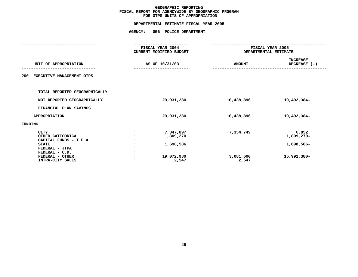|                                  | FISCAL YEAR 2004<br><b>CURRENT MODIFIED BUDGET</b> | FISCAL YEAR 2005<br>DEPARTMENTAL ESTIMATE |                 |
|----------------------------------|----------------------------------------------------|-------------------------------------------|-----------------|
|                                  |                                                    |                                           |                 |
|                                  |                                                    |                                           | <b>INCREASE</b> |
| UNIT OF APPROPRIATION            | AS OF 10/31/03                                     | <b>AMOUNT</b>                             | DECREASE (-)    |
|                                  |                                                    |                                           |                 |
| EXECUTIVE MANAGEMENT-OTPS<br>200 |                                                    |                                           |                 |
|                                  |                                                    |                                           |                 |
|                                  |                                                    |                                           |                 |
| TOTAL REPORTED GEOGRAPHICALLY    |                                                    |                                           |                 |
|                                  |                                                    |                                           |                 |
| NOT REPORTED GEOGRAPHICALLY      | 29,931,280                                         | 10,438,896                                | 19,492,384-     |
| FINANCIAL PLAN SAVINGS           |                                                    |                                           |                 |
| APPROPRIATION                    | 29,931,280                                         | 10,438,896                                | 19,492,384-     |
|                                  |                                                    |                                           |                 |
| FUNDING                          |                                                    |                                           |                 |
| <b>CITY</b>                      | 7,347,897                                          | 7,354,749                                 | 6,852           |
| OTHER CATEGORICAL                | 1,809,270                                          |                                           | $1,809,270-$    |
| CAPITAL FUNDS - I.F.A.           |                                                    |                                           |                 |
| <b>STATE</b>                     | 1,698,586                                          |                                           | 1,698,586-      |
| FEDERAL - JTPA                   |                                                    |                                           |                 |
| FEDERAL - C.D.                   |                                                    |                                           |                 |
| FEDERAL - OTHER                  | 19,072,980                                         | 3,081,600                                 | 15,991,380-     |
| INTRA-CITY SALES                 | 2,547                                              | 2,547                                     |                 |
|                                  |                                                    |                                           |                 |
|                                  |                                                    |                                           |                 |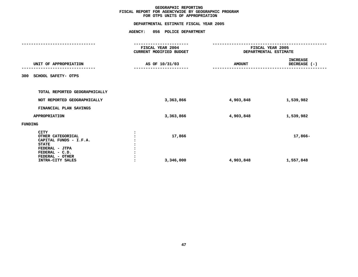| FISCAL YEAR 2004    | FISCAL YEAR 2005<br>DEPARTMENTAL ESTIMATE |                                 |
|---------------------|-------------------------------------------|---------------------------------|
|                     |                                           |                                 |
| AS OF 10/31/03      | <b>AMOUNT</b>                             | <b>INCREASE</b><br>DECREASE (-) |
|                     |                                           |                                 |
|                     |                                           |                                 |
| 3,363,866           | 4,903,848                                 | 1,539,982                       |
|                     |                                           |                                 |
| 3,363,866           | 4,903,848                                 | 1,539,982                       |
|                     |                                           |                                 |
| 17,866<br>3,346,000 | 4,903,848                                 | 17,866-<br>1,557,848            |
|                     | CURRENT MODIFIED BUDGET                   |                                 |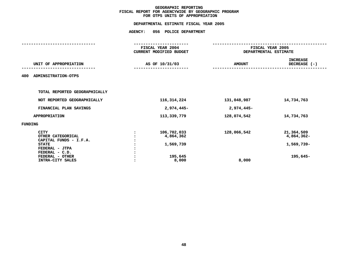|         |                               | FISCAL YEAR 2004               | FISCAL YEAR 2005      |                 |  |
|---------|-------------------------------|--------------------------------|-----------------------|-----------------|--|
|         |                               | <b>CURRENT MODIFIED BUDGET</b> | DEPARTMENTAL ESTIMATE |                 |  |
|         |                               |                                |                       | <b>INCREASE</b> |  |
|         | UNIT OF APPROPRIATION         | AS OF 10/31/03                 | <b>AMOUNT</b>         | DECREASE (-)    |  |
| 400     | ADMINSITRATION-OTPS           |                                |                       |                 |  |
|         | TOTAL REPORTED GEOGRAPHICALLY |                                |                       |                 |  |
|         | NOT REPORTED GEOGRAPHICALLY   | 116,314,224                    | 131,048,987           | 14,734,763      |  |
|         | FINANCIAL PLAN SAVINGS        | 2,974,445-                     | 2,974,445-            |                 |  |
|         | APPROPRIATION                 | 113,339,779                    | 128,074,542           | 14,734,763      |  |
| FUNDING |                               |                                |                       |                 |  |
|         | <b>CITY</b>                   | 106,702,033                    | 128,066,542           | 21,364,509      |  |
|         | OTHER CATEGORICAL             | 4,864,362                      |                       | 4,864,362-      |  |
|         | CAPITAL FUNDS - I.F.A.        |                                |                       |                 |  |
|         | <b>STATE</b>                  | 1,569,739                      |                       | 1,569,739-      |  |
|         | FEDERAL - JTPA                |                                |                       |                 |  |
|         | FEDERAL - C.D.                |                                |                       |                 |  |
|         | FEDERAL - OTHER               | 195,645                        |                       | 195,645-        |  |
|         | INTRA-CITY SALES              | 8,000                          | 8,000                 |                 |  |
|         |                               |                                |                       |                 |  |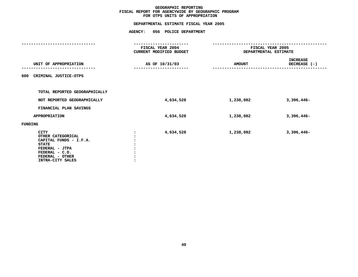|                                                                                                                                                       | FISCAL YEAR 2004<br><b>CURRENT MODIFIED BUDGET</b> | FISCAL YEAR 2005<br>DEPARTMENTAL ESTIMATE |                          |  |
|-------------------------------------------------------------------------------------------------------------------------------------------------------|----------------------------------------------------|-------------------------------------------|--------------------------|--|
| UNIT OF APPROPRIATION                                                                                                                                 | AS OF 10/31/03                                     | <b>AMOUNT</b>                             | INCREASE<br>DECREASE (-) |  |
| CRIMINAL JUSTICE-OTPS<br>600                                                                                                                          |                                                    |                                           |                          |  |
| TOTAL REPORTED GEOGRAPHICALLY                                                                                                                         |                                                    |                                           |                          |  |
| NOT REPORTED GEOGRAPHICALLY                                                                                                                           | 4,634,528                                          | 1,238,082                                 | $3,396,446-$             |  |
| FINANCIAL PLAN SAVINGS                                                                                                                                |                                                    |                                           |                          |  |
| <b>APPROPRIATION</b>                                                                                                                                  | 4,634,528                                          | 1,238,082                                 | $3,396,446-$             |  |
| FUNDING                                                                                                                                               |                                                    |                                           |                          |  |
| <b>CITY</b><br>OTHER CATEGORICAL<br>CAPITAL FUNDS - I.F.A.<br><b>STATE</b><br>FEDERAL - JTPA<br>FEDERAL - C.D.<br>FEDERAL - OTHER<br>INTRA-CITY SALES | 4,634,528                                          | 1,238,082                                 | $3,396,446-$             |  |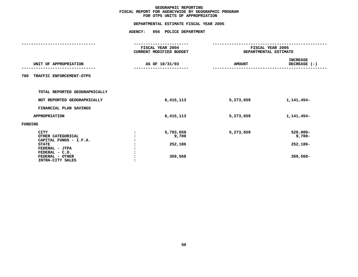|                                                                                                                                                       | FISCAL YEAR 2004<br>CURRENT MODIFIED BUDGET |               | FISCAL YEAR 2005<br>DEPARTMENTAL ESTIMATE         |
|-------------------------------------------------------------------------------------------------------------------------------------------------------|---------------------------------------------|---------------|---------------------------------------------------|
| UNIT OF APPROPRIATION                                                                                                                                 | AS OF 10/31/03                              | <b>AMOUNT</b> | <b>INCREASE</b><br>DECREASE (-)                   |
| TRAFFIC ENFORCEMENT-OTPS<br>700                                                                                                                       |                                             |               |                                                   |
| TOTAL REPORTED GEOGRAPHICALLY                                                                                                                         |                                             |               |                                                   |
| NOT REPORTED GEOGRAPHICALLY                                                                                                                           | 6,415,113                                   | 5,273,659     | 1,141,454-                                        |
| FINANCIAL PLAN SAVINGS                                                                                                                                |                                             |               |                                                   |
| <b>APPROPRIATION</b>                                                                                                                                  | 6,415,113                                   | 5,273,659     | 1,141,454-                                        |
| <b>FUNDING</b>                                                                                                                                        |                                             |               |                                                   |
| <b>CITY</b><br>OTHER CATEGORICAL<br>CAPITAL FUNDS - I.F.A.<br><b>STATE</b><br>FEDERAL - JTPA<br>FEDERAL - C.D.<br>FEDERAL - OTHER<br>INTRA-CITY SALES | 5,793,659<br>9,700<br>252,186<br>359,568    | 5,273,659     | $520,000 -$<br>$9,700-$<br>252,186-<br>$359,568-$ |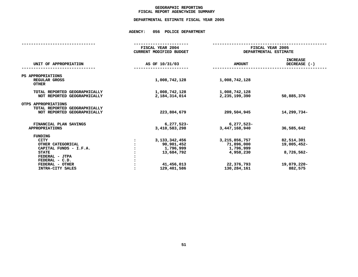## **GEOGRAPHICC REPORTING<br>ENCYWIDE SU<br>-----------FISCAL**

# **REPORT AGENCYWIDE SUMMARY DEPARTMENTAL ESTIMATE FISCAL YEAR <sup>2005</sup>**

## **AGENCY: <sup>056</sup> POLICE DEPARTMENT**

| FISCAL YEAR 2004<br><b>CURRENT MODIFIED BUDGET</b>                                     | FISCAL YEAR 2005<br>DEPARTMENTAL ESTIMATE                                             |                                                                   |
|----------------------------------------------------------------------------------------|---------------------------------------------------------------------------------------|-------------------------------------------------------------------|
| AS OF 10/31/03                                                                         | <b>AMOUNT</b>                                                                         | <b>INCREASE</b><br>DECREASE (-)                                   |
| 1,008,742,128                                                                          | 1,008,742,128                                                                         |                                                                   |
| 1,008,742,128<br>2, 184, 314, 014                                                      | 1,008,742,128<br>2,235,199,390                                                        | 50,885,376                                                        |
| 223,804,679                                                                            | 209,504,945                                                                           | 14,299,734-                                                       |
| $6,277,523-$<br>3,410,583,298                                                          | $6,277,523-$<br>3,447,168,940                                                         | 36,585,642                                                        |
| 3, 133, 342, 456<br>90,901,452<br>1,796,999<br>13,684,792<br>41,456,013<br>129,401,586 | 3, 215, 856, 757<br>71,896,000<br>1,796,999<br>4,958,230<br>22,376,793<br>130,284,161 | 82,514,301<br>19,005,452-<br>8,726,562-<br>19,079,220-<br>882,575 |
|                                                                                        |                                                                                       |                                                                   |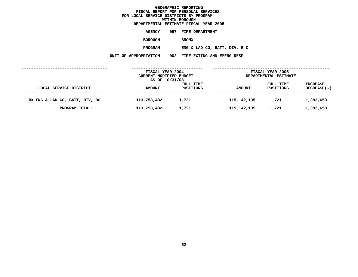**ESTIMATE FISCAL YEAR <sup>2005</sup> AGENCY <sup>057</sup> FIRE DEPARTMENT BOROUGH**BRONX<br>**ENG & LAD CO, BATT, DIV, B C PROGRAMENG & LAD CO, BATT, DIV, <sup>B</sup> <sup>C</sup> UNIT OF APPROPRIATION <sup>002</sup> FIRE EXTING AND EMERG RESP**

|                                | FISCAL YEAR 2004<br>CURRENT MODIFIED BUDGET<br>AS OF 10/31/03 |                        |               | FISCAL YEAR 2005<br>DEPARTMENTAL ESTIMATE |                                       |
|--------------------------------|---------------------------------------------------------------|------------------------|---------------|-------------------------------------------|---------------------------------------|
| LOCAL SERVICE DISTRICT         | <b>AMOUNT</b>                                                 | FULL TIME<br>POSITIONS | <b>AMOUNT</b> | FULL TIME<br>POSITIONS                    | <b>INCREASE</b><br><b>DECREASE(-)</b> |
| BX ENG & LAD CO, BATT, DIV, BC | 113,758,482                                                   | 1,721                  | 115,142,135   | 1,721                                     | 1,383,653                             |
| PROGRAM TOTAL:                 | 113,758,482                                                   | 1,721                  | 115,142,135   | 1,721                                     | 1,383,653                             |
|                                |                                                               |                        |               |                                           |                                       |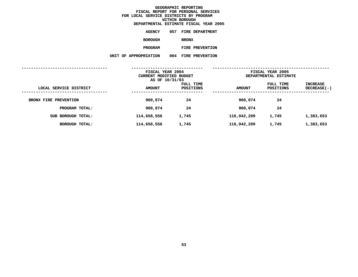**ESTIMATE FISCAL YEAR <sup>2005</sup> AGENCY <sup>057</sup> FIRE DEPARTMENT BOROUGH**BRONX<br>FIRE PREVENTION **PROGRAMFIRE PREVENTION UNIT OF APPROPRIATION <sup>004</sup> FIRE PREVENTION**

|                        | FISCAL YEAR 2004<br>CURRENT MODIFIED BUDGET<br>AS OF 10/31/03 |                        | FISCAL YEAR 2005<br>DEPARTMENTAL ESTIMATE |                        |                           |
|------------------------|---------------------------------------------------------------|------------------------|-------------------------------------------|------------------------|---------------------------|
| LOCAL SERVICE DISTRICT | <b>AMOUNT</b>                                                 | FULL TIME<br>POSITIONS | <b>AMOUNT</b>                             | FULL TIME<br>POSITIONS | INCREASE<br>$DECREASE(-)$ |
| BRONX FIRE PREVENTION  | 900,074                                                       | 24                     | 900,074                                   | 24                     |                           |
| PROGRAM TOTAL:         | 900,074                                                       | 24                     | 900,074                                   | 24                     |                           |
| SUB BOROUGH TOTAL:     | 114,658,556                                                   | 1,745                  | 116,042,209                               | 1,745                  | 1,383,653                 |
| BOROUGH TOTAL:         | 114,658,556                                                   | 1,745                  | 116,042,209                               | 1,745                  | 1,383,653                 |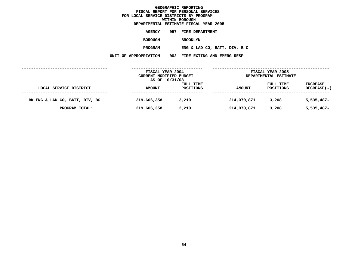**ESTIMATE FISCAL YEAR <sup>2005</sup> AGENCY <sup>057</sup> FIRE DEPARTMENT BOROUGH**BROOKLYN<br>**ENG & LAD CO, BATT, DIV, B C PROGRAMENG & LAD CO, BATT, DIV, <sup>B</sup> <sup>C</sup> UNIT OF APPROPRIATION <sup>002</sup> FIRE EXTING AND EMERG RESP**

|                                | FISCAL YEAR 2004<br>CURRENT MODIFIED BUDGET<br>AS OF 10/31/03 |                        | FISCAL YEAR 2005<br>DEPARTMENTAL ESTIMATE |                        |                                       |  |
|--------------------------------|---------------------------------------------------------------|------------------------|-------------------------------------------|------------------------|---------------------------------------|--|
| LOCAL SERVICE DISTRICT         | <b>AMOUNT</b>                                                 | FULL TIME<br>POSITIONS | <b>AMOUNT</b>                             | FULL TIME<br>POSITIONS | <b>INCREASE</b><br><b>DECREASE(-)</b> |  |
| BK ENG & LAD CO, BATT, DIV, BC | 219,606,358                                                   | 3,210                  | 214,070,871                               | 3,208                  | $5,535,487-$                          |  |
| PROGRAM TOTAL:                 | 219,606,358                                                   | 3,210                  | 214,070,871                               | 3,208                  | $5,535,487-$                          |  |
|                                |                                                               |                        |                                           |                        |                                       |  |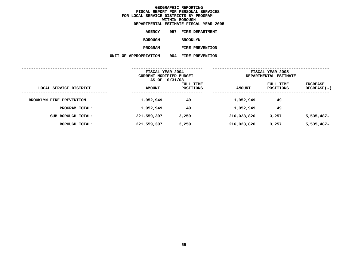**ESTIMATE FISCAL YEAR <sup>2005</sup> AGENCY <sup>057</sup> FIRE DEPARTMENT BOROUGH BROOKLYN PROGRAMFIRE PREVENTION UNIT OF APPROPRIATION <sup>004</sup> FIRE PREVENTION**

|                          | FISCAL YEAR 2004<br>CURRENT MODIFIED BUDGET<br>AS OF 10/31/03 |                        | FISCAL YEAR 2005<br>DEPARTMENTAL ESTIMATE |                        |                           |
|--------------------------|---------------------------------------------------------------|------------------------|-------------------------------------------|------------------------|---------------------------|
| LOCAL SERVICE DISTRICT   | <b>AMOUNT</b>                                                 | FULL TIME<br>POSITIONS | <b>AMOUNT</b>                             | FULL TIME<br>POSITIONS | INCREASE<br>$DECREASE(-)$ |
| BROOKLYN FIRE PREVENTION | 1,952,949                                                     | 49                     | 1,952,949                                 | 49                     |                           |
| PROGRAM TOTAL:           | 1,952,949                                                     | 49                     | 1,952,949                                 | 49                     |                           |
| SUB BOROUGH TOTAL:       | 221,559,307                                                   | 3,259                  | 216,023,820                               | 3,257                  | $5,535,487-$              |
| BOROUGH TOTAL:           | 221,559,307                                                   | 3,259                  | 216,023,820                               | 3,257                  | $5,535,487-$              |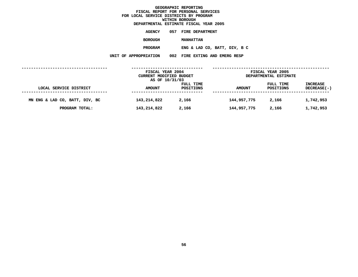**ESTIMATE FISCAL YEAR <sup>2005</sup> AGENCY <sup>057</sup> FIRE DEPARTMENT BOROUGH MANHATTAN PROGRAMENG & LAD CO, BATT, DIV, <sup>B</sup> <sup>C</sup> UNIT OF APPROPRIATION <sup>002</sup> FIRE EXTING AND EMERG RESP**

|                                | FISCAL YEAR 2004<br>CURRENT MODIFIED BUDGET<br>AS OF 10/31/03 |                        | FISCAL YEAR 2005<br>DEPARTMENTAL ESTIMATE |                        |                                       |
|--------------------------------|---------------------------------------------------------------|------------------------|-------------------------------------------|------------------------|---------------------------------------|
| LOCAL SERVICE DISTRICT         | <b>AMOUNT</b>                                                 | FULL TIME<br>POSITIONS | <b>AMOUNT</b>                             | FULL TIME<br>POSITIONS | <b>INCREASE</b><br><b>DECREASE(-)</b> |
| MN ENG & LAD CO, BATT, DIV, BC | 143,214,822                                                   | 2,166                  | 144,957,775                               | 2,166                  | 1,742,953                             |
| PROGRAM TOTAL:                 | 143,214,822                                                   | 2,166                  | 144,957,775                               | 2,166                  | 1,742,953                             |
|                                |                                                               |                        |                                           |                        |                                       |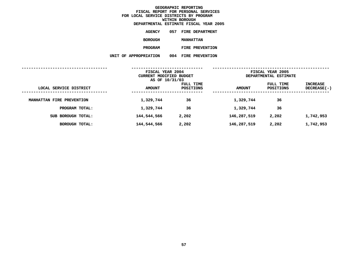**ESTIMATE FISCAL YEAR <sup>2005</sup> AGENCY <sup>057</sup> FIRE DEPARTMENT BOROUGHMANHATTAN<br>FIRE PREVENTION PROGRAMFIRE PREVENTION UNIT OF APPROPRIATION <sup>004</sup> FIRE PREVENTION**

| FISCAL YEAR 2004<br>CURRENT MODIFIED BUDGET |                        | FISCAL YEAR 2005<br>DEPARTMENTAL ESTIMATE |                        |                         |
|---------------------------------------------|------------------------|-------------------------------------------|------------------------|-------------------------|
| <b>AMOUNT</b>                               | FULL TIME<br>POSITIONS | <b>AMOUNT</b>                             | FULL TIME<br>POSITIONS | INCREASE<br>DECREASE(-) |
| 1,329,744                                   | 36                     | 1,329,744                                 | 36                     |                         |
| 1,329,744                                   | 36                     | 1,329,744                                 | 36                     |                         |
| 144,544,566                                 | 2,202                  | 146,287,519                               | 2,202                  | 1,742,953               |
| 144,544,566                                 | 2,202                  | 146,287,519                               | 2,202                  | 1,742,953               |
|                                             |                        | AS OF 10/31/03                            |                        |                         |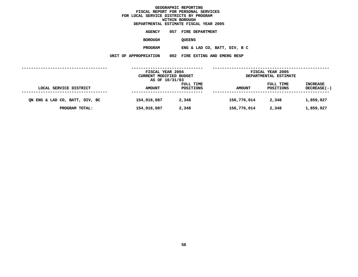|                       | DEPARTMENTAL ESTIMATE FISCAL YEAR 2005 |
|-----------------------|----------------------------------------|
| AGENCY                | 057 FIRE DEPARTMENT                    |
| <b>BOROUGH</b>        | <b>OUEENS</b>                          |
| <b>PROGRAM</b>        | ENG & LAD CO, BATT, DIV, B C           |
| UNIT OF APPROPRIATION | 002 FIRE EXTING AND EMERG RESP         |
|                       |                                        |

|                                | FISCAL YEAR 2004<br>CURRENT MODIFIED BUDGET<br>AS OF 10/31/03 |                        | FISCAL YEAR 2005<br>DEPARTMENTAL ESTIMATE |                        |                                       |
|--------------------------------|---------------------------------------------------------------|------------------------|-------------------------------------------|------------------------|---------------------------------------|
| LOCAL SERVICE DISTRICT         | <b>AMOUNT</b>                                                 | FULL TIME<br>POSITIONS | <b>AMOUNT</b>                             | FULL TIME<br>POSITIONS | <b>INCREASE</b><br><b>DECREASE(-)</b> |
| QN ENG & LAD CO, BATT, DIV, BC | 154,916,087                                                   | 2,348                  | 156,776,014                               | 2,348                  | 1,859,927                             |
| PROGRAM TOTAL:                 | 154,916,087                                                   | 2,348                  | 156,776,014                               | 2,348                  | 1,859,927                             |
|                                |                                                               |                        |                                           |                        |                                       |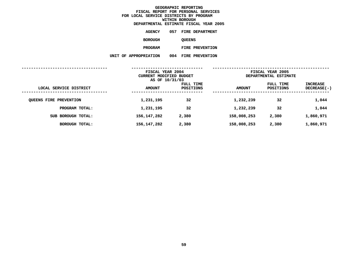**ESTIMATE FISCAL YEAR <sup>2005</sup> AGENCY <sup>057</sup> FIRE DEPARTMENT BOROUGH**QUEENS<br>FIRE PREVENTION **PROGRAMFIRE PREVENTION UNIT OF APPROPRIATION <sup>004</sup> FIRE PREVENTION**

|                               | FISCAL YEAR 2004<br>CURRENT MODIFIED BUDGET<br>AS OF 10/31/03 |                        | FISCAL YEAR 2005<br>DEPARTMENTAL ESTIMATE |                        |                         |
|-------------------------------|---------------------------------------------------------------|------------------------|-------------------------------------------|------------------------|-------------------------|
| LOCAL SERVICE DISTRICT        | <b>AMOUNT</b>                                                 | FULL TIME<br>POSITIONS | <b>AMOUNT</b>                             | FULL TIME<br>POSITIONS | INCREASE<br>DECREASE(-) |
| <b>QUEENS FIRE PREVENTION</b> | 1,231,195                                                     | 32                     | 1,232,239                                 | 32                     | 1,044                   |
| PROGRAM TOTAL:                | 1,231,195                                                     | 32                     | 1,232,239                                 | 32                     | 1,044                   |
| SUB BOROUGH TOTAL:            | 156,147,282                                                   | 2,380                  | 158,008,253                               | 2,380                  | 1,860,971               |
| <b>BOROUGH TOTAL:</b>         | 156,147,282                                                   | 2,380                  | 158,008,253                               | 2,380                  | 1,860,971               |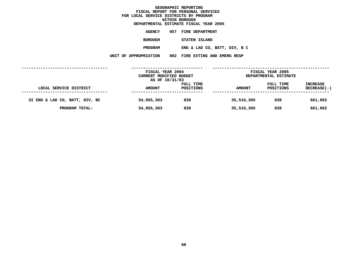|                       | DEPARTMENTAL ESTIMATE FISCAL YEAR 2005 |
|-----------------------|----------------------------------------|
| AGENCY                | 057 FIRE DEPARTMENT                    |
| BOROUGH               | STATEN ISLAND                          |
| PROGRAM               | ENG & LAD CO, BATT, DIV, B C           |
| UNIT OF APPROPRIATION | 002 FIRE EXTING AND EMERG RESP         |
|                       |                                        |

|                                | FISCAL YEAR 2004<br>CURRENT MODIFIED BUDGET |                        | FISCAL YEAR 2005<br>DEPARTMENTAL ESTIMATE |                        |                                       |
|--------------------------------|---------------------------------------------|------------------------|-------------------------------------------|------------------------|---------------------------------------|
| LOCAL SERVICE DISTRICT         | AS OF 10/31/03<br><b>AMOUNT</b>             | FULL TIME<br>POSITIONS | <b>AMOUNT</b>                             | FULL TIME<br>POSITIONS | <b>INCREASE</b><br><b>DECREASE(-)</b> |
| SI ENG & LAD CO, BATT, DIV, BC | 54,855,303                                  | 838                    | 55,516,365                                | 838                    | 661,062                               |
| PROGRAM TOTAL:                 | 54,855,303                                  | 838                    | 55,516,365                                | 838                    | 661,062                               |
|                                |                                             |                        |                                           |                        |                                       |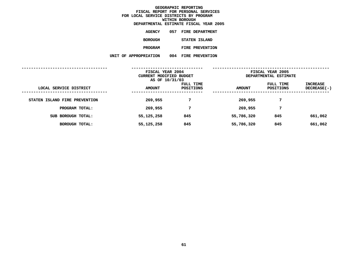**ESTIMATE FISCAL YEAR <sup>2005</sup> AGENCY <sup>057</sup> FIRE DEPARTMENT BOROUGH STATEN ISLAND PROGRAMFIRE PREVENTION UNIT OF APPROPRIATION <sup>004</sup> FIRE PREVENTION**

|                               | FISCAL YEAR 2004<br>CURRENT MODIFIED BUDGET<br>AS OF 10/31/03 |                        | FISCAL YEAR 2005<br>DEPARTMENTAL ESTIMATE |                        |                           |
|-------------------------------|---------------------------------------------------------------|------------------------|-------------------------------------------|------------------------|---------------------------|
| LOCAL SERVICE DISTRICT        | <b>AMOUNT</b>                                                 | FULL TIME<br>POSITIONS | <b>AMOUNT</b>                             | FULL TIME<br>POSITIONS | INCREASE<br>$DECREASE(-)$ |
| STATEN ISLAND FIRE PREVENTION | 269,955                                                       | 7                      | 269,955                                   | 7                      |                           |
| PROGRAM TOTAL:                | 269,955                                                       | 7                      | 269,955                                   | 7                      |                           |
| SUB BOROUGH TOTAL:            | 55,125,258                                                    | 845                    | 55,786,320                                | 845                    | 661,062                   |
| BOROUGH TOTAL:                | 55,125,258                                                    | 845                    | 55,786,320                                | 845                    | 661,062                   |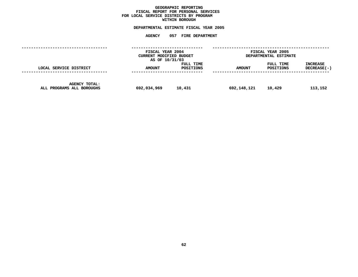## **GEOGRAPHICC REPORTING<br>PERSONAL S<br>ICTS BY PRO FISCAL REPORT FOR PERSONAL SERVICES FOR LOCAL SERVICE DISTRICTS BY PROGRAM WITHIN**

# WITHIN BOROUGH<br>D<mark>EPARTMENTAL ESTIMATE FISC</mark> **ESTIMATE FISCAL YEAR <sup>2005</sup> AGENCY <sup>057</sup> FIRE DEPARTMENT**

|                                                   | FISCAL YEAR 2004<br>CURRENT MODIFIED BUDGET<br>AS OF 10/31/03 |                        | FISCAL YEAR 2005<br>DEPARTMENTAL ESTIMATE |                        |                         |  |
|---------------------------------------------------|---------------------------------------------------------------|------------------------|-------------------------------------------|------------------------|-------------------------|--|
| LOCAL SERVICE DISTRICT                            | <b>AMOUNT</b>                                                 | FULL TIME<br>POSITIONS | <b>AMOUNT</b>                             | FULL TIME<br>POSITIONS | INCREASE<br>DECREASE(-) |  |
| <b>AGENCY TOTAL:</b><br>ALL PROGRAMS ALL BOROUGHS | 692,034,969                                                   | 10,431                 | 692,148,121                               | 10,429                 | 113,152                 |  |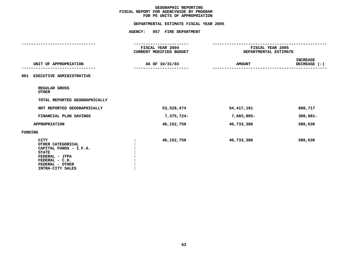# **PS UNITS OF APPROPRIATION DEPARTMENTAL ESTIMATE FISCAL YEAR <sup>2005</sup>**

|                                                                                                                                                       | <b>AGENCY:</b>                              | 057 FIRE DEPARTMENT |                      |                                           |  |
|-------------------------------------------------------------------------------------------------------------------------------------------------------|---------------------------------------------|---------------------|----------------------|-------------------------------------------|--|
|                                                                                                                                                       |                                             | ------------------  | -------------------- |                                           |  |
|                                                                                                                                                       | FISCAL YEAR 2004<br>CURRENT MODIFIED BUDGET |                     |                      | FISCAL YEAR 2005<br>DEPARTMENTAL ESTIMATE |  |
| UNIT OF APPROPRIATION                                                                                                                                 |                                             | AS OF 10/31/03      | <b>AMOUNT</b>        | <b>INCREASE</b><br>DECREASE (-)           |  |
| 001<br><b>EXECUTIVE ADMINISTRATIVE</b>                                                                                                                |                                             |                     |                      |                                           |  |
| REGULAR GROSS<br><b>OTHER</b>                                                                                                                         |                                             |                     |                      |                                           |  |
| TOTAL REPORTED GEOGRAPHICALLY                                                                                                                         |                                             |                     |                      |                                           |  |
| NOT REPORTED GEOGRAPHICALLY                                                                                                                           |                                             | 53,528,474          | 54,417,191           | 888,717                                   |  |
| FINANCIAL PLAN SAVINGS                                                                                                                                |                                             | 7,375,724-          | 7,683,805-           | $308,081 -$                               |  |
| <b>APPROPRIATION</b>                                                                                                                                  |                                             | 46,152,750          | 46,733,386           | 580,636                                   |  |
| <b>FUNDING</b>                                                                                                                                        |                                             |                     |                      |                                           |  |
| <b>CITY</b><br>OTHER CATEGORICAL<br>CAPITAL FUNDS - I.F.A.<br><b>STATE</b><br>FEDERAL - JTPA<br>FEDERAL - C.D.<br>FEDERAL - OTHER<br>INTRA-CITY SALES |                                             | 46,152,750          | 46,733,386           | 580,636                                   |  |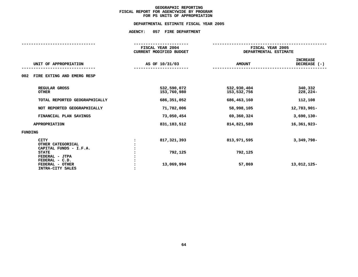# **PS UNITS OF APPROPRIATION DEPARTMENTAL ESTIMATE FISCAL YEAR <sup>2005</sup>**

|                                                            | FISCAL YEAR 2004<br><b>CURRENT MODIFIED BUDGET</b> |                            | FISCAL YEAR 2005<br>DEPARTMENTAL ESTIMATE |  |
|------------------------------------------------------------|----------------------------------------------------|----------------------------|-------------------------------------------|--|
| UNIT OF APPROPRIATION                                      | AS OF 10/31/03                                     | <b>AMOUNT</b>              | <b>INCREASE</b><br>DECREASE $(-)$         |  |
| 002<br>FIRE EXTING AND EMERG RESP                          |                                                    |                            |                                           |  |
| REGULAR GROSS<br><b>OTHER</b>                              | 532,590,072<br>153,760,980                         | 532,930,404<br>153,532,756 | 340,332<br>$228,224-$                     |  |
| TOTAL REPORTED GEOGRAPHICALLY                              | 686,351,052                                        | 686,463,160                | 112,108                                   |  |
| NOT REPORTED GEOGRAPHICALLY                                | 71,782,006                                         | 58,998,105                 | 12,783,901-                               |  |
| FINANCIAL PLAN SAVINGS                                     | 73,050,454                                         | 69,360,324                 | $3,690,130 -$                             |  |
| <b>APPROPRIATION</b>                                       | 831, 183, 512                                      | 814,821,589                | 16,361,923-                               |  |
| FUNDING                                                    |                                                    |                            |                                           |  |
| <b>CITY</b><br>OTHER CATEGORICAL<br>CAPITAL FUNDS - I.F.A. | 817,321,393                                        | 813,971,595                | 3,349,798-                                |  |
| <b>STATE</b><br>FEDERAL - JTPA                             | 792,125                                            | 792,125                    |                                           |  |
| FEDERAL - C.D.<br>FEDERAL - OTHER<br>INTRA-CITY SALES      | 13,069,994                                         | 57,869                     | 13,012,125-                               |  |
|                                                            |                                                    |                            |                                           |  |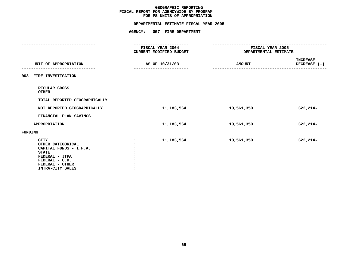# **PS UNITS OF APPROPRIATION DEPARTMENTAL ESTIMATE FISCAL YEAR <sup>2005</sup>**

|                                                                                                                                                       | FISCAL YEAR 2004<br>CURRENT MODIFIED BUDGET | FISCAL YEAR 2005<br>DEPARTMENTAL ESTIMATE |                                 |  |
|-------------------------------------------------------------------------------------------------------------------------------------------------------|---------------------------------------------|-------------------------------------------|---------------------------------|--|
| UNIT OF APPROPRIATION                                                                                                                                 | AS OF 10/31/03<br>-----------------         | <b>AMOUNT</b>                             | <b>INCREASE</b><br>DECREASE (-) |  |
| FIRE INVESTIGATION<br>003                                                                                                                             |                                             |                                           |                                 |  |
| REGULAR GROSS<br><b>OTHER</b>                                                                                                                         |                                             |                                           |                                 |  |
| TOTAL REPORTED GEOGRAPHICALLY                                                                                                                         |                                             |                                           |                                 |  |
| NOT REPORTED GEOGRAPHICALLY                                                                                                                           | 11, 183, 564                                | 10,561,350                                | $622, 214-$                     |  |
| FINANCIAL PLAN SAVINGS                                                                                                                                |                                             |                                           |                                 |  |
| <b>APPROPRIATION</b>                                                                                                                                  | 11, 183, 564                                | 10,561,350                                | $622, 214-$                     |  |
| FUNDING                                                                                                                                               |                                             |                                           |                                 |  |
| <b>CITY</b><br>OTHER CATEGORICAL<br>CAPITAL FUNDS - I.F.A.<br><b>STATE</b><br>FEDERAL - JTPA<br>FEDERAL - C.D.<br>FEDERAL - OTHER<br>INTRA-CITY SALES | 11,183,564<br>$\ddot{\cdot}$                | 10,561,350                                | $622, 214-$                     |  |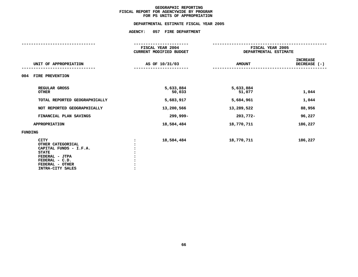# **PS UNITS OF APPROPRIATION DEPARTMENTAL ESTIMATE FISCAL YEAR <sup>2005</sup>**

|                                                                                                                                                       | FISCAL YEAR 2004<br><b>CURRENT MODIFIED BUDGET</b> | FISCAL YEAR 2005<br>DEPARTMENTAL ESTIMATE |                                 |
|-------------------------------------------------------------------------------------------------------------------------------------------------------|----------------------------------------------------|-------------------------------------------|---------------------------------|
| UNIT OF APPROPRIATION                                                                                                                                 | AS OF 10/31/03                                     | <b>AMOUNT</b>                             | <b>INCREASE</b><br>DECREASE (-) |
| 004<br>FIRE PREVENTION                                                                                                                                |                                                    |                                           |                                 |
| REGULAR GROSS<br><b>OTHER</b>                                                                                                                         | 5,633,884<br>50,033                                | 5,633,884<br>51,077                       | 1,044                           |
| TOTAL REPORTED GEOGRAPHICALLY                                                                                                                         | 5,683,917                                          | 5,684,961                                 | 1,044                           |
| NOT REPORTED GEOGRAPHICALLY                                                                                                                           | 13,200,566                                         | 13,289,522                                | 88,956                          |
| FINANCIAL PLAN SAVINGS                                                                                                                                | 299,999-                                           | 203,772-                                  | 96,227                          |
| <b>APPROPRIATION</b>                                                                                                                                  | 18,584,484                                         | 18,770,711                                | 186,227                         |
| <b>FUNDING</b>                                                                                                                                        |                                                    |                                           |                                 |
| <b>CITY</b><br>OTHER CATEGORICAL<br>CAPITAL FUNDS - I.F.A.<br><b>STATE</b><br>FEDERAL - JTPA<br>FEDERAL - C.D.<br>FEDERAL - OTHER<br>INTRA-CITY SALES | 18,584,484                                         | 18,770,711                                | 186,227                         |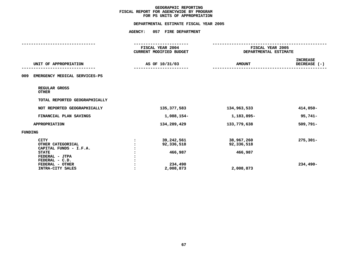# **PS UNITS OF APPROPRIATION DEPARTMENTAL ESTIMATE FISCAL YEAR <sup>2005</sup>**

|                                        | <b>AGENCY:</b> | 057 FIRE DEPARTMENT                                |                  |                                 |  |
|----------------------------------------|----------------|----------------------------------------------------|------------------|---------------------------------|--|
|                                        |                | -----------------                                  |                  |                                 |  |
|                                        |                | FISCAL YEAR 2004<br><b>CURRENT MODIFIED BUDGET</b> | FISCAL YEAR 2005 |                                 |  |
|                                        |                |                                                    |                  | DEPARTMENTAL ESTIMATE           |  |
| UNIT OF APPROPRIATION                  |                | AS OF 10/31/03                                     | <b>AMOUNT</b>    | <b>INCREASE</b><br>DECREASE (-) |  |
|                                        |                |                                                    |                  |                                 |  |
| 009<br>EMERGENCY MEDICAL SERVICES-PS   |                |                                                    |                  |                                 |  |
| REGULAR GROSS<br><b>OTHER</b>          |                |                                                    |                  |                                 |  |
| TOTAL REPORTED GEOGRAPHICALLY          |                |                                                    |                  |                                 |  |
| NOT REPORTED GEOGRAPHICALLY            |                | 135,377,583                                        | 134,963,533      | 414,050-                        |  |
| FINANCIAL PLAN SAVINGS                 |                | 1,088,154-                                         | 1,183,895-       | $95,741-$                       |  |
| <b>APPROPRIATION</b>                   |                | 134,289,429                                        | 133,779,638      | 509,791-                        |  |
| FUNDING                                |                |                                                    |                  |                                 |  |
| <b>CITY</b>                            |                | 39,242,561                                         | 38,967,260       | $275,301-$                      |  |
| OTHER CATEGORICAL                      |                | 92,336,518                                         | 92,336,518       |                                 |  |
| CAPITAL FUNDS - I.F.A.<br><b>STATE</b> |                | 466,987                                            | 466,987          |                                 |  |
| FEDERAL - JTPA                         |                |                                                    |                  |                                 |  |
| FEDERAL - C.D.                         |                |                                                    |                  |                                 |  |
| FEDERAL - OTHER                        |                | 234,490                                            |                  | 234,490-                        |  |
| INTRA-CITY SALES                       |                | 2,008,873                                          | 2,008,873        |                                 |  |
|                                        |                |                                                    |                  |                                 |  |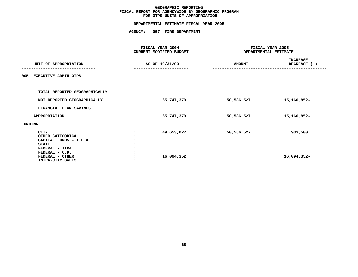# **OTPS UNITS OF APPROPRIATION DEPARTMENTAL ESTIMATE FISCAL YEAR <sup>2005</sup>**

| FISCAL YEAR 2004<br>CURRENT MODIFIED BUDGET | FISCAL YEAR 2005<br>DEPARTMENTAL ESTIMATE |                                 |
|---------------------------------------------|-------------------------------------------|---------------------------------|
| AS OF 10/31/03                              | <b>AMOUNT</b>                             | <b>INCREASE</b><br>DECREASE (-) |
|                                             |                                           |                                 |
|                                             |                                           |                                 |
| 65,747,379                                  | 50,586,527                                | 15,160,852-                     |
|                                             |                                           |                                 |
| 65,747,379                                  | 50,586,527                                | 15,160,852-                     |
|                                             |                                           |                                 |
| 49,653,027<br>16,094,352                    | 50,586,527                                | 933,500<br>16,094,352-          |
|                                             |                                           |                                 |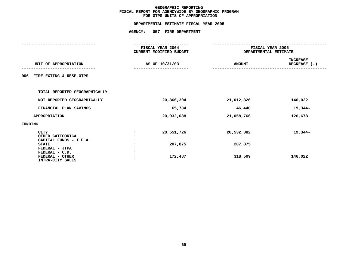# **OTPS UNITS OF APPROPRIATION DEPARTMENTAL ESTIMATE FISCAL YEAR <sup>2005</sup>**

|                                                                            | FISCAL YEAR 2004<br>CURRENT MODIFIED BUDGET | DEPARTMENTAL ESTIMATE | FISCAL YEAR 2005                  |
|----------------------------------------------------------------------------|---------------------------------------------|-----------------------|-----------------------------------|
| UNIT OF APPROPRIATION                                                      | AS OF 10/31/03                              | <b>AMOUNT</b>         | <b>INCREASE</b><br>DECREASE $(-)$ |
| FIRE EXTING & RESP-OTPS<br>006                                             |                                             |                       |                                   |
| TOTAL REPORTED GEOGRAPHICALLY                                              |                                             |                       |                                   |
| NOT REPORTED GEOGRAPHICALLY                                                | 20,866,304                                  | 21,012,326            | 146,022                           |
| FINANCIAL PLAN SAVINGS                                                     | 65,784                                      | 46,440                | 19,344-                           |
| APPROPRIATION                                                              | 20,932,088                                  | 21,058,766            | 126,678                           |
| FUNDING                                                                    |                                             |                       |                                   |
| <b>CITY</b><br>OTHER CATEGORICAL<br>CAPITAL FUNDS - I.F.A.<br><b>STATE</b> | 20,551,726<br>207,875                       | 20,532,382<br>207,875 | 19,344-                           |
| FEDERAL - JTPA<br>FEDERAL - C.D.<br>FEDERAL - OTHER<br>INTRA-CITY SALES    | 172,487                                     | 318,509               | 146,022                           |
|                                                                            |                                             |                       |                                   |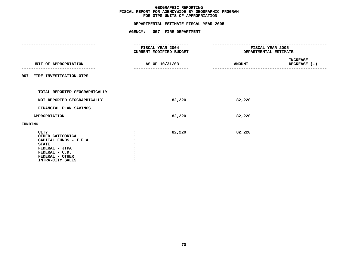# **OTPS UNITS OF APPROPRIATION DEPARTMENTAL ESTIMATE FISCAL YEAR <sup>2005</sup>**

|                                                                                                                                                       | ---------------                             |                                           |                          |  |
|-------------------------------------------------------------------------------------------------------------------------------------------------------|---------------------------------------------|-------------------------------------------|--------------------------|--|
|                                                                                                                                                       | FISCAL YEAR 2004<br>CURRENT MODIFIED BUDGET | FISCAL YEAR 2005<br>DEPARTMENTAL ESTIMATE |                          |  |
| UNIT OF APPROPRIATION                                                                                                                                 | AS OF 10/31/03                              | <b>AMOUNT</b>                             | INCREASE<br>DECREASE (-) |  |
| 007 FIRE INVESTIGATION-OTPS                                                                                                                           |                                             |                                           |                          |  |
| TOTAL REPORTED GEOGRAPHICALLY                                                                                                                         |                                             |                                           |                          |  |
| NOT REPORTED GEOGRAPHICALLY                                                                                                                           | 82,220                                      | 82,220                                    |                          |  |
| FINANCIAL PLAN SAVINGS                                                                                                                                |                                             |                                           |                          |  |
| <b>APPROPRIATION</b>                                                                                                                                  | 82,220                                      | 82,220                                    |                          |  |
| <b>FUNDING</b>                                                                                                                                        |                                             |                                           |                          |  |
| <b>CITY</b><br>OTHER CATEGORICAL<br>CAPITAL FUNDS - I.F.A.<br><b>STATE</b><br>FEDERAL - JTPA<br>FEDERAL - C.D.<br>FEDERAL - OTHER<br>INTRA-CITY SALES | 82,220                                      | 82,220                                    |                          |  |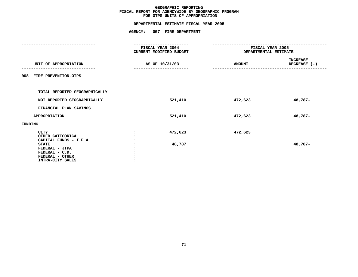# **OTPS UNITS OF APPROPRIATION DEPARTMENTAL ESTIMATE FISCAL YEAR <sup>2005</sup>**

|                                                                                                                                                       | -----------                                 |                                           |                          |
|-------------------------------------------------------------------------------------------------------------------------------------------------------|---------------------------------------------|-------------------------------------------|--------------------------|
|                                                                                                                                                       | FISCAL YEAR 2004<br>CURRENT MODIFIED BUDGET | FISCAL YEAR 2005<br>DEPARTMENTAL ESTIMATE |                          |
| UNIT OF APPROPRIATION                                                                                                                                 | AS OF 10/31/03                              | <b>AMOUNT</b>                             | INCREASE<br>DECREASE (-) |
| 008 FIRE PREVENTION-OTPS                                                                                                                              |                                             |                                           |                          |
| TOTAL REPORTED GEOGRAPHICALLY                                                                                                                         |                                             |                                           |                          |
| NOT REPORTED GEOGRAPHICALLY                                                                                                                           | 521,410                                     | 472,623                                   | 48,787-                  |
| FINANCIAL PLAN SAVINGS                                                                                                                                |                                             |                                           |                          |
| <b>APPROPRIATION</b>                                                                                                                                  | 521,410                                     | 472,623                                   | 48,787-                  |
| <b>FUNDING</b>                                                                                                                                        |                                             |                                           |                          |
| <b>CITY</b><br>OTHER CATEGORICAL<br>CAPITAL FUNDS - I.F.A.<br><b>STATE</b><br>FEDERAL - JTPA<br>FEDERAL - C.D.<br>FEDERAL - OTHER<br>INTRA-CITY SALES | 472,623<br>48,787                           | 472,623                                   | 48,787-                  |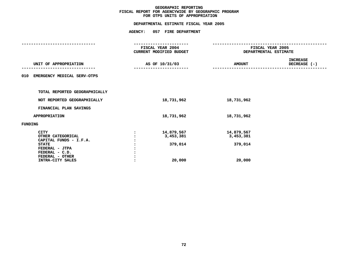### **GEOGRAPHIC**C REPORTING<br>WIDE BY GEO<br>OF APPROPR **FISCAL REPORT FOR AGENCYWIDE BY GEOGRAPHIC PROGRAM** FOR OTPS UNITS OF APPROPRIATION

# **OTPS UNITS OF APPROPRIATION DEPARTMENTAL ESTIMATE FISCAL YEAR <sup>2005</sup>**

|                                        | FISCAL YEAR 2004<br>CURRENT MODIFIED BUDGET |                | FISCAL YEAR 2005<br>DEPARTMENTAL ESTIMATE |                                                  |
|----------------------------------------|---------------------------------------------|----------------|-------------------------------------------|--------------------------------------------------|
| UNIT OF APPROPRIATION                  |                                             | AS OF 10/31/03 | <b>AMOUNT</b>                             | <b>INCREASE</b><br>DECREASE (-)<br>------------- |
| 010 EMERGENCY MEDICAL SERV-OTPS        |                                             |                |                                           |                                                  |
| TOTAL REPORTED GEOGRAPHICALLY          |                                             |                |                                           |                                                  |
| NOT REPORTED GEOGRAPHICALLY            |                                             | 18,731,962     | 18,731,962                                |                                                  |
| FINANCIAL PLAN SAVINGS                 |                                             |                |                                           |                                                  |
| <b>APPROPRIATION</b>                   |                                             | 18,731,962     | 18,731,962                                |                                                  |
| <b>FUNDING</b>                         |                                             |                |                                           |                                                  |
| <b>CITY</b>                            | $\ddot{\phantom{a}}$                        | 14,879,567     | 14,879,567                                |                                                  |
| OTHER CATEGORICAL                      |                                             | 3,453,381      | 3,453,381                                 |                                                  |
| CAPITAL FUNDS - I.F.A.<br><b>STATE</b> |                                             |                |                                           |                                                  |
| FEDERAL - JTPA                         |                                             | 379,014        | 379,014                                   |                                                  |
| FEDERAL - C.D.                         |                                             |                |                                           |                                                  |
| FEDERAL - OTHER                        |                                             |                |                                           |                                                  |
| INTRA-CITY SALES                       |                                             | 20,000         | 20,000                                    |                                                  |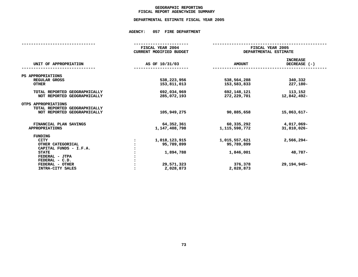### **GEOGRAPHICC REPORTING<br>ENCYWIDE SU<br>-----------FISCAL**

# **REPORT AGENCYWIDE SUMMARY DEPARTMENTAL ESTIMATE FISCAL YEAR <sup>2005</sup>**

|                                                      | FISCAL YEAR 2004<br>CURRENT MODIFIED BUDGET | FISCAL YEAR 2005<br>DEPARTMENTAL ESTIMATE |                                 |  |
|------------------------------------------------------|---------------------------------------------|-------------------------------------------|---------------------------------|--|
| UNIT OF APPROPRIATION                                | AS OF 10/31/03                              | <b>AMOUNT</b>                             | <b>INCREASE</b><br>DECREASE (-) |  |
| PS APPROPRIATIONS                                    |                                             |                                           |                                 |  |
| REGULAR GROSS                                        | 538,223,956                                 | 538,564,288                               | 340,332                         |  |
| <b>OTHER</b>                                         | 153,811,013                                 | 153,583,833                               | 227,180-                        |  |
| TOTAL REPORTED GEOGRAPHICALLY                        | 692,034,969                                 | 692,148,121                               | 113,152                         |  |
| NOT REPORTED GEOGRAPHICALLY                          | 285,072,193                                 | 272,229,701                               | 12,842,492-                     |  |
| OTPS APPROPRIATIONS<br>TOTAL REPORTED GEOGRAPHICALLY |                                             |                                           |                                 |  |
| NOT REPORTED GEOGRAPHICALLY                          | 105,949,275                                 | 90,885,658                                | 15,063,617-                     |  |
|                                                      |                                             |                                           |                                 |  |
| FINANCIAL PLAN SAVINGS                               | 64,352,361                                  | 60,335,292                                | 4,017,069-                      |  |
| <b>APPROPRIATIONS</b>                                | 1, 147, 408, 798                            | 1,115,598,772                             | 31,810,026-                     |  |
| <b>FUNDING</b>                                       |                                             |                                           |                                 |  |
| <b>CITY</b>                                          | 1,018,123,915                               | 1,015,557,621                             | 2,566,294-                      |  |
| OTHER CATEGORICAL                                    | 95,789,899                                  | 95,789,899                                |                                 |  |
| CAPITAL FUNDS - I.F.A.                               |                                             |                                           |                                 |  |
| <b>STATE</b>                                         | 1,894,788                                   | 1,846,001                                 | 48,787-                         |  |
| FEDERAL - JTPA                                       |                                             |                                           |                                 |  |
| FEDERAL - C.D.                                       |                                             |                                           |                                 |  |
| FEDERAL - OTHER                                      | 29,571,323                                  | 376,378                                   | 29, 194, 945-                   |  |
| INTRA-CITY SALES                                     | 2,028,873                                   | 2,028,873                                 |                                 |  |
|                                                      |                                             |                                           |                                 |  |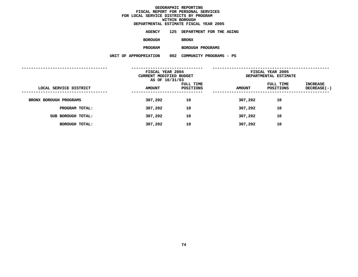|                       |     | DEPARTMENTAL ESTIMATE FISCAL YEAR 2005 |
|-----------------------|-----|----------------------------------------|
| <b>AGENCY</b>         |     | 125 DEPARTMENT FOR THE AGING           |
| <b>BOROUGH</b>        |     | <b>BRONX</b>                           |
| <b>PROGRAM</b>        |     | BOROUGH PROGRAMS                       |
| UNIT OF APPROPRIATION | 002 | COMMUNITY PROGRAMS - PS                |
|                       |     |                                        |

|                        | FISCAL YEAR 2004<br>CURRENT MODIFIED BUDGET<br>AS OF 10/31/03 |                        |               | FISCAL YEAR 2005<br>DEPARTMENTAL ESTIMATE |                         |
|------------------------|---------------------------------------------------------------|------------------------|---------------|-------------------------------------------|-------------------------|
| LOCAL SERVICE DISTRICT | <b>AMOUNT</b>                                                 | FULL TIME<br>POSITIONS | <b>AMOUNT</b> | FULL TIME<br>POSITIONS                    | INCREASE<br>DECREASE(-) |
| BRONX BOROUGH PROGRAMS | 307,202                                                       | 10                     | 307,202       | 10                                        |                         |
| PROGRAM TOTAL:         | 307,202                                                       | 10                     | 307,202       | 10                                        |                         |
| SUB BOROUGH TOTAL:     | 307,202                                                       | 10                     | 307,202       | 10                                        |                         |
| BOROUGH TOTAL:         | 307,202                                                       | 10                     | 307,202       | 10                                        |                         |
|                        |                                                               |                        |               |                                           |                         |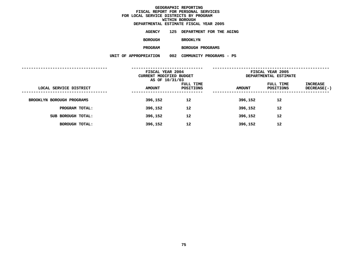|                       |     | DEPARTMENTAL ESTIMATE FISCAL YEAR 2005 |
|-----------------------|-----|----------------------------------------|
| AGENCY                | 125 | DEPARTMENT FOR THE AGING               |
| <b>BOROUGH</b>        |     | <b>BROOKLYN</b>                        |
| <b>PROGRAM</b>        |     | BOROUGH PROGRAMS                       |
| UNIT OF APPROPRIATION | 002 | COMMUNITY PROGRAMS - PS                |
|                       |     |                                        |

|                           | FISCAL YEAR 2004<br>CURRENT MODIFIED BUDGET<br>AS OF 10/31/03 |                        |               | FISCAL YEAR 2005<br>DEPARTMENTAL ESTIMATE |                         |
|---------------------------|---------------------------------------------------------------|------------------------|---------------|-------------------------------------------|-------------------------|
| LOCAL SERVICE DISTRICT    | <b>AMOUNT</b>                                                 | FULL TIME<br>POSITIONS | <b>AMOUNT</b> | FULL TIME<br>POSITIONS                    | INCREASE<br>DECREASE(-) |
| BROOKLYN BOROUGH PROGRAMS | 396,152                                                       | 12                     | 396,152       | 12                                        |                         |
| PROGRAM TOTAL:            | 396,152                                                       | 12                     | 396,152       | 12                                        |                         |
| SUB BOROUGH TOTAL:        | 396,152                                                       | 12                     | 396,152       | 12                                        |                         |
| BOROUGH TOTAL:            | 396,152                                                       | 12                     | 396,152       | 12                                        |                         |
|                           |                                                               |                        |               |                                           |                         |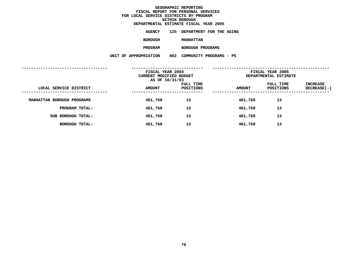|                       |     | DEPARTMENTAL ESTIMATE FISCAL YEAR 2005 |
|-----------------------|-----|----------------------------------------|
| AGENCY                | 125 | DEPARTMENT FOR THE AGING               |
| <b>BOROUGH</b>        |     | <b>MANHATTAN</b>                       |
| <b>PROGRAM</b>        |     | BOROUGH PROGRAMS                       |
| UNIT OF APPROPRIATION | 002 | COMMUNITY PROGRAMS - PS                |
|                       |     |                                        |

| <b>AMOUNT</b> | <b>FULL TIME</b><br>POSITIONS | <b>AMOUNT</b>                                                 | FULL TIME<br>POSITIONS | INCREASE<br>DECREASE(-)                   |
|---------------|-------------------------------|---------------------------------------------------------------|------------------------|-------------------------------------------|
| 481,768       | 13                            | 481,768                                                       | 13                     |                                           |
| 481,768       | 13                            | 481,768                                                       | 13                     |                                           |
| 481,768       | 13                            | 481,768                                                       | 13                     |                                           |
| 481,768       | 13                            | 481,768                                                       | 13                     |                                           |
|               |                               | FISCAL YEAR 2004<br>CURRENT MODIFIED BUDGET<br>AS OF 10/31/03 |                        | FISCAL YEAR 2005<br>DEPARTMENTAL ESTIMATE |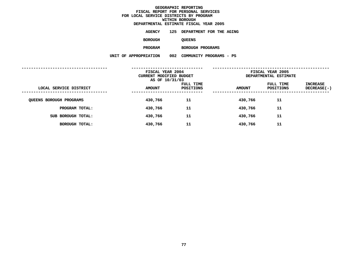|                       |     | DEPARTMENTAL ESTIMATE FISCAL YEAR 2005 |
|-----------------------|-----|----------------------------------------|
| <b>AGENCY</b>         | 125 | DEPARTMENT FOR THE AGING               |
| <b>BOROUGH</b>        |     | <b>QUEENS</b>                          |
| <b>PROGRAM</b>        |     | BOROUGH PROGRAMS                       |
| UNIT OF APPROPRIATION | 002 | COMMUNITY PROGRAMS - PS                |
|                       |     |                                        |

|                                | FISCAL YEAR 2004<br>CURRENT MODIFIED BUDGET<br>AS OF 10/31/03 |                        |               | FISCAL YEAR 2005<br>DEPARTMENTAL ESTIMATE |                                        |
|--------------------------------|---------------------------------------------------------------|------------------------|---------------|-------------------------------------------|----------------------------------------|
| LOCAL SERVICE DISTRICT         | <b>AMOUNT</b>                                                 | FULL TIME<br>POSITIONS | <b>AMOUNT</b> | FULL TIME<br>POSITIONS                    | INCREASE<br>DECREASE(-)<br>----------- |
| <b>QUEENS BOROUGH PROGRAMS</b> | 430,766                                                       | 11                     | 430,766       | 11                                        |                                        |
| PROGRAM TOTAL:                 | 430,766                                                       | 11                     | 430,766       | 11                                        |                                        |
| SUB BOROUGH TOTAL:             | 430,766                                                       | 11                     | 430,766       | 11                                        |                                        |
| BOROUGH TOTAL:                 | 430,766                                                       | 11                     | 430,766       | 11                                        |                                        |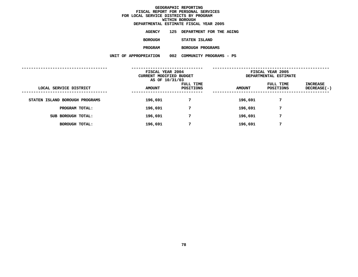| DEPARTMENTAL ESTIMATE FISCAL YEAR 2005 |     |                              |  |
|----------------------------------------|-----|------------------------------|--|
| AGENCY                                 |     | 125 DEPARTMENT FOR THE AGING |  |
| BOROUGH                                |     | STATEN ISLAND                |  |
| <b>PROGRAM</b>                         |     | BOROUGH PROGRAMS             |  |
| UNIT OF APPROPRIATION                  | 002 | COMMUNITY PROGRAMS - PS      |  |
|                                        |     |                              |  |

|                                | FISCAL YEAR 2004<br>CURRENT MODIFIED BUDGET<br>AS OF 10/31/03 |                        |               | FISCAL YEAR 2005<br>DEPARTMENTAL ESTIMATE |                         |
|--------------------------------|---------------------------------------------------------------|------------------------|---------------|-------------------------------------------|-------------------------|
| LOCAL SERVICE DISTRICT         | <b>AMOUNT</b>                                                 | FULL TIME<br>POSITIONS | <b>AMOUNT</b> | FULL TIME<br>POSITIONS                    | INCREASE<br>DECREASE(-) |
| STATEN ISLAND BOROUGH PROGRAMS | 196,691                                                       | 7                      | 196,691       | 7                                         |                         |
| PROGRAM TOTAL:                 | 196,691                                                       | 7                      | 196,691       | 7                                         |                         |
| SUB BOROUGH TOTAL:             | 196,691                                                       | 7                      | 196,691       | 7                                         |                         |
| BOROUGH TOTAL:                 | 196,691                                                       | 7                      | 196,691       | 7                                         |                         |
|                                |                                                               |                        |               |                                           |                         |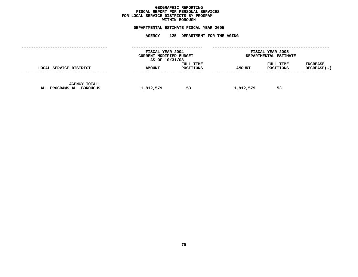### **GEOGRAPHICC REPORTING<br>PERSONAL S<br>ICTS BY PRO FISCAL REPORT FOR PERSONAL SERVICES FOR LOCAL SERVICE DISTRICTS BY PROGRAM WITHIN**

## WITHIN BOROUGH<br>D<mark>EPARTMENTAL ESTIMATE FISC</mark>

# **ESTIMATE FISCAL YEAR <sup>2005</sup> AGENCY <sup>125</sup> DEPARTMENT FOR THE AGING**

|                                            | FISCAL YEAR 2004<br>CURRENT MODIFIED BUDGET<br>AS OF 10/31/03 |                        |               | FISCAL YEAR 2005<br>DEPARTMENTAL ESTIMATE |                                  |
|--------------------------------------------|---------------------------------------------------------------|------------------------|---------------|-------------------------------------------|----------------------------------|
| LOCAL SERVICE DISTRICT                     | <b>AMOUNT</b><br>-------------------                          | FULL TIME<br>POSITIONS | <b>AMOUNT</b> | FULL TIME<br>POSITIONS                    | <b>INCREASE</b><br>$DECREASE(-)$ |
| AGENCY TOTAL:<br>ALL PROGRAMS ALL BOROUGHS | 1,812,579                                                     | 53                     | 1,812,579     | 53                                        |                                  |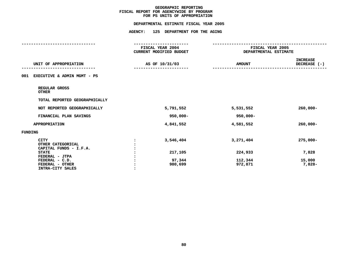## **PS UNITS OF APPROPRIATION DEPARTMENTAL**

|                                                            |                | DEPARTMENTAL ESTIMATE FISCAL YEAR 2005      |                                           |                                 |
|------------------------------------------------------------|----------------|---------------------------------------------|-------------------------------------------|---------------------------------|
|                                                            | <b>AGENCY:</b> | 125 DEPARTMENT FOR THE AGING                |                                           |                                 |
|                                                            |                | -------------------                         |                                           |                                 |
|                                                            |                | FISCAL YEAR 2004<br>CURRENT MODIFIED BUDGET | FISCAL YEAR 2005<br>DEPARTMENTAL ESTIMATE |                                 |
| UNIT OF APPROPRIATION                                      |                | AS OF 10/31/03                              | <b>AMOUNT</b>                             | <b>INCREASE</b><br>DECREASE (-) |
| 001 EXECUTIVE & ADMIN MGMT - PS                            |                |                                             |                                           |                                 |
| REGULAR GROSS<br><b>OTHER</b>                              |                |                                             |                                           |                                 |
| TOTAL REPORTED GEOGRAPHICALLY                              |                |                                             |                                           |                                 |
| NOT REPORTED GEOGRAPHICALLY                                |                | 5,791,552                                   | 5,531,552                                 | $260,000 -$                     |
| FINANCIAL PLAN SAVINGS                                     |                | $950,000 -$                                 | 950,000-                                  |                                 |
| <b>APPROPRIATION</b>                                       |                | 4,841,552                                   | 4,581,552                                 | $260,000 -$                     |
| <b>FUNDING</b>                                             |                |                                             |                                           |                                 |
| <b>CITY</b><br>OTHER CATEGORICAL<br>CAPITAL FUNDS - I.F.A. | $\ddot{\cdot}$ | 3,546,404                                   | 3,271,404                                 | $275,000 -$                     |
| <b>STATE</b><br>FEDERAL - JTPA                             |                | 217,105                                     | 224,933                                   | 7,828                           |
| FEDERAL - C.D.<br>FEDERAL - OTHER<br>INTRA-CITY SALES      |                | 97,344<br>980,699                           | 112,344<br>972,871                        | 15,000<br>7,828-                |
|                                                            |                |                                             |                                           |                                 |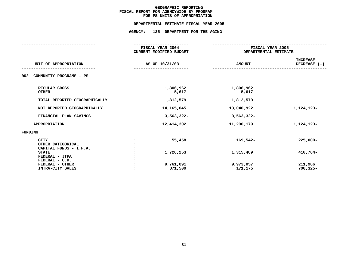## **PS UNITS OF APPROPRIATION DEPARTMENTAL**

# **ESTIMATE FISCAL YEAR <sup>2005</sup> AGENCY: <sup>125</sup> DEPARTMENT FOR THE AGING**

| .                                                          |                                                    |                                           |                                 |  |
|------------------------------------------------------------|----------------------------------------------------|-------------------------------------------|---------------------------------|--|
|                                                            | FISCAL YEAR 2004<br><b>CURRENT MODIFIED BUDGET</b> | FISCAL YEAR 2005<br>DEPARTMENTAL ESTIMATE |                                 |  |
| UNIT OF APPROPRIATION                                      | AS OF 10/31/03                                     | <b>AMOUNT</b>                             | <b>INCREASE</b><br>DECREASE (-) |  |
| 002<br>COMMUNITY PROGRAMS - PS                             |                                                    |                                           |                                 |  |
| REGULAR GROSS<br><b>OTHER</b>                              | 1,806,962<br>5,617                                 | 1,806,962<br>5,617                        |                                 |  |
| TOTAL REPORTED GEOGRAPHICALLY                              | 1,812,579                                          | 1,812,579                                 |                                 |  |
| NOT REPORTED GEOGRAPHICALLY                                | 14, 165, 045                                       | 13,040,922                                | 1,124,123-                      |  |
| FINANCIAL PLAN SAVINGS                                     | 3,563,322-                                         | 3,563,322-                                |                                 |  |
| <b>APPROPRIATION</b>                                       | 12,414,302                                         | 11,290,179                                | 1,124,123-                      |  |
| <b>FUNDING</b>                                             |                                                    |                                           |                                 |  |
| <b>CITY</b><br>OTHER CATEGORICAL<br>CAPITAL FUNDS - I.F.A. | 55,458                                             | $169,542-$                                | $225,000 -$                     |  |
| <b>STATE</b><br>FEDERAL - JTPA<br>FEDERAL - C.D.           | 1,726,253                                          | 1,315,489                                 | 410,764-                        |  |
| FEDERAL - OTHER<br>INTRA-CITY SALES                        | 9,761,091<br>871,500                               | 9,973,057<br>171,175                      | 211,966<br>$700, 325 -$         |  |
|                                                            |                                                    |                                           |                                 |  |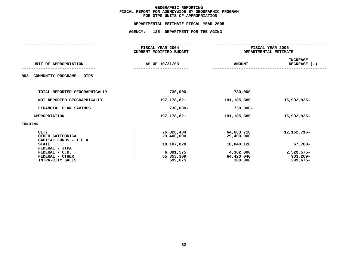## **OTPS UNITS OF APPROPRIATION DEPARTMENTAL**

# **ESTIMATE FISCAL YEAR <sup>2005</sup> AGENCY: <sup>125</sup> DEPARTMENT FOR THE AGING**

|                                                                            | FISCAL YEAR 2004<br><b>CURRENT MODIFIED BUDGET</b> | FISCAL YEAR 2005<br>DEPARTMENTAL ESTIMATE |                                    |
|----------------------------------------------------------------------------|----------------------------------------------------|-------------------------------------------|------------------------------------|
| UNIT OF APPROPRIATION                                                      | AS OF 10/31/03                                     | <b>AMOUNT</b>                             | <b>INCREASE</b><br>DECREASE (-)    |
| COMMUNITY PROGRAMS - OTPS<br>003                                           |                                                    |                                           |                                    |
| TOTAL REPORTED GEOGRAPHICALLY                                              | 730,000                                            | 730,000                                   |                                    |
| NOT REPORTED GEOGRAPHICALLY                                                | 197,178,821                                        | 181, 185, 886                             | 15,992,935-                        |
| FINANCIAL PLAN SAVINGS                                                     | $730,000 -$                                        | $730,000 -$                               |                                    |
| <b>APPROPRIATION</b>                                                       | 197,178,821                                        | 181, 185, 886                             | 15,992,935-                        |
| FUNDING                                                                    |                                                    |                                           |                                    |
| <b>CITY</b><br>OTHER CATEGORICAL<br>CAPITAL FUNDS - I.F.A.<br><b>STATE</b> | 76,826,434<br>29,400,000<br>18,107,828             | 64,663,718<br>29,400,000<br>18,040,128    | 12, 162, 716-<br>$67,700 -$        |
| FEDERAL - JTPA<br>FEDERAL - C.D.<br>FEDERAL - OTHER<br>INTRA-CITY SALES    | 6,891,575<br>65,353,309<br>599,675                 | 4,362,000<br>64,420,040<br>300,000        | 2,529,575-<br>933,269-<br>299,675- |
|                                                                            |                                                    |                                           |                                    |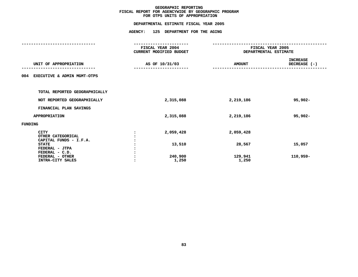## **OTPS UNITS OF APPROPRIATION DEPARTMENTAL**

# **ESTIMATE FISCAL YEAR <sup>2005</sup> AGENCY: <sup>125</sup> DEPARTMENT FOR THE AGING**

|                                                                     | FISCAL YEAR 2004<br><b>CURRENT MODIFIED BUDGET</b> | FISCAL YEAR 2005<br>DEPARTMENTAL ESTIMATE |                          |  |
|---------------------------------------------------------------------|----------------------------------------------------|-------------------------------------------|--------------------------|--|
| UNIT OF APPROPRIATION                                               | AS OF 10/31/03                                     | <b>AMOUNT</b>                             | INCREASE<br>DECREASE (-) |  |
| EXECUTIVE & ADMIN MGMT-OTPS<br>004                                  |                                                    |                                           |                          |  |
| TOTAL REPORTED GEOGRAPHICALLY                                       |                                                    |                                           |                          |  |
| NOT REPORTED GEOGRAPHICALLY                                         | 2,315,088                                          | 2,219,186                                 | $95,902 -$               |  |
| FINANCIAL PLAN SAVINGS                                              |                                                    |                                           |                          |  |
| <b>APPROPRIATION</b>                                                | 2,315,088                                          | 2,219,186                                 | $95,902 -$               |  |
| FUNDING                                                             |                                                    |                                           |                          |  |
| CITY<br>OTHER CATEGORICAL<br>CAPITAL FUNDS - I.F.A.<br><b>STATE</b> | 2,059,428<br>13,510                                | 2,059,428<br>28,567                       | 15,057                   |  |
| FEDERAL - JTPA<br>FEDERAL - C.D.<br>FEDERAL - OTHER                 | 240,900                                            | 129,941                                   | 110,959-                 |  |
| INTRA-CITY SALES                                                    | 1,250                                              | 1,250                                     |                          |  |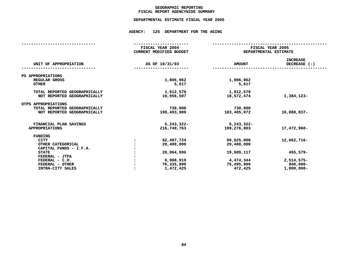### **GEOGRAPHICC REPORTING<br>ENCYWIDE SU<br>-----------FISCAL**

# **REPORT AGENCYWIDE SUMMARY DEPARTMENTAL ESTIMATE FISCAL YEAR <sup>2005</sup>**

## **AGENCY: <sup>125</sup> DEPARTMENT FOR THE AGING**

|                                                              | FISCAL YEAR 2004<br>CURRENT MODIFIED BUDGET | FISCAL YEAR 2005<br>DEPARTMENTAL ESTIMATE |                                 |  |  |
|--------------------------------------------------------------|---------------------------------------------|-------------------------------------------|---------------------------------|--|--|
| UNIT OF APPROPRIATION                                        | AS OF 10/31/03                              | <b>AMOUNT</b>                             | <b>INCREASE</b><br>DECREASE (-) |  |  |
| PS APPROPRIATIONS                                            |                                             |                                           |                                 |  |  |
| REGULAR GROSS<br><b>OTHER</b>                                | 1,806,962<br>5,617                          | 1,806,962<br>5,617                        |                                 |  |  |
| TOTAL REPORTED GEOGRAPHICALLY<br>NOT REPORTED GEOGRAPHICALLY | 1,812,579<br>19,956,597                     | 1,812,579<br>18,572,474                   | 1,384,123-                      |  |  |
| OTPS APPROPRIATIONS                                          |                                             |                                           |                                 |  |  |
| TOTAL REPORTED GEOGRAPHICALLY                                | 730,000                                     | 730,000                                   |                                 |  |  |
| NOT REPORTED GEOGRAPHICALLY                                  | 199,493,909                                 | 183,405,072                               | 16,088,837-                     |  |  |
| FINANCIAL PLAN SAVINGS                                       | $5,243,322-$                                | 5,243,322-                                |                                 |  |  |
| <b>APPROPRIATIONS</b>                                        | 216,749,763                                 | 199,276,803                               | 17,472,960-                     |  |  |
| <b>FUNDING</b>                                               |                                             |                                           |                                 |  |  |
| <b>CITY</b>                                                  | 82,487,724                                  | 69,825,008                                | 12,662,716-                     |  |  |
| OTHER CATEGORICAL                                            | 29,400,000                                  | 29,400,000                                |                                 |  |  |
| CAPITAL FUNDS - I.F.A.                                       |                                             |                                           |                                 |  |  |
| <b>STATE</b>                                                 | 20,064,696                                  | 19,609,117                                | 455,579-                        |  |  |
| FEDERAL - JTPA                                               |                                             |                                           |                                 |  |  |
| FEDERAL - C.D.                                               | 6,988,919                                   | 4,474,344                                 | 2,514,575-                      |  |  |
| FEDERAL - OTHER                                              | 76,335,999                                  | 75,495,909                                | 840,090-                        |  |  |
| INTRA-CITY SALES                                             | 1,472,425                                   | 472,425                                   | $1,000,000 -$                   |  |  |
|                                                              |                                             |                                           |                                 |  |  |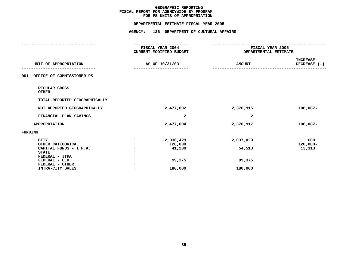## **PS UNITS OF APPROPRIATION DEPARTMENTAL**

|                                        |                      | DEPARTMENTAL ESTIMATE FISCAL YEAR 2005             |                                           |                                 |
|----------------------------------------|----------------------|----------------------------------------------------|-------------------------------------------|---------------------------------|
|                                        | <b>AGENCY:</b>       | 126 DEPARTMENT OF CULTURAL AFFAIRS                 |                                           |                                 |
|                                        |                      |                                                    |                                           |                                 |
|                                        |                      | <b>FISCAL YEAR 2004</b><br>CURRENT MODIFIED BUDGET | FISCAL YEAR 2005<br>DEPARTMENTAL ESTIMATE |                                 |
| UNIT OF APPROPRIATION                  |                      | AS OF 10/31/03                                     | <b>AMOUNT</b>                             | <b>INCREASE</b><br>DECREASE (-) |
| 001 OFFICE OF COMMISSIONER-PS          |                      |                                                    |                                           |                                 |
| REGULAR GROSS<br><b>OTHER</b>          |                      |                                                    |                                           |                                 |
| TOTAL REPORTED GEOGRAPHICALLY          |                      |                                                    |                                           |                                 |
| NOT REPORTED GEOGRAPHICALLY            |                      | 2,477,002                                          | 2,370,915                                 | $106,087-$                      |
| FINANCIAL PLAN SAVINGS                 |                      | 2                                                  | 2                                         |                                 |
| <b>APPROPRIATION</b>                   |                      | 2,477,004                                          | 2,370,917                                 | $106,087-$                      |
| <b>FUNDING</b>                         |                      |                                                    |                                           |                                 |
| <b>CITY</b><br>OTHER CATEGORICAL       | $\ddot{\phantom{a}}$ | 2,036,429<br>120,000                               | 2,037,029                                 | 600<br>$120,000 -$              |
| CAPITAL FUNDS - I.F.A.<br><b>STATE</b> |                      | 41,200                                             | 54,513                                    | 13,313                          |
| FEDERAL - JTPA<br>FEDERAL - C.D.       |                      | 99,375                                             | 99,375                                    |                                 |
| FEDERAL - OTHER                        |                      |                                                    |                                           |                                 |
| INTRA-CITY SALES                       |                      | 180,000                                            | 180,000                                   |                                 |
|                                        |                      |                                                    |                                           |                                 |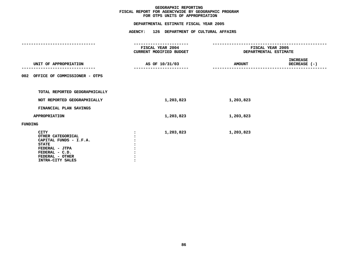## **OTPS UNITS OF APPROPRIATION DEPARTMENTAL**

|                                                                                                                                                       | DEPARTMENTAL ESTIMATE FISCAL YEAR 2005                                    |                                           |                                 |
|-------------------------------------------------------------------------------------------------------------------------------------------------------|---------------------------------------------------------------------------|-------------------------------------------|---------------------------------|
|                                                                                                                                                       | AGENCY: 126 DEPARTMENT OF CULTURAL AFFAIRS                                |                                           |                                 |
|                                                                                                                                                       | -------------------<br><b>FISCAL YEAR 2004</b><br>CURRENT MODIFIED BUDGET | FISCAL YEAR 2005<br>DEPARTMENTAL ESTIMATE |                                 |
| UNIT OF APPROPRIATION                                                                                                                                 | AS OF 10/31/03                                                            | <b>AMOUNT</b>                             | <b>INCREASE</b><br>DECREASE (-) |
| 002 OFFICE OF COMMISSIONER - OTPS                                                                                                                     |                                                                           |                                           |                                 |
| TOTAL REPORTED GEOGRAPHICALLY                                                                                                                         |                                                                           |                                           |                                 |
| NOT REPORTED GEOGRAPHICALLY                                                                                                                           | 1,203,823                                                                 | 1,203,823                                 |                                 |
| FINANCIAL PLAN SAVINGS                                                                                                                                |                                                                           |                                           |                                 |
| <b>APPROPRIATION</b>                                                                                                                                  | 1,203,823                                                                 | 1,203,823                                 |                                 |
| <b>FUNDING</b>                                                                                                                                        |                                                                           |                                           |                                 |
| <b>CITY</b><br>OTHER CATEGORICAL<br>CAPITAL FUNDS - I.F.A.<br><b>STATE</b><br>FEDERAL - JTPA<br>FEDERAL - C.D.<br>FEDERAL - OTHER<br>INTRA-CITY SALES | 1,203,823                                                                 | 1,203,823                                 |                                 |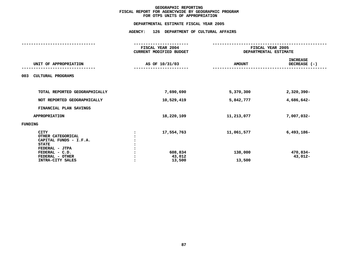## **OTPS UNITS OF APPROPRIATION DEPARTMENTAL**

|                                                                                                                                                       | FISCAL YEAR 2004<br>CURRENT MODIFIED BUDGET | FISCAL YEAR 2005<br>DEPARTMENTAL ESTIMATE |                                     |
|-------------------------------------------------------------------------------------------------------------------------------------------------------|---------------------------------------------|-------------------------------------------|-------------------------------------|
| UNIT OF APPROPRIATION                                                                                                                                 | AS OF 10/31/03                              | <b>AMOUNT</b>                             | <b>INCREASE</b><br>DECREASE (-)     |
| CULTURAL PROGRAMS<br>003                                                                                                                              |                                             |                                           |                                     |
| TOTAL REPORTED GEOGRAPHICALLY                                                                                                                         | 7,690,690                                   | 5,370,300                                 | $2,320,390 -$                       |
| NOT REPORTED GEOGRAPHICALLY                                                                                                                           | 10,529,419                                  | 5,842,777                                 | 4,686,642-                          |
| FINANCIAL PLAN SAVINGS                                                                                                                                |                                             |                                           |                                     |
| <b>APPROPRIATION</b>                                                                                                                                  | 18,220,109                                  | 11,213,077                                | 7,007,032-                          |
| FUNDING                                                                                                                                               |                                             |                                           |                                     |
| <b>CITY</b><br>OTHER CATEGORICAL<br>CAPITAL FUNDS - I.F.A.<br><b>STATE</b><br>FEDERAL - JTPA<br>FEDERAL - C.D.<br>FEDERAL - OTHER<br>INTRA-CITY SALES | 17,554,763<br>608,834<br>43,012<br>13,500   | 11,061,577<br>138,000<br>13,500           | $6,493,186-$<br>470,834-<br>43,012- |
|                                                                                                                                                       |                                             |                                           |                                     |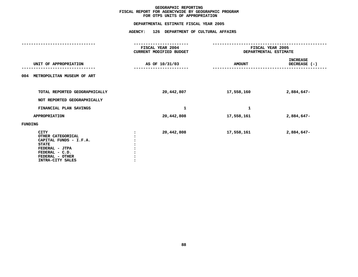## **OTPS UNITS OF APPROPRIATION DEPARTMENTAL**

|                                                                                                                                                       | FISCAL YEAR 2004<br>CURRENT MODIFIED BUDGET | FISCAL YEAR 2005<br>DEPARTMENTAL ESTIMATE |                                 |
|-------------------------------------------------------------------------------------------------------------------------------------------------------|---------------------------------------------|-------------------------------------------|---------------------------------|
| UNIT OF APPROPRIATION                                                                                                                                 | AS OF 10/31/03                              | <b>AMOUNT</b>                             | <b>INCREASE</b><br>DECREASE (-) |
| 004 METROPOLITAN MUSEUM OF ART                                                                                                                        |                                             |                                           |                                 |
| TOTAL REPORTED GEOGRAPHICALLY<br>NOT REPORTED GEOGRAPHICALLY                                                                                          | 20,442,807                                  | 17,558,160                                | 2,884,647-                      |
| FINANCIAL PLAN SAVINGS                                                                                                                                | 1                                           | 1                                         |                                 |
| <b>APPROPRIATION</b>                                                                                                                                  | 20,442,808                                  | 17,558,161                                | 2,884,647-                      |
| <b>FUNDING</b>                                                                                                                                        |                                             |                                           |                                 |
| <b>CITY</b><br>OTHER CATEGORICAL<br>CAPITAL FUNDS - I.F.A.<br><b>STATE</b><br>FEDERAL - JTPA<br>FEDERAL - C.D.<br>FEDERAL - OTHER<br>INTRA-CITY SALES | 20,442,808                                  | 17,558,161                                | 2,884,647-                      |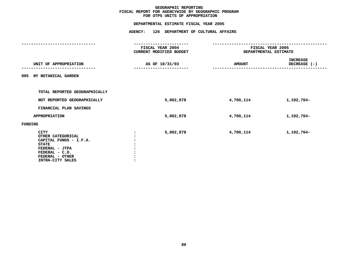## **OTPS UNITS OF APPROPRIATION DEPARTMENTAL**

|         |                                                                                                                                                       | FISCAL YEAR 2004<br>CURRENT MODIFIED BUDGET | FISCAL YEAR 2005<br>DEPARTMENTAL ESTIMATE |                                 |
|---------|-------------------------------------------------------------------------------------------------------------------------------------------------------|---------------------------------------------|-------------------------------------------|---------------------------------|
|         | UNIT OF APPROPRIATION                                                                                                                                 | AS OF 10/31/03                              | <b>AMOUNT</b>                             | <b>INCREASE</b><br>DECREASE (-) |
|         | 005 NY BOTANICAL GARDEN                                                                                                                               |                                             |                                           |                                 |
|         | TOTAL REPORTED GEOGRAPHICALLY                                                                                                                         |                                             |                                           |                                 |
|         | NOT REPORTED GEOGRAPHICALLY                                                                                                                           | 5,802,878                                   | 4,700,114                                 | 1,102,764-                      |
|         | FINANCIAL PLAN SAVINGS                                                                                                                                |                                             |                                           |                                 |
|         | <b>APPROPRIATION</b>                                                                                                                                  | 5,802,878                                   | 4,700,114                                 | 1,102,764-                      |
| FUNDING |                                                                                                                                                       |                                             |                                           |                                 |
|         | <b>CITY</b><br>OTHER CATEGORICAL<br>CAPITAL FUNDS - I.F.A.<br><b>STATE</b><br>FEDERAL - JTPA<br>FEDERAL - C.D.<br>FEDERAL - OTHER<br>INTRA-CITY SALES | 5,802,878                                   | 4,700,114                                 | 1,102,764-                      |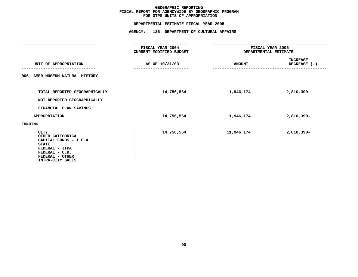## **OTPS UNITS OF APPROPRIATION DEPARTMENTAL**

|                                                                                                                                                       | FISCAL YEAR 2004<br>CURRENT MODIFIED BUDGET | DEPARTMENTAL ESTIMATE | FISCAL YEAR 2005                |
|-------------------------------------------------------------------------------------------------------------------------------------------------------|---------------------------------------------|-----------------------|---------------------------------|
| UNIT OF APPROPRIATION                                                                                                                                 | AS OF 10/31/03                              | <b>AMOUNT</b>         | <b>INCREASE</b><br>DECREASE (-) |
| AMER MUSEUM NATURAL HISTORY<br>006                                                                                                                    |                                             |                       |                                 |
| TOTAL REPORTED GEOGRAPHICALLY<br>NOT REPORTED GEOGRAPHICALLY                                                                                          | 14,756,564                                  | 11,946,174            | 2,810,390-                      |
| FINANCIAL PLAN SAVINGS                                                                                                                                |                                             |                       |                                 |
| <b>APPROPRIATION</b>                                                                                                                                  | 14,756,564                                  | 11,946,174            | 2,810,390-                      |
| <b>FUNDING</b>                                                                                                                                        |                                             |                       |                                 |
| <b>CITY</b><br>OTHER CATEGORICAL<br>CAPITAL FUNDS - I.F.A.<br><b>STATE</b><br>FEDERAL - JTPA<br>FEDERAL - C.D.<br>FEDERAL - OTHER<br>INTRA-CITY SALES | 14,756,564                                  | 11,946,174            | 2,810,390-                      |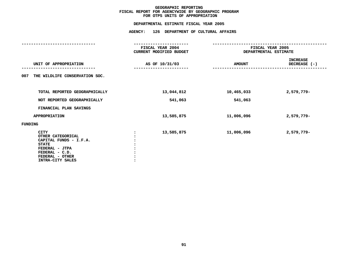## **OTPS UNITS OF APPROPRIATION DEPARTMENTAL**

|                                                                                                                                                       | FISCAL YEAR 2004<br>CURRENT MODIFIED BUDGET |               | FISCAL YEAR 2005<br>DEPARTMENTAL ESTIMATE |
|-------------------------------------------------------------------------------------------------------------------------------------------------------|---------------------------------------------|---------------|-------------------------------------------|
| UNIT OF APPROPRIATION                                                                                                                                 | AS OF 10/31/03                              | <b>AMOUNT</b> | INCREASE<br>DECREASE (-)                  |
| THE WILDLIFE CONSERVATION SOC.<br>007                                                                                                                 |                                             |               |                                           |
| TOTAL REPORTED GEOGRAPHICALLY                                                                                                                         | 13,044,812                                  | 10,465,033    | 2,579,779-                                |
| NOT REPORTED GEOGRAPHICALLY                                                                                                                           | 541,063                                     | 541,063       |                                           |
| FINANCIAL PLAN SAVINGS                                                                                                                                |                                             |               |                                           |
| <b>APPROPRIATION</b>                                                                                                                                  | 13,585,875                                  | 11,006,096    | 2,579,779-                                |
| FUNDING                                                                                                                                               |                                             |               |                                           |
| <b>CITY</b><br>OTHER CATEGORICAL<br>CAPITAL FUNDS - I.F.A.<br><b>STATE</b><br>FEDERAL - JTPA<br>FEDERAL - C.D.<br>FEDERAL - OTHER<br>INTRA-CITY SALES | 13,585,875                                  | 11,006,096    | 2,579,779-                                |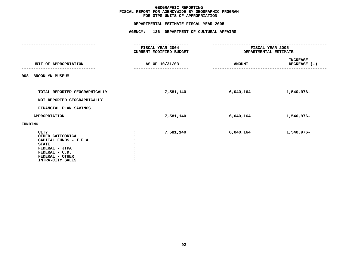## **OTPS UNITS OF APPROPRIATION DEPARTMENTAL**

|                                                                                                                                                       | FISCAL YEAR 2004<br>CURRENT MODIFIED BUDGET | DEPARTMENTAL ESTIMATE | FISCAL YEAR 2005                |
|-------------------------------------------------------------------------------------------------------------------------------------------------------|---------------------------------------------|-----------------------|---------------------------------|
| UNIT OF APPROPRIATION                                                                                                                                 | AS OF 10/31/03                              | <b>AMOUNT</b>         | <b>INCREASE</b><br>DECREASE (-) |
| <b>BROOKLYN MUSEUM</b><br>008                                                                                                                         |                                             |                       |                                 |
| TOTAL REPORTED GEOGRAPHICALLY<br>NOT REPORTED GEOGRAPHICALLY                                                                                          | 7,581,140                                   | 6,040,164             | 1,540,976-                      |
| FINANCIAL PLAN SAVINGS                                                                                                                                |                                             |                       |                                 |
| <b>APPROPRIATION</b>                                                                                                                                  | 7,581,140                                   | 6,040,164             | 1,540,976-                      |
| <b>FUNDING</b>                                                                                                                                        |                                             |                       |                                 |
| <b>CITY</b><br>OTHER CATEGORICAL<br>CAPITAL FUNDS - I.F.A.<br><b>STATE</b><br>FEDERAL - JTPA<br>FEDERAL - C.D.<br>FEDERAL - OTHER<br>INTRA-CITY SALES | 7,581,140                                   | 6,040,164             | 1,540,976-                      |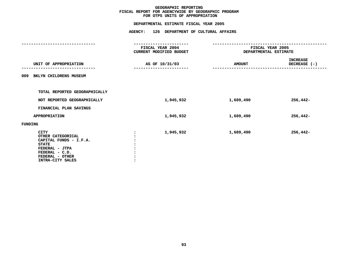## **OTPS UNITS OF APPROPRIATION DEPARTMENTAL**

|                                                                                                                                                       | FISCAL YEAR 2004<br><b>CURRENT MODIFIED BUDGET</b> | FISCAL YEAR 2005      |                                 |
|-------------------------------------------------------------------------------------------------------------------------------------------------------|----------------------------------------------------|-----------------------|---------------------------------|
|                                                                                                                                                       |                                                    | DEPARTMENTAL ESTIMATE |                                 |
| UNIT OF APPROPRIATION                                                                                                                                 | AS OF 10/31/03                                     | <b>AMOUNT</b>         | <b>INCREASE</b><br>DECREASE (-) |
| 009 BKLYN CHILDRENS MUSEUM                                                                                                                            |                                                    |                       |                                 |
| TOTAL REPORTED GEOGRAPHICALLY                                                                                                                         |                                                    |                       |                                 |
| NOT REPORTED GEOGRAPHICALLY                                                                                                                           | 1,945,932                                          | 1,689,490             | $256,442-$                      |
| FINANCIAL PLAN SAVINGS                                                                                                                                |                                                    |                       |                                 |
| <b>APPROPRIATION</b>                                                                                                                                  | 1,945,932                                          | 1,689,490             | $256,442-$                      |
| FUNDING                                                                                                                                               |                                                    |                       |                                 |
| <b>CITY</b><br>OTHER CATEGORICAL<br>CAPITAL FUNDS - I.F.A.<br><b>STATE</b><br>FEDERAL - JTPA<br>FEDERAL - C.D.<br>FEDERAL - OTHER<br>INTRA-CITY SALES | 1,945,932                                          | 1,689,490             | $256,442-$                      |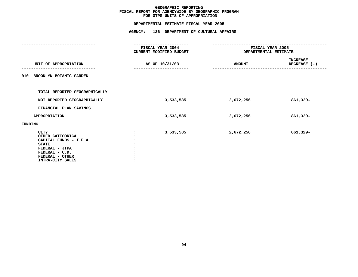## **OTPS UNITS OF APPROPRIATION DEPARTMENTAL**

|                                                                                                                                                | FISCAL YEAR 2004<br>CURRENT MODIFIED BUDGET | FISCAL YEAR 2005<br>DEPARTMENTAL ESTIMATE |                                 |
|------------------------------------------------------------------------------------------------------------------------------------------------|---------------------------------------------|-------------------------------------------|---------------------------------|
| UNIT OF APPROPRIATION                                                                                                                          | AS OF 10/31/03                              | <b>AMOUNT</b>                             | <b>INCREASE</b><br>DECREASE (-) |
| 010 BROOKLYN BOTANIC GARDEN                                                                                                                    |                                             |                                           |                                 |
| TOTAL REPORTED GEOGRAPHICALLY                                                                                                                  |                                             |                                           |                                 |
| NOT REPORTED GEOGRAPHICALLY                                                                                                                    | 3,533,585                                   | 2,672,256                                 | 861,329-                        |
| FINANCIAL PLAN SAVINGS                                                                                                                         |                                             |                                           |                                 |
| <b>APPROPRIATION</b>                                                                                                                           | 3,533,585                                   | 2,672,256                                 | 861,329-                        |
| FUNDING                                                                                                                                        |                                             |                                           |                                 |
| CITY<br>OTHER CATEGORICAL<br>CAPITAL FUNDS - I.F.A.<br><b>STATE</b><br>FEDERAL - JTPA<br>FEDERAL - C.D.<br>FEDERAL - OTHER<br>INTRA-CITY SALES | 3,533,585                                   | 2,672,256                                 | 861,329-                        |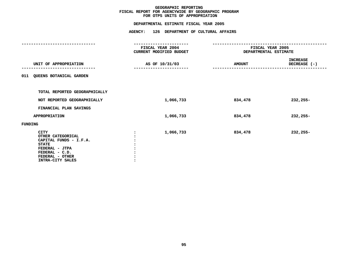## **OTPS UNITS OF APPROPRIATION DEPARTMENTAL**

|                                                                                                                                                | FISCAL YEAR 2004<br>CURRENT MODIFIED BUDGET | FISCAL YEAR 2005<br>DEPARTMENTAL ESTIMATE |                                                   |
|------------------------------------------------------------------------------------------------------------------------------------------------|---------------------------------------------|-------------------------------------------|---------------------------------------------------|
| UNIT OF APPROPRIATION                                                                                                                          | AS OF 10/31/03                              | <b>AMOUNT</b>                             | <b>INCREASE</b><br>DECREASE (-)<br>-------------- |
| 011 QUEENS BOTANICAL GARDEN                                                                                                                    |                                             |                                           |                                                   |
| TOTAL REPORTED GEOGRAPHICALLY                                                                                                                  |                                             |                                           |                                                   |
| NOT REPORTED GEOGRAPHICALLY                                                                                                                    | 1,066,733                                   | 834,478                                   | 232,255-                                          |
| FINANCIAL PLAN SAVINGS                                                                                                                         |                                             |                                           |                                                   |
| <b>APPROPRIATION</b>                                                                                                                           | 1,066,733                                   | 834,478                                   | $232,255-$                                        |
| FUNDING                                                                                                                                        |                                             |                                           |                                                   |
| CITY<br>OTHER CATEGORICAL<br>CAPITAL FUNDS - I.F.A.<br><b>STATE</b><br>FEDERAL - JTPA<br>FEDERAL - C.D.<br>FEDERAL - OTHER<br>INTRA-CITY SALES | 1,066,733                                   | 834,478                                   | 232,255-                                          |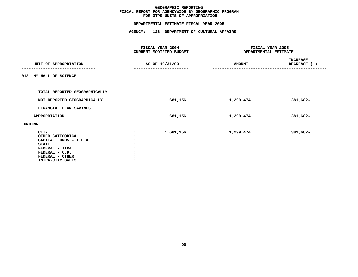## **OTPS UNITS OF APPROPRIATION DEPARTMENTAL**

|         |                                                                                                                                                       | FISCAL YEAR 2004<br><b>CURRENT MODIFIED BUDGET</b> | FISCAL YEAR 2005<br>DEPARTMENTAL ESTIMATE |                                 |
|---------|-------------------------------------------------------------------------------------------------------------------------------------------------------|----------------------------------------------------|-------------------------------------------|---------------------------------|
|         | UNIT OF APPROPRIATION                                                                                                                                 | AS OF 10/31/03                                     | <b>AMOUNT</b>                             | <b>INCREASE</b><br>DECREASE (-) |
|         | 012 NY HALL OF SCIENCE                                                                                                                                |                                                    |                                           |                                 |
|         | TOTAL REPORTED GEOGRAPHICALLY                                                                                                                         |                                                    |                                           |                                 |
|         | NOT REPORTED GEOGRAPHICALLY                                                                                                                           | 1,681,156                                          | 1,299,474                                 | 381,682-                        |
|         | FINANCIAL PLAN SAVINGS                                                                                                                                |                                                    |                                           |                                 |
|         | <b>APPROPRIATION</b>                                                                                                                                  | 1,681,156                                          | 1,299,474                                 | 381,682-                        |
| FUNDING |                                                                                                                                                       |                                                    |                                           |                                 |
|         | <b>CITY</b><br>OTHER CATEGORICAL<br>CAPITAL FUNDS - I.F.A.<br><b>STATE</b><br>FEDERAL - JTPA<br>FEDERAL - C.D.<br>FEDERAL - OTHER<br>INTRA-CITY SALES | 1,681,156                                          | 1,299,474                                 | 381,682-                        |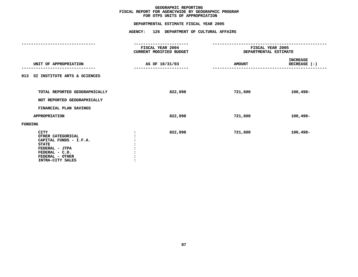## **OTPS UNITS OF APPROPRIATION DEPARTMENTAL**

|                                                                                                                                                       | ------------                                |                                           |                                 |
|-------------------------------------------------------------------------------------------------------------------------------------------------------|---------------------------------------------|-------------------------------------------|---------------------------------|
|                                                                                                                                                       | FISCAL YEAR 2004<br>CURRENT MODIFIED BUDGET | FISCAL YEAR 2005<br>DEPARTMENTAL ESTIMATE |                                 |
| UNIT OF APPROPRIATION                                                                                                                                 | AS OF 10/31/03                              | <b>AMOUNT</b>                             | <b>INCREASE</b><br>DECREASE (-) |
| 013 SI INSTITUTE ARTS & SCIENCES                                                                                                                      |                                             |                                           |                                 |
| TOTAL REPORTED GEOGRAPHICALLY<br>NOT REPORTED GEOGRAPHICALLY                                                                                          | 822,098                                     | 721,600                                   | $100,498-$                      |
| FINANCIAL PLAN SAVINGS                                                                                                                                |                                             |                                           |                                 |
| <b>APPROPRIATION</b>                                                                                                                                  | 822,098                                     | 721,600                                   | 100,498-                        |
| FUNDING                                                                                                                                               |                                             |                                           |                                 |
| <b>CITY</b><br>OTHER CATEGORICAL<br>CAPITAL FUNDS - I.F.A.<br><b>STATE</b><br>FEDERAL - JTPA<br>FEDERAL - C.D.<br>FEDERAL - OTHER<br>INTRA-CITY SALES | 822,098                                     | 721,600                                   | 100,498-                        |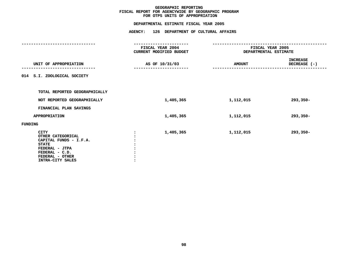## **OTPS UNITS OF APPROPRIATION DEPARTMENTAL**

|                                                                                                                                                | FISCAL YEAR 2004<br><b>CURRENT MODIFIED BUDGET</b> | FISCAL YEAR 2005<br>DEPARTMENTAL ESTIMATE |                                 |
|------------------------------------------------------------------------------------------------------------------------------------------------|----------------------------------------------------|-------------------------------------------|---------------------------------|
| UNIT OF APPROPRIATION                                                                                                                          | AS OF 10/31/03                                     | <b>AMOUNT</b>                             | <b>INCREASE</b><br>DECREASE (-) |
| 014 S.I. ZOOLOGICAL SOCIETY                                                                                                                    |                                                    |                                           |                                 |
| TOTAL REPORTED GEOGRAPHICALLY                                                                                                                  |                                                    |                                           |                                 |
| NOT REPORTED GEOGRAPHICALLY                                                                                                                    | 1,405,365                                          | 1,112,015                                 | 293,350-                        |
| FINANCIAL PLAN SAVINGS                                                                                                                         |                                                    |                                           |                                 |
| <b>APPROPRIATION</b>                                                                                                                           | 1,405,365                                          | 1,112,015                                 | $293,350-$                      |
| <b>FUNDING</b>                                                                                                                                 |                                                    |                                           |                                 |
| CITY<br>OTHER CATEGORICAL<br>CAPITAL FUNDS - I.F.A.<br><b>STATE</b><br>FEDERAL - JTPA<br>FEDERAL - C.D.<br>FEDERAL - OTHER<br>INTRA-CITY SALES | 1,405,365                                          | 1,112,015                                 | $293,350-$                      |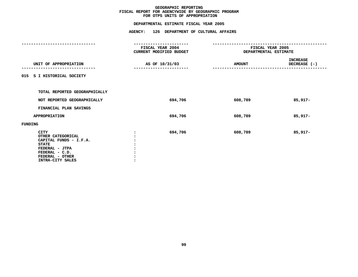## **OTPS UNITS OF APPROPRIATION DEPARTMENTAL**

|                                                                                                                                                       | <b>FISCAL YEAR 2004</b><br>CURRENT MODIFIED BUDGET | FISCAL YEAR 2005<br>DEPARTMENTAL ESTIMATE |                                          |
|-------------------------------------------------------------------------------------------------------------------------------------------------------|----------------------------------------------------|-------------------------------------------|------------------------------------------|
| UNIT OF APPROPRIATION                                                                                                                                 | AS OF 10/31/03                                     | <b>AMOUNT</b>                             | INCREASE<br>DECREASE (-)<br>------------ |
| 015 S I HISTORICAL SOCIETY                                                                                                                            |                                                    |                                           |                                          |
| TOTAL REPORTED GEOGRAPHICALLY                                                                                                                         |                                                    |                                           |                                          |
| NOT REPORTED GEOGRAPHICALLY                                                                                                                           | 694,706                                            | 608,789                                   | 85,917-                                  |
| FINANCIAL PLAN SAVINGS                                                                                                                                |                                                    |                                           |                                          |
| <b>APPROPRIATION</b>                                                                                                                                  | 694,706                                            | 608,789                                   | $85,917-$                                |
| FUNDING                                                                                                                                               |                                                    |                                           |                                          |
| <b>CITY</b><br>OTHER CATEGORICAL<br>CAPITAL FUNDS - I.F.A.<br><b>STATE</b><br>FEDERAL - JTPA<br>FEDERAL - C.D.<br>FEDERAL - OTHER<br>INTRA-CITY SALES | 694,706                                            | 608,789                                   | 85,917-                                  |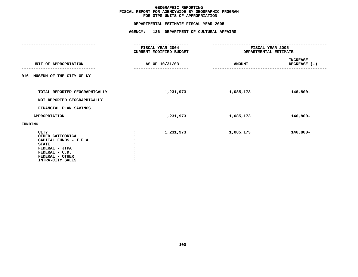## **OTPS UNITS OF APPROPRIATION DEPARTMENTAL**

|                                                                                                                                                       | FISCAL YEAR 2004<br>CURRENT MODIFIED BUDGET | FISCAL YEAR 2005<br>DEPARTMENTAL ESTIMATE |                                 |
|-------------------------------------------------------------------------------------------------------------------------------------------------------|---------------------------------------------|-------------------------------------------|---------------------------------|
| UNIT OF APPROPRIATION                                                                                                                                 | AS OF 10/31/03                              | <b>AMOUNT</b>                             | <b>INCREASE</b><br>DECREASE (-) |
| MUSEUM OF THE CITY OF NY<br>016                                                                                                                       |                                             |                                           |                                 |
| TOTAL REPORTED GEOGRAPHICALLY<br>NOT REPORTED GEOGRAPHICALLY                                                                                          | 1,231,973                                   | 1,085,173                                 | 146,800-                        |
| FINANCIAL PLAN SAVINGS                                                                                                                                |                                             |                                           |                                 |
| <b>APPROPRIATION</b>                                                                                                                                  | 1,231,973                                   | 1,085,173                                 | 146,800-                        |
| <b>FUNDING</b>                                                                                                                                        |                                             |                                           |                                 |
| <b>CITY</b><br>OTHER CATEGORICAL<br>CAPITAL FUNDS - I.F.A.<br><b>STATE</b><br>FEDERAL - JTPA<br>FEDERAL - C.D.<br>FEDERAL - OTHER<br>INTRA-CITY SALES | 1,231,973                                   | 1,085,173                                 | 146,800-                        |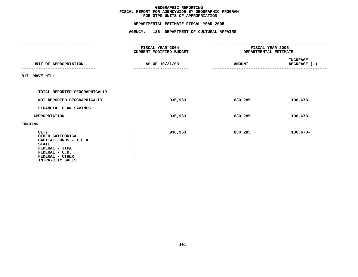## **OTPS UNITS OF APPROPRIATION DEPARTMENTAL**

|                                                                                                                                                       | <b>FISCAL YEAR 2004</b><br>CURRENT MODIFIED BUDGET |         | FISCAL YEAR 2005<br>DEPARTMENTAL ESTIMATE |                                             |
|-------------------------------------------------------------------------------------------------------------------------------------------------------|----------------------------------------------------|---------|-------------------------------------------|---------------------------------------------|
| UNIT OF APPROPRIATION                                                                                                                                 | AS OF 10/31/03                                     |         | <b>AMOUNT</b>                             | INCREASE<br>DECREASE (-)<br>--------------- |
| 017 WAVE HILL                                                                                                                                         |                                                    |         |                                           |                                             |
| TOTAL REPORTED GEOGRAPHICALLY                                                                                                                         |                                                    |         |                                           |                                             |
| NOT REPORTED GEOGRAPHICALLY                                                                                                                           |                                                    | 936,963 | 830,285                                   | 106,678-                                    |
| FINANCIAL PLAN SAVINGS                                                                                                                                |                                                    |         |                                           |                                             |
| <b>APPROPRIATION</b>                                                                                                                                  |                                                    | 936,963 | 830,285                                   | 106,678-                                    |
| FUNDING                                                                                                                                               |                                                    |         |                                           |                                             |
| <b>CITY</b><br>OTHER CATEGORICAL<br>CAPITAL FUNDS - I.F.A.<br><b>STATE</b><br>FEDERAL - JTPA<br>FEDERAL - C.D.<br>FEDERAL - OTHER<br>INTRA-CITY SALES |                                                    | 936,963 | 830,285                                   | 106,678-                                    |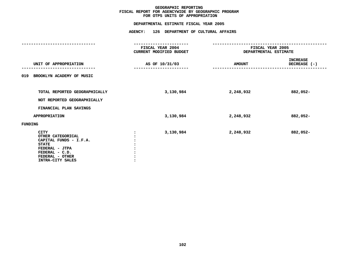## **OTPS UNITS OF APPROPRIATION DEPARTMENTAL**

|                                                                                                                                                       | FISCAL YEAR 2004<br><b>CURRENT MODIFIED BUDGET</b> | FISCAL YEAR 2005<br><b>DEPARTMENTAL ESTIMATE</b> |                                 |
|-------------------------------------------------------------------------------------------------------------------------------------------------------|----------------------------------------------------|--------------------------------------------------|---------------------------------|
| UNIT OF APPROPRIATION                                                                                                                                 | AS OF 10/31/03                                     | <b>AMOUNT</b>                                    | <b>INCREASE</b><br>DECREASE (-) |
| BROOKLYN ACADEMY OF MUSIC<br>019                                                                                                                      |                                                    |                                                  |                                 |
| TOTAL REPORTED GEOGRAPHICALLY<br>NOT REPORTED GEOGRAPHICALLY                                                                                          | 3,130,984                                          | 2,248,932                                        | 882,052-                        |
| FINANCIAL PLAN SAVINGS                                                                                                                                |                                                    |                                                  |                                 |
| <b>APPROPRIATION</b>                                                                                                                                  | 3,130,984                                          | 2,248,932                                        | 882,052-                        |
| FUNDING                                                                                                                                               |                                                    |                                                  |                                 |
| <b>CITY</b><br>OTHER CATEGORICAL<br>CAPITAL FUNDS - I.F.A.<br><b>STATE</b><br>FEDERAL - JTPA<br>FEDERAL - C.D.<br>FEDERAL - OTHER<br>INTRA-CITY SALES | 3,130,984                                          | 2,248,932                                        | 882,052-                        |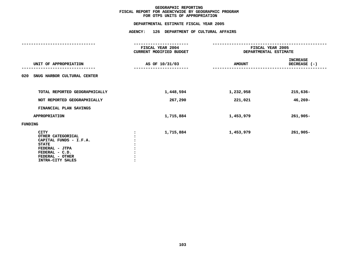## **OTPS UNITS OF APPROPRIATION DEPARTMENTAL**

|                                                                                                                                                       | FISCAL YEAR 2004<br>CURRENT MODIFIED BUDGET | FISCAL YEAR 2005<br>DEPARTMENTAL ESTIMATE |                                 |
|-------------------------------------------------------------------------------------------------------------------------------------------------------|---------------------------------------------|-------------------------------------------|---------------------------------|
| UNIT OF APPROPRIATION                                                                                                                                 | AS OF 10/31/03                              | <b>AMOUNT</b>                             | <b>INCREASE</b><br>DECREASE (-) |
| SNUG HARBOR CULTURAL CENTER<br>020                                                                                                                    |                                             |                                           |                                 |
| TOTAL REPORTED GEOGRAPHICALLY                                                                                                                         | 1,448,594                                   | 1,232,958                                 | $215,636-$                      |
| NOT REPORTED GEOGRAPHICALLY                                                                                                                           | 267,290                                     | 221,021                                   | 46,269-                         |
| FINANCIAL PLAN SAVINGS                                                                                                                                |                                             |                                           |                                 |
| APPROPRIATION                                                                                                                                         | 1,715,884                                   | 1,453,979                                 | $261,905 -$                     |
| <b>FUNDING</b>                                                                                                                                        |                                             |                                           |                                 |
| <b>CITY</b><br>OTHER CATEGORICAL<br>CAPITAL FUNDS - I.F.A.<br><b>STATE</b><br>FEDERAL - JTPA<br>FEDERAL - C.D.<br>FEDERAL - OTHER<br>INTRA-CITY SALES | 1,715,884                                   | 1,453,979                                 | $261,905 -$                     |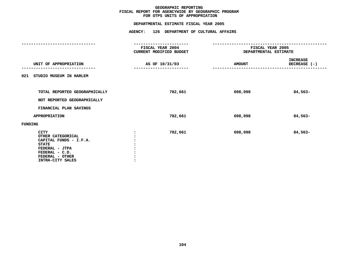## **OTPS UNITS OF APPROPRIATION DEPARTMENTAL**

|                                                                                                                                                       | ------------                                |                                                  |                                 |
|-------------------------------------------------------------------------------------------------------------------------------------------------------|---------------------------------------------|--------------------------------------------------|---------------------------------|
|                                                                                                                                                       | FISCAL YEAR 2004<br>CURRENT MODIFIED BUDGET | FISCAL YEAR 2005<br><b>DEPARTMENTAL ESTIMATE</b> |                                 |
| UNIT OF APPROPRIATION                                                                                                                                 | AS OF 10/31/03                              | <b>AMOUNT</b>                                    | <b>INCREASE</b><br>DECREASE (-) |
| STUDIO MUSEUM IN HARLEM<br>021                                                                                                                        |                                             |                                                  |                                 |
| TOTAL REPORTED GEOGRAPHICALLY<br>NOT REPORTED GEOGRAPHICALLY                                                                                          | 782,661                                     | 698,098                                          | 84,563-                         |
| FINANCIAL PLAN SAVINGS                                                                                                                                |                                             |                                                  |                                 |
| <b>APPROPRIATION</b>                                                                                                                                  | 782,661                                     | 698,098                                          | 84,563-                         |
| <b>FUNDING</b>                                                                                                                                        |                                             |                                                  |                                 |
| <b>CITY</b><br>OTHER CATEGORICAL<br>CAPITAL FUNDS - I.F.A.<br><b>STATE</b><br>FEDERAL - JTPA<br>FEDERAL - C.D.<br>FEDERAL - OTHER<br>INTRA-CITY SALES | 782,661                                     | 698,098                                          | 84,563-                         |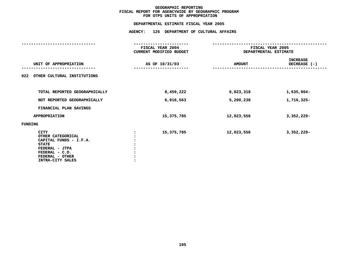# **OTPS UNITS OF APPROPRIATION DEPARTMENTAL**

# **ESTIMATE FISCAL YEAR <sup>2005</sup> AGENCY: <sup>126</sup> DEPARTMENT OF CULTURAL AFFAIRS**

|                                                                                                                                                       | FISCAL YEAR 2004<br>CURRENT MODIFIED BUDGET | FISCAL YEAR 2005<br>DEPARTMENTAL ESTIMATE |                          |
|-------------------------------------------------------------------------------------------------------------------------------------------------------|---------------------------------------------|-------------------------------------------|--------------------------|
| UNIT OF APPROPRIATION                                                                                                                                 | AS OF 10/31/03                              | <b>AMOUNT</b>                             | INCREASE<br>DECREASE (-) |
| OTHER CULTURAL INSTITUTIONS<br>022                                                                                                                    |                                             |                                           |                          |
| TOTAL REPORTED GEOGRAPHICALLY                                                                                                                         | 8,459,222                                   | 6,823,318                                 | 1,635,904-               |
| NOT REPORTED GEOGRAPHICALLY                                                                                                                           | 6,916,563                                   | 5,200,238                                 | 1,716,325-               |
| FINANCIAL PLAN SAVINGS                                                                                                                                |                                             |                                           |                          |
| APPROPRIATION                                                                                                                                         | 15,375,785                                  | 12,023,556                                | 3,352,229-               |
| FUNDING                                                                                                                                               |                                             |                                           |                          |
| <b>CITY</b><br>OTHER CATEGORICAL<br>CAPITAL FUNDS - I.F.A.<br><b>STATE</b><br>FEDERAL - JTPA<br>FEDERAL - C.D.<br>FEDERAL - OTHER<br>INTRA-CITY SALES | 15,375,785                                  | 12,023,556                                | $3,352,229-$             |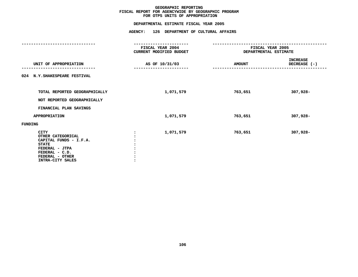# **OTPS UNITS OF APPROPRIATION DEPARTMENTAL**

# **ESTIMATE FISCAL YEAR <sup>2005</sup> AGENCY: <sup>126</sup> DEPARTMENT OF CULTURAL AFFAIRS**

|                                                                                                                                                       | ------------                                |                                           |                                 |
|-------------------------------------------------------------------------------------------------------------------------------------------------------|---------------------------------------------|-------------------------------------------|---------------------------------|
|                                                                                                                                                       | FISCAL YEAR 2004<br>CURRENT MODIFIED BUDGET | FISCAL YEAR 2005<br>DEPARTMENTAL ESTIMATE |                                 |
| UNIT OF APPROPRIATION                                                                                                                                 | AS OF 10/31/03                              | <b>AMOUNT</b>                             | <b>INCREASE</b><br>DECREASE (-) |
| 024 N.Y. SHAKESPEARE FESTIVAL                                                                                                                         |                                             |                                           |                                 |
| TOTAL REPORTED GEOGRAPHICALLY<br>NOT REPORTED GEOGRAPHICALLY                                                                                          | 1,071,579                                   | 763,651                                   | 307,928-                        |
| FINANCIAL PLAN SAVINGS                                                                                                                                |                                             |                                           |                                 |
| <b>APPROPRIATION</b>                                                                                                                                  | 1,071,579                                   | 763,651                                   | 307,928-                        |
| FUNDING                                                                                                                                               |                                             |                                           |                                 |
| <b>CITY</b><br>OTHER CATEGORICAL<br>CAPITAL FUNDS - I.F.A.<br><b>STATE</b><br>FEDERAL - JTPA<br>FEDERAL - C.D.<br>FEDERAL - OTHER<br>INTRA-CITY SALES | 1,071,579                                   | 763,651                                   | 307,928-                        |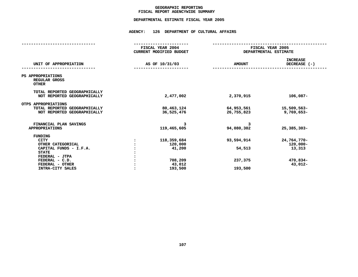# **GEOGRAPHICC REPORTING<br>ENCYWIDE SU<br>-----------FISCAL**

# **REPORT AGENCYWIDE SUMMARY DEPARTMENTAL ESTIMATE FISCAL YEAR <sup>2005</sup>**

# **AGENCY: <sup>126</sup> DEPARTMENT OF CULTURAL AFFAIRS**

|                                                                                                                                                                         | FISCAL YEAR 2004<br><b>CURRENT MODIFIED BUDGET</b>                 | FISCAL YEAR 2005<br>DEPARTMENTAL ESTIMATE  |                                                             |
|-------------------------------------------------------------------------------------------------------------------------------------------------------------------------|--------------------------------------------------------------------|--------------------------------------------|-------------------------------------------------------------|
| UNIT OF APPROPRIATION                                                                                                                                                   | AS OF 10/31/03                                                     | <b>AMOUNT</b>                              | <b>INCREASE</b><br>DECREASE (-)                             |
| PS APPROPRIATIONS<br>REGULAR GROSS<br><b>OTHER</b>                                                                                                                      |                                                                    |                                            |                                                             |
| TOTAL REPORTED GEOGRAPHICALLY<br>NOT REPORTED GEOGRAPHICALLY                                                                                                            | 2,477,002                                                          | 2,370,915                                  | $106,087-$                                                  |
| OTPS APPROPRIATIONS<br>TOTAL REPORTED GEOGRAPHICALLY<br>NOT REPORTED GEOGRAPHICALLY                                                                                     | 80,463,124<br>36,525,476                                           | 64,953,561<br>26,755,823                   | 15,509,563-<br>$9,769,653-$                                 |
| FINANCIAL PLAN SAVINGS<br><b>APPROPRIATIONS</b>                                                                                                                         | 3<br>119,465,605                                                   | 3<br>94,080,302                            | $25,385,303 -$                                              |
| <b>FUNDING</b><br><b>CITY</b><br>OTHER CATEGORICAL<br>CAPITAL FUNDS - I.F.A.<br><b>STATE</b><br>FEDERAL - JTPA<br>FEDERAL - C.D.<br>FEDERAL - OTHER<br>INTRA-CITY SALES | 118, 359, 684<br>120,000<br>41,200<br>708,209<br>43,012<br>193,500 | 93,594,914<br>54,513<br>237,375<br>193,500 | 24,764,770-<br>$120,000 -$<br>13,313<br>470,834-<br>43,012- |
|                                                                                                                                                                         |                                                                    |                                            |                                                             |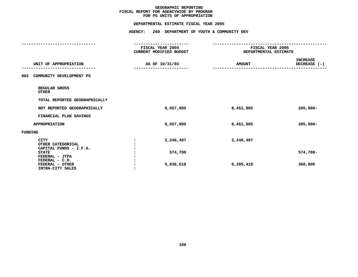# **PS UNITS OF APPROPRIATION DEPARTMENTAL**

|                                                            | FISCAL YEAR 2004<br><b>CURRENT MODIFIED BUDGET</b> | FISCAL YEAR 2005<br>DEPARTMENTAL ESTIMATE |                                 |
|------------------------------------------------------------|----------------------------------------------------|-------------------------------------------|---------------------------------|
| UNIT OF APPROPRIATION                                      | AS OF 10/31/03                                     | <b>AMOUNT</b>                             | <b>INCREASE</b><br>DECREASE (-) |
| 002<br>COMMUNITY DEVELOPMENT PS                            |                                                    |                                           |                                 |
| REGULAR GROSS<br><b>OTHER</b>                              |                                                    |                                           |                                 |
| TOTAL REPORTED GEOGRAPHICALLY                              |                                                    |                                           |                                 |
| NOT REPORTED GEOGRAPHICALLY                                | 8,657,805                                          | 8,451,905                                 | $205,900 -$                     |
| FINANCIAL PLAN SAVINGS                                     |                                                    |                                           |                                 |
| <b>APPROPRIATION</b>                                       | 8,657,805                                          | 8,451,905                                 | $205,900 -$                     |
| FUNDING                                                    |                                                    |                                           |                                 |
| <b>CITY</b><br>OTHER CATEGORICAL<br>CAPITAL FUNDS - I.F.A. | 2,246,487                                          | 2,246,487                                 |                                 |
| <b>STATE</b><br>FEDERAL - JTPA<br>FEDERAL - C.D.           | 574,700                                            |                                           | $574,700 -$                     |
| FEDERAL - OTHER<br>INTRA-CITY SALES                        | 5,836,618                                          | 6,205,418                                 | 368,800                         |
|                                                            |                                                    |                                           |                                 |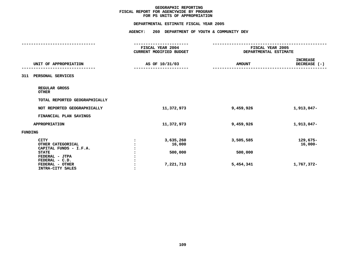# **PS UNITS OF APPROPRIATION DEPARTMENTAL**

| --------------------                                                                                                                                  |                                             |                                           |                                      |
|-------------------------------------------------------------------------------------------------------------------------------------------------------|---------------------------------------------|-------------------------------------------|--------------------------------------|
|                                                                                                                                                       | FISCAL YEAR 2004<br>CURRENT MODIFIED BUDGET | FISCAL YEAR 2005<br>DEPARTMENTAL ESTIMATE |                                      |
| UNIT OF APPROPRIATION                                                                                                                                 | AS OF 10/31/03                              | <b>AMOUNT</b>                             | <b>INCREASE</b><br>DECREASE (-)      |
| PERSONAL SERVICES<br>311                                                                                                                              |                                             |                                           |                                      |
| REGULAR GROSS<br><b>OTHER</b>                                                                                                                         |                                             |                                           |                                      |
| TOTAL REPORTED GEOGRAPHICALLY                                                                                                                         |                                             |                                           |                                      |
| NOT REPORTED GEOGRAPHICALLY                                                                                                                           | 11,372,973                                  | 9,459,926                                 | 1,913,047-                           |
| FINANCIAL PLAN SAVINGS                                                                                                                                |                                             |                                           |                                      |
| <b>APPROPRIATION</b>                                                                                                                                  | 11,372,973                                  | 9,459,926                                 | 1,913,047-                           |
| <b>FUNDING</b>                                                                                                                                        |                                             |                                           |                                      |
| <b>CITY</b><br>OTHER CATEGORICAL<br>CAPITAL FUNDS - I.F.A.<br><b>STATE</b><br>FEDERAL - JTPA<br>FEDERAL - C.D.<br>FEDERAL - OTHER<br>INTRA-CITY SALES | 3,635,260<br>16,000<br>500,000<br>7,221,713 | 3,505,585<br>500,000<br>5,454,341         | 129,675-<br>$16,000 -$<br>1,767,372- |
|                                                                                                                                                       |                                             |                                           |                                      |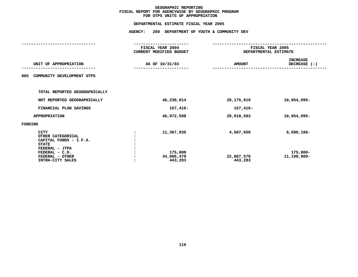# **OTPS UNITS OF APPROPRIATION DEPARTMENTAL**

|                                                                                                                                   | FISCAL YEAR 2004<br><b>CURRENT MODIFIED BUDGET</b> | FISCAL YEAR 2005<br>DEPARTMENTAL ESTIMATE |                                          |
|-----------------------------------------------------------------------------------------------------------------------------------|----------------------------------------------------|-------------------------------------------|------------------------------------------|
| UNIT OF APPROPRIATION                                                                                                             | AS OF 10/31/03                                     | <b>AMOUNT</b>                             | <b>INCREASE</b><br>DECREASE $(-)$        |
| COMMUNITY DEVELOPMENT OTPS<br>005                                                                                                 |                                                    |                                           |                                          |
| TOTAL REPORTED GEOGRAPHICALLY                                                                                                     |                                                    |                                           |                                          |
| NOT REPORTED GEOGRAPHICALLY                                                                                                       | 46,230,014                                         | 28,175,919                                | 18,054,095-                              |
| FINANCIAL PLAN SAVINGS                                                                                                            | 157,416-                                           | 157,416-                                  |                                          |
| <b>APPROPRIATION</b>                                                                                                              | 46,072,598                                         | 28,018,503                                | 18,054,095-                              |
| FUNDING                                                                                                                           |                                                    |                                           |                                          |
| <b>CITY</b><br>OTHER CATEGORICAL<br>CAPITAL FUNDS - I.F.A.<br><b>STATE</b><br>FEDERAL - JTPA<br>FEDERAL - C.D.<br>FEDERAL - OTHER | 11,367,836<br>175,000<br>34,086,479                | 4,687,650<br>22,887,570                   | $6,680,186 -$<br>175,000-<br>11,198,909- |
| INTRA-CITY SALES                                                                                                                  | 443,283                                            | 443,283                                   |                                          |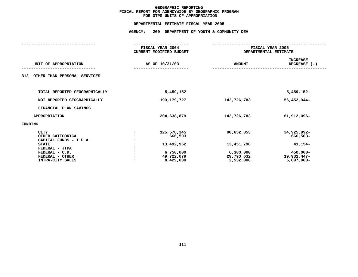# **OTPS UNITS OF APPROPRIATION DEPARTMENTAL**

|                                                                                                                                                | FISCAL YEAR 2004<br><b>CURRENT MODIFIED BUDGET</b>                           | FISCAL YEAR 2005<br>DEPARTMENTAL ESTIMATE                        |                                                                                |
|------------------------------------------------------------------------------------------------------------------------------------------------|------------------------------------------------------------------------------|------------------------------------------------------------------|--------------------------------------------------------------------------------|
| UNIT OF APPROPRIATION                                                                                                                          | AS OF 10/31/03                                                               | <b>AMOUNT</b>                                                    | <b>INCREASE</b><br>DECREASE $(-)$                                              |
| OTHER THAN PERSONAL SERVICES<br>312                                                                                                            |                                                                              |                                                                  |                                                                                |
| TOTAL REPORTED GEOGRAPHICALLY                                                                                                                  | 5,459,152                                                                    |                                                                  | $5,459,152-$                                                                   |
| NOT REPORTED GEOGRAPHICALLY                                                                                                                    | 199,179,727                                                                  | 142,726,783                                                      | 56,452,944-                                                                    |
| FINANCIAL PLAN SAVINGS                                                                                                                         |                                                                              |                                                                  |                                                                                |
| <b>APPROPRIATION</b>                                                                                                                           | 204,638,879                                                                  | 142,726,783                                                      | 61,912,096-                                                                    |
| FUNDING                                                                                                                                        |                                                                              |                                                                  |                                                                                |
| CITY<br>OTHER CATEGORICAL<br>CAPITAL FUNDS - I.F.A.<br><b>STATE</b><br>FEDERAL - JTPA<br>FEDERAL - C.D.<br>FEDERAL - OTHER<br>INTRA-CITY SALES | 125,578,345<br>666,503<br>13,492,952<br>6,750,000<br>49,722,079<br>8,429,000 | 90,652,353<br>13,451,798<br>6,300,000<br>29,790,632<br>2,532,000 | 34,925,992-<br>666,503-<br>41,154-<br>450,000-<br>19,931,447-<br>$5,897,000 -$ |
|                                                                                                                                                |                                                                              |                                                                  |                                                                                |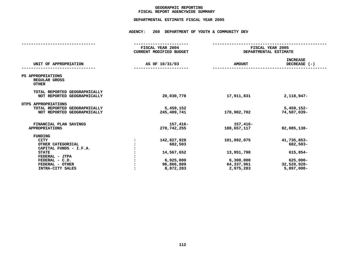# **GEOGRAPHICC REPORTING<br>ENCYWIDE SU<br>-----------FISCAL**

# **REPORT AGENCYWIDE SUMMARY DEPARTMENTAL ESTIMATE FISCAL YEAR <sup>2005</sup>**

# **AGENCY: <sup>260</sup> DEPARTMENT OF YOUTH & COMMUNITY DEV**

|                                                                                                                                                                         | FISCAL YEAR 2004<br><b>CURRENT MODIFIED BUDGET</b>                           | FISCAL YEAR 2005<br>DEPARTMENTAL ESTIMATE                         |                                                                                    |
|-------------------------------------------------------------------------------------------------------------------------------------------------------------------------|------------------------------------------------------------------------------|-------------------------------------------------------------------|------------------------------------------------------------------------------------|
| UNIT OF APPROPRIATION                                                                                                                                                   | AS OF 10/31/03                                                               | <b>AMOUNT</b>                                                     | <b>INCREASE</b><br>DECREASE (-)                                                    |
| PS APPROPRIATIONS<br>REGULAR GROSS<br><b>OTHER</b>                                                                                                                      |                                                                              |                                                                   |                                                                                    |
| TOTAL REPORTED GEOGRAPHICALLY<br>NOT REPORTED GEOGRAPHICALLY                                                                                                            | 20,030,778                                                                   | 17,911,831                                                        | 2,118,947-                                                                         |
| OTPS APPROPRIATIONS<br>TOTAL REPORTED GEOGRAPHICALLY<br>NOT REPORTED GEOGRAPHICALLY                                                                                     | 5,459,152<br>245,409,741                                                     | 170,902,702                                                       | $5,459,152-$<br>74,507,039-                                                        |
| FINANCIAL PLAN SAVINGS<br><b>APPROPRIATIONS</b>                                                                                                                         | 157,416-<br>270,742,255                                                      | 157,416-<br>188,657,117                                           | 82,085,138-                                                                        |
| <b>FUNDING</b><br><b>CITY</b><br>OTHER CATEGORICAL<br>CAPITAL FUNDS - I.F.A.<br><b>STATE</b><br>FEDERAL - JTPA<br>FEDERAL - C.D.<br>FEDERAL - OTHER<br>INTRA-CITY SALES | 142,827,928<br>682,503<br>14,567,652<br>6,925,000<br>96,866,889<br>8,872,283 | 101,092,075<br>13,951,798<br>6,300,000<br>64,337,961<br>2,975,283 | 41,735,853-<br>682,503-<br>615,854-<br>$625,000 -$<br>32,528,928-<br>$5,897,000 -$ |
|                                                                                                                                                                         |                                                                              |                                                                   |                                                                                    |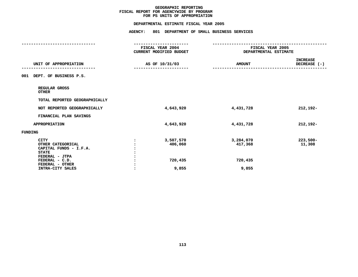# **PS UNITS OF APPROPRIATION DEPARTMENTAL**

|                                                                                                                                   | FISCAL YEAR 2004<br><b>CURRENT MODIFIED BUDGET</b> |                                 | FISCAL YEAR 2005<br>DEPARTMENTAL ESTIMATE |
|-----------------------------------------------------------------------------------------------------------------------------------|----------------------------------------------------|---------------------------------|-------------------------------------------|
| UNIT OF APPROPRIATION                                                                                                             | AS OF 10/31/03                                     | <b>AMOUNT</b>                   | <b>INCREASE</b><br>DECREASE (-)           |
| DEPT. OF BUSINESS P.S.<br>001                                                                                                     |                                                    |                                 |                                           |
| REGULAR GROSS<br><b>OTHER</b>                                                                                                     |                                                    |                                 |                                           |
| TOTAL REPORTED GEOGRAPHICALLY                                                                                                     |                                                    |                                 |                                           |
| NOT REPORTED GEOGRAPHICALLY                                                                                                       | 4,643,920                                          | 4,431,728                       | 212,192-                                  |
| FINANCIAL PLAN SAVINGS                                                                                                            |                                                    |                                 |                                           |
| <b>APPROPRIATION</b>                                                                                                              | 4,643,920                                          | 4,431,728                       | 212,192-                                  |
| FUNDING                                                                                                                           |                                                    |                                 |                                           |
| <b>CITY</b><br>OTHER CATEGORICAL<br>CAPITAL FUNDS - I.F.A.<br><b>STATE</b><br>FEDERAL - JTPA<br>FEDERAL - C.D.<br>FEDERAL - OTHER | 3,507,570<br>:<br>406,060<br>720,435               | 3,284,070<br>417,368<br>720,435 | $223,500-$<br>11,308                      |
| INTRA-CITY SALES                                                                                                                  | 9,855                                              | 9,855                           |                                           |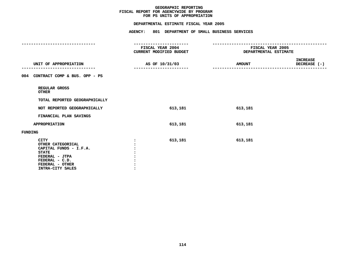|                                                                                                                                                       | DEPARTMENTAL ESTIMATE FISCAL YEAR 2005                                  |                                                         |                          |
|-------------------------------------------------------------------------------------------------------------------------------------------------------|-------------------------------------------------------------------------|---------------------------------------------------------|--------------------------|
|                                                                                                                                                       | AGENCY: 801 DEPARTMENT OF SMALL BUSINESS SERVICES                       |                                                         |                          |
|                                                                                                                                                       | -----------------<br><b>FISCAL YEAR 2004</b><br>CURRENT MODIFIED BUDGET | <b>FISCAL YEAR 2005</b><br><b>DEPARTMENTAL ESTIMATE</b> |                          |
| UNIT OF APPROPRIATION                                                                                                                                 | AS OF 10/31/03<br>-----------------------                               | <b>AMOUNT</b><br>-----------                            | INCREASE<br>DECREASE (-) |
| 004 CONTRACT COMP & BUS. OPP - PS                                                                                                                     |                                                                         |                                                         |                          |
| REGULAR GROSS<br><b>OTHER</b>                                                                                                                         |                                                                         |                                                         |                          |
| TOTAL REPORTED GEOGRAPHICALLY                                                                                                                         |                                                                         |                                                         |                          |
| NOT REPORTED GEOGRAPHICALLY                                                                                                                           | 613,181                                                                 | 613,181                                                 |                          |
| FINANCIAL PLAN SAVINGS                                                                                                                                |                                                                         |                                                         |                          |
| <b>APPROPRIATION</b>                                                                                                                                  | 613,181                                                                 | 613,181                                                 |                          |
| <b>FUNDING</b>                                                                                                                                        |                                                                         |                                                         |                          |
| <b>CITY</b><br>OTHER CATEGORICAL<br>CAPITAL FUNDS - I.F.A.<br><b>STATE</b><br>FEDERAL - JTPA<br>FEDERAL - C.D.<br>FEDERAL - OTHER<br>INTRA-CITY SALES | 613,181<br>$\ddot{\cdot}$                                               | 613,181                                                 |                          |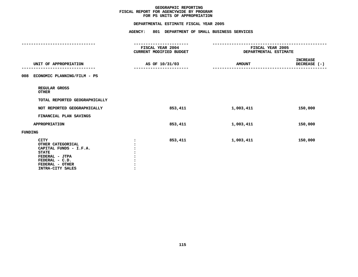# **PS UNITS OF APPROPRIATION DEPARTMENTAL**

|                                                                                                                                                       | FISCAL YEAR 2004<br>CURRENT MODIFIED BUDGET | FISCAL YEAR 2005<br>DEPARTMENTAL ESTIMATE |                                 |
|-------------------------------------------------------------------------------------------------------------------------------------------------------|---------------------------------------------|-------------------------------------------|---------------------------------|
| UNIT OF APPROPRIATION                                                                                                                                 | AS OF 10/31/03                              | <b>AMOUNT</b>                             | <b>INCREASE</b><br>DECREASE (-) |
| ECONOMIC PLANNING/FILM - PS<br>008                                                                                                                    |                                             |                                           |                                 |
| REGULAR GROSS<br>OTHER                                                                                                                                |                                             |                                           |                                 |
| TOTAL REPORTED GEOGRAPHICALLY                                                                                                                         |                                             |                                           |                                 |
| NOT REPORTED GEOGRAPHICALLY                                                                                                                           | 853,411                                     | 1,003,411                                 | 150,000                         |
| FINANCIAL PLAN SAVINGS                                                                                                                                |                                             |                                           |                                 |
| <b>APPROPRIATION</b>                                                                                                                                  | 853,411                                     | 1,003,411                                 | 150,000                         |
| FUNDING                                                                                                                                               |                                             |                                           |                                 |
| <b>CITY</b><br>OTHER CATEGORICAL<br>CAPITAL FUNDS - I.F.A.<br><b>STATE</b><br>FEDERAL - JTPA<br>FEDERAL - C.D.<br>FEDERAL - OTHER<br>INTRA-CITY SALES | 853,411                                     | 1,003,411                                 | 150,000                         |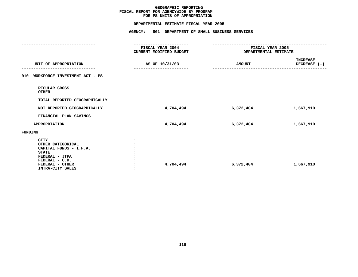|                                                                                                                                                       | DEPARTMENTAL ESTIMATE FISCAL YEAR 2005             |                                                         |                                 |
|-------------------------------------------------------------------------------------------------------------------------------------------------------|----------------------------------------------------|---------------------------------------------------------|---------------------------------|
|                                                                                                                                                       | AGENCY: 801 DEPARTMENT OF SMALL BUSINESS SERVICES  |                                                         |                                 |
|                                                                                                                                                       | <b>FISCAL YEAR 2004</b><br>CURRENT MODIFIED BUDGET | <b>FISCAL YEAR 2005</b><br><b>DEPARTMENTAL ESTIMATE</b> |                                 |
| UNIT OF APPROPRIATION                                                                                                                                 | AS OF 10/31/03                                     | <b>AMOUNT</b>                                           | <b>INCREASE</b><br>DECREASE (-) |
| 010 WORKFORCE INVESTMENT ACT - PS                                                                                                                     |                                                    |                                                         |                                 |
| REGULAR GROSS<br><b>OTHER</b>                                                                                                                         |                                                    |                                                         |                                 |
| TOTAL REPORTED GEOGRAPHICALLY                                                                                                                         |                                                    |                                                         |                                 |
| NOT REPORTED GEOGRAPHICALLY                                                                                                                           | 4,704,494                                          | 6,372,404                                               | 1,667,910                       |
| FINANCIAL PLAN SAVINGS                                                                                                                                |                                                    |                                                         |                                 |
| APPROPRIATION                                                                                                                                         | 4,704,494                                          | 6,372,404                                               | 1,667,910                       |
| <b>FUNDING</b>                                                                                                                                        |                                                    |                                                         |                                 |
| <b>CITY</b><br>OTHER CATEGORICAL<br>CAPITAL FUNDS - I.F.A.<br><b>STATE</b><br>FEDERAL - JTPA<br>FEDERAL - C.D.<br>FEDERAL - OTHER<br>INTRA-CITY SALES | 4,704,494                                          | 6,372,404                                               | 1,667,910                       |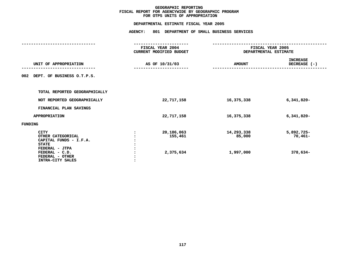# **OTPS UNITS OF APPROPRIATION DEPARTMENTAL**

| FISCAL YEAR 2004<br>CURRENT MODIFIED BUDGET | FISCAL YEAR 2005<br>DEPARTMENTAL ESTIMATE |                                     |  |
|---------------------------------------------|-------------------------------------------|-------------------------------------|--|
| AS OF 10/31/03                              | <b>AMOUNT</b>                             | <b>INCREASE</b><br>DECREASE (-)     |  |
|                                             |                                           |                                     |  |
|                                             |                                           |                                     |  |
| 22,717,158                                  | 16,375,338                                | $6,341,820 -$                       |  |
|                                             |                                           |                                     |  |
| 22,717,158                                  | 16,375,338                                | $6,341,820 -$                       |  |
|                                             |                                           |                                     |  |
| 20,186,063<br>155,461<br>2,375,634          | 14,293,338<br>85,000<br>1,997,000         | 5,892,725-<br>$70,461-$<br>378,634- |  |
|                                             |                                           |                                     |  |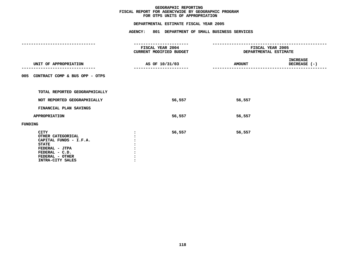| ------------------<br><b>FISCAL YEAR 2004</b><br>CURRENT MODIFIED BUDGET |               |                                                                                                                                                               |
|--------------------------------------------------------------------------|---------------|---------------------------------------------------------------------------------------------------------------------------------------------------------------|
| AS OF 10/31/03                                                           | <b>AMOUNT</b> | <b>INCREASE</b><br>DECREASE (-)                                                                                                                               |
|                                                                          |               |                                                                                                                                                               |
|                                                                          |               |                                                                                                                                                               |
| 56,557                                                                   | 56,557        |                                                                                                                                                               |
|                                                                          |               |                                                                                                                                                               |
| 56,557                                                                   | 56,557        |                                                                                                                                                               |
|                                                                          |               |                                                                                                                                                               |
| 56,557                                                                   | 56,557        |                                                                                                                                                               |
|                                                                          |               | DEPARTMENTAL ESTIMATE FISCAL YEAR 2005<br>AGENCY: 801 DEPARTMENT OF SMALL BUSINESS SERVICES<br>-----------------<br>FISCAL YEAR 2005<br>DEPARTMENTAL ESTIMATE |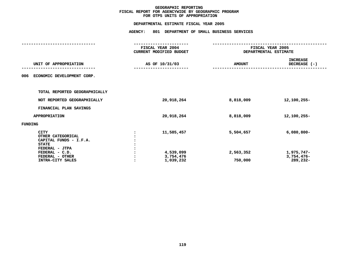# **OTPS UNITS OF APPROPRIATION DEPARTMENTAL**

|                                                                            | FISCAL YEAR 2004<br><b>CURRENT MODIFIED BUDGET</b> |                      | FISCAL YEAR 2005<br>DEPARTMENTAL ESTIMATE |
|----------------------------------------------------------------------------|----------------------------------------------------|----------------------|-------------------------------------------|
| UNIT OF APPROPRIATION                                                      | AS OF 10/31/03                                     | <b>AMOUNT</b>        | <b>INCREASE</b><br>DECREASE (-)           |
| ECONOMIC DEVELOPMENT CORP.<br>006                                          |                                                    |                      |                                           |
| TOTAL REPORTED GEOGRAPHICALLY                                              |                                                    |                      |                                           |
| NOT REPORTED GEOGRAPHICALLY                                                | 20,918,264                                         | 8,818,009            | 12,100,255-                               |
| FINANCIAL PLAN SAVINGS                                                     |                                                    |                      |                                           |
| <b>APPROPRIATION</b>                                                       | 20,918,264                                         | 8,818,009            | 12,100,255-                               |
| FUNDING                                                                    |                                                    |                      |                                           |
| <b>CITY</b><br>OTHER CATEGORICAL<br>CAPITAL FUNDS - I.F.A.<br><b>STATE</b> | 11,585,457                                         | 5,504,657            | $6,080,800 -$                             |
| FEDERAL - JTPA<br>FEDERAL - C.D.<br>FEDERAL - OTHER<br>INTRA-CITY SALES    | 4,539,099<br>3,754,476<br>1,039,232                | 2,563,352<br>750,000 | 1,975,747-<br>3,754,476-<br>289,232-      |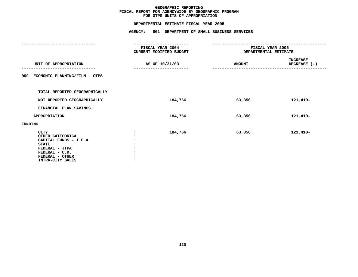# **OTPS UNITS OF APPROPRIATION DEPARTMENTAL**

|                                                                                                                                                       | FISCAL YEAR 2004<br>CURRENT MODIFIED BUDGET |               | FISCAL YEAR 2005<br>DEPARTMENTAL ESTIMATE |  |
|-------------------------------------------------------------------------------------------------------------------------------------------------------|---------------------------------------------|---------------|-------------------------------------------|--|
| UNIT OF APPROPRIATION                                                                                                                                 | AS OF 10/31/03                              | <b>AMOUNT</b> | INCREASE<br>DECREASE (-)<br>---------     |  |
| 009 ECONOMIC PLANNING/FILM - OTPS                                                                                                                     |                                             |               |                                           |  |
| TOTAL REPORTED GEOGRAPHICALLY                                                                                                                         |                                             |               |                                           |  |
| NOT REPORTED GEOGRAPHICALLY                                                                                                                           | 184,766                                     | 63,356        | 121,410-                                  |  |
| FINANCIAL PLAN SAVINGS                                                                                                                                |                                             |               |                                           |  |
| <b>APPROPRIATION</b>                                                                                                                                  | 184,766                                     | 63,356        | 121,410-                                  |  |
| FUNDING                                                                                                                                               |                                             |               |                                           |  |
| <b>CITY</b><br>OTHER CATEGORICAL<br>CAPITAL FUNDS - I.F.A.<br><b>STATE</b><br>FEDERAL - JTPA<br>FEDERAL - C.D.<br>FEDERAL - OTHER<br>INTRA-CITY SALES | 184,766                                     | 63,356        | 121,410-                                  |  |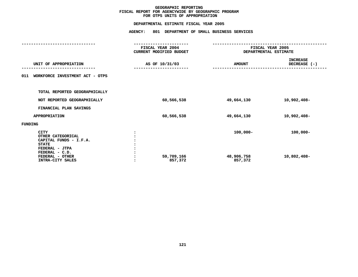# **OTPS UNITS OF APPROPRIATION DEPARTMENTAL**

|                                                                            | FISCAL YEAR 2004<br><b>CURRENT MODIFIED BUDGET</b> | FISCAL YEAR 2005<br>DEPARTMENTAL ESTIMATE |                                 |  |
|----------------------------------------------------------------------------|----------------------------------------------------|-------------------------------------------|---------------------------------|--|
| UNIT OF APPROPRIATION                                                      | AS OF 10/31/03                                     | <b>AMOUNT</b>                             | <b>INCREASE</b><br>DECREASE (-) |  |
| WORKFORCE INVESTMENT ACT - OTPS<br>011                                     |                                                    |                                           |                                 |  |
| TOTAL REPORTED GEOGRAPHICALLY                                              |                                                    |                                           |                                 |  |
| NOT REPORTED GEOGRAPHICALLY                                                | 60,566,538                                         | 49,664,130                                | 10,902,408-                     |  |
| FINANCIAL PLAN SAVINGS                                                     |                                                    |                                           |                                 |  |
| <b>APPROPRIATION</b>                                                       | 60,566,538                                         | 49,664,130                                | 10,902,408-                     |  |
| FUNDING                                                                    |                                                    |                                           |                                 |  |
| <b>CITY</b><br>OTHER CATEGORICAL<br>CAPITAL FUNDS - I.F.A.<br><b>STATE</b> |                                                    | $100,000 -$                               | $100,000 -$                     |  |
| FEDERAL - JTPA<br>FEDERAL - C.D.<br>FEDERAL - OTHER<br>INTRA-CITY SALES    | 59,709,166<br>857,372                              | 48,906,758<br>857,372                     | 10,802,408-                     |  |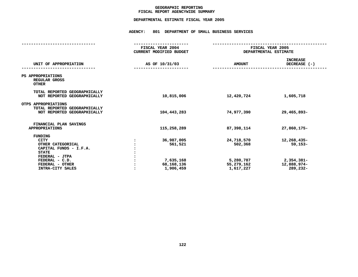# **GEOGRAPHICC REPORTING<br>ENCYWIDE SU<br>-----------FISCAL**

# **REPORT AGENCYWIDE SUMMARY DEPARTMENTAL ESTIMATE FISCAL YEAR <sup>2005</sup>**

# **AGENCY: <sup>801</sup> DEPARTMENT OF SMALL BUSINESS SERVICES**

| FISCAL YEAR 2004<br><b>CURRENT MODIFIED BUDGET</b>            | FISCAL YEAR 2005<br>DEPARTMENTAL ESTIMATE                     |                                                                   |  |
|---------------------------------------------------------------|---------------------------------------------------------------|-------------------------------------------------------------------|--|
| AS OF 10/31/03                                                | <b>AMOUNT</b>                                                 | <b>INCREASE</b><br>DECREASE (-)                                   |  |
|                                                               |                                                               |                                                                   |  |
| 10,815,006                                                    | 12,420,724                                                    | 1,605,718                                                         |  |
| 104,443,283                                                   | 74,977,390                                                    | 29,465,893-                                                       |  |
| 115,258,289                                                   | 87,398,114                                                    | 27,860,175-                                                       |  |
| 36,987,005<br>561,521<br>7,635,168<br>68,168,136<br>1,906,459 | 24,718,570<br>502,368<br>5,280,787<br>55,279,162<br>1,617,227 | 12,268,435-<br>$59,153-$<br>2,354,381-<br>12,888,974-<br>289,232- |  |
|                                                               |                                                               |                                                                   |  |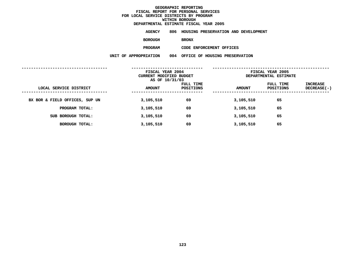### **GEOGRAPHICC REPORTING<br>PERSONAL S<br>ICTS BY PRO FISCAL REPORT FOR PERSONAL SERVICES FOR LOCAL SERVICE DISTRICTS BY PROGRAM WITHINN BOROUGH<br>MATE FISC<br>----------DEPARTMENTAL**

**ESTIMATE FISCAL YEAR <sup>2005</sup> AGENCY <sup>806</sup> HOUSING PRESERVATION AND DEVELOPMENT**

**BOROUGH**

BRONX<br>CODE ENFORCEMENT OFFICES **PROGRAM**

|                                | FISCAL YEAR 2004<br>CURRENT MODIFIED BUDGET<br>AS OF 10/31/03 |                        | FISCAL YEAR 2005<br>DEPARTMENTAL ESTIMATE |                        |                         |
|--------------------------------|---------------------------------------------------------------|------------------------|-------------------------------------------|------------------------|-------------------------|
| LOCAL SERVICE DISTRICT         | <b>AMOUNT</b>                                                 | FULL TIME<br>POSITIONS | <b>AMOUNT</b>                             | FULL TIME<br>POSITIONS | INCREASE<br>DECREASE(-) |
| BX BOR & FIELD OFFICES, SUP UN | 3,105,510                                                     | 69                     | 3,105,510                                 | 65                     |                         |
| PROGRAM TOTAL:                 | 3,105,510                                                     | 69                     | 3,105,510                                 | 65                     |                         |
| SUB BOROUGH TOTAL:             | 3,105,510                                                     | 69                     | 3,105,510                                 | 65                     |                         |
| BOROUGH TOTAL:                 | 3,105,510                                                     | 69                     | 3,105,510                                 | 65                     |                         |
|                                |                                                               |                        |                                           |                        |                         |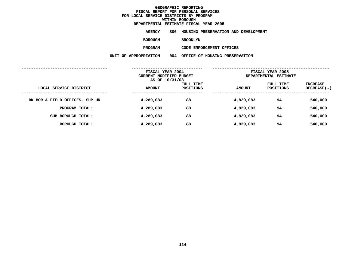### **GEOGRAPHICC REPORTING<br>PERSONAL S<br>ICTS BY PRO FISCAL REPORT FOR PERSONAL SERVICES FOR LOCAL SERVICE DISTRICTS BY PROGRAM WITHINN BOROUGH<br>MATE FISC<br>----------DEPARTMENTAL**

**ESTIMATE FISCAL YEAR <sup>2005</sup> AGENCY <sup>806</sup> HOUSING PRESERVATION AND DEVELOPMENT**

**BOROUGH**

BROOKLYN<br>CODE ENFORCEMENT OFFICES

**PROGRAM**

|                                | FISCAL YEAR 2004<br>CURRENT MODIFIED BUDGET<br>AS OF 10/31/03 |                        | FISCAL YEAR 2005<br>DEPARTMENTAL ESTIMATE |                        |                         |
|--------------------------------|---------------------------------------------------------------|------------------------|-------------------------------------------|------------------------|-------------------------|
| LOCAL SERVICE DISTRICT         | <b>AMOUNT</b>                                                 | FULL TIME<br>POSITIONS | <b>AMOUNT</b>                             | FULL TIME<br>POSITIONS | INCREASE<br>DECREASE(-) |
| BK BOR & FIELD OFFICES, SUP UN | 4,289,083                                                     | 88                     | 4,829,083                                 | 94                     | 540,000                 |
| PROGRAM TOTAL:                 | 4,289,083                                                     | 88                     | 4,829,083                                 | 94                     | 540,000                 |
| SUB BOROUGH TOTAL:             | 4,289,083                                                     | 88                     | 4,829,083                                 | 94                     | 540,000                 |
| BOROUGH TOTAL:                 | 4,289,083                                                     | 88                     | 4,829,083                                 | 94                     | 540,000                 |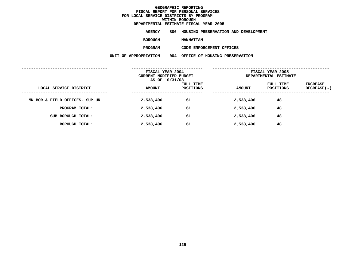### **GEOGRAPHICC REPORTING<br>PERSONAL S<br>ICTS BY PRO FISCAL REPORT FOR PERSONAL SERVICES FOR LOCAL SERVICE DISTRICTS BY PROGRAM WITHINN BOROUGH<br>MATE FISC<br>----------**

# **DEPARTMENTAL**

**ESTIMATE FISCAL YEAR <sup>2005</sup> AGENCY <sup>806</sup> HOUSING PRESERVATION AND DEVELOPMENT**

**BOROUGH**

 **MANHATTAN PROGRAM**

|                                | FISCAL YEAR 2004<br>CURRENT MODIFIED BUDGET<br>AS OF 10/31/03 |                        | FISCAL YEAR 2005<br>DEPARTMENTAL ESTIMATE |                        |                         |
|--------------------------------|---------------------------------------------------------------|------------------------|-------------------------------------------|------------------------|-------------------------|
| LOCAL SERVICE DISTRICT         | <b>AMOUNT</b>                                                 | FULL TIME<br>POSITIONS | <b>AMOUNT</b>                             | FULL TIME<br>POSITIONS | INCREASE<br>DECREASE(-) |
| MN BOR & FIELD OFFICES, SUP UN | 2,538,406                                                     | 61                     | 2,538,406                                 | 48                     |                         |
| PROGRAM TOTAL:                 | 2,538,406                                                     | 61                     | 2,538,406                                 | 48                     |                         |
| SUB BOROUGH TOTAL:             | 2,538,406                                                     | 61                     | 2,538,406                                 | 48                     |                         |
| <b>BOROUGH TOTAL:</b>          | 2,538,406                                                     | 61                     | 2,538,406                                 | 48                     |                         |
|                                |                                                               |                        |                                           |                        |                         |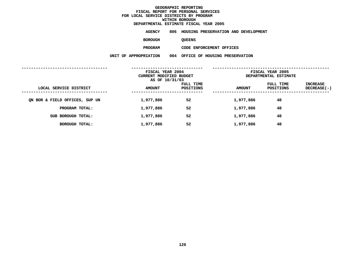### **GEOGRAPHICC REPORTING<br>PERSONAL S<br>ICTS BY PRO FISCAL REPORT FOR PERSONAL SERVICES FOR LOCAL SERVICE DISTRICTS BY PROGRAM WITHINN BOROUGH<br>MATE FISC<br>----------DEPARTMENTAL**

**ESTIMATE FISCAL YEAR <sup>2005</sup> AGENCY <sup>806</sup> HOUSING PRESERVATION AND DEVELOPMENT**

**BOROUGH**

QUEENS<br>CODE ENFORCEMENT OFFICES **PROGRAM**

|                                | FISCAL YEAR 2004<br>CURRENT MODIFIED BUDGET<br>AS OF 10/31/03 |                        | FISCAL YEAR 2005<br>DEPARTMENTAL ESTIMATE |                        |                         |
|--------------------------------|---------------------------------------------------------------|------------------------|-------------------------------------------|------------------------|-------------------------|
| LOCAL SERVICE DISTRICT         | <b>AMOUNT</b>                                                 | FULL TIME<br>POSITIONS | <b>AMOUNT</b>                             | FULL TIME<br>POSITIONS | INCREASE<br>DECREASE(-) |
| ON BOR & FIELD OFFICES, SUP UN | 1,977,886                                                     | 52                     | 1,977,886                                 | 48                     |                         |
| PROGRAM TOTAL:                 | 1,977,886                                                     | 52                     | 1,977,886                                 | 48                     |                         |
| SUB BOROUGH TOTAL:             | 1,977,886                                                     | 52                     | 1,977,886                                 | 48                     |                         |
| BOROUGH TOTAL:                 | 1,977,886                                                     | 52                     | 1,977,886                                 | 48                     |                         |
|                                |                                                               |                        |                                           |                        |                         |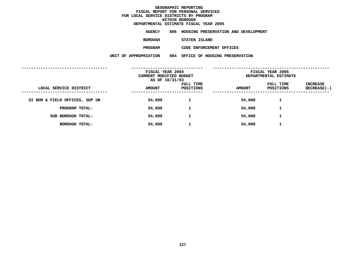### **GEOGRAPHICC REPORTING<br>PERSONAL S<br>ICTS BY PRO FISCAL REPORT FOR PERSONAL SERVICES FOR LOCAL SERVICE DISTRICTS BY PROGRAM WITHINN BOROUGH<br>MATE FISC<br>----------**

## **DEPARTMENTAL**

**ESTIMATE FISCAL YEAR <sup>2005</sup> AGENCY <sup>806</sup> HOUSING PRESERVATION AND DEVELOPMENT**

**BOROUGH**

 **STATEN ISLAND PROGRAM**

| FISCAL YEAR 2004<br>CURRENT MODIFIED BUDGET |               | AS OF 10/31/03                |               |                        |                         | FISCAL YEAR 2005<br>DEPARTMENTAL ESTIMATE |  |
|---------------------------------------------|---------------|-------------------------------|---------------|------------------------|-------------------------|-------------------------------------------|--|
| LOCAL SERVICE DISTRICT                      | <b>AMOUNT</b> | <b>FULL TIME</b><br>POSITIONS | <b>AMOUNT</b> | FULL TIME<br>POSITIONS | INCREASE<br>DECREASE(-) |                                           |  |
| SI BOR & FIELD OFFICES, SUP UN              | 54,000        |                               | 54,000        | 1                      |                         |                                           |  |
| PROGRAM TOTAL:                              | 54,000        | 1                             | 54,000        | 1                      |                         |                                           |  |
| SUB BOROUGH TOTAL:                          | 54,000        |                               | 54,000        | 1                      |                         |                                           |  |
| BOROUGH TOTAL:                              | 54,000        | 1                             | 54,000        | 1                      |                         |                                           |  |
|                                             |               |                               |               |                        |                         |                                           |  |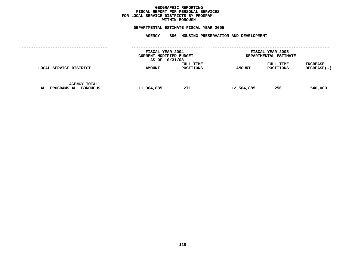## **GEOGRAPHICC REPORTING<br>PERSONAL S<br>ICTS BY PRO FISCAL REPORT FOR PERSONAL SERVICES FOR LOCAL SERVICE DISTRICTS BY PROGRAM WITHIN**

# WITHIN BOROUGH<br>D<mark>EPARTMENTAL ESTIMATE FISC</mark>

# **ESTIMATE FISCAL YEAR <sup>2005</sup> AGENCY <sup>806</sup> HOUSING PRESERVATION AND DEVELOPMENT**

|                                                   | FISCAL YEAR 2004<br>CURRENT MODIFIED BUDGET<br>AS OF 10/31/03 |                        |               | FISCAL YEAR 2005<br>DEPARTMENTAL ESTIMATE |                                |
|---------------------------------------------------|---------------------------------------------------------------|------------------------|---------------|-------------------------------------------|--------------------------------|
| LOCAL SERVICE DISTRICT                            | <b>AMOUNT</b>                                                 | FULL TIME<br>POSITIONS | <b>AMOUNT</b> | FULL TIME<br>POSITIONS                    | <b>INCREASE</b><br>DECREASE(-) |
| <b>AGENCY TOTAL:</b><br>ALL PROGRAMS ALL BOROUGHS | 11,964,885                                                    | 271                    | 12,504,885    | 256                                       | 540,000                        |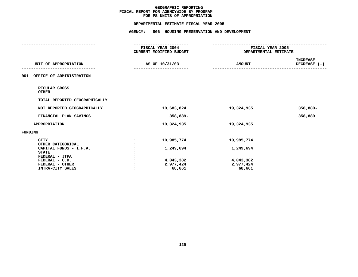|                                        | DEPARTMENTAL ESTIMATE FISCAL YEAR 2005             |                                           |                                 |
|----------------------------------------|----------------------------------------------------|-------------------------------------------|---------------------------------|
|                                        | AGENCY: 806 HOUSING PRESERVATION AND DEVELOPMENT   |                                           |                                 |
|                                        |                                                    |                                           |                                 |
|                                        | <b>FISCAL YEAR 2004</b><br>CURRENT MODIFIED BUDGET | FISCAL YEAR 2005<br>DEPARTMENTAL ESTIMATE |                                 |
| UNIT OF APPROPRIATION                  | AS OF 10/31/03                                     | <b>AMOUNT</b>                             | <b>INCREASE</b><br>DECREASE (-) |
| 001 OFFICE OF ADMINISTRATION           |                                                    |                                           |                                 |
| REGULAR GROSS<br><b>OTHER</b>          |                                                    |                                           |                                 |
| TOTAL REPORTED GEOGRAPHICALLY          |                                                    |                                           |                                 |
| NOT REPORTED GEOGRAPHICALLY            | 19,683,824                                         | 19,324,935                                | 358,889-                        |
| FINANCIAL PLAN SAVINGS                 | 358,889-                                           |                                           | 358,889                         |
| <b>APPROPRIATION</b>                   | 19,324,935                                         | 19,324,935                                |                                 |
| FUNDING                                |                                                    |                                           |                                 |
| <b>CITY</b><br>OTHER CATEGORICAL       | 10,985,774                                         | 10,985,774                                |                                 |
| CAPITAL FUNDS - I.F.A.<br><b>STATE</b> | 1,249,694                                          | 1,249,694                                 |                                 |
| FEDERAL - JTPA                         |                                                    |                                           |                                 |
| FEDERAL - C.D.                         | 4,043,382                                          | 4,043,382                                 |                                 |
| FEDERAL - OTHER<br>INTRA-CITY SALES    | 2,977,424<br>68,661                                | 2,977,424<br>68,661                       |                                 |
|                                        |                                                    |                                           |                                 |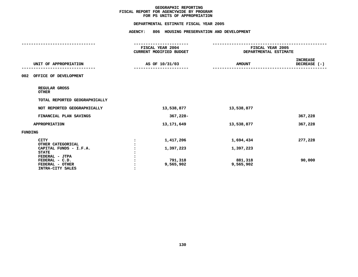|                                                                         |                | DEPARTMENTAL ESTIMATE FISCAL YEAR 2005             |                                           |                                 |
|-------------------------------------------------------------------------|----------------|----------------------------------------------------|-------------------------------------------|---------------------------------|
|                                                                         |                | AGENCY: 806 HOUSING PRESERVATION AND DEVELOPMENT   |                                           |                                 |
|                                                                         |                | <b>FISCAL YEAR 2004</b><br>CURRENT MODIFIED BUDGET | FISCAL YEAR 2005<br>DEPARTMENTAL ESTIMATE |                                 |
| UNIT OF APPROPRIATION                                                   |                | AS OF 10/31/03                                     | <b>AMOUNT</b>                             | <b>INCREASE</b><br>DECREASE (-) |
| 002 OFFICE OF DEVELOPMENT                                               |                |                                                    |                                           |                                 |
| REGULAR GROSS<br><b>OTHER</b>                                           |                |                                                    |                                           |                                 |
| TOTAL REPORTED GEOGRAPHICALLY                                           |                |                                                    |                                           |                                 |
| NOT REPORTED GEOGRAPHICALLY                                             |                | 13,538,877                                         | 13,538,877                                |                                 |
| FINANCIAL PLAN SAVINGS                                                  |                | 367,228-                                           |                                           | 367,228                         |
| APPROPRIATION                                                           |                | 13,171,649                                         | 13,538,877                                | 367,228                         |
| FUNDING                                                                 |                |                                                    |                                           |                                 |
| <b>CITY</b><br>OTHER CATEGORICAL                                        | $\ddot{\cdot}$ | 1,417,206                                          | 1,694,434                                 | 277,228                         |
| CAPITAL FUNDS - I.F.A.<br><b>STATE</b>                                  |                | 1,397,223                                          | 1,397,223                                 |                                 |
| FEDERAL - JTPA<br>FEDERAL - C.D.<br>FEDERAL - OTHER<br>INTRA-CITY SALES |                | 791,318<br>9,565,902                               | 881,318<br>9,565,902                      | 90,000                          |
|                                                                         |                |                                                    |                                           |                                 |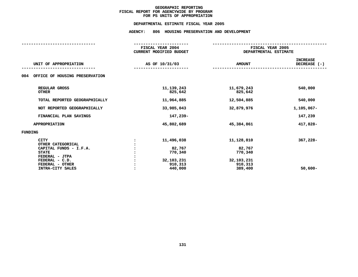# **PS UNITS OF APPROPRIATION DEPARTMENTAL**

# **ESTIMATE FISCAL YEAR <sup>2005</sup> AGENCY: <sup>806</sup> HOUSING PRESERVATION AND DEVELOPMENT**

|                                                                                                                                                       | FISCAL YEAR 2004<br><b>CURRENT MODIFIED BUDGET</b>                  | FISCAL YEAR 2005<br>DEPARTMENTAL ESTIMATE                           |                                 |  |
|-------------------------------------------------------------------------------------------------------------------------------------------------------|---------------------------------------------------------------------|---------------------------------------------------------------------|---------------------------------|--|
| UNIT OF APPROPRIATION                                                                                                                                 | AS OF 10/31/03                                                      | <b>AMOUNT</b>                                                       | <b>INCREASE</b><br>DECREASE (-) |  |
| OFFICE OF HOUSING PRESERVATION<br>004                                                                                                                 |                                                                     |                                                                     |                                 |  |
| REGULAR GROSS<br><b>OTHER</b>                                                                                                                         | 11, 139, 243<br>825,642                                             | 11,679,243<br>825,642                                               | 540,000                         |  |
| TOTAL REPORTED GEOGRAPHICALLY                                                                                                                         | 11,964,885                                                          | 12,504,885                                                          | 540,000                         |  |
| NOT REPORTED GEOGRAPHICALLY                                                                                                                           | 33,985,043                                                          | 32,879,976                                                          | 1,105,067-                      |  |
| FINANCIAL PLAN SAVINGS                                                                                                                                | 147,239-                                                            |                                                                     | 147,239                         |  |
| <b>APPROPRIATION</b>                                                                                                                                  | 45,802,689                                                          | 45,384,861                                                          | 417,828-                        |  |
| <b>FUNDING</b>                                                                                                                                        |                                                                     |                                                                     |                                 |  |
| <b>CITY</b><br>OTHER CATEGORICAL<br>CAPITAL FUNDS - I.F.A.<br><b>STATE</b><br>FEDERAL - JTPA<br>FEDERAL - C.D.<br>FEDERAL - OTHER<br>INTRA-CITY SALES | 11,496,038<br>82,767<br>770,340<br>32,103,231<br>910,313<br>440,000 | 11,128,810<br>82,767<br>770,340<br>32,103,231<br>910,313<br>389,400 | 367,228-<br>$50,600 -$          |  |
|                                                                                                                                                       |                                                                     |                                                                     |                                 |  |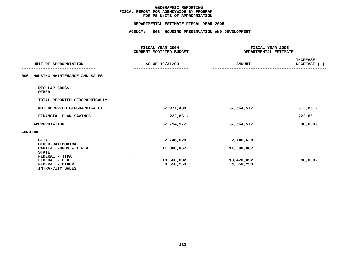|                                                     |                | DEPARTMENTAL ESTIMATE FISCAL YEAR 2005      |                                           |                                 |
|-----------------------------------------------------|----------------|---------------------------------------------|-------------------------------------------|---------------------------------|
|                                                     | <b>AGENCY:</b> | 806 HOUSING PRESERVATION AND DEVELOPMENT    |                                           |                                 |
|                                                     |                |                                             |                                           |                                 |
|                                                     |                | FISCAL YEAR 2004<br>CURRENT MODIFIED BUDGET | FISCAL YEAR 2005<br>DEPARTMENTAL ESTIMATE |                                 |
| UNIT OF APPROPRIATION                               |                | AS OF 10/31/03                              | <b>AMOUNT</b>                             | <b>INCREASE</b><br>DECREASE (-) |
| 006 HOUSING MAINTENANCE AND SALES                   |                |                                             |                                           |                                 |
| REGULAR GROSS<br><b>OTHER</b>                       |                |                                             |                                           |                                 |
| TOTAL REPORTED GEOGRAPHICALLY                       |                |                                             |                                           |                                 |
| NOT REPORTED GEOGRAPHICALLY                         |                | 37,977,438                                  | 37,664,577                                | $312,861-$                      |
| FINANCIAL PLAN SAVINGS                              |                | 222,861-                                    |                                           | 222,861                         |
| APPROPRIATION                                       |                | 37,754,577                                  | 37,664,577                                | $90,000 -$                      |
| <b>FUNDING</b>                                      |                |                                             |                                           |                                 |
| <b>CITY</b><br>OTHER CATEGORICAL                    | $\ddot{\cdot}$ | 2,746,628                                   | 2,746,628                                 |                                 |
| CAPITAL FUNDS - I.F.A.<br><b>STATE</b>              |                | 11,888,867                                  | 11,888,867                                |                                 |
| FEDERAL - JTPA<br>FEDERAL - C.D.<br>FEDERAL - OTHER |                | 18,560,832<br>4,558,250                     | 18,470,832<br>4,558,250                   | $90,000 -$                      |
| INTRA-CITY SALES                                    |                |                                             |                                           |                                 |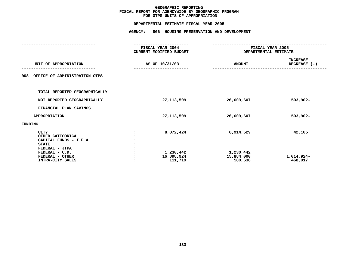# **OTPS UNITS OF APPROPRIATION DEPARTMENTAL**

# **ESTIMATE FISCAL YEAR <sup>2005</sup> AGENCY: <sup>806</sup> HOUSING PRESERVATION AND DEVELOPMENT**

|                                                                                                                                                       | FISCAL YEAR 2004<br>CURRENT MODIFIED BUDGET     | FISCAL YEAR 2005<br>DEPARTMENTAL ESTIMATE       |                                 |
|-------------------------------------------------------------------------------------------------------------------------------------------------------|-------------------------------------------------|-------------------------------------------------|---------------------------------|
|                                                                                                                                                       |                                                 |                                                 |                                 |
| UNIT OF APPROPRIATION                                                                                                                                 | AS OF 10/31/03                                  | <b>AMOUNT</b>                                   | <b>INCREASE</b><br>DECREASE (-) |
| OFFICE OF ADMINISTRATION OTPS<br>008                                                                                                                  |                                                 |                                                 |                                 |
| TOTAL REPORTED GEOGRAPHICALLY                                                                                                                         |                                                 |                                                 |                                 |
| NOT REPORTED GEOGRAPHICALLY                                                                                                                           | 27, 113, 509                                    | 26,609,607                                      | $503,902 -$                     |
| FINANCIAL PLAN SAVINGS                                                                                                                                |                                                 |                                                 |                                 |
| APPROPRIATION                                                                                                                                         | 27, 113, 509                                    | 26,609,607                                      | $503,902 -$                     |
| FUNDING                                                                                                                                               |                                                 |                                                 |                                 |
| <b>CITY</b><br>OTHER CATEGORICAL<br>CAPITAL FUNDS - I.F.A.<br><b>STATE</b><br>FEDERAL - JTPA<br>FEDERAL - C.D.<br>FEDERAL - OTHER<br>INTRA-CITY SALES | 8,872,424<br>1,230,442<br>16,898,924<br>111,719 | 8,914,529<br>1,230,442<br>15,884,000<br>580,636 | 42,105<br>1,014,924-<br>468,917 |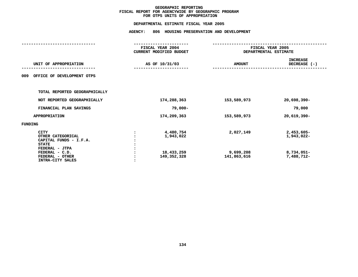|                                                                                                                                                       | DEPARTMENTAL ESTIMATE FISCAL YEAR 2005                               |                                          |                                                      |  |  |
|-------------------------------------------------------------------------------------------------------------------------------------------------------|----------------------------------------------------------------------|------------------------------------------|------------------------------------------------------|--|--|
|                                                                                                                                                       | <b>AGENCY:</b>                                                       | 806 HOUSING PRESERVATION AND DEVELOPMENT |                                                      |  |  |
|                                                                                                                                                       | --------------<br>FISCAL YEAR 2004<br><b>CURRENT MODIFIED BUDGET</b> |                                          | FISCAL YEAR 2005<br>DEPARTMENTAL ESTIMATE            |  |  |
| UNIT OF APPROPRIATION                                                                                                                                 | AS OF 10/31/03                                                       | <b>AMOUNT</b>                            | <b>INCREASE</b><br>DECREASE (-)                      |  |  |
| OFFICE OF DEVELOPMENT OTPS<br>009                                                                                                                     |                                                                      |                                          |                                                      |  |  |
| TOTAL REPORTED GEOGRAPHICALLY                                                                                                                         |                                                                      |                                          |                                                      |  |  |
| NOT REPORTED GEOGRAPHICALLY                                                                                                                           | 174,288,363                                                          | 153,589,973                              | $20,698,390 -$                                       |  |  |
| FINANCIAL PLAN SAVINGS                                                                                                                                | $79,000 -$                                                           |                                          | 79,000                                               |  |  |
| <b>APPROPRIATION</b>                                                                                                                                  | 174,209,363                                                          | 153,589,973                              | 20,619,390-                                          |  |  |
| FUNDING                                                                                                                                               |                                                                      |                                          |                                                      |  |  |
| <b>CITY</b><br>OTHER CATEGORICAL<br>CAPITAL FUNDS - I.F.A.<br><b>STATE</b><br>FEDERAL - JTPA<br>FEDERAL - C.D.<br>FEDERAL - OTHER<br>INTRA-CITY SALES | 4,480,754<br>1,943,022<br>18,433,259<br>149,352,328                  | 2,027,149<br>9,699,208<br>141,863,616    | 2,453,605-<br>1,943,022-<br>8,734,051-<br>7,488,712- |  |  |
|                                                                                                                                                       |                                                                      |                                          |                                                      |  |  |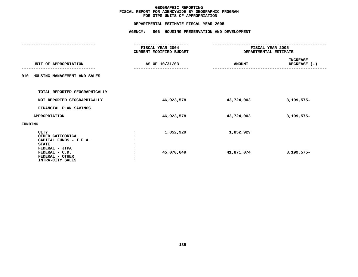|                                                                                       | DEPARTMENTAL ESTIMATE FISCAL YEAR 2005                                    |                       |                                 |
|---------------------------------------------------------------------------------------|---------------------------------------------------------------------------|-----------------------|---------------------------------|
|                                                                                       | AGENCY: 806 HOUSING PRESERVATION AND DEVELOPMENT                          |                       |                                 |
|                                                                                       | -------------------<br>FISCAL YEAR 2004<br><b>CURRENT MODIFIED BUDGET</b> | DEPARTMENTAL ESTIMATE | FISCAL YEAR 2005                |
| UNIT OF APPROPRIATION                                                                 | AS OF 10/31/03                                                            | <b>AMOUNT</b>         | <b>INCREASE</b><br>DECREASE (-) |
| 010 HOUSING MANAGEMENT AND SALES                                                      |                                                                           |                       |                                 |
| TOTAL REPORTED GEOGRAPHICALLY                                                         |                                                                           |                       |                                 |
| NOT REPORTED GEOGRAPHICALLY                                                           | 46,923,578                                                                | 43,724,003            | $3,199,575-$                    |
| FINANCIAL PLAN SAVINGS                                                                |                                                                           |                       |                                 |
| <b>APPROPRIATION</b>                                                                  | 46,923,578                                                                | 43,724,003            | $3,199,575-$                    |
| FUNDING                                                                               |                                                                           |                       |                                 |
| CITY<br>OTHER CATEGORICAL<br>CAPITAL FUNDS - I.F.A.<br><b>STATE</b><br>FEDERAL - JTPA | 1,852,929                                                                 | 1,852,929             |                                 |
| FEDERAL - C.D.<br>FEDERAL - OTHER<br>INTRA-CITY SALES                                 | 45,070,649                                                                | 41,871,074            | $3,199,575-$                    |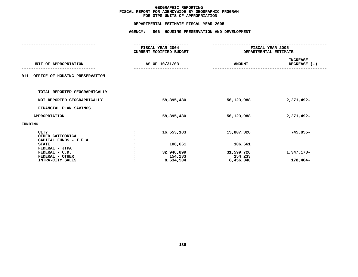|                                                            | DEPARTMENTAL ESTIMATE FISCAL YEAR 2005                            |                                          |                                           |
|------------------------------------------------------------|-------------------------------------------------------------------|------------------------------------------|-------------------------------------------|
|                                                            | <b>AGENCY:</b>                                                    | 806 HOUSING PRESERVATION AND DEVELOPMENT |                                           |
|                                                            | ------------------<br>FISCAL YEAR 2004<br>CURRENT MODIFIED BUDGET |                                          | FISCAL YEAR 2005<br>DEPARTMENTAL ESTIMATE |
| UNIT OF APPROPRIATION                                      | AS OF 10/31/03                                                    | <b>AMOUNT</b>                            | <b>INCREASE</b><br>DECREASE (-)           |
| 011<br>OFFICE OF HOUSING PRESERVATION                      |                                                                   |                                          |                                           |
| TOTAL REPORTED GEOGRAPHICALLY                              |                                                                   |                                          |                                           |
| NOT REPORTED GEOGRAPHICALLY                                | 58,395,480                                                        | 56,123,988                               | 2,271,492-                                |
| FINANCIAL PLAN SAVINGS                                     |                                                                   |                                          |                                           |
| <b>APPROPRIATION</b>                                       | 58,395,480                                                        | 56,123,988                               | 2,271,492-                                |
| FUNDING                                                    |                                                                   |                                          |                                           |
| <b>CITY</b><br>OTHER CATEGORICAL<br>CAPITAL FUNDS - I.F.A. | 16,553,183                                                        | 15,807,328                               | 745,855-                                  |
| <b>STATE</b><br>FEDERAL - JTPA                             | 106,661                                                           | 106,661                                  |                                           |
| FEDERAL - C.D.<br>FEDERAL - OTHER                          | 32,946,899<br>154,233                                             | 31,599,726<br>154,233                    | 1,347,173-                                |
| INTRA-CITY SALES                                           | 8,634,504                                                         | 8,456,040                                | 178,464-                                  |
|                                                            |                                                                   |                                          |                                           |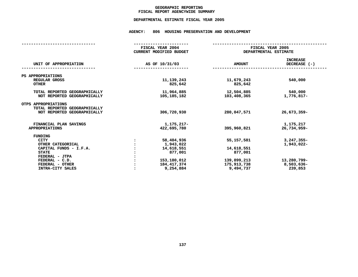# **GEOGRAPHICC REPORTING<br>ENCYWIDE SU<br>-----------FISCAL**

# **REPORT AGENCYWIDE SUMMARY DEPARTMENTAL ESTIMATE FISCAL YEAR <sup>2005</sup>**

# **AGENCY: <sup>806</sup> HOUSING PRESERVATION AND DEVELOPMENT**

|                               | FISCAL YEAR 2004<br><b>CURRENT MODIFIED BUDGET</b> | FISCAL YEAR 2005<br>DEPARTMENTAL ESTIMATE |                                   |
|-------------------------------|----------------------------------------------------|-------------------------------------------|-----------------------------------|
| UNIT OF APPROPRIATION         | AS OF 10/31/03                                     | <b>AMOUNT</b>                             | <b>INCREASE</b><br>DECREASE $(-)$ |
| PS APPROPRIATIONS             |                                                    |                                           |                                   |
| REGULAR GROSS                 | 11, 139, 243                                       | 11,679,243                                | 540,000                           |
| <b>OTHER</b>                  | 825,642                                            | 825,642                                   |                                   |
|                               |                                                    |                                           |                                   |
| TOTAL REPORTED GEOGRAPHICALLY | 11,964,885                                         | 12,504,885                                | 540,000                           |
| NOT REPORTED GEOGRAPHICALLY   | 105, 185, 182                                      | 103,408,365                               | 1,776,817-                        |
|                               |                                                    |                                           |                                   |
| OTPS APPROPRIATIONS           |                                                    |                                           |                                   |
| TOTAL REPORTED GEOGRAPHICALLY |                                                    |                                           |                                   |
| NOT REPORTED GEOGRAPHICALLY   | 306,720,930                                        | 280,047,571                               | $26,673,359-$                     |
| FINANCIAL PLAN SAVINGS        | 1,175,217-                                         |                                           | 1,175,217                         |
| <b>APPROPRIATIONS</b>         | 422,695,780                                        | 395,960,821                               | 26,734,959-                       |
|                               |                                                    |                                           |                                   |
| <b>FUNDING</b>                |                                                    |                                           |                                   |
| CITY                          | 58,404,936                                         | 55, 157, 581                              | $3,247,355-$                      |
| OTHER CATEGORICAL             | 1,943,022                                          |                                           | 1,943,022-                        |
| CAPITAL FUNDS - I.F.A.        | 14,618,551                                         | 14,618,551                                |                                   |
| <b>STATE</b>                  | 877,001                                            | 877,001                                   |                                   |
| FEDERAL - JTPA                |                                                    |                                           |                                   |
| FEDERAL - C.D.                | 153,180,012                                        | 139,899,213                               | 13,280,799-                       |
| FEDERAL - OTHER               | 184, 417, 374                                      | 175,913,738                               | 8,503,636-                        |
| INTRA-CITY SALES              | 9,254,884                                          | 9,494,737                                 | 239,853                           |
|                               |                                                    |                                           |                                   |
|                               |                                                    |                                           |                                   |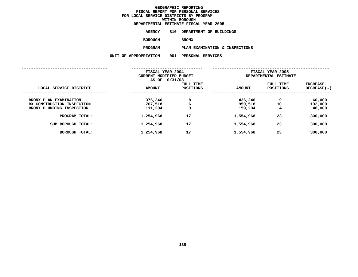### **GEOGRAPHICC REPORTING<br>PERSONAL S<br>ICTS BY PRO FISCAL REPORT FOR PERSONAL SERVICES FOR LOCAL SERVICE DISTRICTS BY PROGRAM WITHINN BOROUGH<br>MATE FISC<br>A DIRISIE DEPARTMENTAL**

**ESTIMATE FISCAL YEAR <sup>2005</sup> AGENCY <sup>810</sup> DEPARTMENT OF BUILDINGS**

**BOROUGH**

BRONX<br>PLAN EXAMINATION & INSPECTIONS **PROGRAMPLAN EXAMINATION & INSPECTIONS UNIT OF APPROPRIATION <sup>001</sup> PERSONAL SERVICES**

|                                                                                                                                     | FISCAL YEAR 2004                                        |                         | FISCAL YEAR 2005                                        |                          |                                                   |
|-------------------------------------------------------------------------------------------------------------------------------------|---------------------------------------------------------|-------------------------|---------------------------------------------------------|--------------------------|---------------------------------------------------|
|                                                                                                                                     | CURRENT MODIFIED BUDGET                                 |                         |                                                         | DEPARTMENTAL ESTIMATE    |                                                   |
|                                                                                                                                     | AS OF 10/31/03                                          |                         |                                                         |                          |                                                   |
|                                                                                                                                     |                                                         | FULL TIME               |                                                         | FULL TIME                | <b>INCREASE</b>                                   |
|                                                                                                                                     |                                                         |                         |                                                         |                          |                                                   |
| LOCAL SERVICE DISTRICT                                                                                                              | <b>AMOUNT</b>                                           | POSITIONS               | <b>AMOUNT</b>                                           | <b>POSITIONS</b>         | DECREASE(-)                                       |
| BRONX PLAN EXAMINATION<br>BX CONSTRUCTION INSPECTION<br>BRONX PLUMBING INSPECTION<br>PROGRAM TOTAL:<br><b>BOROUGH TOTAL:</b><br>SUB | 376,246<br>767,518<br>111,204<br>1,254,968<br>1,254,968 | 8<br>6<br>3<br>17<br>17 | 436,246<br>959,518<br>159,204<br>1,554,968<br>1,554,968 | 9<br>10<br>4<br>23<br>23 | 60,000<br>192,000<br>48,000<br>300,000<br>300,000 |
|                                                                                                                                     |                                                         | 17                      |                                                         | 23                       |                                                   |
| <b>BOROUGH TOTAL:</b>                                                                                                               | 1,254,968                                               |                         | 1,554,968                                               |                          | 300,000                                           |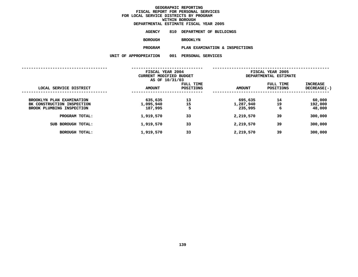### **GEOGRAPHICC REPORTING<br>PERSONAL S<br>ICTS BY PRO FISCAL REPORT FOR PERSONAL SERVICES FOR LOCAL SERVICE DISTRICTS BY PROGRAM WITHINN BOROUGH<br>MATE FISC<br>A DIRISIE DEPARTMENTAL**

**ESTIMATE FISCAL YEAR <sup>2005</sup> AGENCY <sup>810</sup> DEPARTMENT OF BUILDINGS**

**BOROUGH**

BROOKLYN<br>PLAN EXAMINATION & INSPECTIONS **PROGRAM**

**PLAN EXAMINATION & INSPECTIONS UNIT OF APPROPRIATION <sup>001</sup> PERSONAL SERVICES**

|                                                                                      | FISCAL YEAR 2004<br>CURRENT MODIFIED BUDGET<br>AS OF 10/31/03 |                               | FISCAL YEAR 2005<br>DEPARTMENTAL ESTIMATE |                        |                                |
|--------------------------------------------------------------------------------------|---------------------------------------------------------------|-------------------------------|-------------------------------------------|------------------------|--------------------------------|
| LOCAL SERVICE DISTRICT                                                               | <b>AMOUNT</b>                                                 | FULL TIME<br><b>POSITIONS</b> | <b>AMOUNT</b>                             | FULL TIME<br>POSITIONS | <b>INCREASE</b><br>DECREASE(-) |
| BROOKLYN PLAN EXAMINATION<br>BK CONSTRUCTION INSPECTION<br>BROOK PLUMBING INSPECTION | 635,635<br>1,095,940<br>187,995                               | 13<br>15<br>5                 | 695,635<br>1,287,940<br>235,995           | 14<br>19<br>6          | 60,000<br>192,000<br>48,000    |
| PROGRAM TOTAL:                                                                       | 1,919,570                                                     | 33                            | 2,219,570                                 | 39                     | 300,000                        |
| <b>BOROUGH TOTAL:</b><br>SUB                                                         | 1,919,570                                                     | 33                            | 2,219,570                                 | 39                     | 300,000                        |
| <b>BOROUGH TOTAL:</b>                                                                | 1,919,570                                                     | 33                            | 2,219,570                                 | 39                     | 300,000                        |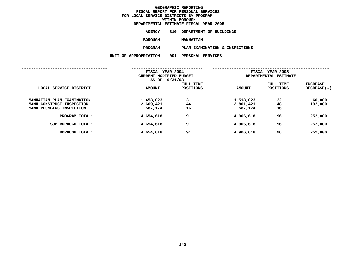### **GEOGRAPHICC REPORTING<br>PERSONAL S<br>ICTS BY PRO FISCAL REPORT FOR PERSONAL SERVICES FOR LOCAL SERVICE DISTRICTS BY PROGRAM WITHINN BOROUGH<br>MATE FISC<br>A DIRISIE DEPARTMENTAL**

**ESTIMATE FISCAL YEAR <sup>2005</sup> AGENCY <sup>810</sup> DEPARTMENT OF BUILDINGS**

**BOROUGH**

 **MANHATTAN PROGRAM**

**PLAN EXAMINATION & INSPECTIONS UNIT OF APPROPRIATION <sup>001</sup> PERSONAL SERVICES**

|                                                                                     | FISCAL YEAR 2004<br>CURRENT MODIFIED BUDGET |                        | FISCAL YEAR 2005<br>DEPARTMENTAL ESTIMATE |                               |                                |
|-------------------------------------------------------------------------------------|---------------------------------------------|------------------------|-------------------------------------------|-------------------------------|--------------------------------|
| LOCAL SERVICE DISTRICT                                                              | AS OF 10/31/03<br><b>AMOUNT</b>             | FULL TIME<br>POSITIONS | <b>AMOUNT</b>                             | FULL TIME<br><b>POSITIONS</b> | <b>INCREASE</b><br>DECREASE(-) |
| MANHATTAN PLAN EXAMINATION<br>MANH CONSTRUCT INSPECTION<br>MANH PLUMBING INSPECTION | 1,458,023<br>2,609,421<br>587,174           | 31<br>44<br>16         | 1,518,023<br>2,801,421<br>587,174         | 32<br>48<br>16                | 60,000<br>192,000              |
| PROGRAM TOTAL:                                                                      | 4,654,618                                   | 91                     | 4,906,618                                 | 96                            | 252,000                        |
| <b>BOROUGH TOTAL:</b><br>SUB                                                        | 4,654,618                                   | 91                     | 4,906,618                                 | 96                            | 252,000                        |
| <b>BOROUGH TOTAL:</b>                                                               | 4,654,618                                   | 91                     | 4,906,618                                 | 96                            | 252,000                        |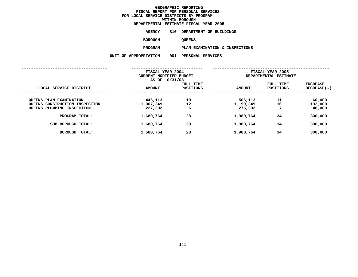**ESTIMATE FISCAL YEAR <sup>2005</sup> AGENCY <sup>810</sup> DEPARTMENT OF BUILDINGS**

**BOROUGH**

QUEENS<br>PLAN EXAMINATION & INSPECTIONS **PROGRAMPLAN EXAMINATION & INSPECTIONS UNIT OF APPROPRIATION <sup>001</sup> PERSONAL SERVICES**

|                                                                                         | FISCAL YEAR 2004<br>CURRENT MODIFIED BUDGET<br>AS OF 10/31/03 |                               | FISCAL YEAR 2005<br>DEPARTMENTAL ESTIMATE |                               |                                |
|-----------------------------------------------------------------------------------------|---------------------------------------------------------------|-------------------------------|-------------------------------------------|-------------------------------|--------------------------------|
| LOCAL SERVICE DISTRICT                                                                  | <b>AMOUNT</b>                                                 | FULL TIME<br><b>POSITIONS</b> | <b>AMOUNT</b>                             | FULL TIME<br><b>POSITIONS</b> | <b>INCREASE</b><br>DECREASE(-) |
| OUEENS PLAN EXAMINATION<br>QUEENS CONSTRUCTION INSPECTION<br>QUEENS PLUMBING INSPECTION | 446,113<br>1,007,349<br>227,302                               | 10<br>12<br>6                 | 506,113<br>1,199,349<br>275,302           | 11<br>16<br>7                 | 60,000<br>192,000<br>48,000    |
| PROGRAM TOTAL:                                                                          | 1,680,764                                                     | 28                            | 1,980,764                                 | 34                            | 300,000                        |
| SUB BOROUGH TOTAL:                                                                      | 1,680,764                                                     | 28                            | 1,980,764                                 | 34                            | 300,000                        |
| <b>BOROUGH TOTAL:</b>                                                                   | 1,680,764                                                     | 28                            | 1,980,764                                 | 34                            | 300,000                        |
|                                                                                         |                                                               |                               |                                           |                               |                                |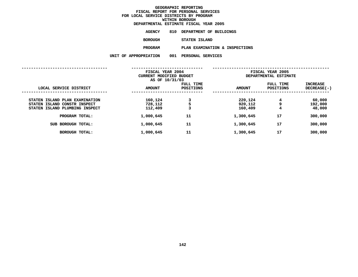|  |                       | DEPARTMENTAL ESTIMATE FISCAL YEAR 2005 |
|--|-----------------------|----------------------------------------|
|  | AGENCY                | 810 DEPARTMENT OF BUILDINGS            |
|  | <b>BOROUGH</b>        | STATEN ISLAND                          |
|  | <b>PROGRAM</b>        | PLAN EXAMINATION & INSPECTIONS         |
|  | UNIT OF APPROPRIATION | 001 PERSONAL SERVICES                  |
|  |                       |                                        |

|                                                                                                  | FISCAL YEAR 2004<br>CURRENT MODIFIED BUDGET<br>AS OF 10/31/03 |                        | FISCAL YEAR 2005<br>DEPARTMENTAL ESTIMATE |                        |                             |
|--------------------------------------------------------------------------------------------------|---------------------------------------------------------------|------------------------|-------------------------------------------|------------------------|-----------------------------|
| LOCAL SERVICE DISTRICT                                                                           | <b>AMOUNT</b>                                                 | FULL TIME<br>POSITIONS | <b>AMOUNT</b>                             | FULL TIME<br>POSITIONS | INCREASE<br>DECREASE(-)     |
| STATEN ISLAND PLAN EXAMINATION<br>STATEN ISLAND CONSTR INSPECT<br>STATEN ISLAND PLUMBING INSPECT | 160,124<br>728,112<br>112,409                                 | 3<br>5<br>3            | 220,124<br>920,112<br>160,409             | 4<br>9<br>4            | 60,000<br>192,000<br>48,000 |
| PROGRAM TOTAL:                                                                                   | 1,000,645                                                     | 11                     | 1,300,645                                 | 17                     | 300,000                     |
| SUB BOROUGH TOTAL:                                                                               | 1,000,645                                                     | 11                     | 1,300,645                                 | 17                     | 300,000                     |
| <b>BOROUGH TOTAL:</b>                                                                            | 1,000,645                                                     | 11                     | 1,300,645                                 | 17                     | 300,000                     |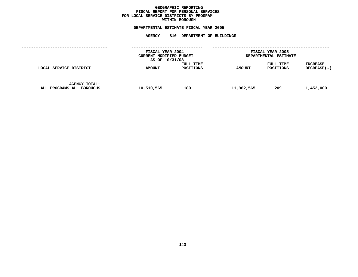### **GEOGRAPHICC REPORTING<br>PERSONAL S<br>ICTS BY PRO FISCAL REPORT FOR PERSONAL SERVICES FOR LOCAL SERVICE DISTRICTS BY PROGRAM WITHIN**

### WITHIN BOROUGH<br>D<mark>EPARTMENTAL ESTIMATE FISC</mark>

# **ESTIMATE FISCAL YEAR <sup>2005</sup> AGENCY <sup>810</sup> DEPARTMENT OF BUILDINGS**

|                                                   | FISCAL YEAR 2004<br>CURRENT MODIFIED BUDGET<br>AS OF 10/31/03 |                        | FISCAL YEAR 2005<br>DEPARTMENTAL ESTIMATE |                        |                         |
|---------------------------------------------------|---------------------------------------------------------------|------------------------|-------------------------------------------|------------------------|-------------------------|
| LOCAL SERVICE DISTRICT                            | <b>AMOUNT</b>                                                 | FULL TIME<br>POSITIONS | <b>AMOUNT</b>                             | FULL TIME<br>POSITIONS | INCREASE<br>DECREASE(-) |
| <b>AGENCY TOTAL:</b><br>ALL PROGRAMS ALL BOROUGHS | 10,510,565                                                    | 180                    | 11,962,565                                | 209                    | 1,452,000               |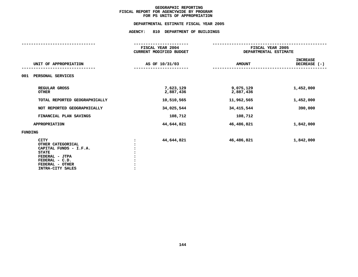## **PS UNITS OF APPROPRIATION DEPARTMENTALESTIMATE FISCAL YEAR <sup>2005</sup> AGENCY: <sup>810</sup> DEPARTMENT OF BUILDINGS**

|                                                                                                                                                       | FISCAL YEAR 2004<br>CURRENT MODIFIED BUDGET | FISCAL YEAR 2005<br>DEPARTMENTAL ESTIMATE |                                   |
|-------------------------------------------------------------------------------------------------------------------------------------------------------|---------------------------------------------|-------------------------------------------|-----------------------------------|
| UNIT OF APPROPRIATION                                                                                                                                 | AS OF 10/31/03                              | <b>AMOUNT</b>                             | <b>INCREASE</b><br>DECREASE $(-)$ |
| 001<br>PERSONAL SERVICES                                                                                                                              |                                             |                                           |                                   |
| REGULAR GROSS<br><b>OTHER</b>                                                                                                                         | 7,623,129<br>2,887,436                      | 9,075,129<br>2,887,436                    | 1,452,000                         |
| TOTAL REPORTED GEOGRAPHICALLY                                                                                                                         | 10,510,565                                  | 11,962,565                                | 1,452,000                         |
| NOT REPORTED GEOGRAPHICALLY                                                                                                                           | 34,025,544                                  | 34,415,544                                | 390,000                           |
| FINANCIAL PLAN SAVINGS                                                                                                                                | 108,712                                     | 108,712                                   |                                   |
| <b>APPROPRIATION</b>                                                                                                                                  | 44,644,821                                  | 46,486,821                                | 1,842,000                         |
| FUNDING                                                                                                                                               |                                             |                                           |                                   |
| <b>CITY</b><br>OTHER CATEGORICAL<br>CAPITAL FUNDS - I.F.A.<br><b>STATE</b><br>FEDERAL - JTPA<br>FEDERAL - C.D.<br>FEDERAL - OTHER<br>INTRA-CITY SALES | 44,644,821                                  | 46,486,821                                | 1,842,000                         |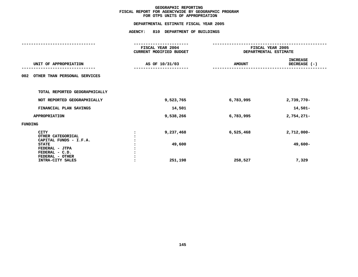### **GEOGRAPHIC**C REPORTING<br>WIDE BY GEO<br>OF APPROPR **FISCAL REPORT FOR AGENCYWIDE BY GEOGRAPHIC PROGRAM** FOR OTPS UNITS OF APPROPRIATION

### **OTPS UNITS OF APPROPRIATION DEPARTMENTAL**

# **ESTIMATE FISCAL YEAR <sup>2005</sup> AGENCY: <sup>810</sup> DEPARTMENT OF BUILDINGS**

|         |                                   | FISCAL YEAR 2004        |           |               | FISCAL YEAR 2005      |
|---------|-----------------------------------|-------------------------|-----------|---------------|-----------------------|
|         |                                   | CURRENT MODIFIED BUDGET |           |               | DEPARTMENTAL ESTIMATE |
|         |                                   |                         |           |               | <b>INCREASE</b>       |
|         | UNIT OF APPROPRIATION             | AS OF 10/31/03          |           | <b>AMOUNT</b> | DECREASE (-)          |
| 002     | OTHER THAN PERSONAL SERVICES      |                         |           |               |                       |
|         | TOTAL REPORTED GEOGRAPHICALLY     |                         |           |               |                       |
|         | NOT REPORTED GEOGRAPHICALLY       |                         | 9,523,765 | 6,783,995     | 2,739,770-            |
|         | FINANCIAL PLAN SAVINGS            |                         | 14,501    |               | 14,501-               |
|         | <b>APPROPRIATION</b>              |                         | 9,538,266 | 6,783,995     | $2,754,271-$          |
| FUNDING |                                   |                         |           |               |                       |
|         | <b>CITY</b>                       |                         | 9,237,468 | 6,525,468     | $2,712,000 -$         |
|         | OTHER CATEGORICAL                 |                         |           |               |                       |
|         | CAPITAL FUNDS - I.F.A.            |                         |           |               |                       |
|         | <b>STATE</b>                      |                         | 49,600    |               | 49,600-               |
|         | FEDERAL - JTPA                    |                         |           |               |                       |
|         | FEDERAL - C.D.<br>FEDERAL - OTHER |                         |           |               |                       |
|         | INTRA-CITY SALES                  |                         | 251,198   | 258,527       | 7,329                 |
|         |                                   |                         |           |               |                       |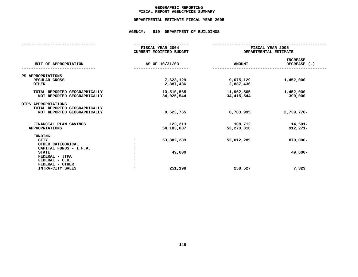### **GEOGRAPHICC REPORTING<br>ENCYWIDE SU<br>--- ------**-**FISCAL**

# **REPORT AGENCYWIDE SUMMARY DEPARTMENTAL ESTIMATE FISCAL YEAR <sup>2005</sup>**

## **AGENCY: <sup>810</sup> DEPARTMENT OF BUILDINGS**

|                                                                                     | FISCAL YEAR 2004<br><b>CURRENT MODIFIED BUDGET</b> | FISCAL YEAR 2005<br>DEPARTMENTAL ESTIMATE |                                 |  |  |
|-------------------------------------------------------------------------------------|----------------------------------------------------|-------------------------------------------|---------------------------------|--|--|
| UNIT OF APPROPRIATION                                                               | AS OF 10/31/03                                     | <b>AMOUNT</b>                             | <b>INCREASE</b><br>DECREASE (-) |  |  |
| PS APPROPRIATIONS                                                                   |                                                    |                                           |                                 |  |  |
| REGULAR GROSS<br><b>OTHER</b>                                                       | 7,623,129<br>2,887,436                             | 9,075,129<br>2,887,436                    | 1,452,000                       |  |  |
| TOTAL REPORTED GEOGRAPHICALLY<br>NOT REPORTED GEOGRAPHICALLY                        | 10,510,565<br>34,025,544                           | 11,962,565<br>34, 415, 544                | 1,452,000<br>390,000            |  |  |
| OTPS APPROPRIATIONS<br>TOTAL REPORTED GEOGRAPHICALLY<br>NOT REPORTED GEOGRAPHICALLY | 9,523,765                                          | 6,783,995                                 | 2,739,770-                      |  |  |
| FINANCIAL PLAN SAVINGS<br><b>APPROPRIATIONS</b>                                     | 123,213<br>54,183,087                              | 108,712<br>53,270,816                     | $14,501-$<br>$912,271-$         |  |  |
| <b>FUNDING</b><br><b>CITY</b><br>OTHER CATEGORICAL                                  | 53,882,289                                         | 53,012,289                                | $870,000 -$                     |  |  |
| CAPITAL FUNDS - I.F.A.<br><b>STATE</b><br>FEDERAL - JTPA<br>FEDERAL - C.D.          | 49,600                                             |                                           | 49,600-                         |  |  |
| FEDERAL - OTHER<br>INTRA-CITY SALES                                                 | 251,198                                            | 258,527                                   | 7,329                           |  |  |
|                                                                                     |                                                    |                                           |                                 |  |  |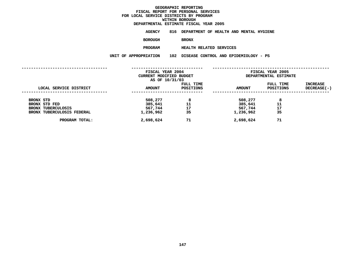### **DEPARTMENTAL**

**ESTIMATE FISCAL YEAR <sup>2005</sup> AGENCY <sup>816</sup> DEPARTMENT OF HEALTH AND MENTAL HYGIENE**

**BOROUGH**

BRONX<br>HEALTH RELATED SERVICES **PROGRAM**

**HEALTH RELATED SERVICES UNIT OF APPROPRIATION <sup>102</sup> DISEASE CONTROL AND EPIDEMIOLOGY - PS**

| LOCAL SERVICE DISTRICT                     | FISCAL YEAR 2004<br>CURRENT MODIFIED BUDGET<br>AS OF 10/31/03 |                        | FISCAL YEAR 2005<br>DEPARTMENTAL ESTIMATE |                        |                         |
|--------------------------------------------|---------------------------------------------------------------|------------------------|-------------------------------------------|------------------------|-------------------------|
|                                            | <b>AMOUNT</b>                                                 | FULL TIME<br>POSITIONS | <b>AMOUNT</b>                             | FULL TIME<br>POSITIONS | INCREASE<br>DECREASE(-) |
| BRONX STD                                  | 508,277                                                       | 8                      | 508,277                                   | 8                      |                         |
| BRONX STD FED<br><b>BRONX TUBERCULOSIS</b> | 385,641<br>567,744                                            | 11<br>17               | 385,641<br>567,744                        | 11<br>17               |                         |
| BRONX TUBERCULOSIS FEDERAL                 | 1,236,962                                                     | 35                     | 1,236,962                                 | 35                     |                         |
| PROGRAM TOTAL:                             | 2,698,624                                                     | 71                     | 2,698,624                                 | 71                     |                         |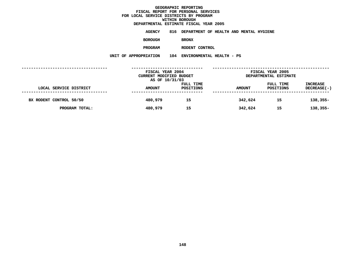**ESTIMATE FISCAL YEAR <sup>2005</sup> AGENCY <sup>816</sup> DEPARTMENT OF HEALTH AND MENTAL HYGIENE**

**BOROUGH**

 **BRONX PROGRAM**

**RODENT CONTROL UNIT OF APPROPRIATION <sup>104</sup> ENVIRONMENTAL HEALTH - PS**

|                         | FISCAL YEAR 2004<br>CURRENT MODIFIED BUDGET<br>AS OF 10/31/03 |                        |               | FISCAL YEAR 2005<br>DEPARTMENTAL ESTIMATE |                                       |  |
|-------------------------|---------------------------------------------------------------|------------------------|---------------|-------------------------------------------|---------------------------------------|--|
| LOCAL SERVICE DISTRICT  | <b>AMOUNT</b>                                                 | FULL TIME<br>POSITIONS | <b>AMOUNT</b> | FULL TIME<br>POSITIONS                    | <b>INCREASE</b><br><b>DECREASE(-)</b> |  |
| BX RODENT CONTROL 50/50 | 480,979                                                       | 15                     | 342,624       | 15                                        | $138,355-$                            |  |
| PROGRAM TOTAL:          | 480,979                                                       | 15                     | 342,624       | 15                                        | $138,355-$                            |  |
|                         |                                                               |                        |               |                                           |                                       |  |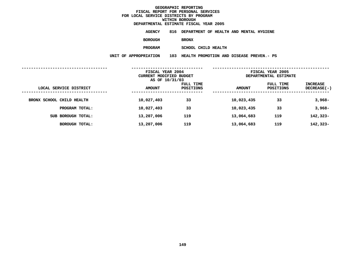**ESTIMATE FISCAL YEAR <sup>2005</sup> AGENCY <sup>816</sup> DEPARTMENT OF HEALTH AND MENTAL HYGIENE**

**BOROUGH**

 **BRONX PROGRAM**

**SCHOOL CHILD HEALTH UNIT OF APPROPRIATION <sup>103</sup> HEALTH PROMOTION AND DISEASE PREVEN.- PS**

|                           | FISCAL YEAR 2004<br>CURRENT MODIFIED BUDGET<br>AS OF 10/31/03 |                        | FISCAL YEAR 2005<br>DEPARTMENTAL ESTIMATE |                        |                         |
|---------------------------|---------------------------------------------------------------|------------------------|-------------------------------------------|------------------------|-------------------------|
| LOCAL SERVICE DISTRICT    | <b>AMOUNT</b>                                                 | FULL TIME<br>POSITIONS | <b>AMOUNT</b>                             | FULL TIME<br>POSITIONS | INCREASE<br>DECREASE(-) |
| BRONX SCHOOL CHILD HEALTH | 10,027,403                                                    | 33                     | 10,023,435                                | 33                     | $3,968-$                |
| PROGRAM TOTAL:            | 10,027,403                                                    | 33                     | 10,023,435                                | 33                     | $3,968-$                |
| SUB BOROUGH TOTAL:        | 13,207,006                                                    | 119                    | 13,064,683                                | 119                    | 142,323-                |
| BOROUGH TOTAL:            | 13,207,006                                                    | 119                    | 13,064,683                                | 119                    | 142,323-                |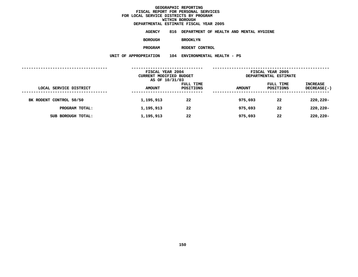**ESTIMATE FISCAL YEAR <sup>2005</sup> AGENCY <sup>816</sup> DEPARTMENT OF HEALTH AND MENTAL HYGIENE**

**BOROUGH**

 **BROOKLYN PROGRAM**

**RODENT CONTROL UNIT OF APPROPRIATION <sup>104</sup> ENVIRONMENTAL HEALTH - PS**

|                         | FISCAL YEAR 2004<br>CURRENT MODIFIED BUDGET<br>AS OF 10/31/03 |                        | FISCAL YEAR 2005<br>DEPARTMENTAL ESTIMATE |                        |                                |
|-------------------------|---------------------------------------------------------------|------------------------|-------------------------------------------|------------------------|--------------------------------|
| LOCAL SERVICE DISTRICT  | <b>AMOUNT</b>                                                 | FULL TIME<br>POSITIONS | <b>AMOUNT</b>                             | FULL TIME<br>POSITIONS | <b>INCREASE</b><br>DECREASE(-) |
| BK RODENT CONTROL 50/50 | 1,195,913                                                     | 22                     | 975,693                                   | 22                     | $220,220 -$                    |
| PROGRAM TOTAL:          | 1,195,913                                                     | 22                     | 975,693                                   | 22                     | $220,220 -$                    |
| SUB BOROUGH TOTAL:      | 1,195,913                                                     | 22                     | 975,693                                   | 22                     | $220,220 -$                    |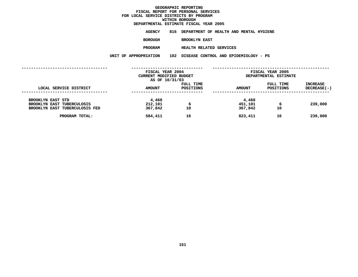#### **DEPARTMENTAL**

**ESTIMATE FISCAL YEAR <sup>2005</sup> AGENCY <sup>816</sup> DEPARTMENT OF HEALTH AND MENTAL HYGIENE**

**BOROUGH**

 **BROOKLYN EAST PROGRAM**

**HEALTH RELATED SERVICES UNIT OF APPROPRIATION <sup>102</sup> DISEASE CONTROL AND EPIDEMIOLOGY - PS**

|                                                                                                 | FISCAL YEAR 2004<br>CURRENT MODIFIED BUDGET<br>AS OF 10/31/03 |                        |                             | FISCAL YEAR 2005<br>DEPARTMENTAL ESTIMATE |                         |  |
|-------------------------------------------------------------------------------------------------|---------------------------------------------------------------|------------------------|-----------------------------|-------------------------------------------|-------------------------|--|
| LOCAL SERVICE DISTRICT                                                                          | <b>AMOUNT</b>                                                 | FULL TIME<br>POSITIONS | <b>AMOUNT</b>               | FULL TIME<br>POSITIONS                    | INCREASE<br>DECREASE(-) |  |
| <b>BROOKLYN EAST STD</b><br><b>BROOKLYN EAST TUBERCULOSIS</b><br>BROOKLYN EAST TUBERCULOSIS FED | 4,468<br>212,101<br>367,842                                   | 6<br>10                | 4,468<br>451,101<br>367,842 | 6<br>10                                   | 239,000                 |  |
| PROGRAM TOTAL:                                                                                  | 584,411                                                       | 16                     | 823,411                     | 16                                        | 239,000                 |  |
|                                                                                                 |                                                               |                        |                             |                                           |                         |  |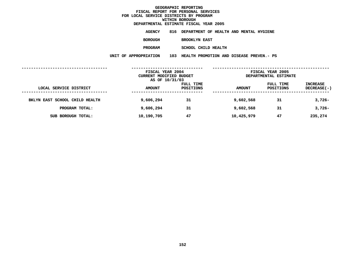**ESTIMATE FISCAL YEAR <sup>2005</sup> AGENCY <sup>816</sup> DEPARTMENT OF HEALTH AND MENTAL HYGIENE BOROUGH**

 **BROOKLYN EAST PROGRAM**

**SCHOOL CHILD HEALTH UNIT OF APPROPRIATION <sup>103</sup> HEALTH PROMOTION AND DISEASE PREVEN.- PS**

|                                | FISCAL YEAR 2004<br>CURRENT MODIFIED BUDGET<br>AS OF 10/31/03 |                        | FISCAL YEAR 2005<br>DEPARTMENTAL ESTIMATE |                        |                                |
|--------------------------------|---------------------------------------------------------------|------------------------|-------------------------------------------|------------------------|--------------------------------|
| LOCAL SERVICE DISTRICT         | <b>AMOUNT</b>                                                 | FULL TIME<br>POSITIONS | <b>AMOUNT</b>                             | FULL TIME<br>POSITIONS | <b>INCREASE</b><br>DECREASE(-) |
| BKLYN EAST SCHOOL CHILD HEALTH | 9,606,294                                                     | 31                     | 9,602,568                                 | 31                     | $3,726-$                       |
| PROGRAM TOTAL:                 | 9,606,294                                                     | 31                     | 9,602,568                                 | 31                     | $3,726-$                       |
| SUB BOROUGH TOTAL:             | 10,190,705                                                    | 47                     | 10,425,979                                | 47                     | 235,274                        |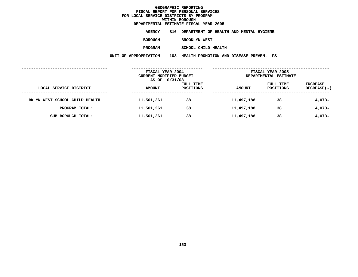**ESTIMATE FISCAL YEAR <sup>2005</sup> AGENCY <sup>816</sup> DEPARTMENT OF HEALTH AND MENTAL HYGIENE**

**BOROUGH**

 **BROOKLYN WEST PROGRAM**

**SCHOOL CHILD HEALTH UNIT OF APPROPRIATION <sup>103</sup> HEALTH PROMOTION AND DISEASE PREVEN.- PS**

|                                | FISCAL YEAR 2004<br>CURRENT MODIFIED BUDGET<br>AS OF 10/31/03 |                        | FISCAL YEAR 2005<br>DEPARTMENTAL ESTIMATE |                        |                         |
|--------------------------------|---------------------------------------------------------------|------------------------|-------------------------------------------|------------------------|-------------------------|
| LOCAL SERVICE DISTRICT         | <b>AMOUNT</b>                                                 | FULL TIME<br>POSITIONS | <b>AMOUNT</b>                             | FULL TIME<br>POSITIONS | INCREASE<br>DECREASE(-) |
| BKLYN WEST SCHOOL CHILD HEALTH | 11,501,261                                                    | 38                     | 11,497,188                                | 38                     | $4,073-$                |
| PROGRAM TOTAL:                 | 11,501,261                                                    | 38                     | 11,497,188                                | 38                     | $4,073-$                |
| SUB BOROUGH TOTAL:             | 11,501,261                                                    | 38                     | 11,497,188                                | 38                     | $4,073-$                |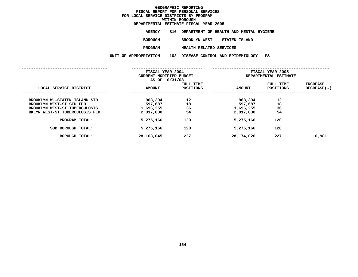|                       | DEPARTMENTAL ESTIMATE FISCAL YEAR 2005      |
|-----------------------|---------------------------------------------|
| AGENCY                | 816 DEPARTMENT OF HEALTH AND MENTAL HYGIENE |
| BOROUGH               | BROOKLYN WEST - STATEN ISLAND               |
| PROGRAM               | <b>HEALTH RELATED SERVICES</b>              |
| UNIT OF APPROPRIATION | 102 DISEASE CONTROL AND EPIDEMIOLOGY - PS   |
|                       |                                             |

|                                                                                                                              | FISCAL YEAR 2004<br>CURRENT MODIFIED BUDGET<br>AS OF 10/31/03 |                        | FISCAL YEAR 2005<br>DEPARTMENTAL ESTIMATE    |                               |                           |
|------------------------------------------------------------------------------------------------------------------------------|---------------------------------------------------------------|------------------------|----------------------------------------------|-------------------------------|---------------------------|
| LOCAL SERVICE DISTRICT                                                                                                       | <b>AMOUNT</b>                                                 | FULL TIME<br>POSITIONS | <b>AMOUNT</b>                                | FULL TIME<br><b>POSITIONS</b> | INCREASE<br>$DECREASE(-)$ |
| BROOKLYN W.-STATEN ISLAND STD<br>BROOKLYN WEST-SI STD FED<br>BROOKLYN WEST-SI TUBERCULOSIS<br>BKLYN WEST-ST TUBERCULOSIS FED | 963,394<br>597,687<br>1,696,255<br>2,017,830                  | 12<br>18<br>36<br>54   | 963,394<br>597,687<br>1,696,255<br>2,017,830 | 12<br>18<br>36<br>54          |                           |
| PROGRAM TOTAL:                                                                                                               | 5,275,166                                                     | 120                    | 5,275,166                                    | 120                           |                           |
| SUB BOROUGH TOTAL:                                                                                                           | 5,275,166                                                     | 120                    | 5,275,166                                    | 120                           |                           |
| <b>BOROUGH TOTAL:</b>                                                                                                        | 28,163,045                                                    | 227                    | 28,174,026                                   | 227                           | 10,981                    |
|                                                                                                                              |                                                               |                        |                                              |                               |                           |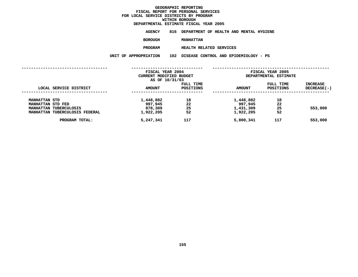### **DEPARTMENTAL**

**ESTIMATE FISCAL YEAR <sup>2005</sup> AGENCY <sup>816</sup> DEPARTMENT OF HEALTH AND MENTAL HYGIENE**

**BOROUGH**

MANHATTAN<br>HEALTH RELATED SERVICES **PROGRAM**

**HEALTH RELATED SERVICES UNIT OF APPROPRIATION <sup>102</sup> DISEASE CONTROL AND EPIDEMIOLOGY - PS**

|                                                          | FISCAL YEAR 2004<br>CURRENT MODIFIED BUDGET<br>AS OF 10/31/03 |                        | FISCAL YEAR 2005<br>DEPARTMENTAL ESTIMATE |                        |                           |  |
|----------------------------------------------------------|---------------------------------------------------------------|------------------------|-------------------------------------------|------------------------|---------------------------|--|
| LOCAL SERVICE DISTRICT                                   | <b>AMOUNT</b>                                                 | FULL TIME<br>POSITIONS | <b>AMOUNT</b>                             | FULL TIME<br>POSITIONS | INCREASE<br>$DECREASE(-)$ |  |
| <b>MANHATTAN STD</b><br>MANHATTAN STD FED                | 1,448,882<br>997,945                                          | 18<br>22               | 1,448,882<br>997,945                      | 18<br>22               |                           |  |
| MANHATTAN TUBERCULOSIS<br>MANHATTAN TUBERCULOSIS FEDERAL | 878,309<br>1,922,205                                          | 25<br>52               | 1,431,309<br>1,922,205                    | 25<br>52               | 553,000                   |  |
| PROGRAM TOTAL:                                           | 5,247,341                                                     | 117                    | 5,800,341                                 | 117                    | 553,000                   |  |
|                                                          |                                                               |                        |                                           |                        |                           |  |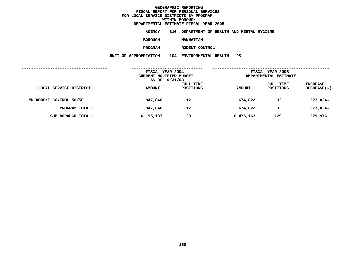**ESTIMATE FISCAL YEAR <sup>2005</sup> AGENCY <sup>816</sup> DEPARTMENT OF HEALTH AND MENTAL HYGIENE**

**BOROUGH**

 **MANHATTAN PROGRAM**

**RODENT CONTROL UNIT OF APPROPRIATION <sup>104</sup> ENVIRONMENTAL HEALTH - PS**

|                         | FISCAL YEAR 2004<br>CURRENT MODIFIED BUDGET<br>AS OF 10/31/03 |                        | FISCAL YEAR 2005<br>DEPARTMENTAL ESTIMATE |                        |                         |
|-------------------------|---------------------------------------------------------------|------------------------|-------------------------------------------|------------------------|-------------------------|
| LOCAL SERVICE DISTRICT  | <b>AMOUNT</b>                                                 | FULL TIME<br>POSITIONS | <b>AMOUNT</b>                             | FULL TIME<br>POSITIONS | INCREASE<br>DECREASE(-) |
| MN RODENT CONTROL 50/50 | 947,846                                                       | 12                     | 674,822                                   | 12                     | $273,024-$              |
| PROGRAM TOTAL:          | 947,846                                                       | 12                     | 674,822                                   | 12                     | $273,024-$              |
| SUB BOROUGH TOTAL:      | 6,195,187                                                     | 129                    | 6,475,163                                 | 129                    | 279,976                 |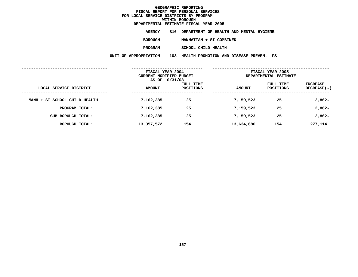|                       | DEPARTMENTAL ESTIMATE FISCAL YEAR 2005       |
|-----------------------|----------------------------------------------|
| AGENCY                | 816 DEPARTMENT OF HEALTH AND MENTAL HYGIENE  |
| BOROUGH               | MANHATTAN + SI COMBINED                      |
| <b>PROGRAM</b>        | SCHOOL CHILD HEALTH                          |
| UNIT OF APPROPRIATION | 103 HEALTH PROMOTION AND DISEASE PREVEN.- PS |
|                       |                                              |

|                               | FISCAL YEAR 2004<br>CURRENT MODIFIED BUDGET<br>AS OF 10/31/03 |                        | FISCAL YEAR 2005<br>DEPARTMENTAL ESTIMATE |                        |                                |  |
|-------------------------------|---------------------------------------------------------------|------------------------|-------------------------------------------|------------------------|--------------------------------|--|
| LOCAL SERVICE DISTRICT        | <b>AMOUNT</b>                                                 | FULL TIME<br>POSITIONS | <b>AMOUNT</b>                             | FULL TIME<br>POSITIONS | <b>INCREASE</b><br>DECREASE(-) |  |
| MANH + SI SCHOOL CHILD HEALTH | 7,162,385                                                     | 25                     | 7,159,523                                 | 25                     | $2,862-$                       |  |
| PROGRAM TOTAL:                | 7,162,385                                                     | 25                     | 7,159,523                                 | 25                     | $2,862-$                       |  |
| SUB BOROUGH TOTAL:            | 7,162,385                                                     | 25                     | 7,159,523                                 | 25                     | $2,862-$                       |  |
| <b>BOROUGH TOTAL:</b>         | 13,357,572                                                    | 154                    | 13,634,686                                | 154                    | 277,114                        |  |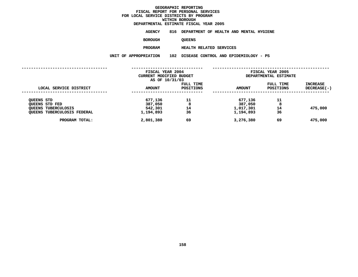### **DEPARTMENTAL**

**ESTIMATE FISCAL YEAR <sup>2005</sup> AGENCY <sup>816</sup> DEPARTMENT OF HEALTH AND MENTAL HYGIENE**

**BOROUGH**

QUEENS<br>HEALTH RELATED SERVICES **PROGRAM**

**HEALTH RELATED SERVICES UNIT OF APPROPRIATION <sup>102</sup> DISEASE CONTROL AND EPIDEMIOLOGY - PS**

|                                                           | FISCAL YEAR 2004<br>CURRENT MODIFIED BUDGET<br>AS OF 10/31/03 |                               | FISCAL YEAR 2005<br>DEPARTMENTAL ESTIMATE |                        |                                  |  |
|-----------------------------------------------------------|---------------------------------------------------------------|-------------------------------|-------------------------------------------|------------------------|----------------------------------|--|
| LOCAL SERVICE DISTRICT                                    | <b>AMOUNT</b>                                                 | <b>FULL TIME</b><br>POSITIONS | <b>AMOUNT</b>                             | FULL TIME<br>POSITIONS | <b>INCREASE</b><br>$DECREASE(-)$ |  |
| <b>QUEENS STD</b><br>OUEENS STD FED                       | 677,136<br>387,050                                            | 11<br>8                       | 677,136<br>387,050                        | 11<br>8                |                                  |  |
| <b>QUEENS TUBERCULOSIS</b><br>QUEENS TUBERCULOSIS FEDERAL | 542,301<br>1,194,893                                          | 14<br>36                      | 1,017,301<br>1,194,893                    | 14<br>36               | 475,000                          |  |
| PROGRAM TOTAL:                                            | 2,801,380                                                     | 69                            | 3,276,380                                 | 69                     | 475,000                          |  |
|                                                           |                                                               |                               |                                           |                        |                                  |  |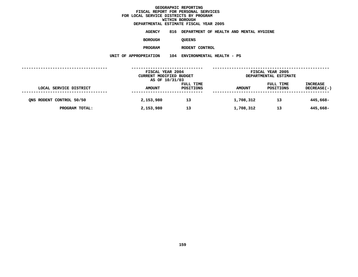**ESTIMATE FISCAL YEAR <sup>2005</sup> AGENCY <sup>816</sup> DEPARTMENT OF HEALTH AND MENTAL HYGIENE**

**BOROUGH**

QUEENS<br>RODENT CONTROL **PROGRAM**

**RODENT CONTROL UNIT OF APPROPRIATION <sup>104</sup> ENVIRONMENTAL HEALTH - PS**

|                          | FISCAL YEAR 2004<br>CURRENT MODIFIED BUDGET<br>AS OF 10/31/03 |                        | FISCAL YEAR 2005<br>DEPARTMENTAL ESTIMATE |                        |                                       |
|--------------------------|---------------------------------------------------------------|------------------------|-------------------------------------------|------------------------|---------------------------------------|
| LOCAL SERVICE DISTRICT   | <b>AMOUNT</b>                                                 | FULL TIME<br>POSITIONS | <b>AMOUNT</b>                             | FULL TIME<br>POSITIONS | <b>INCREASE</b><br><b>DECREASE(-)</b> |
| ONS RODENT CONTROL 50/50 | 2,153,980                                                     | 13                     | 1,708,312                                 | 13                     | 445,668-                              |
| PROGRAM TOTAL:           | 2,153,980                                                     | 13                     | 1,708,312                                 | 13                     | 445,668-                              |
|                          |                                                               |                        |                                           |                        |                                       |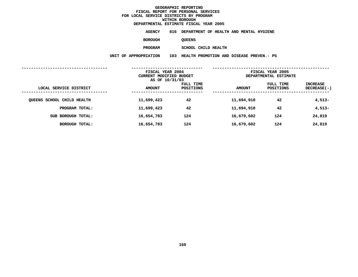**ESTIMATE FISCAL YEAR <sup>2005</sup> AGENCY <sup>816</sup> DEPARTMENT OF HEALTH AND MENTAL HYGIENE**

**BOROUGH**

QUEENS<br>SCHOOL CHILD HEALTH **PROGRAM**

**SCHOOL CHILD HEALTH UNIT OF APPROPRIATION <sup>103</sup> HEALTH PROMOTION AND DISEASE PREVEN.- PS**

|                            | FISCAL YEAR 2004<br>CURRENT MODIFIED BUDGET<br>AS OF 10/31/03 |                        | FISCAL YEAR 2005<br>DEPARTMENTAL ESTIMATE |                        |                         |
|----------------------------|---------------------------------------------------------------|------------------------|-------------------------------------------|------------------------|-------------------------|
| LOCAL SERVICE DISTRICT     | <b>AMOUNT</b>                                                 | FULL TIME<br>POSITIONS | <b>AMOUNT</b>                             | FULL TIME<br>POSITIONS | INCREASE<br>DECREASE(-) |
| QUEENS SCHOOL CHILD HEALTH | 11,699,423                                                    | 42                     | 11,694,910                                | 42                     | $4,513-$                |
| PROGRAM TOTAL:             | 11,699,423                                                    | 42                     | 11,694,910                                | 42                     | $4,513-$                |
| SUB BOROUGH TOTAL:         | 16,654,783                                                    | 124                    | 16,679,602                                | 124                    | 24,819                  |
| BOROUGH TOTAL:             | 16,654,783                                                    | 124                    | 16,679,602                                | 124                    | 24,819                  |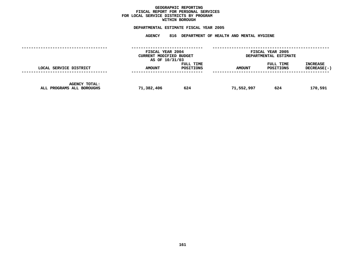### **GEOGRAPHICC REPORTING<br>PERSONAL S<br>ICTS BY PRO FISCAL REPORT FOR PERSONAL SERVICES FOR LOCAL SERVICE DISTRICTS BY PROGRAM WITHIN**

### WITHIN BOROUGH<br>D<mark>EPARTMENTAL ESTIMATE FISC</mark>

|                                                   | FISCAL YEAR 2004<br>CURRENT MODIFIED BUDGET<br>AS OF 10/31/03 |                        | FISCAL YEAR 2005<br>DEPARTMENTAL ESTIMATE |                        |                                |
|---------------------------------------------------|---------------------------------------------------------------|------------------------|-------------------------------------------|------------------------|--------------------------------|
| LOCAL SERVICE DISTRICT                            | <b>AMOUNT</b>                                                 | FULL TIME<br>POSITIONS | <b>AMOUNT</b>                             | FULL TIME<br>POSITIONS | <b>INCREASE</b><br>DECREASE(-) |
| <b>AGENCY TOTAL:</b><br>ALL PROGRAMS ALL BOROUGHS | 71,382,406                                                    | 624                    | 71,552,997                                | 624                    | 170,591                        |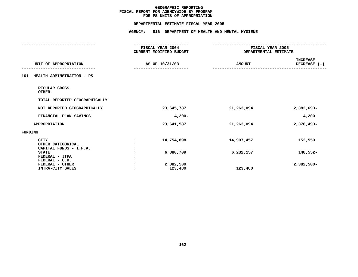### **PS UNITS OF APPROPRIATION DEPARTMENTAL**

| DEPARTMENTAL ESTIMATE FISCAL YEAR 2005                     |                |                                             |                                           |                                 |
|------------------------------------------------------------|----------------|---------------------------------------------|-------------------------------------------|---------------------------------|
|                                                            | <b>AGENCY:</b> | 816 DEPARTMENT OF HEALTH AND MENTAL HYGIENE |                                           |                                 |
|                                                            |                |                                             |                                           |                                 |
|                                                            |                | FISCAL YEAR 2004<br>CURRENT MODIFIED BUDGET | FISCAL YEAR 2005<br>DEPARTMENTAL ESTIMATE |                                 |
| UNIT OF APPROPRIATION                                      |                | AS OF 10/31/03                              | <b>AMOUNT</b>                             | <b>INCREASE</b><br>DECREASE (-) |
| 101 HEALTH ADMINSTRATION - PS                              |                |                                             |                                           |                                 |
| REGULAR GROSS<br><b>OTHER</b>                              |                |                                             |                                           |                                 |
| TOTAL REPORTED GEOGRAPHICALLY                              |                |                                             |                                           |                                 |
| NOT REPORTED GEOGRAPHICALLY                                |                | 23,645,787                                  | 21,263,094                                | 2,382,693-                      |
| FINANCIAL PLAN SAVINGS                                     |                | $4,200-$                                    |                                           | 4,200                           |
| APPROPRIATION                                              |                | 23,641,587                                  | 21,263,094                                | 2,378,493-                      |
| FUNDING                                                    |                |                                             |                                           |                                 |
| <b>CITY</b><br>OTHER CATEGORICAL<br>CAPITAL FUNDS - I.F.A. | $\ddot{\cdot}$ | 14,754,898                                  | 14,907,457                                | 152,559                         |
| <b>STATE</b><br>FEDERAL - JTPA                             |                | 6,380,709                                   | 6,232,157                                 | 148,552-                        |
| FEDERAL - C.D.<br>FEDERAL - OTHER<br>INTRA-CITY SALES      |                | 2,382,500<br>123,480                        | 123,480                                   | $2,382,500 -$                   |
|                                                            |                |                                             |                                           |                                 |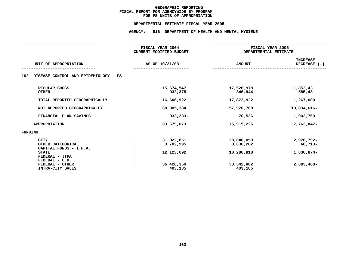### **PS UNITS OF APPROPRIATION DEPARTMENTAL**

| FISCAL YEAR 2004                                               |                                                                |                                                   |
|----------------------------------------------------------------|----------------------------------------------------------------|---------------------------------------------------|
| <b>CURRENT MODIFIED BUDGET</b>                                 | FISCAL YEAR 2005<br>DEPARTMENTAL ESTIMATE                      |                                                   |
| AS OF 10/31/03                                                 | <b>AMOUNT</b>                                                  | <b>INCREASE</b><br>DECREASE (-)                   |
|                                                                |                                                                |                                                   |
| 15,674,547<br>932,375                                          | 17,526,978<br>346,944                                          | 1,852,431<br>$585,431-$                           |
| 16,606,922                                                     | 17,873,922                                                     | 1,267,000                                         |
| 68,005,384                                                     | 57,970,768                                                     | 10,034,616-                                       |
| $933,233 -$                                                    | 70,536                                                         | 1,003,769                                         |
| 83,679,073                                                     | 75,915,226                                                     | 7,763,847-                                        |
|                                                                |                                                                |                                                   |
| 31,022,851<br>3,702,995<br>12,123,692<br>36,426,350<br>403,185 | 28,046,059<br>3,636,282<br>10,286,818<br>33,542,882<br>403,185 | 2,976,792-<br>66,713-<br>1,836,874-<br>2,883,468- |
|                                                                |                                                                |                                                   |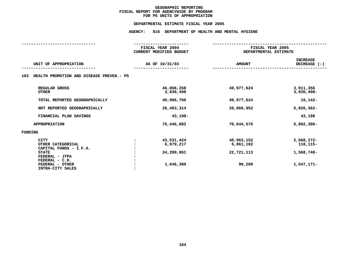### **PS UNITS OF APPROPRIATION DEPARTMENTAL**

| FISCAL YEAR 2004<br><b>CURRENT MODIFIED BUDGET</b> | FISCAL YEAR 2005<br>DEPARTMENTAL ESTIMATE       |                                                     |  |  |
|----------------------------------------------------|-------------------------------------------------|-----------------------------------------------------|--|--|
| AS OF 10/31/03                                     | <b>AMOUNT</b>                                   | <b>INCREASE</b><br>DECREASE (-)                     |  |  |
|                                                    |                                                 |                                                     |  |  |
| 46,066,268<br>3,930,498                            | 49,977,624                                      | 3,911,356<br>$3,930,498 -$                          |  |  |
| 49,996,766                                         | 49,977,624                                      | 19,142-                                             |  |  |
| 26,493,314                                         | 20,666,952                                      | $5,826,362 -$                                       |  |  |
| 43,198-                                            |                                                 | 43,198                                              |  |  |
| 76,446,882                                         | 70,644,576                                      | $5,802,306 -$                                       |  |  |
|                                                    |                                                 |                                                     |  |  |
| 43,531,424<br>6,979,217<br>24,289,861<br>1,646,380 | 40,963,152<br>6,861,102<br>22,721,113<br>99,209 | 2,568,272-<br>118, 115-<br>1,568,748-<br>1,547,171- |  |  |
|                                                    | HEALTH PROMOTION AND DISEASE PREVEN.- PS        |                                                     |  |  |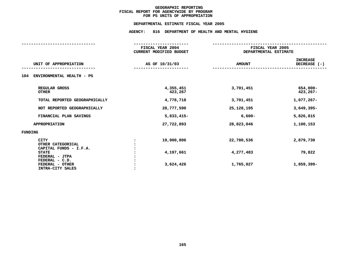### **PS UNITS OF APPROPRIATION DEPARTMENTAL**

|                                                              | FISCAL YEAR 2004<br><b>CURRENT MODIFIED BUDGET</b> | FISCAL YEAR 2005<br>DEPARTMENTAL ESTIMATE |                                 |
|--------------------------------------------------------------|----------------------------------------------------|-------------------------------------------|---------------------------------|
| UNIT OF APPROPRIATION                                        | AS OF 10/31/03                                     | <b>AMOUNT</b>                             | <b>INCREASE</b><br>DECREASE (-) |
| ENVIRONMENTAL HEALTH - PS<br>104                             |                                                    |                                           |                                 |
| REGULAR GROSS<br><b>OTHER</b>                                | 4,355,451<br>423,267                               | 3,701,451                                 | 654,000-<br>$423, 267 -$        |
| TOTAL REPORTED GEOGRAPHICALLY                                | 4,778,718                                          | 3,701,451                                 | 1,077,267-                      |
| NOT REPORTED GEOGRAPHICALLY                                  | 28,777,590                                         | 25, 128, 195                              | $3,649,395 -$                   |
| FINANCIAL PLAN SAVINGS                                       | 5,833,415-                                         | $6,600-$                                  | 5,826,815                       |
| <b>APPROPRIATION</b>                                         | 27,722,893                                         | 28,823,046                                | 1,100,153                       |
| FUNDING                                                      |                                                    |                                           |                                 |
| <b>CITY</b><br>OTHER CATEGORICAL<br>CAPITAL FUNDS - I.F.A.   | 19,900,806                                         | 22,780,536                                | 2,879,730                       |
| <b>STATE</b><br>FEDERAL - JTPA                               | 4,197,661                                          | 4,277,483                                 | 79,822                          |
| FEDERAL - C.D.<br>FEDERAL - OTHER<br><b>INTRA-CITY SALES</b> | 3,624,426                                          | 1,765,027                                 | 1,859,399-                      |
|                                                              |                                                    |                                           |                                 |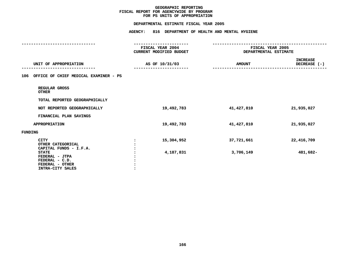### **PS UNITS OF APPROPRIATION DEPARTMENTAL**

|                                                                                                | FISCAL YEAR 2004<br>CURRENT MODIFIED BUDGET | FISCAL YEAR 2005<br>DEPARTMENTAL ESTIMATE |                                 |
|------------------------------------------------------------------------------------------------|---------------------------------------------|-------------------------------------------|---------------------------------|
| UNIT OF APPROPRIATION                                                                          | AS OF 10/31/03                              | <b>AMOUNT</b>                             | <b>INCREASE</b><br>DECREASE (-) |
| OFFICE OF CHIEF MEDICAL EXAMINER - PS<br>106                                                   |                                             |                                           |                                 |
| REGULAR GROSS<br><b>OTHER</b>                                                                  |                                             |                                           |                                 |
| TOTAL REPORTED GEOGRAPHICALLY                                                                  |                                             |                                           |                                 |
| NOT REPORTED GEOGRAPHICALLY                                                                    | 19,492,783                                  | 41,427,810                                | 21,935,027                      |
| FINANCIAL PLAN SAVINGS                                                                         |                                             |                                           |                                 |
| <b>APPROPRIATION</b>                                                                           | 19,492,783                                  | 41,427,810                                | 21,935,027                      |
| FUNDING                                                                                        |                                             |                                           |                                 |
| CITY<br>OTHER CATEGORICAL<br>CAPITAL FUNDS - I.F.A.                                            | 15,304,952<br>:                             | 37,721,661                                | 22,416,709                      |
| <b>STATE</b><br>FEDERAL - JTPA<br>FEDERAL - C.D.<br>FEDERAL - OTHER<br><b>INTRA-CITY SALES</b> | 4,187,831                                   | 3,706,149                                 | 481,682-                        |
|                                                                                                |                                             |                                           |                                 |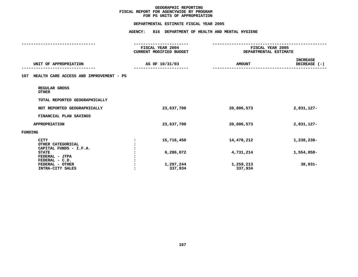### **PS UNITS OF APPROPRIATION DEPARTMENTAL**

|                                                            | FISCAL YEAR 2004<br>CURRENT MODIFIED BUDGET | FISCAL YEAR 2005<br>DEPARTMENTAL ESTIMATE |                                 |
|------------------------------------------------------------|---------------------------------------------|-------------------------------------------|---------------------------------|
| UNIT OF APPROPRIATION                                      | AS OF 10/31/03                              | <b>AMOUNT</b>                             | <b>INCREASE</b><br>DECREASE (-) |
| HEALTH CARE ACCESS AND IMPROVEMENT - PS<br>107             |                                             |                                           |                                 |
| REGULAR GROSS<br><b>OTHER</b>                              |                                             |                                           |                                 |
| TOTAL REPORTED GEOGRAPHICALLY                              |                                             |                                           |                                 |
| NOT REPORTED GEOGRAPHICALLY                                | 23,637,700                                  | 20,806,573                                | 2,831,127-                      |
| FINANCIAL PLAN SAVINGS                                     |                                             |                                           |                                 |
| <b>APPROPRIATION</b>                                       | 23,637,700                                  | 20,806,573                                | 2,831,127-                      |
| FUNDING                                                    |                                             |                                           |                                 |
| <b>CITY</b><br>OTHER CATEGORICAL<br>CAPITAL FUNDS - I.F.A. | 15,716,450<br>:                             | 14,478,212                                | 1,238,238-                      |
| <b>STATE</b><br>FEDERAL - JTPA<br>FEDERAL - C.D.           | 6,286,072                                   | 4,731,214                                 | 1,554,858-                      |
| FEDERAL - OTHER<br><b>INTRA-CITY SALES</b>                 | 1,297,244<br>337,934                        | 1,259,213<br>337,934                      | $38,031-$                       |
|                                                            |                                             |                                           |                                 |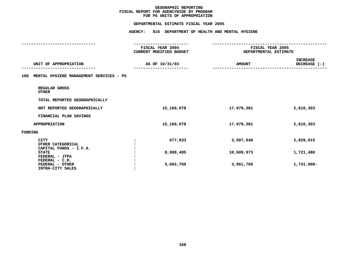### **PS UNITS OF APPROPRIATION DEPARTMENTAL**

|                                                            | FISCAL YEAR 2004<br>CURRENT MODIFIED BUDGET | FISCAL YEAR 2005<br>DEPARTMENTAL ESTIMATE |                                 |
|------------------------------------------------------------|---------------------------------------------|-------------------------------------------|---------------------------------|
| UNIT OF APPROPRIATION                                      | AS OF 10/31/03                              | <b>AMOUNT</b>                             | <b>INCREASE</b><br>DECREASE (-) |
| MENTAL HYGIENE MANAGEMENT SERVICES - PS<br>108             |                                             |                                           |                                 |
| REGULAR GROSS<br><b>OTHER</b>                              |                                             |                                           |                                 |
| TOTAL REPORTED GEOGRAPHICALLY                              |                                             |                                           |                                 |
| NOT REPORTED GEOGRAPHICALLY                                | 15,169,078                                  | 17,979,381                                | 2,810,303                       |
| FINANCIAL PLAN SAVINGS                                     |                                             |                                           |                                 |
| <b>APPROPRIATION</b>                                       | 15, 169, 078                                | 17,979,381                                | 2,810,303                       |
| FUNDING                                                    |                                             |                                           |                                 |
| <b>CITY</b><br>OTHER CATEGORICAL<br>CAPITAL FUNDS - I.F.A. | 677,833                                     | 3,507,648                                 | 2,829,815                       |
| <b>STATE</b><br>FEDERAL - JTPA<br>FEDERAL - C.D.           | 8,888,485                                   | 10,609,973                                | 1,721,488                       |
| FEDERAL - OTHER<br><b>INTRA-CITY SALES</b>                 | 5,602,760                                   | 3,861,760                                 | $1,741,000 -$                   |
|                                                            |                                             |                                           |                                 |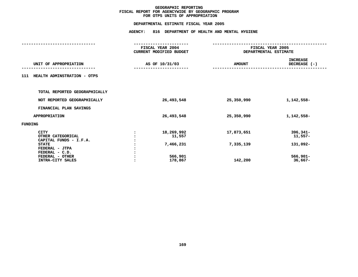### **OTPS UNITS OF APPROPRIATION DEPARTMENTAL**

|         |                               | FISCAL YEAR 2004               | FISCAL YEAR 2005      |                                 |
|---------|-------------------------------|--------------------------------|-----------------------|---------------------------------|
|         |                               | <b>CURRENT MODIFIED BUDGET</b> | DEPARTMENTAL ESTIMATE |                                 |
|         | UNIT OF APPROPRIATION         | AS OF 10/31/03                 | <b>AMOUNT</b>         | <b>INCREASE</b><br>DECREASE (-) |
|         |                               |                                |                       |                                 |
| 111     | HEALTH ADMINSTRATION - OTPS   |                                |                       |                                 |
|         | TOTAL REPORTED GEOGRAPHICALLY |                                |                       |                                 |
|         | NOT REPORTED GEOGRAPHICALLY   | 26,493,548                     | 25,350,990            | 1,142,558-                      |
|         | FINANCIAL PLAN SAVINGS        |                                |                       |                                 |
|         | <b>APPROPRIATION</b>          | 26,493,548                     | 25,350,990            | 1,142,558-                      |
| FUNDING |                               |                                |                       |                                 |
|         | <b>CITY</b>                   | 18,269,992                     | 17,873,651            | $396,341 -$                     |
|         | OTHER CATEGORICAL             | 11,557                         |                       | $11,557-$                       |
|         | CAPITAL FUNDS - I.F.A.        |                                |                       |                                 |
|         | <b>STATE</b>                  | 7,466,231                      | 7,335,139             | 131,092-                        |
|         | FEDERAL - JTPA                |                                |                       |                                 |
|         | FEDERAL - C.D.                |                                |                       |                                 |
|         | FEDERAL - OTHER               | 566,901                        |                       | $566,901 -$                     |
|         | INTRA-CITY SALES              | 178,867                        | 142,200               | 36,667-                         |
|         |                               |                                |                       |                                 |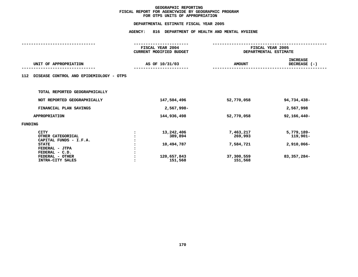### **OTPS UNITS OF APPROPRIATION DEPARTMENTAL**

|                |                                         | FISCAL YEAR 2004        | FISCAL YEAR 2005      |                 |
|----------------|-----------------------------------------|-------------------------|-----------------------|-----------------|
|                |                                         | CURRENT MODIFIED BUDGET | DEPARTMENTAL ESTIMATE |                 |
|                |                                         |                         |                       | <b>INCREASE</b> |
|                | UNIT OF APPROPRIATION                   | AS OF 10/31/03          | <b>AMOUNT</b>         | DECREASE $(-)$  |
|                |                                         |                         |                       |                 |
| 112            | DISEASE CONTROL AND EPIDEMIOLOGY - OTPS |                         |                       |                 |
|                |                                         |                         |                       |                 |
|                |                                         |                         |                       |                 |
|                | TOTAL REPORTED GEOGRAPHICALLY           |                         |                       |                 |
|                | NOT REPORTED GEOGRAPHICALLY             | 147,504,496             | 52,770,058            | 94,734,438-     |
|                |                                         |                         |                       |                 |
|                | FINANCIAL PLAN SAVINGS                  | 2,567,998-              |                       | 2,567,998       |
|                | <b>APPROPRIATION</b>                    | 144,936,498             | 52,770,058            | 92,166,440-     |
|                |                                         |                         |                       |                 |
| <b>FUNDING</b> |                                         |                         |                       |                 |
|                | <b>CITY</b>                             | 13,242,406              | 7,463,217             | 5,779,189-      |
|                | OTHER CATEGORICAL                       | 389,894                 | 269,993               | 119,901-        |
|                | CAPITAL FUNDS - I.F.A.                  |                         |                       |                 |
|                | <b>STATE</b>                            | 10,494,787              | 7,584,721             | 2,910,066-      |
|                | FEDERAL - JTPA                          |                         |                       |                 |
|                | FEDERAL - C.D.                          |                         |                       |                 |
|                | FEDERAL - OTHER                         | 120,657,843             | 37,300,559            | 83,357,284-     |
|                | INTRA-CITY SALES                        | 151,568                 | 151,568               |                 |
|                |                                         |                         |                       |                 |
|                |                                         |                         |                       |                 |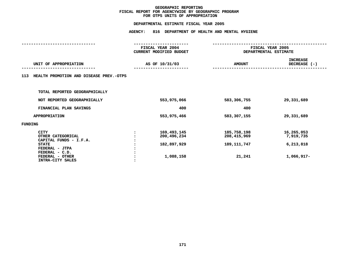### **OTPS UNITS OF APPROPRIATION DEPARTMENTAL**

| DEPARTMENTAL ESTIMATE FISCAL YEAR 2005                                     |                                                                        |                                             |                                           |  |
|----------------------------------------------------------------------------|------------------------------------------------------------------------|---------------------------------------------|-------------------------------------------|--|
|                                                                            | <b>AGENCY:</b>                                                         | 816 DEPARTMENT OF HEALTH AND MENTAL HYGIENE |                                           |  |
|                                                                            | ----------------<br>FISCAL YEAR 2004<br><b>CURRENT MODIFIED BUDGET</b> |                                             | FISCAL YEAR 2005<br>DEPARTMENTAL ESTIMATE |  |
| UNIT OF APPROPRIATION                                                      | AS OF 10/31/03                                                         | <b>AMOUNT</b>                               | <b>INCREASE</b><br>DECREASE (-)           |  |
| HEALTH PROMOTION AND DISEASE PREV.-OTPS<br>113                             |                                                                        |                                             |                                           |  |
| TOTAL REPORTED GEOGRAPHICALLY                                              |                                                                        |                                             |                                           |  |
| NOT REPORTED GEOGRAPHICALLY                                                | 553,975,066                                                            | 583,306,755                                 | 29,331,689                                |  |
| FINANCIAL PLAN SAVINGS                                                     | 400                                                                    | 400                                         |                                           |  |
| <b>APPROPRIATION</b>                                                       | 553,975,466                                                            | 583,307,155                                 | 29,331,689                                |  |
| <b>FUNDING</b>                                                             |                                                                        |                                             |                                           |  |
| <b>CITY</b><br>OTHER CATEGORICAL<br>CAPITAL FUNDS - I.F.A.<br><b>STATE</b> | 169,493,145<br>200,496,234<br>182,897,929                              | 185,758,198<br>208, 415, 969<br>189,111,747 | 16,265,053<br>7,919,735<br>6,213,818      |  |
| FEDERAL - JTPA<br>FEDERAL - C.D.<br>FEDERAL - OTHER<br>INTRA-CITY SALES    | 1,088,158                                                              | 21,241                                      | 1,066,917-                                |  |
|                                                                            |                                                                        |                                             |                                           |  |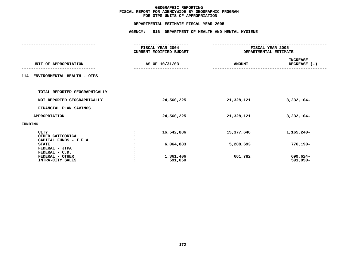### **OTPS UNITS OF APPROPRIATION DEPARTMENTAL**

| DEPARTMENTAL ESTIMATE FISCAL YEAR 2005                     |                                                               |                       |                                 |
|------------------------------------------------------------|---------------------------------------------------------------|-----------------------|---------------------------------|
|                                                            | <b>AGENCY:</b><br>816 DEPARTMENT OF HEALTH AND MENTAL HYGIENE |                       |                                 |
|                                                            | FISCAL YEAR 2004<br>CURRENT MODIFIED BUDGET                   | DEPARTMENTAL ESTIMATE | FISCAL YEAR 2005                |
| UNIT OF APPROPRIATION                                      | AS OF 10/31/03                                                | <b>AMOUNT</b>         | <b>INCREASE</b><br>DECREASE (-) |
| 114 ENVIRONMENTAL HEALTH - OTPS                            |                                                               |                       |                                 |
| TOTAL REPORTED GEOGRAPHICALLY                              |                                                               |                       |                                 |
| NOT REPORTED GEOGRAPHICALLY                                | 24,560,225                                                    | 21,328,121            | $3,232,104-$                    |
| FINANCIAL PLAN SAVINGS                                     |                                                               |                       |                                 |
| APPROPRIATION                                              | 24,560,225                                                    | 21,328,121            | $3,232,104-$                    |
| FUNDING                                                    |                                                               |                       |                                 |
| <b>CITY</b><br>OTHER CATEGORICAL<br>CAPITAL FUNDS - I.F.A. | 16,542,886                                                    | 15,377,646            | 1,165,240-                      |
| <b>STATE</b><br>FEDERAL - JTPA<br>FEDERAL - C.D.           | 6,064,883                                                     | 5,288,693             | 776,190-                        |
| FEDERAL - OTHER<br>INTRA-CITY SALES                        | 1,361,406<br>591,050                                          | 661,782               | 699,624-<br>$591,050-$          |
|                                                            |                                                               |                       |                                 |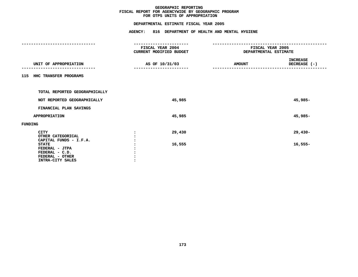### **OTPS UNITS OF APPROPRIATION DEPARTMENTAL**

| DEPARTMENTAL ESTIMATE FISCAL YEAR 2005                                                                            |                                                                   |                                           |                                 |
|-------------------------------------------------------------------------------------------------------------------|-------------------------------------------------------------------|-------------------------------------------|---------------------------------|
|                                                                                                                   | AGENCY: 816 DEPARTMENT OF HEALTH AND MENTAL HYGIENE               |                                           |                                 |
|                                                                                                                   | ------------------<br>FISCAL YEAR 2004<br>CURRENT MODIFIED BUDGET | FISCAL YEAR 2005<br>DEPARTMENTAL ESTIMATE |                                 |
| UNIT OF APPROPRIATION                                                                                             | AS OF 10/31/03                                                    | <b>AMOUNT</b>                             | <b>INCREASE</b><br>DECREASE (-) |
| 115 HHC TRANSFER PROGRAMS                                                                                         |                                                                   |                                           |                                 |
| TOTAL REPORTED GEOGRAPHICALLY                                                                                     |                                                                   |                                           |                                 |
| NOT REPORTED GEOGRAPHICALLY                                                                                       | 45,985                                                            |                                           | 45,985-                         |
| FINANCIAL PLAN SAVINGS                                                                                            |                                                                   |                                           |                                 |
| APPROPRIATION                                                                                                     | 45,985                                                            |                                           | 45,985-                         |
| FUNDING                                                                                                           |                                                                   |                                           |                                 |
| <b>CITY</b><br>OTHER CATEGORICAL                                                                                  | 29,430                                                            |                                           | $29,430-$                       |
| CAPITAL FUNDS - I.F.A.<br><b>STATE</b><br>FEDERAL - JTPA<br>FEDERAL - C.D.<br>FEDERAL - OTHER<br>INTRA-CITY SALES | 16,555                                                            |                                           | $16,555-$                       |
|                                                                                                                   |                                                                   |                                           |                                 |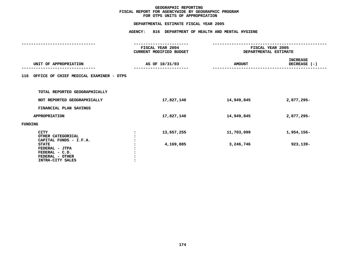### **OTPS UNITS OF APPROPRIATION DEPARTMENTAL**

|                                                                                                                   | FISCAL YEAR 2004<br>CURRENT MODIFIED BUDGET | FISCAL YEAR 2005<br>DEPARTMENTAL ESTIMATE |                                 |
|-------------------------------------------------------------------------------------------------------------------|---------------------------------------------|-------------------------------------------|---------------------------------|
| UNIT OF APPROPRIATION                                                                                             | AS OF 10/31/03                              | <b>AMOUNT</b>                             | <b>INCREASE</b><br>DECREASE (-) |
| 116 OFFICE OF CHIEF MEDICAL EXAMINER - OTPS                                                                       |                                             |                                           |                                 |
| TOTAL REPORTED GEOGRAPHICALLY                                                                                     |                                             |                                           |                                 |
| NOT REPORTED GEOGRAPHICALLY                                                                                       | 17,827,140                                  | 14,949,845                                | 2,877,295-                      |
| FINANCIAL PLAN SAVINGS                                                                                            |                                             |                                           |                                 |
| <b>APPROPRIATION</b>                                                                                              | 17,827,140                                  | 14,949,845                                | 2,877,295-                      |
| FUNDING                                                                                                           |                                             |                                           |                                 |
| <b>CITY</b><br>OTHER CATEGORICAL                                                                                  | 13,657,255                                  | 11,703,099                                | 1,954,156-                      |
| CAPITAL FUNDS - I.F.A.<br><b>STATE</b><br>FEDERAL - JTPA<br>FEDERAL - C.D.<br>FEDERAL - OTHER<br>INTRA-CITY SALES | 4,169,885                                   | 3,246,746                                 | 923,139-                        |
|                                                                                                                   |                                             |                                           |                                 |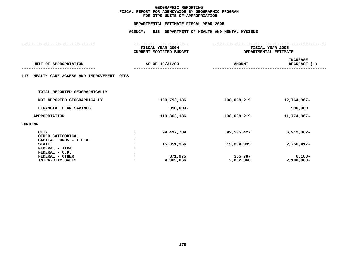### **OTPS UNITS OF APPROPRIATION DEPARTMENTAL**

|                                                            | FISCAL YEAR 2004<br>CURRENT MODIFIED BUDGET | FISCAL YEAR 2005<br>DEPARTMENTAL ESTIMATE |                                   |
|------------------------------------------------------------|---------------------------------------------|-------------------------------------------|-----------------------------------|
| UNIT OF APPROPRIATION                                      | AS OF 10/31/03                              | <b>AMOUNT</b>                             | <b>INCREASE</b><br>DECREASE $(-)$ |
| HEALTH CARE ACCESS AND IMPROVEMENT- OTPS<br>117            |                                             |                                           |                                   |
| TOTAL REPORTED GEOGRAPHICALLY                              |                                             |                                           |                                   |
| NOT REPORTED GEOGRAPHICALLY                                | 120,793,186                                 | 108,028,219                               | 12,764,967-                       |
| FINANCIAL PLAN SAVINGS                                     | 990,000-                                    |                                           | 990,000                           |
| <b>APPROPRIATION</b>                                       | 119,803,186                                 | 108,028,219                               | 11,774,967-                       |
| FUNDING                                                    |                                             |                                           |                                   |
| <b>CITY</b><br>OTHER CATEGORICAL<br>CAPITAL FUNDS - I.F.A. | 99,417,789                                  | 92,505,427                                | $6,912,362-$                      |
| <b>STATE</b><br>FEDERAL - JTPA                             | 15,051,356                                  | 12,294,939                                | $2,756,417-$                      |
| FEDERAL - C.D.<br>FEDERAL - OTHER<br>INTRA-CITY SALES      | 371,975<br>4,962,066                        | 365,787<br>2,862,066                      | 6,188-<br>$2,100,000 -$           |
|                                                            |                                             |                                           |                                   |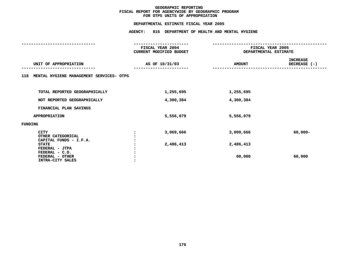### **OTPS UNITS OF APPROPRIATION DEPARTMENTAL**

|         |                                                       | FISCAL YEAR 2004<br>CURRENT MODIFIED BUDGET | FISCAL YEAR 2005<br>DEPARTMENTAL ESTIMATE |                                 |
|---------|-------------------------------------------------------|---------------------------------------------|-------------------------------------------|---------------------------------|
|         | UNIT OF APPROPRIATION                                 | AS OF 10/31/03                              | <b>AMOUNT</b>                             | <b>INCREASE</b><br>DECREASE (-) |
|         | 118 MENTAL HYGIENE MANAGEMENT SERVICES- OTPS          |                                             |                                           |                                 |
|         | TOTAL REPORTED GEOGRAPHICALLY                         | 1,255,695                                   | 1,255,695                                 |                                 |
|         | NOT REPORTED GEOGRAPHICALLY                           | 4,300,384                                   | 4,300,384                                 |                                 |
|         | FINANCIAL PLAN SAVINGS                                |                                             |                                           |                                 |
|         | <b>APPROPRIATION</b>                                  | 5,556,079                                   | 5,556,079                                 |                                 |
| FUNDING |                                                       |                                             |                                           |                                 |
|         | CITY<br>OTHER CATEGORICAL<br>CAPITAL FUNDS - I.F.A.   | 3,069,666                                   | 3,009,666                                 | $60,000 -$                      |
|         | <b>STATE</b><br>FEDERAL - JTPA                        | 2,486,413                                   | 2,486,413                                 |                                 |
|         | FEDERAL - C.D.<br>FEDERAL - OTHER<br>INTRA-CITY SALES |                                             | 60,000                                    | 60,000                          |
|         |                                                       |                                             |                                           |                                 |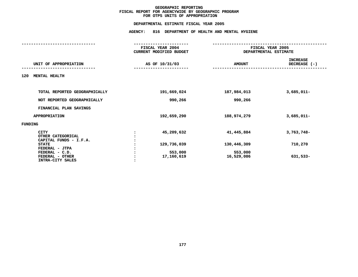# **OTPS UNITS OF APPROPRIATION DEPARTMENTAL**

# **ESTIMATE FISCAL YEAR <sup>2005</sup> AGENCY: <sup>816</sup> DEPARTMENT OF HEALTH AND MENTAL HYGIENE**

|                                                            | FISCAL YEAR 2004        |                       | FISCAL YEAR 2005                |  |  |
|------------------------------------------------------------|-------------------------|-----------------------|---------------------------------|--|--|
|                                                            | CURRENT MODIFIED BUDGET |                       | DEPARTMENTAL ESTIMATE           |  |  |
| UNIT OF APPROPRIATION                                      | AS OF 10/31/03          | <b>AMOUNT</b>         | <b>INCREASE</b><br>DECREASE (-) |  |  |
| 120<br><b>MENTAL HEALTH</b>                                |                         |                       |                                 |  |  |
| TOTAL REPORTED GEOGRAPHICALLY                              | 191,669,024             | 187,984,013           | $3,685,011-$                    |  |  |
| NOT REPORTED GEOGRAPHICALLY                                | 990,266                 | 990,266               |                                 |  |  |
| FINANCIAL PLAN SAVINGS                                     |                         |                       |                                 |  |  |
| APPROPRIATION                                              | 192,659,290             | 188,974,279           | $3,685,011-$                    |  |  |
| FUNDING                                                    |                         |                       |                                 |  |  |
| <b>CITY</b><br>OTHER CATEGORICAL<br>CAPITAL FUNDS - I.F.A. | 45,209,632              | 41,445,884            | 3,763,748-                      |  |  |
| <b>STATE</b><br>FEDERAL - JTPA                             | 129,736,039             | 130,446,309           | 710,270                         |  |  |
| FEDERAL - C.D.<br>FEDERAL - OTHER<br>INTRA-CITY SALES      | 553,000<br>17,160,619   | 553,000<br>16,529,086 | 631,533-                        |  |  |
|                                                            |                         |                       |                                 |  |  |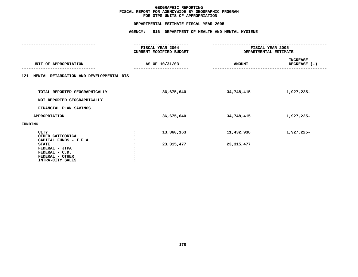# **OTPS UNITS OF APPROPRIATION DEPARTMENTAL**

**ESTIMATE FISCAL YEAR <sup>2005</sup> AGENCY: <sup>816</sup> DEPARTMENT OF HEALTH AND MENTAL HYGIENE**

|                |                                                                                         | FISCAL YEAR 2004<br>CURRENT MODIFIED BUDGET | FISCAL YEAR 2005<br>DEPARTMENTAL ESTIMATE |                                 |  |
|----------------|-----------------------------------------------------------------------------------------|---------------------------------------------|-------------------------------------------|---------------------------------|--|
|                | UNIT OF APPROPRIATION                                                                   | AS OF 10/31/03                              | <b>AMOUNT</b>                             | <b>INCREASE</b><br>DECREASE (-) |  |
|                | 121 MENTAL RETARDATION AND DEVELOPMENTAL DIS                                            |                                             |                                           |                                 |  |
|                | TOTAL REPORTED GEOGRAPHICALLY<br>NOT REPORTED GEOGRAPHICALLY                            | 36,675,640                                  | 34,748,415                                | 1,927,225-                      |  |
|                | FINANCIAL PLAN SAVINGS                                                                  |                                             |                                           |                                 |  |
|                | <b>APPROPRIATION</b>                                                                    | 36,675,640                                  | 34,748,415                                | 1,927,225-                      |  |
| <b>FUNDING</b> |                                                                                         |                                             |                                           |                                 |  |
|                | <b>CITY</b><br>OTHER CATEGORICAL<br>CAPITAL FUNDS - I.F.A.                              | 13,360,163                                  | 11,432,938                                | 1,927,225-                      |  |
|                | <b>STATE</b><br>FEDERAL - JTPA<br>FEDERAL - C.D.<br>FEDERAL - OTHER<br>INTRA-CITY SALES | 23, 315, 477                                | 23, 315, 477                              |                                 |  |
|                |                                                                                         |                                             |                                           |                                 |  |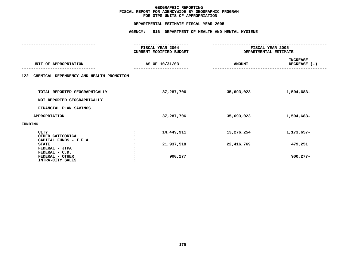# **OTPS UNITS OF APPROPRIATION DEPARTMENTAL**

**ESTIMATE FISCAL YEAR <sup>2005</sup> AGENCY: <sup>816</sup> DEPARTMENT OF HEALTH AND MENTAL HYGIENE**

|                                                            | FISCAL YEAR 2004<br><b>CURRENT MODIFIED BUDGET</b> | FISCAL YEAR 2005<br>DEPARTMENTAL ESTIMATE |                                 |  |
|------------------------------------------------------------|----------------------------------------------------|-------------------------------------------|---------------------------------|--|
| UNIT OF APPROPRIATION                                      | AS OF 10/31/03                                     | <b>AMOUNT</b>                             | <b>INCREASE</b><br>DECREASE (-) |  |
| CHEMICAL DEPENDENCY AND HEALTH PROMOTION<br>122            |                                                    |                                           |                                 |  |
| TOTAL REPORTED GEOGRAPHICALLY                              | 37,287,706                                         | 35,693,023                                | 1,594,683-                      |  |
| NOT REPORTED GEOGRAPHICALLY<br>FINANCIAL PLAN SAVINGS      |                                                    |                                           |                                 |  |
| <b>APPROPRIATION</b>                                       | 37,287,706                                         | 35,693,023                                | 1,594,683-                      |  |
| FUNDING                                                    |                                                    |                                           |                                 |  |
| <b>CITY</b><br>OTHER CATEGORICAL<br>CAPITAL FUNDS - I.F.A. | 14,449,911                                         | 13,276,254                                | 1,173,657-                      |  |
| <b>STATE</b><br>FEDERAL - JTPA                             | 21,937,518                                         | 22,416,769                                | 479,251                         |  |
| FEDERAL - C.D.<br>FEDERAL - OTHER<br>INTRA-CITY SALES      | 900,277                                            |                                           | $900, 277 -$                    |  |
|                                                            |                                                    |                                           |                                 |  |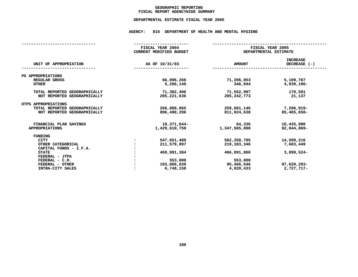# **GEOGRAPHICC REPORTING<br>ENCYWIDE SU<br>--- ------**-**FISCAL**

# **REPORT AGENCYWIDE SUMMARY DEPARTMENTAL ESTIMATE FISCAL YEAR <sup>2005</sup>**

# **AGENCY: <sup>816</sup> DEPARTMENT OF HEALTH AND MENTAL HYGIENE**

|                               | FISCAL YEAR 2004<br>CURRENT MODIFIED BUDGET |                | FISCAL YEAR 2005<br>DEPARTMENTAL ESTIMATE |                                   |  |
|-------------------------------|---------------------------------------------|----------------|-------------------------------------------|-----------------------------------|--|
| UNIT OF APPROPRIATION         |                                             | AS OF 10/31/03 | <b>AMOUNT</b>                             | <b>INCREASE</b><br>DECREASE $(-)$ |  |
| PS APPROPRIATIONS             |                                             |                |                                           |                                   |  |
| REGULAR GROSS                 |                                             | 66,096,266     | 71,206,053                                | 5,109,787                         |  |
| <b>OTHER</b>                  |                                             | 5,286,140      | 346,944                                   | 4,939,196-                        |  |
| TOTAL REPORTED GEOGRAPHICALLY |                                             | 71,382,406     | 71,552,997                                | 170,591                           |  |
| NOT REPORTED GEOGRAPHICALLY   |                                             | 205, 221, 636  | 205, 242, 773                             | 21,137                            |  |
| OTPS APPROPRIATIONS           |                                             |                |                                           |                                   |  |
| TOTAL REPORTED GEOGRAPHICALLY |                                             | 266,888,065    | 259,681,146                               | $7,206,919-$                      |  |
| NOT REPORTED GEOGRAPHICALLY   |                                             | 896,490,296    | 811,024,638                               | 85,465,658-                       |  |
| FINANCIAL PLAN SAVINGS        |                                             | 10,371,644-    | 64,336                                    | 10,435,980                        |  |
| <b>APPROPRIATIONS</b>         |                                             | 1,429,610,759  | 1,347,565,890                             | $82,044,869-$                     |  |
| FUNDING                       |                                             |                |                                           |                                   |  |
| <b>CITY</b>                   |                                             | 547,651,489    | 562,250,705                               | 14,599,216                        |  |
| OTHER CATEGORICAL             |                                             | 211,579,897    | 219, 183, 346                             | 7,603,449                         |  |
| CAPITAL FUNDS - I.F.A.        |                                             |                |                                           |                                   |  |
| <b>STATE</b>                  |                                             | 469,991,384    | 466,091,860                               | $3,899,524-$                      |  |
| FEDERAL - JTPA                |                                             |                |                                           |                                   |  |
| $FEDERAL - C.D.$              |                                             | 553,000        | 553,000                                   |                                   |  |
| FEDERAL - OTHER               |                                             | 193,086,839    | 95,466,546                                | 97,620,293-                       |  |
| INTRA-CITY SALES              |                                             | 6,748,150      | 4,020,433                                 | 2,727,717-                        |  |
|                               |                                             |                |                                           |                                   |  |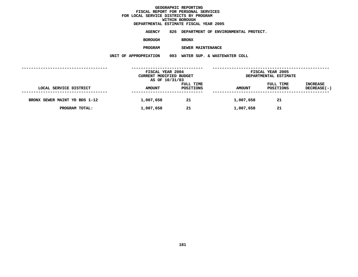**ESTIMATE FISCAL YEAR <sup>2005</sup> AGENCY <sup>826</sup> DEPARTMENT OF ENVIRONMENTAL PROTECT.**

**BOROUGH**

BRONX<br>SEWER MAINTENANCE **PROGRAM**

**SEWER MAINTENANCE UNIT OF APPROPRIATION <sup>003</sup> WATER SUP. & WASTEWATER COLL**

|                               | FISCAL YEAR 2004<br>CURRENT MODIFIED BUDGET<br>AS OF 10/31/03 |                        | FISCAL YEAR 2005<br>DEPARTMENTAL ESTIMATE |                        |                                       |
|-------------------------------|---------------------------------------------------------------|------------------------|-------------------------------------------|------------------------|---------------------------------------|
| LOCAL SERVICE DISTRICT        | <b>AMOUNT</b>                                                 | FULL TIME<br>POSITIONS | <b>AMOUNT</b>                             | FULL TIME<br>POSITIONS | <b>INCREASE</b><br><b>DECREASE(-)</b> |
| BRONX SEWER MAINT YD BDS 1-12 | 1,007,658                                                     | 21                     | 1,007,658                                 | 21                     |                                       |
| PROGRAM TOTAL:                | 1,007,658                                                     | 21                     | 1,007,658                                 | 21                     |                                       |
|                               |                                                               |                        |                                           |                        |                                       |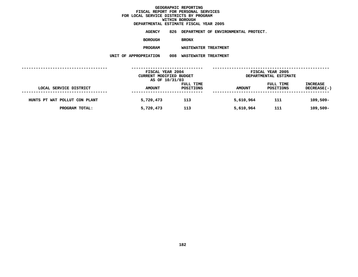**ESTIMATE FISCAL YEAR <sup>2005</sup> AGENCY <sup>826</sup> DEPARTMENT OF ENVIRONMENTAL PROTECT.**

**BOROUGH**

BRONX<br>WASTEWATER TREATMENT **PROGRAM**

**WASTEWATER TREATMENT UNIT OF APPROPRIATION <sup>008</sup> WASTEWATER TREATMENT**

|                               | FISCAL YEAR 2004<br>CURRENT MODIFIED BUDGET<br>AS OF 10/31/03 |                        | FISCAL YEAR 2005<br>DEPARTMENTAL ESTIMATE |                        |                                       |
|-------------------------------|---------------------------------------------------------------|------------------------|-------------------------------------------|------------------------|---------------------------------------|
| LOCAL SERVICE DISTRICT        | <b>AMOUNT</b>                                                 | FULL TIME<br>POSITIONS | <b>AMOUNT</b>                             | FULL TIME<br>POSITIONS | <b>INCREASE</b><br><b>DECREASE(-)</b> |
| HUNTS PT WAT POLLUT CON PLANT | 5,720,473                                                     | 113                    | 5,610,964                                 | 111                    | $109,509-$                            |
| PROGRAM TOTAL:                | 5,720,473                                                     | 113                    | 5,610,964                                 | 111                    | $109,509-$                            |
|                               |                                                               |                        |                                           |                        |                                       |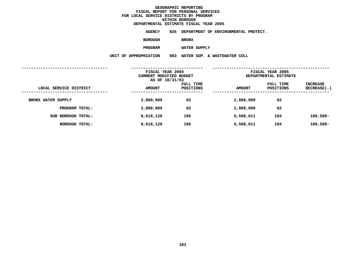**ESTIMATE FISCAL YEAR <sup>2005</sup> AGENCY <sup>826</sup> DEPARTMENT OF ENVIRONMENTAL PROTECT.**

**BOROUGH**

BRONX<br>WATER SUPPLY

**PROGRAM**

**WATER SUPPLY UNIT OF APPROPRIATION <sup>003</sup> WATER SUP. & WASTEWATER COLL**

|                           | FISCAL YEAR 2004<br>CURRENT MODIFIED BUDGET<br>AS OF 10/31/03 |                        | FISCAL YEAR 2005<br>DEPARTMENTAL ESTIMATE |                        |                           |
|---------------------------|---------------------------------------------------------------|------------------------|-------------------------------------------|------------------------|---------------------------|
| LOCAL SERVICE DISTRICT    | <b>AMOUNT</b>                                                 | FULL TIME<br>POSITIONS | <b>AMOUNT</b>                             | FULL TIME<br>POSITIONS | INCREASE<br>$DECREASE(-)$ |
| <b>BRONX WATER SUPPLY</b> | 2,889,989                                                     | 62                     | 2,889,989                                 | 62                     |                           |
| PROGRAM TOTAL:            | 2,889,989                                                     | 62                     | 2,889,989                                 | 62                     |                           |
| SUB BOROUGH TOTAL:        | 9,618,120                                                     | 196                    | 9,508,611                                 | 194                    | $109,509-$                |
| BOROUGH TOTAL:            | 9,618,120                                                     | 196                    | 9,508,611                                 | 194                    | $109,509-$                |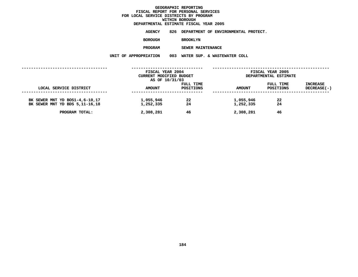## **DEPARTMENTAL**

**ESTIMATE FISCAL YEAR <sup>2005</sup> AGENCY <sup>826</sup> DEPARTMENT OF ENVIRONMENTAL PROTECT.**

**BOROUGH**

BROOKLYN<br>SEWER MAINTENANCE **PROGRAM**

**SEWER MAINTENANCE UNIT OF APPROPRIATION <sup>003</sup> WATER SUP. & WASTEWATER COLL**

|                                                                    | FISCAL YEAR 2004        |           |                        | FISCAL YEAR 2005      |             |  |
|--------------------------------------------------------------------|-------------------------|-----------|------------------------|-----------------------|-------------|--|
|                                                                    | CURRENT MODIFIED BUDGET |           |                        | DEPARTMENTAL ESTIMATE |             |  |
|                                                                    | AS OF 10/31/03          |           |                        |                       |             |  |
|                                                                    |                         | FULL TIME |                        | FULL TIME             | INCREASE    |  |
| LOCAL SERVICE DISTRICT                                             | <b>AMOUNT</b>           | POSITIONS | AMOUNT                 | POSITIONS             | DECREASE(-) |  |
| BK SEWER MNT YD BOS1-4,6-10,17<br>BK SEWER MNT YD BDS 5, 11-16, 18 | 1,055,946<br>1,252,335  | 22<br>24  | 1,055,946<br>1,252,335 | 22<br>24              |             |  |
| PROGRAM TOTAL:                                                     | 2,308,281               | 46        | 2,308,281              | 46                    |             |  |
|                                                                    |                         |           |                        |                       |             |  |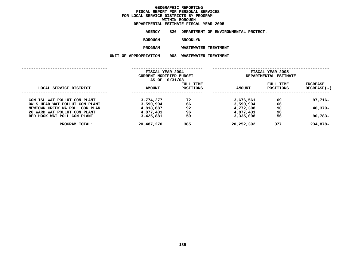## **DEPARTMENTAL**

**ESTIMATE FISCAL YEAR <sup>2005</sup> AGENCY <sup>826</sup> DEPARTMENT OF ENVIRONMENTAL PROTECT.**

**BOROUGH**

BROOKLYN<br>WASTEWATER TREATMENT **PROGRAM**

**WASTEWATER TREATMENT UNIT OF APPROPRIATION <sup>008</sup> WASTEWATER TREATMENT**

|                                                                | FISCAL YEAR 2004<br>CURRENT MODIFIED BUDGET<br>AS OF 10/31/03 |                        | FISCAL YEAR 2005<br>DEPARTMENTAL ESTIMATE |                               |                         |
|----------------------------------------------------------------|---------------------------------------------------------------|------------------------|-------------------------------------------|-------------------------------|-------------------------|
| LOCAL SERVICE DISTRICT                                         | <b>AMOUNT</b>                                                 | FULL TIME<br>POSITIONS | <b>AMOUNT</b>                             | FULL TIME<br><b>POSITIONS</b> | INCREASE<br>DECREASE(-) |
| CON ISL WAT POLLUT CON PLANT<br>OWLS HEAD WAT POLLUT CON PLANT | 3,774,277<br>3,590,994                                        | 72<br>66               | 3,676,561<br>3,590,994                    | 69<br>66                      | $97,716 -$              |
| NEWTOWN CREEK WA POLL CON PLAN<br>26 WARD WAT POLLUT CON PLANT | 4,818,687<br>4,877,431                                        | 92<br>96               | 4,772,308<br>4,877,431                    | 90<br>96                      | 46,379-                 |
| RED HOOK WAT POLL CON PLANT                                    | 3,425,881                                                     | 59                     | 3,335,098                                 | 56                            | $90,783 -$              |
| PROGRAM TOTAL:                                                 | 20,487,270                                                    | 385                    | 20,252,392                                | 377                           | 234,878-                |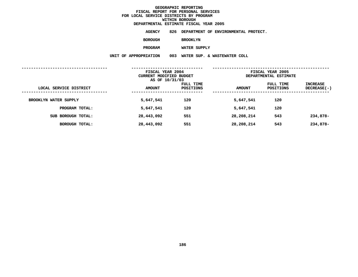**ESTIMATE FISCAL YEAR <sup>2005</sup> AGENCY <sup>826</sup> DEPARTMENT OF ENVIRONMENTAL PROTECT.**

**BOROUGH**

**BROOKLYN**

**PROGRAM**

**WATER SUPPLY UNIT OF APPROPRIATION <sup>003</sup> WATER SUP. & WASTEWATER COLL**

|                        | FISCAL YEAR 2004<br>CURRENT MODIFIED BUDGET<br>AS OF 10/31/03 |                        | FISCAL YEAR 2005<br>DEPARTMENTAL ESTIMATE |                        |                           |
|------------------------|---------------------------------------------------------------|------------------------|-------------------------------------------|------------------------|---------------------------|
| LOCAL SERVICE DISTRICT | <b>AMOUNT</b>                                                 | FULL TIME<br>POSITIONS | <b>AMOUNT</b>                             | FULL TIME<br>POSITIONS | INCREASE<br>$DECREASE(-)$ |
| BROOKLYN WATER SUPPLY  | 5,647,541                                                     | 120                    | 5,647,541                                 | 120                    |                           |
| PROGRAM TOTAL:         | 5,647,541                                                     | 120                    | 5,647,541                                 | 120                    |                           |
| SUB BOROUGH TOTAL:     | 28,443,092                                                    | 551                    | 28,208,214                                | 543                    | 234,878-                  |
| BOROUGH TOTAL:         | 28,443,092                                                    | 551                    | 28,208,214                                | 543                    | 234,878-                  |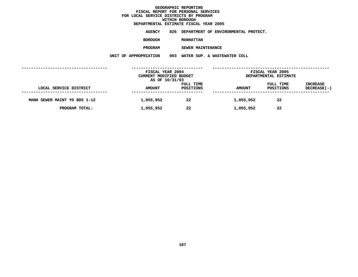**ESTIMATE FISCAL YEAR <sup>2005</sup> AGENCY <sup>826</sup> DEPARTMENT OF ENVIRONMENTAL PROTECT.**

**BOROUGH**

 **MANHATTAN PROGRAM**

**SEWER MAINTENANCE UNIT OF APPROPRIATION <sup>003</sup> WATER SUP. & WASTEWATER COLL**

|                              | FISCAL YEAR 2004<br>CURRENT MODIFIED BUDGET<br>AS OF 10/31/03 |                        | FISCAL YEAR 2005<br>DEPARTMENTAL ESTIMATE |                        |                                |
|------------------------------|---------------------------------------------------------------|------------------------|-------------------------------------------|------------------------|--------------------------------|
| LOCAL SERVICE DISTRICT       | <b>AMOUNT</b>                                                 | FULL TIME<br>POSITIONS | <b>AMOUNT</b>                             | FULL TIME<br>POSITIONS | <b>INCREASE</b><br>DECREASE(-) |
| MANH SEWER MAINT YD BDS 1-12 | 1,055,952                                                     | 22                     | 1,055,952                                 | 22                     |                                |
| PROGRAM TOTAL:               | 1,055,952                                                     | 22                     | 1,055,952                                 | 22                     |                                |
|                              |                                                               |                        |                                           |                        |                                |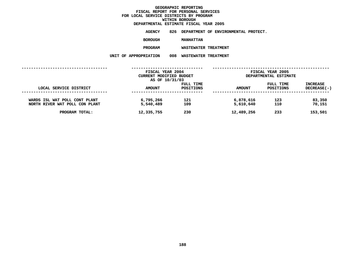**ESTIMATE FISCAL YEAR <sup>2005</sup> AGENCY <sup>826</sup> DEPARTMENT OF ENVIRONMENTAL PROTECT.**

**BOROUGH**

MANHATTAN<br>WASTEWATER TREATMENT **PROGRAM**

**WASTEWATER TREATMENT UNIT OF APPROPRIATION <sup>008</sup> WASTEWATER TREATMENT**

| FISCAL YEAR 2004<br>CURRENT MODIFIED BUDGET |                        | FISCAL YEAR 2005<br>DEPARTMENTAL ESTIMATE |                        |                                       |
|---------------------------------------------|------------------------|-------------------------------------------|------------------------|---------------------------------------|
| <b>AMOUNT</b>                               | FULL TIME<br>POSITIONS | <b>AMOUNT</b>                             | FULL TIME<br>POSITIONS | <b>INCREASE</b><br><b>DECREASE(-)</b> |
| 6,795,266<br>5,540,489                      | 121<br>109             | 6,878,616<br>5,610,640                    | 123<br>110             | 83,350<br>70,151                      |
| 12,335,755                                  | 230                    | 12,489,256                                | 233                    | 153,501                               |
|                                             |                        | AS OF 10/31/03                            |                        |                                       |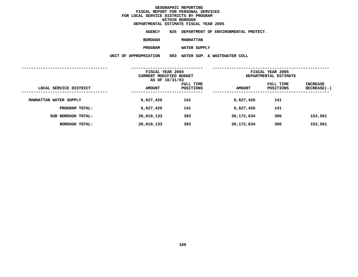**ESTIMATE FISCAL YEAR <sup>2005</sup> AGENCY <sup>826</sup> DEPARTMENT OF ENVIRONMENTAL PROTECT.**

**BOROUGH**

 **MANHATTAN PROGRAM**

**WATER SUPPLY UNIT OF APPROPRIATION <sup>003</sup> WATER SUP. & WASTEWATER COLL**

|                        | FISCAL YEAR 2004<br>CURRENT MODIFIED BUDGET<br>AS OF 10/31/03 |                        | FISCAL YEAR 2005<br>DEPARTMENTAL ESTIMATE |                        |                         |
|------------------------|---------------------------------------------------------------|------------------------|-------------------------------------------|------------------------|-------------------------|
| LOCAL SERVICE DISTRICT | <b>AMOUNT</b>                                                 | FULL TIME<br>POSITIONS | <b>AMOUNT</b>                             | FULL TIME<br>POSITIONS | INCREASE<br>DECREASE(-) |
| MANHATTAN WATER SUPPLY | 6,627,426                                                     | 141                    | 6,627,426                                 | 141                    |                         |
| PROGRAM TOTAL:         | 6,627,426                                                     | 141                    | 6,627,426                                 | 141                    |                         |
| SUB BOROUGH TOTAL:     | 20,019,133                                                    | 393                    | 20,172,634                                | 396                    | 153,501                 |
| BOROUGH TOTAL:         | 20,019,133                                                    | 393                    | 20,172,634                                | 396                    | 153,501                 |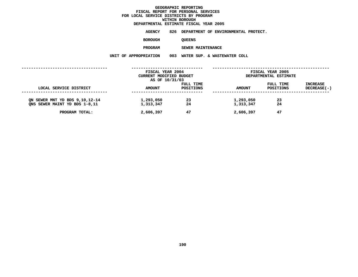# **DEPARTMENTAL**

**ESTIMATE FISCAL YEAR <sup>2005</sup> AGENCY <sup>826</sup> DEPARTMENT OF ENVIRONMENTAL PROTECT.**

**BOROUGH**

QUEENS<br>SEWER MAINTENANCE **PROGRAM**

**SEWER MAINTENANCE UNIT OF APPROPRIATION <sup>003</sup> WATER SUP. & WASTEWATER COLL**

|                                | FISCAL YEAR 2004        |           |               | FISCAL YEAR 2005      |                    |  |
|--------------------------------|-------------------------|-----------|---------------|-----------------------|--------------------|--|
|                                | CURRENT MODIFIED BUDGET |           |               | DEPARTMENTAL ESTIMATE |                    |  |
|                                | AS OF 10/31/03          |           |               |                       |                    |  |
|                                |                         | FULL TIME |               | FULL TIME             | INCREASE           |  |
| LOCAL SERVICE DISTRICT         | <b>AMOUNT</b>           | POSITIONS | <b>AMOUNT</b> | POSITIONS             | <b>DECREASE(-)</b> |  |
|                                |                         |           |               |                       |                    |  |
| ON SEWER MNT YD BDS 9,10,12-14 | 1,293,050               | 23        | 1,293,050     | 23                    |                    |  |
| ONS SEWER MAINT YD BDS 1-8,11  | 1,313,347               | 24        | 1,313,347     | 24                    |                    |  |
| PROGRAM TOTAL:                 | 2,606,397               | 47        | 2,606,397     | 47                    |                    |  |
|                                |                         |           |               |                       |                    |  |
|                                |                         |           |               |                       |                    |  |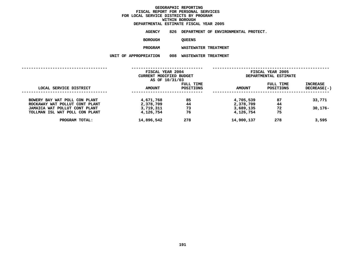**ESTIMATE FISCAL YEAR <sup>2005</sup> AGENCY <sup>826</sup> DEPARTMENT OF ENVIRONMENTAL PROTECT.**

**BOROUGH**

QUEENS<br>WASTEWATER TREATMENT **PROGRAM**

**WASTEWATER TREATMENT UNIT OF APPROPRIATION <sup>008</sup> WASTEWATER TREATMENT**

|               | FISCAL YEAR 2004 |                                           | FISCAL YEAR 2005 |                       |  |
|---------------|------------------|-------------------------------------------|------------------|-----------------------|--|
|               |                  |                                           |                  |                       |  |
|               |                  |                                           |                  |                       |  |
|               | FULL TIME        |                                           | FULL TIME        | INCREASE              |  |
| <b>AMOUNT</b> | POSITIONS        | <b>AMOUNT</b>                             | POSITIONS        | $DECREASE(-)$         |  |
|               |                  |                                           |                  |                       |  |
| 4,671,768     | 85               | 4,705,539                                 | 87               | 33,771                |  |
| 2,378,709     | 44               | 2,378,709                                 | 44               |                       |  |
|               | 73               |                                           | 72               | $30,176 -$            |  |
| 4,126,754     | 76               | 4,126,754                                 | 75               |                       |  |
| 14,896,542    | 278              | 14,900,137                                | 278              | 3,595                 |  |
|               |                  |                                           |                  |                       |  |
|               | 3,719,311        | CURRENT MODIFIED BUDGET<br>AS OF 10/31/03 | 3,689,135        | DEPARTMENTAL ESTIMATE |  |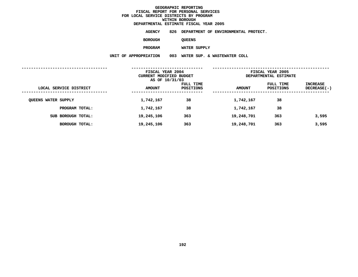**ESTIMATE FISCAL YEAR <sup>2005</sup> AGENCY <sup>826</sup> DEPARTMENT OF ENVIRONMENTAL PROTECT.**

**BOROUGH**

QUEENS<br>WATER SUPPLY

**PROGRAM**

**WATER SUPPLY UNIT OF APPROPRIATION <sup>003</sup> WATER SUP. & WASTEWATER COLL**

|                            | FISCAL YEAR 2004<br><b>CURRENT MODIFIED BUDGET</b><br>AS OF 10/31/03 |                        | FISCAL YEAR 2005<br>DEPARTMENTAL ESTIMATE |                        |                         |
|----------------------------|----------------------------------------------------------------------|------------------------|-------------------------------------------|------------------------|-------------------------|
| LOCAL SERVICE DISTRICT     | <b>AMOUNT</b>                                                        | FULL TIME<br>POSITIONS | <b>AMOUNT</b>                             | FULL TIME<br>POSITIONS | INCREASE<br>DECREASE(-) |
| <b>QUEENS WATER SUPPLY</b> | 1,742,167                                                            | 38                     | 1,742,167                                 | 38                     |                         |
| PROGRAM TOTAL:             | 1,742,167                                                            | 38                     | 1,742,167                                 | 38                     |                         |
| SUB BOROUGH TOTAL:         | 19,245,106                                                           | 363                    | 19,248,701                                | 363                    | 3,595                   |
| BOROUGH TOTAL:             | 19,245,106                                                           | 363                    | 19,248,701                                | 363                    | 3,595                   |
|                            |                                                                      |                        |                                           |                        |                         |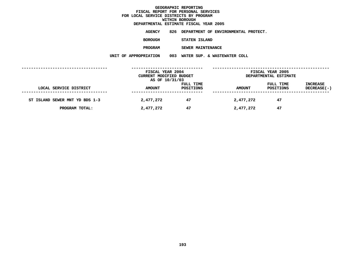## **DEPARTMENTAL**

**ESTIMATE FISCAL YEAR <sup>2005</sup> AGENCY <sup>826</sup> DEPARTMENT OF ENVIRONMENTAL PROTECT.**

**BOROUGH**

 **STATEN ISLAND PROGRAM**

**SEWER MAINTENANCE UNIT OF APPROPRIATION <sup>003</sup> WATER SUP. & WASTEWATER COLL**

|                                | FISCAL YEAR 2004<br>CURRENT MODIFIED BUDGET<br>AS OF 10/31/03 |                        | FISCAL YEAR 2005<br>DEPARTMENTAL ESTIMATE |                        |                                |
|--------------------------------|---------------------------------------------------------------|------------------------|-------------------------------------------|------------------------|--------------------------------|
| LOCAL SERVICE DISTRICT         | <b>AMOUNT</b>                                                 | FULL TIME<br>POSITIONS | <b>AMOUNT</b>                             | FULL TIME<br>POSITIONS | <b>INCREASE</b><br>DECREASE(-) |
| ST ISLAND SEWER MNT YD BDS 1-3 | 2,477,272                                                     | 47                     | 2,477,272                                 | 47                     |                                |
| PROGRAM TOTAL:                 | 2,477,272                                                     | 47                     | 2,477,272                                 | 47                     |                                |
|                                |                                                               |                        |                                           |                        |                                |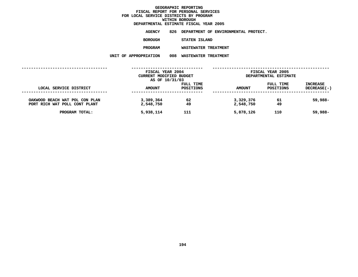# **DEPARTMENTAL**

**ESTIMATE FISCAL YEAR <sup>2005</sup> AGENCY <sup>826</sup> DEPARTMENT OF ENVIRONMENTAL PROTECT.**

**BOROUGH**

**STATEN ISLAND**

**PROGRAM**

**WASTEWATER TREATMENT UNIT OF APPROPRIATION <sup>008</sup> WASTEWATER TREATMENT**

|                                | FISCAL YEAR 2004                          |           |               | FISCAL YEAR 2005      |                    |  |
|--------------------------------|-------------------------------------------|-----------|---------------|-----------------------|--------------------|--|
|                                | CURRENT MODIFIED BUDGET<br>AS OF 10/31/03 |           |               | DEPARTMENTAL ESTIMATE |                    |  |
|                                |                                           | FULL TIME |               | FULL TIME             | <b>INCREASE</b>    |  |
| LOCAL SERVICE DISTRICT         | AMOUNT                                    | POSITIONS | <b>AMOUNT</b> | <b>POSITIONS</b>      | <b>DECREASE(-)</b> |  |
| OAKWOOD BEACH WAT POL CON PLAN | 3,389,364                                 | 62        | 3,329,376     | 61                    | 59,988-            |  |
| PORT RICH WAT POLL CONT PLANT  | 2,548,750                                 | 49        | 2,548,750     | 49                    |                    |  |
| PROGRAM TOTAL:                 | 5,938,114                                 | 111       | 5,878,126     | 110                   | 59,988-            |  |
|                                |                                           |           |               |                       |                    |  |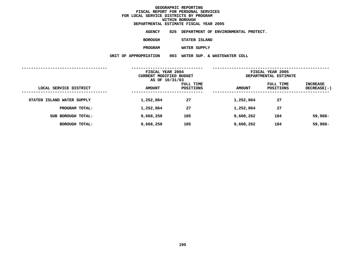|                       | DEPARTMENTAL ESTIMATE FISCAL YEAR 2005   |
|-----------------------|------------------------------------------|
| AGENCY                | 826 DEPARTMENT OF ENVIRONMENTAL PROTECT. |
| <b>BOROUGH</b>        | STATEN ISLAND                            |
| <b>PROGRAM</b>        | WATER SUPPLY                             |
| UNIT OF APPROPRIATION | 003 WATER SUP. & WASTEWATER COLL         |
|                       |                                          |

|                            | FISCAL YEAR 2004<br>CURRENT MODIFIED BUDGET<br>AS OF 10/31/03 |                        | FISCAL YEAR 2005<br>DEPARTMENTAL ESTIMATE |                        |                           |
|----------------------------|---------------------------------------------------------------|------------------------|-------------------------------------------|------------------------|---------------------------|
| LOCAL SERVICE DISTRICT     | <b>AMOUNT</b>                                                 | FULL TIME<br>POSITIONS | <b>AMOUNT</b>                             | FULL TIME<br>POSITIONS | INCREASE<br>$DECREASE(-)$ |
| STATEN ISLAND WATER SUPPLY | 1,252,864                                                     | 27                     | 1,252,864                                 | 27                     |                           |
| PROGRAM TOTAL:             | 1,252,864                                                     | 27                     | 1,252,864                                 | 27                     |                           |
| SUB BOROUGH TOTAL:         | 9,668,250                                                     | 185                    | 9,608,262                                 | 184                    | 59,988-                   |
| BOROUGH TOTAL:             | 9,668,250                                                     | 185                    | 9,608,262                                 | 184                    | 59,988-                   |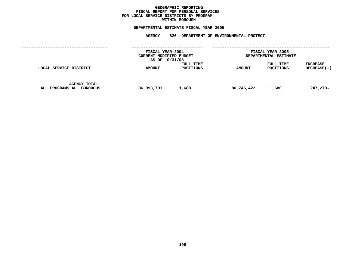## **GEOGRAPHICC REPORTING<br>PERSONAL S<br>ICTS BY PRO FISCAL REPORT FOR PERSONAL SERVICES FOR LOCAL SERVICE DISTRICTS BY PROGRAM WITHIN**

# WITHIN BOROUGH<br>D<mark>EPARTMENTAL ESTIMATE FISC</mark>

|                                                   | FISCAL YEAR 2004<br>CURRENT MODIFIED BUDGET<br>AS OF 10/31/03 |                        | FISCAL YEAR 2005<br>DEPARTMENTAL ESTIMATE |                        |                                  |
|---------------------------------------------------|---------------------------------------------------------------|------------------------|-------------------------------------------|------------------------|----------------------------------|
| LOCAL SERVICE DISTRICT                            | <b>AMOUNT</b>                                                 | FULL TIME<br>POSITIONS | <b>AMOUNT</b>                             | FULL TIME<br>POSITIONS | <b>INCREASE</b><br>$DECREASE(-)$ |
| <b>AGENCY TOTAL:</b><br>ALL PROGRAMS ALL BOROUGHS | 86,993,701                                                    | 1,688                  | 86,746,422                                | 1,680                  | 247,279-                         |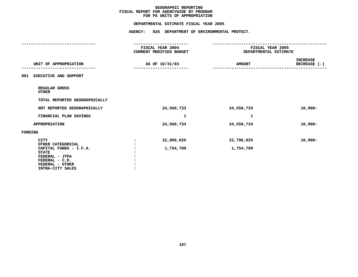# **PS UNITS OF APPROPRIATION DEPARTMENTAL**

|                                                                                                                                                       | FISCAL YEAR 2004<br>CURRENT MODIFIED BUDGET | FISCAL YEAR 2005<br>DEPARTMENTAL ESTIMATE |                                   |  |
|-------------------------------------------------------------------------------------------------------------------------------------------------------|---------------------------------------------|-------------------------------------------|-----------------------------------|--|
| UNIT OF APPROPRIATION                                                                                                                                 | AS OF 10/31/03                              | <b>AMOUNT</b>                             | <b>INCREASE</b><br>DECREASE $(-)$ |  |
| EXECUTIVE AND SUPPORT<br>001                                                                                                                          |                                             |                                           |                                   |  |
| REGULAR GROSS<br><b>OTHER</b>                                                                                                                         |                                             |                                           |                                   |  |
| TOTAL REPORTED GEOGRAPHICALLY                                                                                                                         |                                             |                                           |                                   |  |
| NOT REPORTED GEOGRAPHICALLY                                                                                                                           | 24,560,733                                  | 24,550,733                                | $10,000 -$                        |  |
| FINANCIAL PLAN SAVINGS                                                                                                                                | $\mathbf{1}$                                | 1                                         |                                   |  |
| APPROPRIATION                                                                                                                                         | 24,560,734                                  | 24,550,734                                | $10,000 -$                        |  |
| FUNDING                                                                                                                                               |                                             |                                           |                                   |  |
| <b>CITY</b><br>OTHER CATEGORICAL<br>CAPITAL FUNDS - I.F.A.<br><b>STATE</b><br>FEDERAL - JTPA<br>FEDERAL - C.D.<br>FEDERAL - OTHER<br>INTRA-CITY SALES | 22,806,025<br>1,754,709                     | 22,796,025<br>1,754,709                   | $10,000-$                         |  |
|                                                                                                                                                       |                                             |                                           |                                   |  |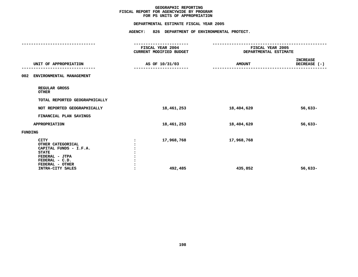# **PS UNITS OF APPROPRIATION DEPARTMENTAL**

|                                                                                                                                                       | FISCAL YEAR 2004<br>CURRENT MODIFIED BUDGET | FISCAL YEAR 2005<br>DEPARTMENTAL ESTIMATE |                                 |
|-------------------------------------------------------------------------------------------------------------------------------------------------------|---------------------------------------------|-------------------------------------------|---------------------------------|
| UNIT OF APPROPRIATION                                                                                                                                 | AS OF 10/31/03                              | <b>AMOUNT</b>                             | <b>INCREASE</b><br>DECREASE (-) |
| ENVIRONMENTAL MANAGEMENT<br>002                                                                                                                       |                                             |                                           |                                 |
| REGULAR GROSS<br><b>OTHER</b>                                                                                                                         |                                             |                                           |                                 |
| TOTAL REPORTED GEOGRAPHICALLY                                                                                                                         |                                             |                                           |                                 |
| NOT REPORTED GEOGRAPHICALLY                                                                                                                           | 18,461,253                                  | 18,404,620                                | $56,633-$                       |
| FINANCIAL PLAN SAVINGS                                                                                                                                |                                             |                                           |                                 |
| <b>APPROPRIATION</b>                                                                                                                                  | 18,461,253                                  | 18,404,620                                | $56,633-$                       |
| FUNDING                                                                                                                                               |                                             |                                           |                                 |
| <b>CITY</b><br>OTHER CATEGORICAL<br>CAPITAL FUNDS - I.F.A.<br><b>STATE</b><br>FEDERAL - JTPA<br>FEDERAL - C.D.<br>FEDERAL - OTHER<br>INTRA-CITY SALES | 17,968,768<br>:<br>492,485                  | 17,968,768<br>435,852                     | $56,633-$                       |
|                                                                                                                                                       |                                             |                                           |                                 |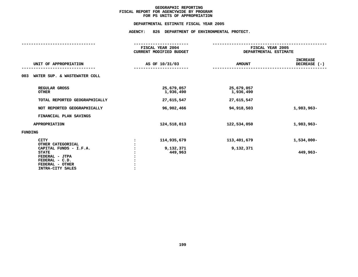# **PS UNITS OF APPROPRIATION DEPARTMENTAL**

| FISCAL YEAR 2004<br>CURRENT MODIFIED BUDGET |                         | FISCAL YEAR 2005<br>DEPARTMENTAL ESTIMATE |  |  |
|---------------------------------------------|-------------------------|-------------------------------------------|--|--|
| AS OF 10/31/03                              | <b>AMOUNT</b>           | <b>INCREASE</b><br>DECREASE (-)           |  |  |
|                                             |                         |                                           |  |  |
| 25,679,057<br>1,936,490                     | 25,679,057<br>1,936,490 |                                           |  |  |
| 27,615,547                                  | 27,615,547              |                                           |  |  |
| 96,902,466                                  | 94, 918, 503            | 1,983,963-                                |  |  |
|                                             |                         |                                           |  |  |
| 124,518,013                                 | 122,534,050             | 1,983,963-                                |  |  |
|                                             |                         |                                           |  |  |
| 114,935,679                                 | 113,401,679             | 1,534,000-                                |  |  |
| 9,132,371<br>449,963                        | 9,132,371               | 449,963-                                  |  |  |
|                                             |                         |                                           |  |  |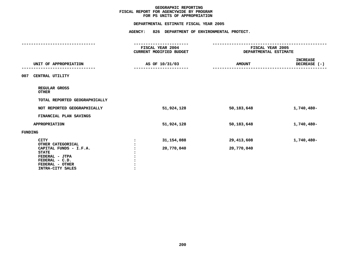# **PS UNITS OF APPROPRIATION DEPARTMENTAL**

|                                                                            | FISCAL YEAR 2004<br>CURRENT MODIFIED BUDGET | FISCAL YEAR 2005<br>DEPARTMENTAL ESTIMATE |                                 |  |
|----------------------------------------------------------------------------|---------------------------------------------|-------------------------------------------|---------------------------------|--|
| UNIT OF APPROPRIATION                                                      | AS OF 10/31/03                              | <b>AMOUNT</b>                             | <b>INCREASE</b><br>DECREASE (-) |  |
| 007<br>CENTRAL UTILITY                                                     |                                             |                                           |                                 |  |
| REGULAR GROSS<br><b>OTHER</b>                                              |                                             |                                           |                                 |  |
| TOTAL REPORTED GEOGRAPHICALLY                                              |                                             |                                           |                                 |  |
| NOT REPORTED GEOGRAPHICALLY                                                | 51,924,128                                  | 50,183,648                                | 1,740,480-                      |  |
| FINANCIAL PLAN SAVINGS                                                     |                                             |                                           |                                 |  |
| <b>APPROPRIATION</b>                                                       | 51,924,128                                  | 50,183,648                                | 1,740,480-                      |  |
| FUNDING                                                                    |                                             |                                           |                                 |  |
| <b>CITY</b><br>OTHER CATEGORICAL<br>CAPITAL FUNDS - I.F.A.<br><b>STATE</b> | 31,154,088<br>20,770,040                    | 29, 413, 608<br>20,770,040                | 1,740,480-                      |  |
| FEDERAL - JTPA<br>FEDERAL - C.D.<br>FEDERAL - OTHER<br>INTRA-CITY SALES    |                                             |                                           |                                 |  |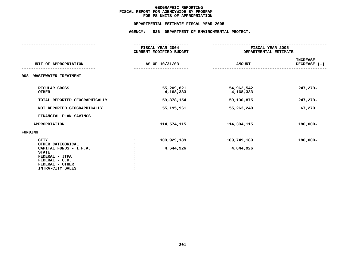# **PS UNITS OF APPROPRIATION DEPARTMENTAL**

| -----------------                                                                                                 |                                             |                                           |                                 |  |  |
|-------------------------------------------------------------------------------------------------------------------|---------------------------------------------|-------------------------------------------|---------------------------------|--|--|
|                                                                                                                   | FISCAL YEAR 2004<br>CURRENT MODIFIED BUDGET | FISCAL YEAR 2005<br>DEPARTMENTAL ESTIMATE |                                 |  |  |
| UNIT OF APPROPRIATION                                                                                             | AS OF 10/31/03                              | <b>AMOUNT</b>                             | <b>INCREASE</b><br>DECREASE (-) |  |  |
| <b>WASTEWATER TREATMENT</b><br>008                                                                                |                                             |                                           |                                 |  |  |
| REGULAR GROSS<br><b>OTHER</b>                                                                                     | 55,209,821<br>4,168,333                     | 54,962,542<br>4,168,333                   | 247,279-                        |  |  |
| TOTAL REPORTED GEOGRAPHICALLY                                                                                     | 59,378,154                                  | 59,130,875                                | 247,279-                        |  |  |
| NOT REPORTED GEOGRAPHICALLY                                                                                       | 55,195,961                                  | 55,263,240                                | 67,279                          |  |  |
| FINANCIAL PLAN SAVINGS                                                                                            |                                             |                                           |                                 |  |  |
| <b>APPROPRIATION</b>                                                                                              | 114,574,115                                 | 114,394,115                               | $180,000 -$                     |  |  |
| <b>FUNDING</b>                                                                                                    |                                             |                                           |                                 |  |  |
| <b>CITY</b><br>OTHER CATEGORICAL                                                                                  | 109,929,189                                 | 109,749,189                               | $180,000 -$                     |  |  |
| CAPITAL FUNDS - I.F.A.<br><b>STATE</b><br>FEDERAL - JTPA<br>FEDERAL - C.D.<br>FEDERAL - OTHER<br>INTRA-CITY SALES | 4,644,926                                   | 4,644,926                                 |                                 |  |  |
|                                                                                                                   |                                             |                                           |                                 |  |  |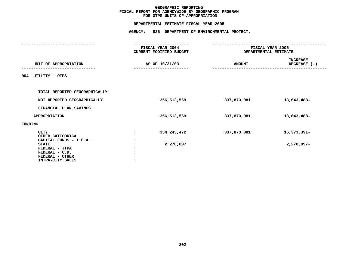# **OTPS UNITS OF APPROPRIATION DEPARTMENTAL**

|                                                                                         | FISCAL YEAR 2004<br><b>CURRENT MODIFIED BUDGET</b> | FISCAL YEAR 2005<br>DEPARTMENTAL ESTIMATE |                                 |  |
|-----------------------------------------------------------------------------------------|----------------------------------------------------|-------------------------------------------|---------------------------------|--|
| UNIT OF APPROPRIATION                                                                   | AS OF 10/31/03                                     | <b>AMOUNT</b>                             | <b>INCREASE</b><br>DECREASE (-) |  |
| UTILITY - OTPS<br>004                                                                   |                                                    |                                           |                                 |  |
| TOTAL REPORTED GEOGRAPHICALLY                                                           |                                                    |                                           |                                 |  |
| NOT REPORTED GEOGRAPHICALLY                                                             | 356,513,569                                        | 337,870,081                               | 18,643,488-                     |  |
| FINANCIAL PLAN SAVINGS                                                                  |                                                    |                                           |                                 |  |
| <b>APPROPRIATION</b>                                                                    | 356,513,569                                        | 337,870,081                               | 18,643,488-                     |  |
| FUNDING                                                                                 |                                                    |                                           |                                 |  |
| <b>CITY</b><br>OTHER CATEGORICAL<br>CAPITAL FUNDS - I.F.A.                              | 354, 243, 472                                      | 337,870,081                               | 16,373,391-                     |  |
| <b>STATE</b><br>FEDERAL - JTPA<br>FEDERAL - C.D.<br>FEDERAL - OTHER<br>INTRA-CITY SALES | 2,270,097                                          |                                           | $2,270,097-$                    |  |
|                                                                                         |                                                    |                                           |                                 |  |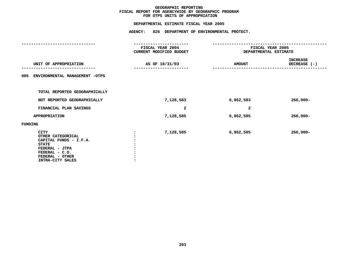# **OTPS UNITS OF APPROPRIATION DEPARTMENTAL**

|                                                                                                                                                       | FISCAL YEAR 2004<br>CURRENT MODIFIED BUDGET | FISCAL YEAR 2005<br>DEPARTMENTAL ESTIMATE |                                             |  |
|-------------------------------------------------------------------------------------------------------------------------------------------------------|---------------------------------------------|-------------------------------------------|---------------------------------------------|--|
| UNIT OF APPROPRIATION                                                                                                                                 | AS OF 10/31/03                              | <b>AMOUNT</b>                             | <b>INCREASE</b><br>DECREASE (-)<br>-------- |  |
| ENVIRONMENTAL MANAGEMENT -OTPS<br>005                                                                                                                 |                                             |                                           |                                             |  |
| TOTAL REPORTED GEOGRAPHICALLY                                                                                                                         |                                             |                                           |                                             |  |
| NOT REPORTED GEOGRAPHICALLY                                                                                                                           | 7,128,583                                   | 6,862,583                                 | $266,000 -$                                 |  |
| FINANCIAL PLAN SAVINGS                                                                                                                                | 2                                           | $\overline{\mathbf{2}}$                   |                                             |  |
| <b>APPROPRIATION</b>                                                                                                                                  | 7,128,585                                   | 6,862,585                                 | $266,000 -$                                 |  |
| FUNDING                                                                                                                                               |                                             |                                           |                                             |  |
| <b>CITY</b><br>OTHER CATEGORICAL<br>CAPITAL FUNDS - I.F.A.<br><b>STATE</b><br>FEDERAL - JTPA<br>FEDERAL - C.D.<br>FEDERAL - OTHER<br>INTRA-CITY SALES | 7,128,585                                   | 6,862,585                                 | $266,000 -$                                 |  |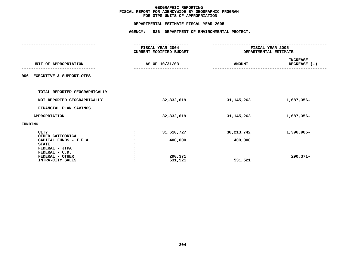# **OTPS UNITS OF APPROPRIATION DEPARTMENTAL**

|                                            | FISCAL YEAR 2004<br>CURRENT MODIFIED BUDGET |               | FISCAL YEAR 2005<br>DEPARTMENTAL ESTIMATE |
|--------------------------------------------|---------------------------------------------|---------------|-------------------------------------------|
| UNIT OF APPROPRIATION                      | AS OF 10/31/03                              | <b>AMOUNT</b> | <b>INCREASE</b><br>DECREASE (-)           |
| <b>EXECUTIVE &amp; SUPPORT-OTPS</b><br>006 |                                             |               |                                           |
| TOTAL REPORTED GEOGRAPHICALLY              |                                             |               |                                           |
| NOT REPORTED GEOGRAPHICALLY                | 32,832,619                                  | 31, 145, 263  | 1,687,356-                                |
| FINANCIAL PLAN SAVINGS                     |                                             |               |                                           |
| APPROPRIATION                              | 32,832,619                                  | 31,145,263    | 1,687,356-                                |
| FUNDING                                    |                                             |               |                                           |
| <b>CITY</b><br>OTHER CATEGORICAL           | 31,610,727                                  | 30, 213, 742  | 1,396,985-                                |
| CAPITAL FUNDS - I.F.A.<br><b>STATE</b>     | 400,000                                     | 400,000       |                                           |
| FEDERAL - JTPA<br>FEDERAL - C.D.           |                                             |               |                                           |
| FEDERAL - OTHER<br>INTRA-CITY SALES        | 290,371<br>531,521                          | 531,521       | 290,371-                                  |
|                                            |                                             |               |                                           |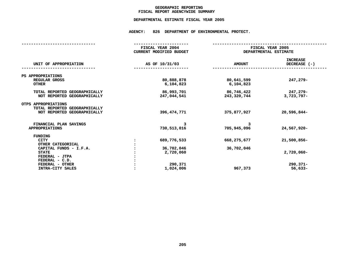# **GEOGRAPHICC REPORTING<br>ENCYWIDE SU<br>--- ------**-**FISCAL**

# **REPORT AGENCYWIDE SUMMARY DEPARTMENTAL ESTIMATE FISCAL YEAR <sup>2005</sup>**

# **AGENCY: <sup>826</sup> DEPARTMENT OF ENVIRONMENTAL PROTECT.**

|                               | FISCAL YEAR 2004        |               | FISCAL YEAR 2005      |
|-------------------------------|-------------------------|---------------|-----------------------|
|                               | CURRENT MODIFIED BUDGET |               | DEPARTMENTAL ESTIMATE |
|                               |                         |               |                       |
|                               |                         |               | <b>INCREASE</b>       |
| UNIT OF APPROPRIATION         | AS OF 10/31/03          | <b>AMOUNT</b> | DECREASE (-)          |
|                               |                         |               |                       |
| PS APPROPRIATIONS             |                         |               |                       |
| REGULAR GROSS                 | 80,888,878              | 80,641,599    | 247,279-              |
| <b>OTHER</b>                  | 6,104,823               | 6,104,823     |                       |
|                               |                         |               |                       |
| TOTAL REPORTED GEOGRAPHICALLY | 86,993,701              | 86,746,422    | 247,279-              |
| NOT REPORTED GEOGRAPHICALLY   | 247,044,541             | 243,320,744   | $3,723,797-$          |
|                               |                         |               |                       |
| OTPS APPROPRIATIONS           |                         |               |                       |
| TOTAL REPORTED GEOGRAPHICALLY |                         |               |                       |
| NOT REPORTED GEOGRAPHICALLY   | 396, 474, 771           | 375,877,927   | 20,596,844-           |
|                               |                         |               |                       |
| FINANCIAL PLAN SAVINGS        | 3                       | 3             |                       |
| <b>APPROPRIATIONS</b>         | 730,513,016             | 705,945,096   | 24,567,920-           |
|                               |                         |               |                       |
| <b>FUNDING</b>                |                         |               |                       |
| <b>CITY</b>                   | 689,776,533             | 668,275,677   | 21,500,856-           |
| OTHER CATEGORICAL             |                         |               |                       |
| CAPITAL FUNDS - I.F.A.        | 36,702,046              | 36,702,046    |                       |
| <b>STATE</b>                  | 2,720,060               |               | $2,720,060 -$         |
| FEDERAL - JTPA                |                         |               |                       |
| FEDERAL - C.D.                |                         |               |                       |
| FEDERAL - OTHER               | 290,371                 |               | $290,371 -$           |
| INTRA-CITY SALES              | 1,024,006               | 967,373       | $56,633-$             |
|                               |                         |               |                       |
|                               |                         |               |                       |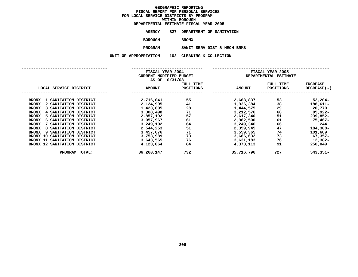| DEPARTMENTAL ESTIMATE FISCAL YEAR 2005 |                              |  |  |
|----------------------------------------|------------------------------|--|--|
| AGENCY                                 | 827 DEPARTMENT OF SANITATION |  |  |
| <b>BOROUGH</b>                         | <b>BRONX</b>                 |  |  |
| <b>PROGRAM</b>                         | SANIT SERV DIST & MECH B     |  |  |

**SANIT SERV DIST & MECH BRMS UNIT OF APPROPRIATION <sup>102</sup> CLEANING & COLLECTION**

|                                           | FISCAL YEAR 2004        |           |               | FISCAL YEAR 2005      |                 |
|-------------------------------------------|-------------------------|-----------|---------------|-----------------------|-----------------|
|                                           | CURRENT MODIFIED BUDGET |           |               | DEPARTMENTAL ESTIMATE |                 |
|                                           | AS OF 10/31/03          |           |               |                       |                 |
|                                           |                         | FULL TIME |               | FULL TIME             | <b>INCREASE</b> |
| LOCAL SERVICE DISTRICT                    | <b>AMOUNT</b>           | POSITIONS | <b>AMOUNT</b> | <b>POSITIONS</b>      | DECREASE(-)     |
|                                           |                         |           |               |                       |                 |
| <b>BRONX</b><br>SANITATION DISTRICT       | 2,716,041               | 55        | 2,663,837     | 53                    | $52,204-$       |
| 2 SANITATION DISTRICT<br><b>BRONX</b>     | 2,124,995               | 41        | 1,936,384     | 38                    | 188,611-        |
| SANITATION DISTRICT<br><b>BRONX</b>       | 1,423,805               | 28        | 1,444,575     | 29                    | 20,770          |
| SANITATION DISTRICT<br><b>BRONX</b><br>4  | 3,308,498               | 71        | 3,212,576     | 68                    | 95,922-         |
| SANITATION DISTRICT<br><b>BRONX</b><br>5. | 2,857,192               | 57        | 2,617,340     | 51                    | 239,852-        |
| <b>BRONX</b><br>SANITATION DISTRICT<br>6  | 3,057,967               | 61        | 2,982,500     | 61                    | 75,467-         |
| <b>BRONX</b><br>SANITATION DISTRICT       | 3,249,102               | 64        | 3,249,346     | 66                    | 244             |
| SANITATION DISTRICT<br><b>BRONX</b><br>8  | 2,544,253               | 51        | 2,359,945     | 47                    | 184,308-        |
| <b>BRONX</b><br>SANITATION DISTRICT<br>9  | 3,457,676               | 71        | 3,559,365     | 74                    | 101,689         |
| SANITATION DISTRICT<br>BRONX 10           | 3,753,989               | 73        | 3,686,632     | 73                    | $67,357-$       |
| SANITATION DISTRICT<br>BRONX 11           | 3,643,565               | 76        | 3,631,183     | 76                    | 12,382-         |
| BRONX 12 SANITATION DISTRICT              | 4,123,064               | 84        | 4,373,113     | 91                    | 250,049         |
| PROGRAM TOTAL:                            | 36,260,147              | 732       | 35,716,796    | 727                   | 543,351-        |
|                                           |                         |           |               |                       |                 |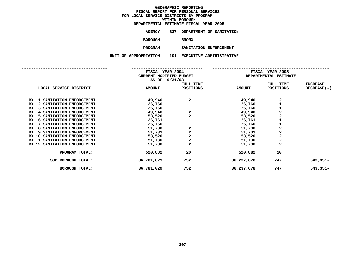**ESTIMATE FISCAL YEAR <sup>2005</sup> AGENCY <sup>827</sup> DEPARTMENT OF SANITATION**

**BOROUGH**

BRONX<br>SANITATION ENFORCEMENT **PROGRAM**

**SANITATION ENFORCEMENT UNIT OF APPROPRIATION <sup>101</sup> EXECUTIVE ADMINISTRATIVE**

|                                       | FISCAL YEAR 2004<br>CURRENT MODIFIED BUDGET<br>AS OF 10/31/03 |                |               | FISCAL YEAR 2005<br>DEPARTMENTAL ESTIMATE |                 |
|---------------------------------------|---------------------------------------------------------------|----------------|---------------|-------------------------------------------|-----------------|
|                                       |                                                               | FULL TIME      |               | FULL TIME                                 | <b>INCREASE</b> |
| LOCAL SERVICE DISTRICT                | <b>AMOUNT</b>                                                 | POSITIONS      | <b>AMOUNT</b> | POSITIONS                                 | DECREASE(-)     |
| 1 SANITATION ENFORCEMENT<br>BX        | 49,940                                                        |                | 49,940        | 2                                         |                 |
| BX<br>2 SANITATION ENFORCEMENT        | 26,760                                                        |                | 26,760        |                                           |                 |
| BX<br>3 SANITATION ENFORCEMENT        | 26,760                                                        | 21122          | 26,760        |                                           |                 |
| 4 SANITATION ENFORCEMENT<br>BX        | 49,940                                                        |                | 49,940        |                                           |                 |
| 5 SANITATION ENFORCEMENT<br>BX        | 53,520                                                        |                | 53,520        | $\frac{1}{2}$                             |                 |
| 6 SANITATION ENFORCEMENT<br>ВX        | 26,761                                                        |                | 26,761        |                                           |                 |
| BX<br>SANITATION ENFORCEMENT          | 26,760                                                        | 11222          | 26,760        |                                           |                 |
| BX<br>8 SANITATION ENFORCEMENT        | 51,730                                                        |                | 51,730        |                                           |                 |
| BX<br>9 SANITATION ENFORCEMENT        | 51,731                                                        |                | 51,731        |                                           |                 |
| BX 10 SANITATION ENFORCEMENT          | 53,520                                                        |                | 53,520        | $\frac{2}{2}$                             |                 |
| <b>11SANITATION ENFORCEMENT</b><br>BX | 51,730                                                        |                | 51,730        | $\overline{a}$                            |                 |
| BX 12 SANITATION ENFORCEMENT          | 51,730                                                        | $\overline{a}$ | 51,730        | $\overline{a}$                            |                 |
| PROGRAM TOTAL:                        | 520,882                                                       | 20             | 520,882       | 20                                        |                 |
| SUB BOROUGH TOTAL:                    | 36,781,029                                                    | 752            | 36,237,678    | 747                                       | $543,351-$      |
| <b>BOROUGH TOTAL:</b>                 | 36,781,029                                                    | 752            | 36,237,678    | 747                                       | $543,351-$      |
|                                       |                                                               |                |               |                                           |                 |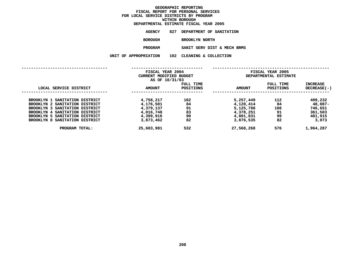|                       | DEPARTMENTAL ESTIMATE FISCAL YEAR 2005 |
|-----------------------|----------------------------------------|
| AGENCY                | 827 DEPARTMENT OF SANITATION           |
| BOROUGH               | <b>BROOKLYN NORTH</b>                  |
| <b>PROGRAM</b>        | SANIT SERV DIST & MECH BRMS            |
| UNIT OF APPROPRIATION | 102 CLEANING & COLLECTION              |
|                       |                                        |

|                                | FISCAL YEAR 2004        |                        | FISCAL YEAR 2005 |                               |                           |
|--------------------------------|-------------------------|------------------------|------------------|-------------------------------|---------------------------|
|                                | CURRENT MODIFIED BUDGET |                        |                  | DEPARTMENTAL ESTIMATE         |                           |
|                                | AS OF 10/31/03          |                        |                  |                               |                           |
| LOCAL SERVICE DISTRICT         | <b>AMOUNT</b>           | FULL TIME<br>POSITIONS | <b>AMOUNT</b>    | FULL TIME<br><b>POSITIONS</b> | INCREASE<br>$DECREASE(-)$ |
|                                |                         |                        |                  |                               |                           |
| BROOKLYN 1 SANITATION DISTRICT | 4,758,217               | 102                    | 5,257,449        | 112                           | 499,232                   |
| BROOKLYN 2 SANITATION DISTRICT | 4,176,501               | 84                     | 4,128,414        | 84                            | 48,087-                   |
| BROOKLYN 3 SANITATION DISTRICT | 4,379,137               | 91                     | 5,125,788        | 108                           | 746,651                   |
| BROOKLYN 4 SANITATION DISTRICT | 4,016,748               | 83                     | 4,378,251        | 91                            | 361,503                   |
| BROOKLYN 5 SANITATION DISTRICT | 4,399,916               | 90                     | 4,801,831        | 99                            | 401,915                   |
| BROOKLYN 8 SANITATION DISTRICT | 3,873,462               | 82                     | 3,876,535        | 82                            | 3,073                     |
| PROGRAM TOTAL:                 | 25,603,981              | 532                    | 27,568,268       | 576                           | 1,964,287                 |
|                                |                         |                        |                  |                               |                           |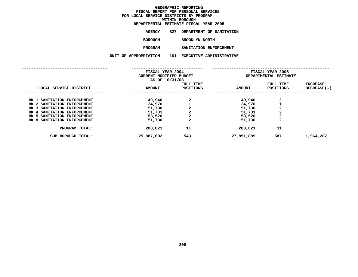| DEPARTMENTAL ESTIMATE FISCAL YEAR 2005 |     |                       |                          |
|----------------------------------------|-----|-----------------------|--------------------------|
| AGENCY                                 | 827 |                       | DEPARTMENT OF SANITATION |
| <b>BOROUGH</b>                         |     | <b>BROOKLYN NORTH</b> |                          |
| <b>PROGRAM</b>                         |     |                       | SANITATION ENFORCEMENT   |
| UNIT OF APPROPRIATION                  | 101 |                       | EXECUTIVE ADMINISTRATIVE |
|                                        |     |                       |                          |

|                                | FISCAL YEAR 2004<br>CURRENT MODIFIED BUDGET<br>AS OF 10/31/03 |                        | <b>FISCAL YEAR 2005</b><br>DEPARTMENTAL ESTIMATE |                               |                         |  |
|--------------------------------|---------------------------------------------------------------|------------------------|--------------------------------------------------|-------------------------------|-------------------------|--|
| LOCAL SERVICE DISTRICT         | <b>AMOUNT</b>                                                 | FULL TIME<br>POSITIONS | <b>AMOUNT</b>                                    | FULL TIME<br><b>POSITIONS</b> | INCREASE<br>DECREASE(-) |  |
| BK 1 SANITATION ENFORCEMENT    | 49,940                                                        |                        | 49,940                                           | 2                             |                         |  |
| BK 2 SANITATION ENFORCEMENT    | 24,970                                                        |                        | 24,970                                           |                               |                         |  |
| SANITATION ENFORCEMENT<br>BK 3 | 51,730                                                        |                        | 51,730                                           | 2                             |                         |  |
| BK 4 SANITATION ENFORCEMENT    | 51,731                                                        | $\mathbf{2}$           | 51,731                                           | 2                             |                         |  |
| BK 5 SANITATION ENFORCEMENT    | 53,520                                                        | $\mathbf{2}$           | 53,520                                           | $\mathbf{2}$                  |                         |  |
| BK 8 SANITATION ENFORCEMENT    | 51,730                                                        | $\mathbf{2}$           | 51,730                                           | $\mathbf{2}$                  |                         |  |
| PROGRAM TOTAL:                 | 283,621                                                       | 11                     | 283,621                                          | 11                            |                         |  |
| SUB BOROUGH TOTAL:             | 25,887,602                                                    | 543                    | 27,851,889                                       | 587                           | 1,964,287               |  |
|                                |                                                               |                        |                                                  |                               |                         |  |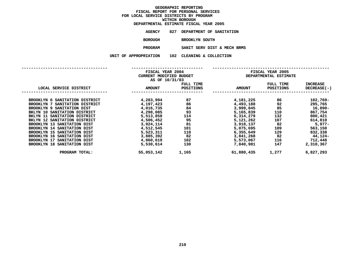|                       | DEPARTMENTAL ESTIMATE FISCAL YEAR 2005 |
|-----------------------|----------------------------------------|
| AGENCY                | 827 DEPARTMENT OF SANITATION           |
| BOROUGH               | BROOKLYN SOUTH                         |
| <b>PROGRAM</b>        | SANIT SERV DIST & MECH BRMS            |
| UNIT OF APPROPRIATION | 102 CLEANING & COLLECTION              |
|                       |                                        |

| FISCAL YEAR 2004                   |                         |                  | FISCAL YEAR 2005 |                       |                 |  |  |
|------------------------------------|-------------------------|------------------|------------------|-----------------------|-----------------|--|--|
|                                    | CURRENT MODIFIED BUDGET |                  |                  | DEPARTMENTAL ESTIMATE |                 |  |  |
|                                    | AS OF 10/31/03          |                  |                  |                       |                 |  |  |
|                                    |                         | FULL TIME        |                  | FULL TIME             | <b>INCREASE</b> |  |  |
| LOCAL SERVICE DISTRICT             | <b>AMOUNT</b>           | <b>POSITIONS</b> | <b>AMOUNT</b>    | <b>POSITIONS</b>      | DECREASE(-)     |  |  |
|                                    |                         |                  |                  |                       |                 |  |  |
| BROOKLYN 6 SANITATION DISTRICT     | 4,283,994               | 87               | 4,181,225        | 86                    | 102,769-        |  |  |
| BROOKLYN 7 SANITATION DISTRICT     | 4,197,423               | 86               | 4,493,188        | 92                    | 295,765         |  |  |
| BROOKLYN 9 SANITATION DIST         | 4,016,735               | 84               | 3,999,845        | 85                    | 16,890-         |  |  |
| BKLYN 10 SANITATION DISTRICT       | 4,298,085               | 93               | 5,165,839        | 110                   | 867,754         |  |  |
| BKLYN 11 SANITATION DISTRICT       | 5,513,858               | 114              | 6,314,279        | 132                   | 800,421         |  |  |
| BKLYN 12 SANITATION DISTRICT       | 4,506,452               | 95               | 5,121,262        | 107                   | 614,810         |  |  |
| BROOKLYN 13 SANITATION DIST        | 3,924,114               | 81               | 3,918,137        | 82                    | $5,977-$        |  |  |
| BROOKLYN 14 SANITATION DIST        | 4,512,545               | 101              | 5,075,695        | 109                   | 563,150         |  |  |
| BROOKLYN 15 SANITATION DIST        | 5,523,311               | 110              | 6,355,649        | 129                   | 832,338         |  |  |
| BROOKLYN 16 SANITATION DIST        | 3,885,392               | 82               | 3,841,268        | 82                    | 44,124-         |  |  |
| BROOKLYN 17 SANITATION DIST        | 4,860,619               | 102              | 5,573,067        | 116                   | 712,448         |  |  |
| <b>BROOKLYN 18 SANITATION DIST</b> | 5,530,614               | 130              | 7,840,981        | 147                   | 2,310,367       |  |  |
| PROGRAM TOTAL:                     | 55,053,142              | 1,165            | 61,880,435       | 1,277                 | 6,827,293       |  |  |
|                                    |                         |                  |                  |                       |                 |  |  |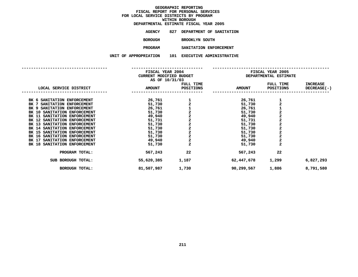| DEPARTMENTAL ESTIMATE FISCAL YEAR 2005 |     |                |                                 |
|----------------------------------------|-----|----------------|---------------------------------|
| AGENCY                                 | 827 |                | DEPARTMENT OF SANITATION        |
| <b>BOROUGH</b>                         |     | BROOKLYN SOUTH |                                 |
| <b>PROGRAM</b>                         |     |                | SANITATION ENFORCEMENT          |
| UNIT OF APPROPRIATION                  | 101 |                | <b>EXECUTIVE ADMINISTRATIVE</b> |
|                                        |     |                |                                 |

|                              | FISCAL YEAR 2004<br>CURRENT MODIFIED BUDGET<br>AS OF 10/31/03 |                         | FISCAL YEAR 2005<br>DEPARTMENTAL ESTIMATE |                                                   |                    |  |
|------------------------------|---------------------------------------------------------------|-------------------------|-------------------------------------------|---------------------------------------------------|--------------------|--|
|                              |                                                               | FULL TIME               |                                           | FULL TIME                                         | <b>INCREASE</b>    |  |
| LOCAL SERVICE DISTRICT       | <b>AMOUNT</b>                                                 | POSITIONS               | <b>AMOUNT</b>                             | <b>POSITIONS</b>                                  | <b>DECREASE(-)</b> |  |
| BK 6 SANITATION ENFORCEMENT  | 26,761                                                        |                         | 26,761                                    |                                                   |                    |  |
| BK 7 SANITATION ENFORCEMENT  | 51,730                                                        |                         | 51,730                                    | $\frac{1}{2}$                                     |                    |  |
| BK 9 SANITATION ENFORCEMENT  | 26,761                                                        |                         | 26,761                                    |                                                   |                    |  |
| BK 10 SANITATION ENFORCEMENT | 51,730                                                        |                         | 51,730                                    |                                                   |                    |  |
| BK 11 SANITATION ENFORCEMENT | 49,940                                                        |                         | 49,940                                    |                                                   |                    |  |
| BK 12 SANITATION ENFORCEMENT | 51,731                                                        | 1 2 1 2 2 2 2 2 2 2 2 2 | 51,731                                    | $\begin{array}{c}\n1 \\ 2 \\ 2 \\ 2\n\end{array}$ |                    |  |
| BK 13 SANITATION ENFORCEMENT | 51,730                                                        |                         | 51,730                                    |                                                   |                    |  |
| BK 14 SANITATION ENFORCEMENT | 51,730                                                        |                         | 51,730                                    | $\begin{array}{c}\n2 \\ 2 \\ 2\n\end{array}$      |                    |  |
| BK 15 SANITATION ENFORCEMENT | 51,730                                                        |                         | 51,730                                    |                                                   |                    |  |
| BK 16 SANITATION ENFORCEMENT | 51,730                                                        |                         | 51,730                                    |                                                   |                    |  |
| BK 17 SANITATION ENFORCEMENT | 49,940                                                        |                         | 49,940                                    | $\overline{\mathbf{c}}$                           |                    |  |
| BK 18 SANITATION ENFORCEMENT | 51,730                                                        | $\overline{\mathbf{2}}$ | 51,730                                    | $\overline{\mathbf{2}}$                           |                    |  |
| PROGRAM TOTAL:               | 567,243                                                       | 22                      | 567,243                                   | 22                                                |                    |  |
| SUB BOROUGH TOTAL:           | 55,620,385                                                    | 1,187                   | 62,447,678                                | 1,299                                             | 6,827,293          |  |
| <b>BOROUGH TOTAL:</b>        | 81,507,987                                                    | 1,730                   | 90,299,567                                | 1,886                                             | 8,791,580          |  |
|                              |                                                               |                         |                                           |                                                   |                    |  |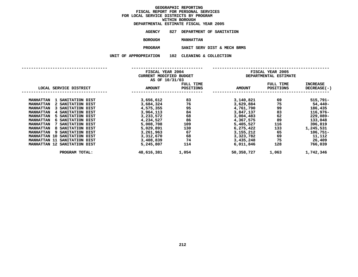| DEPARTMENTAL ESTIMATE FISCAL YEAR 2005 |                              |  |  |  |
|----------------------------------------|------------------------------|--|--|--|
| AGENCY                                 | 827 DEPARTMENT OF SANITATION |  |  |  |
| <b>BOROUGH</b>                         | <b>MANHATTAN</b>             |  |  |  |
| <b>PROGRAM</b>                         | SANIT SERV DIST & MECH B     |  |  |  |

**SANIT SERV DIST & MECH BRMS UNIT OF APPROPRIATION <sup>102</sup> CLEANING & COLLECTION**

|                                              | FISCAL YEAR 2004                          |           | FISCAL YEAR 2005 |                       |                 |  |  |
|----------------------------------------------|-------------------------------------------|-----------|------------------|-----------------------|-----------------|--|--|
|                                              | CURRENT MODIFIED BUDGET<br>AS OF 10/31/03 |           |                  | DEPARTMENTAL ESTIMATE |                 |  |  |
|                                              |                                           | FULL TIME |                  | FULL TIME             | <b>INCREASE</b> |  |  |
| LOCAL SERVICE DISTRICT                       | <b>AMOUNT</b>                             | POSITIONS | <b>AMOUNT</b>    | <b>POSITIONS</b>      | DECREASE(-)     |  |  |
|                                              |                                           |           |                  |                       |                 |  |  |
| <b>MANHATTAN</b><br>1 SANITATION DIST        | 3,656,612                                 | 83        | 3,140,821        | 69                    | 515,791-        |  |  |
| <b>MANHATTAN</b><br>2 SANITATION DIST        | 3,684,324                                 | 76        | 3,629,884        | 75                    | 54,440-         |  |  |
| <b>MANHATTAN</b><br>3 SANITATION DIST        | 4,575,355                                 | 95        | 4,761,790        | 99                    | 186,435         |  |  |
| <b>MANHATTAN</b><br>4 SANITATION DIST        | 3,964,113                                 | 84        | 3,847,137        | 83                    | 116,976-        |  |  |
| <b>MANHATTAN</b><br>5 SANITATION DIST        | 3,233,572                                 | 68        | 3,004,483        | 62                    | $229,089-$      |  |  |
| <b>MANHATTAN</b><br>6 SANITATION DIST        | 4,234,527                                 | 86        | 4,367,575        | 89                    | 133,048         |  |  |
| <b>MANHATTAN</b><br>7 SANITATION DIST        | 5,008,708                                 | 109       | 5,405,527        | 116                   | 396,819         |  |  |
| <b>MANHATTAN</b><br>8 SANITATION DIST        | 5,029,891                                 | 130       | 6,275,422        | 133                   | 1,245,531       |  |  |
| <b>MANHATTAN</b><br><b>9 SANITATION DIST</b> | 3,261,963                                 | 67        | 3,155,212        | 65                    | $106,751 -$     |  |  |
| <b>MANHATTAN 10</b><br>SANITATION DIST       | 3,312,670                                 | 68        | 3,323,782        | 69                    | 11,112          |  |  |
| <b>MANHATTAN 11</b><br>SANITATION DIST       | 3,408,839                                 | 74        | 3,435,248        | 75                    | 26,409          |  |  |
| MANHATTAN 12 SANITATION DIST                 | 5,245,807                                 | 114       | 6,011,846        | 128                   | 766,039         |  |  |
| PROGRAM TOTAL:                               | 48,616,381                                | 1,054     | 50,358,727       | 1,063                 | 1,742,346       |  |  |
|                                              |                                           |           |                  |                       |                 |  |  |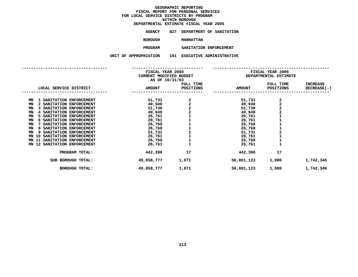**ESTIMATE FISCAL YEAR <sup>2005</sup> AGENCY <sup>827</sup> DEPARTMENT OF SANITATION**

**BOROUGH**

 **MANHATTAN PROGRAM**

**SANITATION ENFORCEMENT UNIT OF APPROPRIATION <sup>101</sup> EXECUTIVE ADMINISTRATIVE**

|                                   | FISCAL YEAR 2004        |                          | FISCAL YEAR 2005 |                       |                    |
|-----------------------------------|-------------------------|--------------------------|------------------|-----------------------|--------------------|
|                                   | CURRENT MODIFIED BUDGET |                          |                  | DEPARTMENTAL ESTIMATE |                    |
|                                   | AS OF 10/31/03          |                          |                  |                       |                    |
|                                   |                         | FULL TIME                |                  | FULL TIME             | <b>INCREASE</b>    |
| LOCAL SERVICE DISTRICT            | <b>AMOUNT</b>           | POSITIONS                | <b>AMOUNT</b>    | POSITIONS             | <b>DECREASE(-)</b> |
|                                   |                         |                          |                  |                       |                    |
| 1 SANITATION ENFORCEMENT<br>ΜN    | 51,731                  | $2$<br>$2$<br>$2$<br>$1$ | 51,731           | $\frac{2}{2}$         |                    |
| 2 SANITATION ENFORCEMENT<br>MN    | 49,940                  |                          | 49,940           |                       |                    |
| MN<br>3 SANITATION ENFORCEMENT    | 51,730                  |                          | 51,730           |                       |                    |
| 4 SANITATION ENFORCEMENT<br>MN    | 49,940                  |                          | 49,940           |                       |                    |
| SANITATION ENFORCEMENT<br>MN      | 26,761                  |                          | 26,761           |                       |                    |
| 6 SANITATION ENFORCEMENT<br>ΜN    | 26,761                  |                          | 26,761           |                       |                    |
| SANITATION ENFORCEMENT<br>MN      | 26,760                  |                          | 26,760           |                       |                    |
| SANITATION ENFORCEMENT<br>MN      | 26,760                  | 111211                   | 26,760           |                       |                    |
| SANITATION ENFORCEMENT<br>MN<br>9 | 51,731                  |                          | 51,731           |                       |                    |
| SANITATION ENFORCEMENT<br>MN 10   | 26,761                  |                          | 26,761           |                       |                    |
| SANITATION ENFORCEMENT<br>MN 11   | 26,760                  |                          | 26,760           |                       |                    |
| MN 12 SANITATION ENFORCEMENT      | 26,761                  |                          | 26,761           |                       |                    |
| PROGRAM TOTAL:                    | 442,396                 | 17                       | 442,396          | 17                    |                    |
| SUB BOROUGH TOTAL:                | 49,058,777              | 1,071                    | 50,801,123       | 1,080                 | 1,742,346          |
| <b>BOROUGH TOTAL:</b>             | 49,058,777              | 1,071                    | 50,801,123       | 1,080                 | 1,742,346          |
|                                   |                         |                          |                  |                       |                    |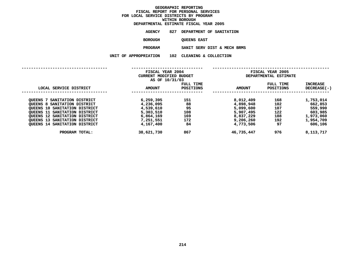|                       | DEPARTMENTAL ESTIMATE FISCAL YEAR 2005 |
|-----------------------|----------------------------------------|
| AGENCY                | 827 DEPARTMENT OF SANITATION           |
| <b>BOROUGH</b>        | <b>QUEENS EAST</b>                     |
| <b>PROGRAM</b>        | SANIT SERV DIST & MECH BRMS            |
| UNIT OF APPROPRIATION | 102 CLEANING & COLLECTION              |
|                       |                                        |

|                                         | FISCAL YEAR 2004<br>CURRENT MODIFIED BUDGET<br>AS OF 10/31/03 |                        | FISCAL YEAR 2005<br>DEPARTMENTAL ESTIMATE |                               |                           |  |
|-----------------------------------------|---------------------------------------------------------------|------------------------|-------------------------------------------|-------------------------------|---------------------------|--|
| LOCAL SERVICE DISTRICT                  | <b>AMOUNT</b>                                                 | FULL TIME<br>POSITIONS | <b>AMOUNT</b>                             | FULL TIME<br><b>POSITIONS</b> | INCREASE<br>$DECREASE(-)$ |  |
| SANITATION DISTRICT<br>OUEENS           | 6,259,395                                                     | 151                    | 8,012,409                                 | 168                           | 1,753,014                 |  |
| OUEENS 8 SANITATION DISTRICT            | 4,236,095                                                     | 88                     | 4,898,948                                 | 102                           | 662,853                   |  |
| OUEENS 10 SANITATION DISTRICT           | 4,539,610                                                     | 95                     | 5,099,600                                 | 107                           | 559,990                   |  |
| <b>OUEENS 11</b><br>SANITATION DISTRICT | 5,303,510                                                     | 108                    | 5,907,495                                 | 122                           | 603,985                   |  |
| QUEENS 12 SANITATION DISTRICT           | 6,864,169                                                     | 169                    | 8,837,229                                 | 188                           | 1,973,060                 |  |
| <b>OUEENS 13 SANITATION DISTRICT</b>    | 7,251,551                                                     | 172                    | 9,206,260                                 | 192                           | 1,954,709                 |  |
| <b>QUEENS 14 SANITATION DISTRICT</b>    | 4,167,400                                                     | 84                     | 4,773,506                                 | 97                            | 606,106                   |  |
| PROGRAM TOTAL:                          | 38,621,730                                                    | 867                    | 46,735,447                                | 976                           | 8,113,717                 |  |
|                                         |                                                               |                        |                                           |                               |                           |  |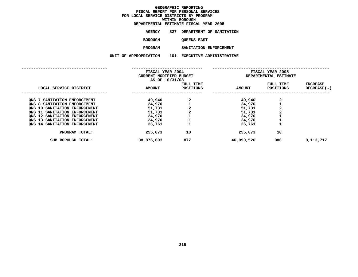| DEPARTMENTAL ESTIMATE FISCAL YEAR 2005 |     |                          |                          |
|----------------------------------------|-----|--------------------------|--------------------------|
| AGENCY                                 | 827 | DEPARTMENT OF SANITATION |                          |
| <b>BOROUGH</b>                         |     | <b>QUEENS EAST</b>       |                          |
| <b>PROGRAM</b>                         |     | SANITATION ENFORCEMENT   |                          |
| UNIT OF APPROPRIATION                  | 101 |                          | EXECUTIVE ADMINISTRATIVE |
|                                        |     |                          |                          |

|                               | FISCAL YEAR 2004<br>CURRENT MODIFIED BUDGET<br>AS OF 10/31/03 |                        | FISCAL YEAR 2005<br>DEPARTMENTAL ESTIMATE |                               |                                |
|-------------------------------|---------------------------------------------------------------|------------------------|-------------------------------------------|-------------------------------|--------------------------------|
| LOCAL SERVICE DISTRICT        | <b>AMOUNT</b>                                                 | FULL TIME<br>POSITIONS | <b>AMOUNT</b>                             | FULL TIME<br><b>POSITIONS</b> | <b>INCREASE</b><br>DECREASE(-) |
| ONS 7 SANITATION ENFORCEMENT  | 49,940                                                        | 2                      | 49,940                                    |                               |                                |
| ONS 8 SANITATION ENFORCEMENT  | 24,970                                                        |                        | 24,970                                    |                               |                                |
| ONS 10 SANITATION ENFORCEMENT | 51,731                                                        |                        | 51,731                                    |                               |                                |
| ONS 11 SANITATION ENFORCEMENT | 51,731                                                        | $\mathbf{2}$           | 51,731                                    |                               |                                |
| ONS 12 SANITATION ENFORCEMENT | 24,970                                                        |                        | 24,970                                    |                               |                                |
| ONS 13 SANITATION ENFORCEMENT | 24,970                                                        |                        | 24,970                                    |                               |                                |
| ONS 14 SANITATION ENFORCEMENT | 26,761                                                        |                        | 26,761                                    |                               |                                |
| PROGRAM TOTAL:                | 255,073                                                       | 10                     | 255,073                                   | 10                            |                                |
| SUB BOROUGH TOTAL:            | 38,876,803                                                    | 877                    | 46,990,520                                | 986                           | 8,113,717                      |
|                               |                                                               |                        |                                           |                               |                                |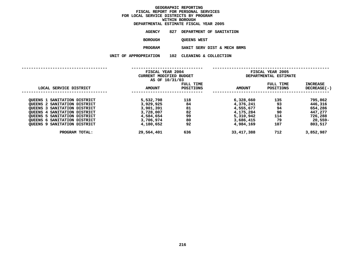| DEPARTMENTAL ESTIMATE FISCAL YEAR 2005 |                              |                            |  |  |  |
|----------------------------------------|------------------------------|----------------------------|--|--|--|
| AGENCY                                 | 827 DEPARTMENT OF SANITATION |                            |  |  |  |
| <b>BOROUGH</b>                         |                              | <b>OUEENS WEST</b>         |  |  |  |
| <b>PROGRAM</b>                         |                              | SANIT SERV DIST & MECH BRI |  |  |  |
|                                        |                              |                            |  |  |  |

**TOTAL: 29,564,401 <sup>636</sup> 33,417,388 <sup>712</sup> 3,852,987**

|                                     | <b>PROGRAM</b>                              |                               | SANIT SERV DIST & MECH BRMS |                                           |                                |
|-------------------------------------|---------------------------------------------|-------------------------------|-----------------------------|-------------------------------------------|--------------------------------|
|                                     | UNIT OF APPROPRIATION                       | CLEANING & COLLECTION<br>102  |                             |                                           |                                |
|                                     | FISCAL YEAR 2004<br>CURRENT MODIFIED BUDGET |                               |                             | FISCAL YEAR 2005<br>DEPARTMENTAL ESTIMATE |                                |
|                                     | AS OF 10/31/03                              |                               |                             |                                           |                                |
| LOCAL SERVICE DISTRICT              | <b>AMOUNT</b>                               | FULL TIME<br><b>POSITIONS</b> | <b>AMOUNT</b>               | FULL TIME<br><b>POSITIONS</b>             | <b>INCREASE</b><br>DECREASE(-) |
| QUEENS 1 SANITATION DISTRICT        | 5,532,798                                   | 118                           | 6,328,660                   | 135                                       | 795,862                        |
| QUEENS 2 SANITATION DISTRICT        | 3,929,925                                   | 84                            | 4,376,241                   | 93                                        | 446,316                        |
| QUEENS 3 SANITATION DISTRICT        | 3,901,391                                   | 81                            | 4,555,677                   | 94                                        | 654,286                        |
| QUEENS 4 SANITATION DISTRICT        | 3,728,007                                   | 82                            | 4,175,284                   | 90                                        | 447,277                        |
| <b>QUEENS 5 SANITATION DISTRICT</b> | 4,584,654                                   | 99                            | 5,310,942                   | 114                                       | 726,288                        |
| QUEENS 6 SANITATION DISTRICT        | 3,706,974                                   | 80                            | 3,686,415                   | 79                                        | 20,559-                        |
| <b>QUEENS 9 SANITATION DISTRICT</b> | 4,180,652                                   | 92                            | 4,984,169                   | 107                                       | 803,517                        |
| PROGRAM TOTAL:                      | 29,564,401                                  | 636                           | 33, 417, 388                | 712                                       | 3,852,987                      |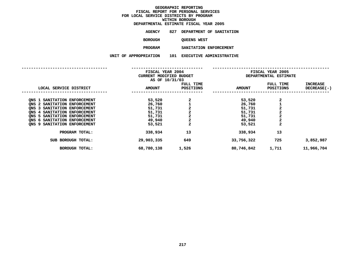| DEPARTMENTAL ESTIMATE FISCAL YEAR 2005 |     |                    |                          |
|----------------------------------------|-----|--------------------|--------------------------|
| AGENCY                                 | 827 |                    | DEPARTMENT OF SANITATION |
| <b>BOROUGH</b>                         |     | <b>QUEENS WEST</b> |                          |
| <b>PROGRAM</b>                         |     |                    | SANITATION ENFORCEMENT   |
| UNIT OF APPROPRIATION                  | 101 |                    | EXECUTIVE ADMINISTRATIVE |
|                                        |     |                    |                          |

|                                                                                                                                                                                                                                 | FISCAL YEAR 2004<br>CURRENT MODIFIED BUDGET<br>AS OF 10/31/03      |                                                                          | FISCAL YEAR 2005<br>DEPARTMENTAL ESTIMATE                          |                                                                                             |                                |
|---------------------------------------------------------------------------------------------------------------------------------------------------------------------------------------------------------------------------------|--------------------------------------------------------------------|--------------------------------------------------------------------------|--------------------------------------------------------------------|---------------------------------------------------------------------------------------------|--------------------------------|
| LOCAL SERVICE DISTRICT                                                                                                                                                                                                          | <b>AMOUNT</b>                                                      | FULL TIME<br><b>POSITIONS</b>                                            | <b>AMOUNT</b>                                                      | FULL TIME<br><b>POSITIONS</b>                                                               | <b>INCREASE</b><br>DECREASE(-) |
| ONS 1 SANITATION ENFORCEMENT<br>QNS 2 SANITATION ENFORCEMENT<br>SANITATION ENFORCEMENT<br>ONS 3<br>ONS 4 SANITATION ENFORCEMENT<br>ONS 5 SANITATION ENFORCEMENT<br>ONS 6 SANITATION ENFORCEMENT<br>ONS 9 SANITATION ENFORCEMENT | 53,520<br>26,760<br>51,731<br>51,731<br>51,731<br>49,940<br>53,521 | $\mathbf{2}$<br>$\mathbf 2$<br>$\overline{\mathbf{c}}$<br>$\overline{a}$ | 53,520<br>26,760<br>51,731<br>51,731<br>51,731<br>49,940<br>53,521 | 2<br>$\overline{a}$<br>$\overline{\mathbf{c}}$<br>$\overline{\mathbf{c}}$<br>$\overline{a}$ |                                |
| PROGRAM TOTAL:                                                                                                                                                                                                                  | 338,934                                                            | 13                                                                       | 338,934                                                            | 13                                                                                          |                                |
| SUB BOROUGH TOTAL:<br><b>BOROUGH TOTAL:</b>                                                                                                                                                                                     | 29,903,335<br>68,780,138                                           | 649<br>1,526                                                             | 33,756,322<br>80,746,842                                           | 725<br>1,711                                                                                | 3,852,987<br>11,966,704        |
|                                                                                                                                                                                                                                 |                                                                    |                                                                          |                                                                    |                                                                                             |                                |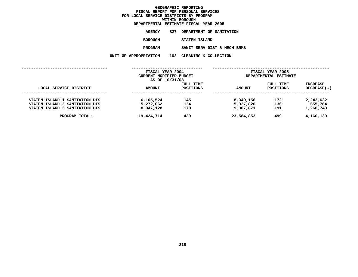|                       | DEPARTMENTAL ESTIMATE FISCAL YEAR 2005 |
|-----------------------|----------------------------------------|
| AGENCY                | 827 DEPARTMENT OF SANITATION           |
| BOROUGH               | STATEN ISLAND                          |
| <b>PROGRAM</b>        | SANIT SERV DIST & MECH BRMS            |
| UNIT OF APPROPRIATION | 102 CLEANING & COLLECTION              |
|                       |                                        |

|                                                                                                    | FISCAL YEAR 2004<br>CURRENT MODIFIED BUDGET<br>AS OF 10/31/03 |                        | FISCAL YEAR 2005<br>DEPARTMENTAL ESTIMATE |                        |                                   |  |
|----------------------------------------------------------------------------------------------------|---------------------------------------------------------------|------------------------|-------------------------------------------|------------------------|-----------------------------------|--|
| LOCAL SERVICE DISTRICT                                                                             | <b>AMOUNT</b>                                                 | FULL TIME<br>POSITIONS | <b>AMOUNT</b>                             | FULL TIME<br>POSITIONS | INCREASE<br>$DECREASE(-)$         |  |
| STATEN ISLAND 1 SANITATION DIS<br>STATEN ISLAND 2 SANITATION DIS<br>STATEN ISLAND 3 SANITATION DIS | 6,105,524<br>5,272,062<br>8,047,128                           | 145<br>124<br>170      | 8,349,156<br>5,927,826<br>9,307,871       | 172<br>136<br>191      | 2,243,632<br>655,764<br>1,260,743 |  |
| PROGRAM TOTAL:                                                                                     | 19,424,714                                                    | 439                    | 23,584,853                                | 499                    | 4,160,139                         |  |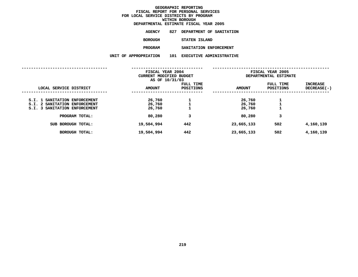| DEPARTMENTAL ESTIMATE FISCAL YEAR 2005 |     |                        |                                 |
|----------------------------------------|-----|------------------------|---------------------------------|
| AGENCY                                 | 827 |                        | DEPARTMENT OF SANITATION        |
| BOROUGH                                |     | STATEN ISLAND          |                                 |
| <b>PROGRAM</b>                         |     | SANITATION ENFORCEMENT |                                 |
| UNIT OF APPROPRIATION                  | 101 |                        | <b>EXECUTIVE ADMINISTRATIVE</b> |
|                                        |     |                        |                                 |

|                                                                       | FISCAL YEAR 2004<br>CURRENT MODIFIED BUDGET<br>AS OF 10/31/03 |                        |                  | FISCAL YEAR 2005<br>DEPARTMENTAL ESTIMATE |                           |
|-----------------------------------------------------------------------|---------------------------------------------------------------|------------------------|------------------|-------------------------------------------|---------------------------|
| LOCAL SERVICE DISTRICT                                                | <b>AMOUNT</b>                                                 | FULL TIME<br>POSITIONS | <b>AMOUNT</b>    | FULL TIME<br><b>POSITIONS</b>             | INCREASE<br>$DECREASE(-)$ |
| S.I. 1 SANITATION ENFORCEMENT                                         | 26,760                                                        |                        | 26,760           |                                           |                           |
| S.I. 2 SANITATION ENFORCEMENT<br><b>S.I. 3 SANITATION ENFORCEMENT</b> | 26,760<br>26,760                                              |                        | 26,760<br>26,760 |                                           |                           |
| PROGRAM TOTAL:                                                        | 80,280                                                        | 3                      | 80,280           | 3                                         |                           |
| SUB BOROUGH TOTAL:                                                    | 19,504,994                                                    | 442                    | 23,665,133       | 502                                       | 4,160,139                 |
| <b>BOROUGH TOTAL:</b>                                                 | 19,504,994                                                    | 442                    | 23,665,133       | 502                                       | 4,160,139                 |
|                                                                       |                                                               |                        |                  |                                           |                           |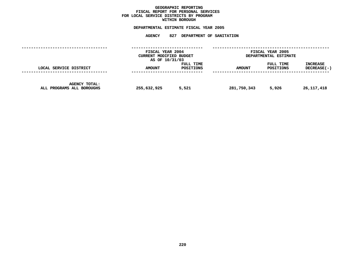### **GEOGRAPHICC REPORTING<br>PERSONAL S<br>ICTS BY PRO FISCAL REPORT FOR PERSONAL SERVICES FOR LOCAL SERVICE DISTRICTS BY PROGRAM WITHIN**

## WITHIN BOROUGH<br>D<mark>EPARTMENTAL ESTIMATE FISC</mark>

|                                                   | FISCAL YEAR 2004<br>CURRENT MODIFIED BUDGET<br>AS OF 10/31/03 |                        | FISCAL YEAR 2005<br>DEPARTMENTAL ESTIMATE |                        |                           |
|---------------------------------------------------|---------------------------------------------------------------|------------------------|-------------------------------------------|------------------------|---------------------------|
| LOCAL SERVICE DISTRICT                            | <b>AMOUNT</b>                                                 | FULL TIME<br>POSITIONS | <b>AMOUNT</b>                             | FULL TIME<br>POSITIONS | INCREASE<br>$DECREASE(-)$ |
| <b>AGENCY TOTAL:</b><br>ALL PROGRAMS ALL BOROUGHS | 255,632,925                                                   | 5,521                  | 281,750,343                               | 5,926                  | 26,117,418                |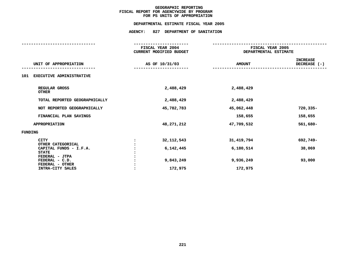## **PS UNITS OF APPROPRIATION DEPARTMENTAL**

|                                                          | FISCAL YEAR 2004<br><b>CURRENT MODIFIED BUDGET</b> | FISCAL YEAR 2005<br>DEPARTMENTAL ESTIMATE |                                   |  |
|----------------------------------------------------------|----------------------------------------------------|-------------------------------------------|-----------------------------------|--|
| UNIT OF APPROPRIATION                                    | AS OF 10/31/03                                     | <b>AMOUNT</b>                             | <b>INCREASE</b><br>DECREASE $(-)$ |  |
| EXECUTIVE ADMINISTRATIVE<br>101                          |                                                    |                                           |                                   |  |
| REGULAR GROSS<br><b>OTHER</b>                            | 2,488,429                                          | 2,488,429                                 |                                   |  |
| TOTAL REPORTED GEOGRAPHICALLY                            | 2,488,429                                          | 2,488,429                                 |                                   |  |
| NOT REPORTED GEOGRAPHICALLY                              | 45,782,783                                         | 45,062,448                                | $720,335-$                        |  |
| FINANCIAL PLAN SAVINGS                                   |                                                    | 158,655                                   | 158,655                           |  |
| <b>APPROPRIATION</b>                                     | 48,271,212                                         | 47,709,532                                | 561,680-                          |  |
| FUNDING                                                  |                                                    |                                           |                                   |  |
| <b>CITY</b><br>OTHER CATEGORICAL                         | 32, 112, 543                                       | 31,419,794                                | 692,749-                          |  |
| CAPITAL FUNDS - I.F.A.<br><b>STATE</b><br>FEDERAL - JTPA | 6,142,445                                          | 6,180,514                                 | 38,069                            |  |
| FEDERAL - C.D.<br>FEDERAL - OTHER                        | 9,843,249                                          | 9,936,249                                 | 93,000                            |  |
| INTRA-CITY SALES                                         | 172,975                                            | 172,975                                   |                                   |  |
|                                                          |                                                    |                                           |                                   |  |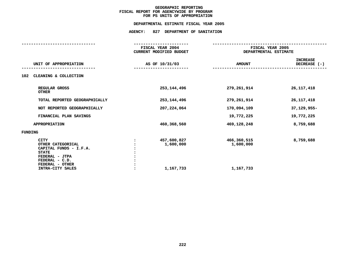## **PS UNITS OF APPROPRIATION DEPARTMENTAL**

| FISCAL YEAR 2004<br>CURRENT MODIFIED BUDGET |                                       | FISCAL YEAR 2005<br>DEPARTMENTAL ESTIMATE |  |  |
|---------------------------------------------|---------------------------------------|-------------------------------------------|--|--|
| AS OF 10/31/03                              | <b>AMOUNT</b>                         | <b>INCREASE</b><br>DECREASE $(-)$         |  |  |
|                                             |                                       |                                           |  |  |
| 253, 144, 496                               | 279,261,914                           | 26, 117, 418                              |  |  |
| 253, 144, 496                               | 279,261,914                           | 26, 117, 418                              |  |  |
| 207,224,064                                 | 170,094,109                           | 37,129,955-                               |  |  |
|                                             | 19,772,225                            | 19,772,225                                |  |  |
| 460,368,560                                 | 469,128,248                           | 8,759,688                                 |  |  |
|                                             |                                       |                                           |  |  |
| 457,600,827<br>1,600,000<br>1,167,733       | 466,360,515<br>1,600,000<br>1,167,733 | 8,759,688                                 |  |  |
|                                             |                                       |                                           |  |  |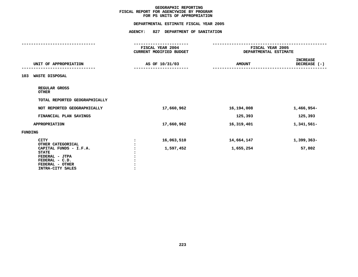## **PS UNITS OF APPROPRIATION DEPARTMENTAL**

|                                                                                                                   | FISCAL YEAR 2004<br>CURRENT MODIFIED BUDGET | FISCAL YEAR 2005<br>DEPARTMENTAL ESTIMATE |                                 |
|-------------------------------------------------------------------------------------------------------------------|---------------------------------------------|-------------------------------------------|---------------------------------|
| UNIT OF APPROPRIATION                                                                                             | AS OF 10/31/03                              | <b>AMOUNT</b>                             | <b>INCREASE</b><br>DECREASE (-) |
| WASTE DISPOSAL<br>103                                                                                             |                                             |                                           |                                 |
| REGULAR GROSS<br><b>OTHER</b>                                                                                     |                                             |                                           |                                 |
| TOTAL REPORTED GEOGRAPHICALLY                                                                                     |                                             |                                           |                                 |
| NOT REPORTED GEOGRAPHICALLY                                                                                       | 17,660,962                                  | 16,194,008                                | 1,466,954-                      |
| FINANCIAL PLAN SAVINGS                                                                                            |                                             | 125,393                                   | 125,393                         |
| <b>APPROPRIATION</b>                                                                                              | 17,660,962                                  | 16, 319, 401                              | 1,341,561-                      |
| FUNDING                                                                                                           |                                             |                                           |                                 |
| <b>CITY</b><br>OTHER CATEGORICAL                                                                                  | 16,063,510<br>:                             | 14,664,147                                | 1,399,363-                      |
| CAPITAL FUNDS - I.F.A.<br><b>STATE</b><br>FEDERAL - JTPA<br>FEDERAL - C.D.<br>FEDERAL - OTHER<br>INTRA-CITY SALES | 1,597,452                                   | 1,655,254                                 | 57,802                          |
|                                                                                                                   |                                             |                                           |                                 |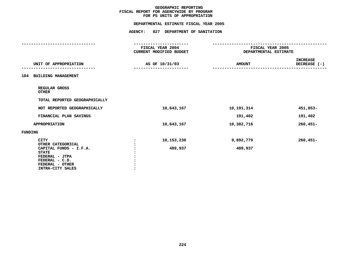## **PS UNITS OF APPROPRIATION DEPARTMENTAL**

|                                                                                                                   |                | DEPARTMENTAL ESTIMATE FISCAL YEAR 2005                                |               |                                           |  |
|-------------------------------------------------------------------------------------------------------------------|----------------|-----------------------------------------------------------------------|---------------|-------------------------------------------|--|
|                                                                                                                   |                | AGENCY: 827 DEPARTMENT OF SANITATION                                  |               |                                           |  |
|                                                                                                                   |                |                                                                       |               |                                           |  |
|                                                                                                                   |                | ---------------<br><b>FISCAL YEAR 2004</b><br>CURRENT MODIFIED BUDGET |               | FISCAL YEAR 2005<br>DEPARTMENTAL ESTIMATE |  |
| UNIT OF APPROPRIATION                                                                                             |                | AS OF 10/31/03                                                        | <b>AMOUNT</b> | <b>INCREASE</b><br>DECREASE (-)           |  |
| 104 BUILDING MANAGEMENT                                                                                           |                |                                                                       |               |                                           |  |
| REGULAR GROSS<br><b>OTHER</b>                                                                                     |                |                                                                       |               |                                           |  |
| TOTAL REPORTED GEOGRAPHICALLY                                                                                     |                |                                                                       |               |                                           |  |
| NOT REPORTED GEOGRAPHICALLY                                                                                       |                | 10,643,167                                                            | 10,191,314    | 451,853-                                  |  |
| FINANCIAL PLAN SAVINGS                                                                                            |                |                                                                       | 191,402       | 191,402                                   |  |
| <b>APPROPRIATION</b>                                                                                              |                | 10,643,167                                                            | 10,382,716    | $260,451-$                                |  |
| FUNDING                                                                                                           |                |                                                                       |               |                                           |  |
| <b>CITY</b><br>OTHER CATEGORICAL                                                                                  | $\ddot{\cdot}$ | 10,153,230                                                            | 9,892,779     | 260,451-                                  |  |
| CAPITAL FUNDS - I.F.A.<br><b>STATE</b><br>FEDERAL - JTPA<br>FEDERAL - C.D.<br>FEDERAL - OTHER<br>INTRA-CITY SALES |                | 489,937                                                               | 489,937       |                                           |  |
|                                                                                                                   |                |                                                                       |               |                                           |  |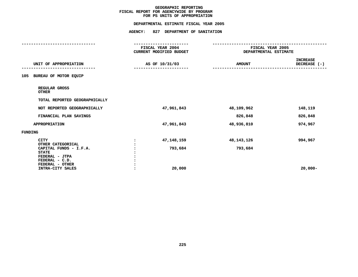## **PS UNITS OF APPROPRIATION DEPARTMENTAL**

|                                                                            |                      | DEPARTMENTAL ESTIMATE FISCAL YEAR 2005             |                                           |                                 |
|----------------------------------------------------------------------------|----------------------|----------------------------------------------------|-------------------------------------------|---------------------------------|
|                                                                            |                      | AGENCY: 827 DEPARTMENT OF SANITATION               |                                           |                                 |
|                                                                            |                      | <b>FISCAL YEAR 2004</b><br>CURRENT MODIFIED BUDGET | FISCAL YEAR 2005<br>DEPARTMENTAL ESTIMATE |                                 |
| UNIT OF APPROPRIATION                                                      |                      | AS OF 10/31/03                                     | <b>AMOUNT</b>                             | <b>INCREASE</b><br>DECREASE (-) |
| 105 BUREAU OF MOTOR EQUIP                                                  |                      |                                                    |                                           |                                 |
| REGULAR GROSS<br><b>OTHER</b>                                              |                      |                                                    |                                           |                                 |
| TOTAL REPORTED GEOGRAPHICALLY                                              |                      |                                                    |                                           |                                 |
| NOT REPORTED GEOGRAPHICALLY                                                |                      | 47,961,843                                         | 48,109,962                                | 148,119                         |
| FINANCIAL PLAN SAVINGS                                                     |                      |                                                    | 826,848                                   | 826,848                         |
| APPROPRIATION                                                              |                      | 47,961,843                                         | 48,936,810                                | 974,967                         |
| <b>FUNDING</b>                                                             |                      |                                                    |                                           |                                 |
| <b>CITY</b><br>OTHER CATEGORICAL                                           | $\ddot{\phantom{a}}$ | 47,148,159                                         | 48,143,126                                | 994,967                         |
| CAPITAL FUNDS - I.F.A.<br><b>STATE</b><br>FEDERAL - JTPA<br>FEDERAL - C.D. |                      | 793,684                                            | 793,684                                   |                                 |
| FEDERAL - OTHER<br>INTRA-CITY SALES                                        |                      | 20,000                                             |                                           | $20,000 -$                      |
|                                                                            |                      |                                                    |                                           |                                 |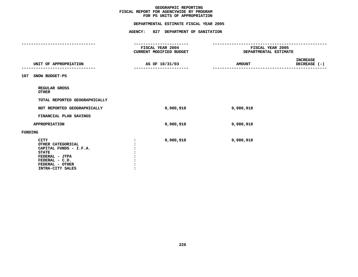## **PS UNITS OF APPROPRIATION DEPARTMENTAL**

|                                                                                                                                                       | FISCAL YEAR 2004<br>CURRENT MODIFIED BUDGET | FISCAL YEAR 2005<br>DEPARTMENTAL ESTIMATE        |
|-------------------------------------------------------------------------------------------------------------------------------------------------------|---------------------------------------------|--------------------------------------------------|
| UNIT OF APPROPRIATION                                                                                                                                 | AS OF 10/31/03                              | <b>INCREASE</b><br><b>AMOUNT</b><br>DECREASE (-) |
| 107<br>SNOW BUDGET-PS                                                                                                                                 |                                             |                                                  |
| REGULAR GROSS<br><b>OTHER</b>                                                                                                                         |                                             |                                                  |
| TOTAL REPORTED GEOGRAPHICALLY                                                                                                                         |                                             |                                                  |
| NOT REPORTED GEOGRAPHICALLY                                                                                                                           | 9,980,918                                   | 9,980,918                                        |
| FINANCIAL PLAN SAVINGS                                                                                                                                |                                             |                                                  |
| <b>APPROPRIATION</b>                                                                                                                                  | 9,980,918                                   | 9,980,918                                        |
| FUNDING                                                                                                                                               |                                             |                                                  |
| <b>CITY</b><br>OTHER CATEGORICAL<br>CAPITAL FUNDS - I.F.A.<br><b>STATE</b><br>FEDERAL - JTPA<br>FEDERAL - C.D.<br>FEDERAL - OTHER<br>INTRA-CITY SALES | 9,980,918                                   | 9,980,918                                        |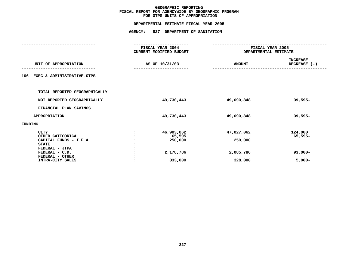## **OTPS UNITS OF APPROPRIATION DEPARTMENTAL**

|                                                                                                                | FISCAL YEAR 2004<br><b>CURRENT MODIFIED BUDGET</b> | FISCAL YEAR 2005<br>DEPARTMENTAL ESTIMATE |                                    |
|----------------------------------------------------------------------------------------------------------------|----------------------------------------------------|-------------------------------------------|------------------------------------|
| UNIT OF APPROPRIATION                                                                                          | AS OF 10/31/03                                     | <b>AMOUNT</b>                             | <b>INCREASE</b><br>DECREASE (-)    |
| EXEC & ADMINISTRATIVE-OTPS<br>106                                                                              |                                                    |                                           |                                    |
| TOTAL REPORTED GEOGRAPHICALLY                                                                                  |                                                    |                                           |                                    |
| NOT REPORTED GEOGRAPHICALLY                                                                                    | 49,730,443                                         | 49,690,848                                | $39,595-$                          |
| FINANCIAL PLAN SAVINGS                                                                                         |                                                    |                                           |                                    |
| <b>APPROPRIATION</b>                                                                                           | 49,730,443                                         | 49,690,848                                | $39,595-$                          |
| <b>FUNDING</b>                                                                                                 |                                                    |                                           |                                    |
| <b>CITY</b><br>OTHER CATEGORICAL<br>CAPITAL FUNDS - I.F.A.<br><b>STATE</b><br>FEDERAL - JTPA<br>FEDERAL - C.D. | 46,903,062<br>65,595<br>250,000<br>2,178,786       | 47,027,062<br>250,000<br>2,085,786        | 124,000<br>$65,595-$<br>$93,000 -$ |
| FEDERAL - OTHER<br>INTRA-CITY SALES                                                                            | 333,000                                            | 328,000                                   | $5,000-$                           |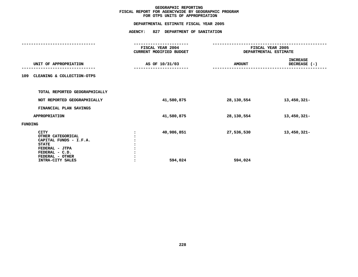## **OTPS UNITS OF APPROPRIATION DEPARTMENTAL**

| FISCAL YEAR 2004<br>CURRENT MODIFIED BUDGET | FISCAL YEAR 2005<br>DEPARTMENTAL ESTIMATE |                          |  |
|---------------------------------------------|-------------------------------------------|--------------------------|--|
| AS OF 10/31/03                              | <b>AMOUNT</b>                             | INCREASE<br>DECREASE (-) |  |
|                                             |                                           |                          |  |
|                                             |                                           |                          |  |
| 41,580,875                                  | 28,130,554                                | 13,450,321-              |  |
|                                             |                                           |                          |  |
| 41,580,875                                  | 28,130,554                                | 13,450,321-              |  |
|                                             |                                           |                          |  |
| 40,986,851<br>594,024                       | 27,536,530<br>594,024                     | 13,450,321-              |  |
|                                             |                                           |                          |  |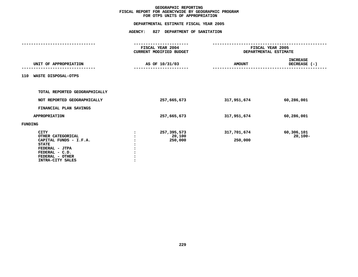## **OTPS UNITS OF APPROPRIATION DEPARTMENTAL**

|                                                                                                                                                       | FISCAL YEAR 2004<br>CURRENT MODIFIED BUDGET | FISCAL YEAR 2005<br>DEPARTMENTAL ESTIMATE |                                 |  |
|-------------------------------------------------------------------------------------------------------------------------------------------------------|---------------------------------------------|-------------------------------------------|---------------------------------|--|
| UNIT OF APPROPRIATION                                                                                                                                 | AS OF 10/31/03                              | <b>AMOUNT</b>                             | <b>INCREASE</b><br>DECREASE (-) |  |
| WASTE DISPOSAL-OTPS<br>110                                                                                                                            |                                             |                                           |                                 |  |
| TOTAL REPORTED GEOGRAPHICALLY                                                                                                                         |                                             |                                           |                                 |  |
| NOT REPORTED GEOGRAPHICALLY                                                                                                                           | 257,665,673                                 | 317,951,674                               | 60,286,001                      |  |
| FINANCIAL PLAN SAVINGS                                                                                                                                |                                             |                                           |                                 |  |
| <b>APPROPRIATION</b>                                                                                                                                  | 257,665,673                                 | 317,951,674                               | 60,286,001                      |  |
| FUNDING                                                                                                                                               |                                             |                                           |                                 |  |
| <b>CITY</b><br>OTHER CATEGORICAL<br>CAPITAL FUNDS - I.F.A.<br><b>STATE</b><br>FEDERAL - JTPA<br>FEDERAL - C.D.<br>FEDERAL - OTHER<br>INTRA-CITY SALES | 257,395,573<br>20,100<br>250,000            | 317,701,674<br>250,000                    | 60,306,101<br>$20,100 -$        |  |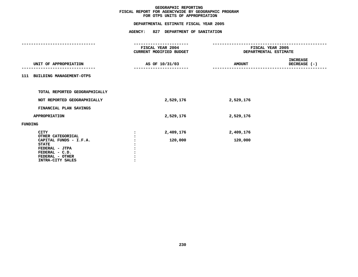## **OTPS UNITS OF APPROPRIATION DEPARTMENTAL**

|         |                                                          | <b>FISCAL YEAR 2004</b><br>CURRENT MODIFIED BUDGET<br>AS OF 10/31/03 |           | FISCAL YEAR 2005<br>DEPARTMENTAL ESTIMATE |                                             |  |
|---------|----------------------------------------------------------|----------------------------------------------------------------------|-----------|-------------------------------------------|---------------------------------------------|--|
|         | UNIT OF APPROPRIATION                                    |                                                                      |           | <b>AMOUNT</b>                             | INCREASE<br>DECREASE (-)<br>--------------- |  |
|         | 111 BUILDING MANAGEMENT-OTPS                             |                                                                      |           |                                           |                                             |  |
|         | TOTAL REPORTED GEOGRAPHICALLY                            |                                                                      |           |                                           |                                             |  |
|         | NOT REPORTED GEOGRAPHICALLY                              |                                                                      | 2,529,176 | 2,529,176                                 |                                             |  |
|         | FINANCIAL PLAN SAVINGS                                   |                                                                      |           |                                           |                                             |  |
|         | <b>APPROPRIATION</b>                                     |                                                                      | 2,529,176 | 2,529,176                                 |                                             |  |
| FUNDING |                                                          |                                                                      |           |                                           |                                             |  |
|         | <b>CITY</b><br>OTHER CATEGORICAL                         |                                                                      | 2,409,176 | 2,409,176                                 |                                             |  |
|         | CAPITAL FUNDS - I.F.A.<br><b>STATE</b><br>FEDERAL - JTPA |                                                                      | 120,000   | 120,000                                   |                                             |  |
|         | FEDERAL - C.D.<br>FEDERAL - OTHER                        |                                                                      |           |                                           |                                             |  |
|         | INTRA-CITY SALES                                         |                                                                      |           |                                           |                                             |  |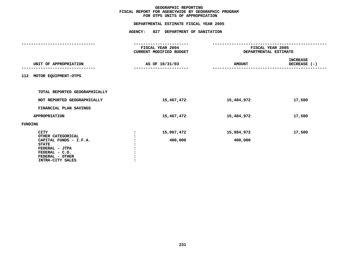## **OTPS UNITS OF APPROPRIATION DEPARTMENTAL**

|         |                                                                                                                                                       | FISCAL YEAR 2004<br>CURRENT MODIFIED BUDGET | FISCAL YEAR 2005<br>DEPARTMENTAL ESTIMATE |                                 |  |
|---------|-------------------------------------------------------------------------------------------------------------------------------------------------------|---------------------------------------------|-------------------------------------------|---------------------------------|--|
|         | UNIT OF APPROPRIATION                                                                                                                                 | AS OF 10/31/03                              | <b>AMOUNT</b>                             | <b>INCREASE</b><br>DECREASE (-) |  |
| 112     | MOTOR EQUIPMENT-OTPS                                                                                                                                  |                                             |                                           |                                 |  |
|         | TOTAL REPORTED GEOGRAPHICALLY                                                                                                                         |                                             |                                           |                                 |  |
|         | NOT REPORTED GEOGRAPHICALLY                                                                                                                           | 15,467,472                                  | 15,484,972                                | 17,500                          |  |
|         | FINANCIAL PLAN SAVINGS                                                                                                                                |                                             |                                           |                                 |  |
|         | <b>APPROPRIATION</b>                                                                                                                                  | 15,467,472                                  | 15,484,972                                | 17,500                          |  |
| FUNDING |                                                                                                                                                       |                                             |                                           |                                 |  |
|         | <b>CITY</b><br>OTHER CATEGORICAL<br>CAPITAL FUNDS - I.F.A.<br><b>STATE</b><br>FEDERAL - JTPA<br>FEDERAL - C.D.<br>FEDERAL - OTHER<br>INTRA-CITY SALES | 15,067,472<br>400,000                       | 15,084,972<br>400,000                     | 17,500                          |  |
|         |                                                                                                                                                       |                                             |                                           |                                 |  |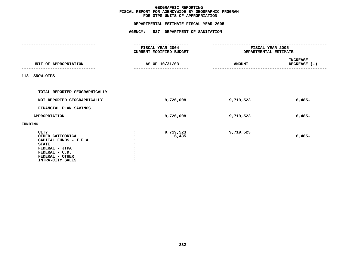## **OTPS UNITS OF APPROPRIATION DEPARTMENTAL**

|                                                                                                                                                       | FISCAL YEAR 2004<br>CURRENT MODIFIED BUDGET |               | FISCAL YEAR 2005<br>DEPARTMENTAL ESTIMATE |  |  |
|-------------------------------------------------------------------------------------------------------------------------------------------------------|---------------------------------------------|---------------|-------------------------------------------|--|--|
| UNIT OF APPROPRIATION                                                                                                                                 | AS OF 10/31/03                              | <b>AMOUNT</b> | <b>INCREASE</b><br>DECREASE (-)           |  |  |
| 113<br>SNOW-OTPS                                                                                                                                      |                                             |               |                                           |  |  |
| TOTAL REPORTED GEOGRAPHICALLY                                                                                                                         |                                             |               |                                           |  |  |
| NOT REPORTED GEOGRAPHICALLY                                                                                                                           | 9,726,008                                   | 9,719,523     | $6,485-$                                  |  |  |
| FINANCIAL PLAN SAVINGS                                                                                                                                |                                             |               |                                           |  |  |
| <b>APPROPRIATION</b>                                                                                                                                  | 9,726,008                                   | 9,719,523     | $6,485-$                                  |  |  |
| FUNDING                                                                                                                                               |                                             |               |                                           |  |  |
| <b>CITY</b><br>OTHER CATEGORICAL<br>CAPITAL FUNDS - I.F.A.<br><b>STATE</b><br>FEDERAL - JTPA<br>FEDERAL - C.D.<br>FEDERAL - OTHER<br>INTRA-CITY SALES | 9,719,523<br>6,485                          | 9,719,523     | $6,485-$                                  |  |  |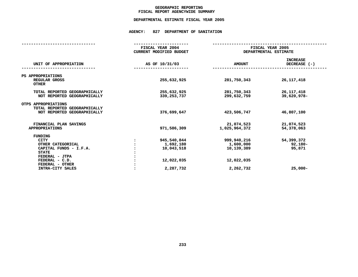### **GEOGRAPHICC REPORTING<br>ENCYWIDE SU<br>-----------FISCAL**

# **REPORT AGENCYWIDE SUMMARY DEPARTMENTAL ESTIMATE FISCAL YEAR <sup>2005</sup>**

## **AGENCY: <sup>827</sup> DEPARTMENT OF SANITATION**

|                                                                                     | FISCAL YEAR 2004        |                             | FISCAL YEAR 2005                |  |  |  |
|-------------------------------------------------------------------------------------|-------------------------|-----------------------------|---------------------------------|--|--|--|
|                                                                                     | CURRENT MODIFIED BUDGET | DEPARTMENTAL ESTIMATE       |                                 |  |  |  |
| UNIT OF APPROPRIATION                                                               | AS OF 10/31/03          | <b>AMOUNT</b>               | <b>INCREASE</b><br>DECREASE (-) |  |  |  |
|                                                                                     |                         |                             |                                 |  |  |  |
| PS APPROPRIATIONS<br>REGULAR GROSS<br><b>OTHER</b>                                  | 255,632,925             | 281,750,343                 | 26, 117, 418                    |  |  |  |
| TOTAL REPORTED GEOGRAPHICALLY<br>NOT REPORTED GEOGRAPHICALLY                        | 255,632,925             | 281,750,343<br>299,632,759  | 26, 117, 418<br>39,620,978-     |  |  |  |
|                                                                                     | 339,253,737             |                             |                                 |  |  |  |
| OTPS APPROPRIATIONS<br>TOTAL REPORTED GEOGRAPHICALLY<br>NOT REPORTED GEOGRAPHICALLY | 376,699,647             | 423,506,747                 | 46,807,100                      |  |  |  |
| FINANCIAL PLAN SAVINGS<br><b>APPROPRIATIONS</b>                                     | 971,586,309             | 21,074,523<br>1,025,964,372 | 21,074,523<br>54,378,063        |  |  |  |
| <b>FUNDING</b>                                                                      |                         |                             |                                 |  |  |  |
| <b>CITY</b>                                                                         | 945,540,844             | 999,940,216                 | 54,399,372                      |  |  |  |
| OTHER CATEGORICAL                                                                   | 1,692,180               | 1,600,000                   | 92,180-                         |  |  |  |
| CAPITAL FUNDS - I.F.A.                                                              | 10,043,518              | 10,139,389                  | 95,871                          |  |  |  |
| <b>STATE</b>                                                                        |                         |                             |                                 |  |  |  |
| FEDERAL - JTPA                                                                      |                         |                             |                                 |  |  |  |
| FEDERAL - C.D.                                                                      | 12,022,035              | 12,022,035                  |                                 |  |  |  |
| FEDERAL - OTHER                                                                     |                         |                             |                                 |  |  |  |
| INTRA-CITY SALES                                                                    | 2,287,732               | 2,262,732                   | $25,000-$                       |  |  |  |
|                                                                                     |                         |                             |                                 |  |  |  |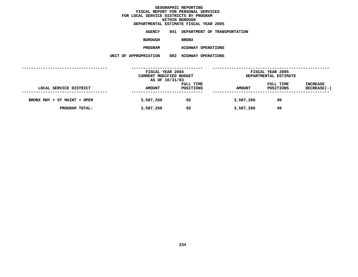**ESTIMATE FISCAL YEAR <sup>2005</sup> AGENCY <sup>841</sup> DEPARTMENT OF TRANSPORTATION BOROUGHBRONX**

**PROGRAM**

**HIGHWAY OPERATIONS UNIT OF APPROPRIATION <sup>002</sup> HIGHWAY OPERATIONS**

|                             | FISCAL YEAR 2004<br>CURRENT MODIFIED BUDGET<br>AS OF 10/31/03 |                        | FISCAL YEAR 2005<br>DEPARTMENTAL ESTIMATE |                        |                                |
|-----------------------------|---------------------------------------------------------------|------------------------|-------------------------------------------|------------------------|--------------------------------|
| LOCAL SERVICE DISTRICT      | <b>AMOUNT</b>                                                 | FULL TIME<br>POSITIONS | <b>AMOUNT</b>                             | FULL TIME<br>POSITIONS | <b>INCREASE</b><br>DECREASE(-) |
| BRONX HWY + ST MAINT + OPER | 3,587,266                                                     | 92                     | 3,587,266                                 | 49                     |                                |
| PROGRAM TOTAL:              | 3,587,266                                                     | 92                     | 3,587,266                                 | 49                     |                                |
|                             |                                                               |                        |                                           |                        |                                |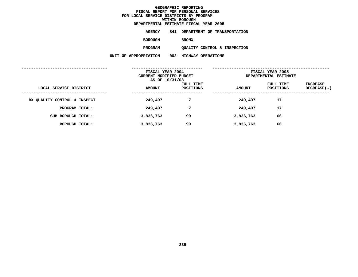**ESTIMATE FISCAL YEAR <sup>2005</sup> AGENCY <sup>841</sup> DEPARTMENT OF TRANSPORTATION BOROUGH**

BRONX<br>QUALITY CONTROL & INSPECTION **PROGRAMQUALITY CONTROL & INSPECTION UNIT OF APPROPRIATION <sup>002</sup> HIGHWAY OPERATIONS**

|               |                        | FISCAL YEAR 2005<br>DEPARTMENTAL ESTIMATE                     |                        |                           |  |
|---------------|------------------------|---------------------------------------------------------------|------------------------|---------------------------|--|
| <b>AMOUNT</b> | FULL TIME<br>POSITIONS | <b>AMOUNT</b>                                                 | FULL TIME<br>POSITIONS | INCREASE<br>$DECREASE(-)$ |  |
| 249,497       | 7                      | 249,497                                                       | 17                     |                           |  |
| 249,497       | 7                      | 249,497                                                       | 17                     |                           |  |
| 3,836,763     | 99                     | 3,836,763                                                     | 66                     |                           |  |
| 3,836,763     | 99                     | 3,836,763                                                     | 66                     |                           |  |
|               |                        | FISCAL YEAR 2004<br>CURRENT MODIFIED BUDGET<br>AS OF 10/31/03 |                        |                           |  |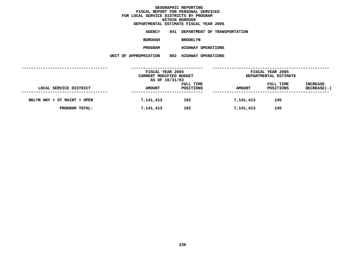**ESTIMATE FISCAL YEAR <sup>2005</sup> AGENCY <sup>841</sup> DEPARTMENT OF TRANSPORTATION BOROUGH**BROOKLYN<br>HIGHWAY OPERATIONS **PROGRAM**

**HIGHWAY OPERATIONS UNIT OF APPROPRIATION <sup>002</sup> HIGHWAY OPERATIONS**

|                             | FISCAL YEAR 2004<br>CURRENT MODIFIED BUDGET<br>AS OF 10/31/03 |                        | FISCAL YEAR 2005<br>DEPARTMENTAL ESTIMATE |                        |                                |
|-----------------------------|---------------------------------------------------------------|------------------------|-------------------------------------------|------------------------|--------------------------------|
| LOCAL SERVICE DISTRICT      | <b>AMOUNT</b>                                                 | FULL TIME<br>POSITIONS | <b>AMOUNT</b>                             | FULL TIME<br>POSITIONS | <b>INCREASE</b><br>DECREASE(-) |
| BKLYN HWY + ST MAINT + OPER | 7,141,413                                                     | 102                    | 7,141,413                                 | 145                    |                                |
| PROGRAM TOTAL:              | 7,141,413                                                     | 102                    | 7,141,413                                 | 145                    |                                |
|                             |                                                               |                        |                                           |                        |                                |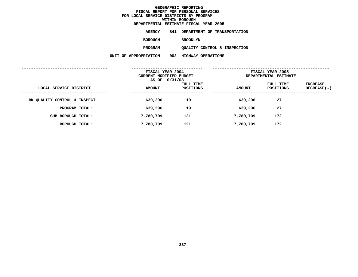**ESTIMATE FISCAL YEAR <sup>2005</sup> AGENCY <sup>841</sup> DEPARTMENT OF TRANSPORTATION**

**BOROUGH**

BROOKLYN<br>QUALITY CONTROL & INSPECTION **PROGRAM**

**QUALITY CONTROL & INSPECTION UNIT OF APPROPRIATION <sup>002</sup> HIGHWAY OPERATIONS**

|                              | FISCAL YEAR 2004<br>CURRENT MODIFIED BUDGET<br>AS OF 10/31/03 |                        | FISCAL YEAR 2005<br>DEPARTMENTAL ESTIMATE |                        |                           |  |
|------------------------------|---------------------------------------------------------------|------------------------|-------------------------------------------|------------------------|---------------------------|--|
| LOCAL SERVICE DISTRICT       | <b>AMOUNT</b>                                                 | FULL TIME<br>POSITIONS | <b>AMOUNT</b>                             | FULL TIME<br>POSITIONS | INCREASE<br>$DECREASE(-)$ |  |
| BK QUALITY CONTROL & INSPECT | 639,296                                                       | 19                     | 639,296                                   | 27                     |                           |  |
| PROGRAM TOTAL:               | 639,296                                                       | 19                     | 639,296                                   | 27                     |                           |  |
| SUB BOROUGH TOTAL:           | 7,780,709                                                     | 121                    | 7,780,709                                 | 172                    |                           |  |
| BOROUGH TOTAL:               | 7,780,709                                                     | 121                    | 7,780,709                                 | 172                    |                           |  |
|                              |                                                               |                        |                                           |                        |                           |  |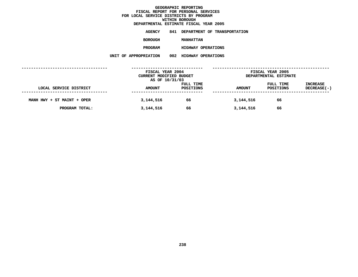**ESTIMATE FISCAL YEAR <sup>2005</sup> AGENCY <sup>841</sup> DEPARTMENT OF TRANSPORTATION BOROUGH**

**MANHATTAN<br>HIGHWAY OPERATIONS PROGRAM**

**HIGHWAY OPERATIONS UNIT OF APPROPRIATION <sup>002</sup> HIGHWAY OPERATIONS**

|                            | FISCAL YEAR 2004<br>CURRENT MODIFIED BUDGET<br>AS OF 10/31/03 |                        | FISCAL YEAR 2005<br>DEPARTMENTAL ESTIMATE |                        |                                |
|----------------------------|---------------------------------------------------------------|------------------------|-------------------------------------------|------------------------|--------------------------------|
| LOCAL SERVICE DISTRICT     | <b>AMOUNT</b>                                                 | FULL TIME<br>POSITIONS | <b>AMOUNT</b>                             | FULL TIME<br>POSITIONS | <b>INCREASE</b><br>DECREASE(-) |
| MANH HWY + ST MAINT + OPER | 3,144,516                                                     | 66                     | 3,144,516                                 | 66                     |                                |
| PROGRAM TOTAL:             | 3,144,516                                                     | 66                     | 3,144,516                                 | 66                     |                                |
|                            |                                                               |                        |                                           |                        |                                |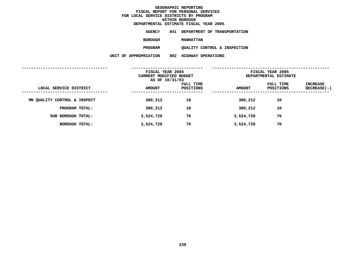**ESTIMATE FISCAL YEAR <sup>2005</sup> AGENCY <sup>841</sup> DEPARTMENT OF TRANSPORTATION**

**BOROUGH**

**MANHATTAN<br>QUALITY CONTROL & INSPECTION PROGRAM**

**QUALITY CONTROL & INSPECTION UNIT OF APPROPRIATION <sup>002</sup> HIGHWAY OPERATIONS**

|                              | FISCAL YEAR 2004<br>CURRENT MODIFIED BUDGET<br>AS OF 10/31/03 |                        | FISCAL YEAR 2005<br>DEPARTMENTAL ESTIMATE |                        |                           |  |
|------------------------------|---------------------------------------------------------------|------------------------|-------------------------------------------|------------------------|---------------------------|--|
| LOCAL SERVICE DISTRICT       | <b>AMOUNT</b>                                                 | FULL TIME<br>POSITIONS | <b>AMOUNT</b>                             | FULL TIME<br>POSITIONS | INCREASE<br>$DECREASE(-)$ |  |
| MN QUALITY CONTROL & INSPECT | 380,212                                                       | 10                     | 380,212                                   | 10                     |                           |  |
| PROGRAM TOTAL:               | 380,212                                                       | 10                     | 380,212                                   | 10                     |                           |  |
| SUB BOROUGH TOTAL:           | 3,524,728                                                     | 76                     | 3,524,728                                 | 76                     |                           |  |
| BOROUGH TOTAL:               | 3,524,728                                                     | 76                     | 3,524,728                                 | 76                     |                           |  |
|                              |                                                               |                        |                                           |                        |                           |  |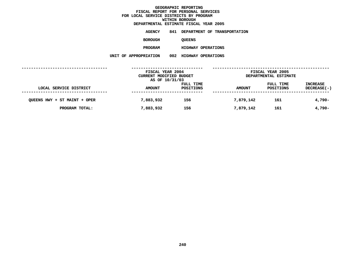**ESTIMATE FISCAL YEAR <sup>2005</sup> AGENCY <sup>841</sup> DEPARTMENT OF TRANSPORTATION BOROUGH**QUEENS<br>HIGHWAY OPERATIONS **PROGRAM**

**HIGHWAY OPERATIONS UNIT OF APPROPRIATION <sup>002</sup> HIGHWAY OPERATIONS**

|                              | FISCAL YEAR 2004<br>CURRENT MODIFIED BUDGET<br>AS OF 10/31/03 |                        | FISCAL YEAR 2005<br>DEPARTMENTAL ESTIMATE |                        |                         |
|------------------------------|---------------------------------------------------------------|------------------------|-------------------------------------------|------------------------|-------------------------|
| LOCAL SERVICE DISTRICT       | <b>AMOUNT</b>                                                 | FULL TIME<br>POSITIONS | <b>AMOUNT</b>                             | FULL TIME<br>POSITIONS | INCREASE<br>DECREASE(-) |
| QUEENS HWY + ST MAINT + OPER | 7,883,932                                                     | 156                    | 7,879,142                                 | 161                    | $4,790-$                |
| PROGRAM TOTAL:               | 7,883,932                                                     | 156                    | 7,879,142                                 | 161                    | $4,790-$                |
|                              |                                                               |                        |                                           |                        |                         |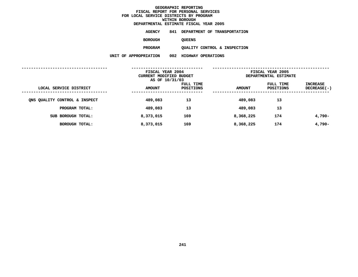| DEPARTMENTAL ESTIMATE FISCAL YEAR 2005 |               |                                  |
|----------------------------------------|---------------|----------------------------------|
| AGENCY                                 |               | 841 DEPARTMENT OF TRANSPORTATION |
| <b>BOROUGH</b>                         | <b>OUEENS</b> |                                  |
|                                        |               |                                  |

QUALITY CONTROL & INSPECTION **PROGRAMQUALITY CONTROL & INSPECTION UNIT OF APPROPRIATION <sup>002</sup> HIGHWAY OPERATIONS**

|                               | FISCAL YEAR 2004<br>CURRENT MODIFIED BUDGET<br>AS OF 10/31/03 |                        | FISCAL YEAR 2005<br>DEPARTMENTAL ESTIMATE |                        |                                |
|-------------------------------|---------------------------------------------------------------|------------------------|-------------------------------------------|------------------------|--------------------------------|
| LOCAL SERVICE DISTRICT        | <b>AMOUNT</b>                                                 | FULL TIME<br>POSITIONS | <b>AMOUNT</b>                             | FULL TIME<br>POSITIONS | <b>INCREASE</b><br>DECREASE(-) |
| ONS QUALITY CONTROL & INSPECT | 489,083                                                       | 13                     | 489,083                                   | 13                     |                                |
| PROGRAM TOTAL:                | 489,083                                                       | 13                     | 489,083                                   | 13                     |                                |
| SUB BOROUGH TOTAL:            | 8,373,015                                                     | 169                    | 8,368,225                                 | 174                    | 4,790-                         |
| BOROUGH TOTAL:                | 8,373,015                                                     | 169                    | 8,368,225                                 | 174                    | 4,790-                         |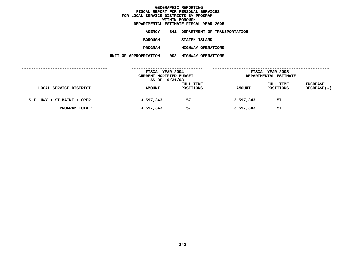|                       |     | DEPARTMENTAL ESTIMATE FISCAL YEAR 2005 |
|-----------------------|-----|----------------------------------------|
| AGENCY                | 841 | DEPARTMENT OF TRANSPORTATION           |
| <b>BOROUGH</b>        |     | STATEN ISLAND                          |
| <b>PROGRAM</b>        |     | <b>HIGHWAY OPERATIONS</b>              |
| UNIT OF APPROPRIATION | 002 | <b>HIGHWAY OPERATIONS</b>              |
|                       |     |                                        |

|                            | FISCAL YEAR 2004<br>CURRENT MODIFIED BUDGET<br>AS OF 10/31/03 |                        | FISCAL YEAR 2005<br>DEPARTMENTAL ESTIMATE |                        |                                |
|----------------------------|---------------------------------------------------------------|------------------------|-------------------------------------------|------------------------|--------------------------------|
| LOCAL SERVICE DISTRICT     | <b>AMOUNT</b>                                                 | FULL TIME<br>POSITIONS | <b>AMOUNT</b>                             | FULL TIME<br>POSITIONS | <b>INCREASE</b><br>DECREASE(-) |
| S.I. HWY + ST MAINT + OPER | 3,597,343                                                     | 57                     | 3,597,343                                 | 57                     |                                |
| PROGRAM TOTAL:             | 3,597,343                                                     | 57                     | 3,597,343                                 | 57                     |                                |
|                            |                                                               |                        |                                           |                        |                                |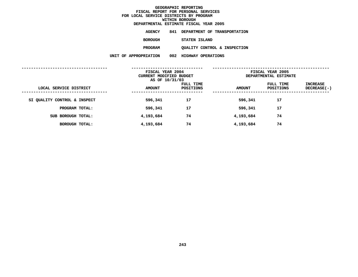|                       |     | DEPARTMENTAL ESTIMATE FISCAL YEAR 2005 |
|-----------------------|-----|----------------------------------------|
| AGENCY                | 841 | DEPARTMENT OF TRANSPORTATION           |
| <b>BOROUGH</b>        |     | STATEN ISLAND                          |
| <b>PROGRAM</b>        |     | QUALITY CONTROL & INSPECTION           |
| UNIT OF APPROPRIATION | 002 | HIGHWAY OPERATIONS                     |
|                       |     |                                        |

|                              |               | FISCAL YEAR 2004<br>CURRENT MODIFIED BUDGET<br>AS OF 10/31/03 |               | FISCAL YEAR 2005<br>DEPARTMENTAL ESTIMATE |                         |  |
|------------------------------|---------------|---------------------------------------------------------------|---------------|-------------------------------------------|-------------------------|--|
| LOCAL SERVICE DISTRICT       | <b>AMOUNT</b> | FULL TIME<br>POSITIONS                                        | <b>AMOUNT</b> | FULL TIME<br>POSITIONS                    | INCREASE<br>DECREASE(-) |  |
| SI QUALITY CONTROL & INSPECT | 596,341       | 17                                                            | 596,341       | 17                                        |                         |  |
| PROGRAM TOTAL:               | 596,341       | 17                                                            | 596,341       | 17                                        |                         |  |
| SUB BOROUGH TOTAL:           | 4,193,684     | 74                                                            | 4,193,684     | 74                                        |                         |  |
| BOROUGH TOTAL:               | 4,193,684     | 74                                                            | 4,193,684     | 74                                        |                         |  |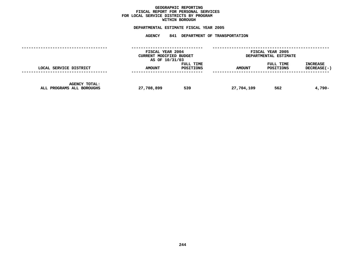### **GEOGRAPHICC REPORTING<br>PERSONAL S<br>ICTS BY PRO FISCAL REPORT FOR PERSONAL SERVICES FOR LOCAL SERVICE DISTRICTS BY PROGRAM WITHIN**

## WITHIN BOROUGH<br>D<mark>EPARTMENTAL ESTIMATE FISC</mark>

# **ESTIMATE FISCAL YEAR <sup>2005</sup> AGENCY <sup>841</sup> DEPARTMENT OF TRANSPORTATION**

|                                                   |               | FISCAL YEAR 2004<br>CURRENT MODIFIED BUDGET<br>AS OF 10/31/03 |               | FISCAL YEAR 2005<br>DEPARTMENTAL ESTIMATE |                                  |  |
|---------------------------------------------------|---------------|---------------------------------------------------------------|---------------|-------------------------------------------|----------------------------------|--|
| LOCAL SERVICE DISTRICT                            | <b>AMOUNT</b> | <b>FULL TIME</b><br>POSITIONS                                 | <b>AMOUNT</b> | FULL TIME<br><b>POSITIONS</b>             | <b>INCREASE</b><br>$DECREASE(-)$ |  |
| <b>AGENCY TOTAL:</b><br>ALL PROGRAMS ALL BOROUGHS | 27,708,899    | 539                                                           | 27,704,109    | 562                                       | 4,790-                           |  |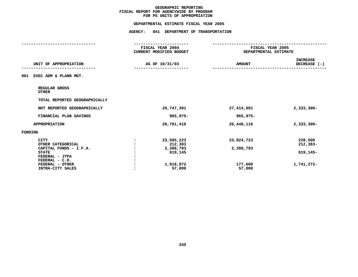## **PS UNITS OF APPROPRIATION DEPARTMENTAL**

|                                                            |                      | DEPARTMENTAL ESTIMATE FISCAL YEAR 2005      |                         |                                           |  |
|------------------------------------------------------------|----------------------|---------------------------------------------|-------------------------|-------------------------------------------|--|
|                                                            | <b>AGENCY:</b>       | 841 DEPARTMENT OF TRANSPORTATION            |                         |                                           |  |
|                                                            |                      | FISCAL YEAR 2004<br>CURRENT MODIFIED BUDGET |                         | FISCAL YEAR 2005<br>DEPARTMENTAL ESTIMATE |  |
| UNIT OF APPROPRIATION                                      |                      | AS OF 10/31/03                              | <b>AMOUNT</b>           | <b>INCREASE</b><br>DECREASE (-)           |  |
| 001 EXEC ADM & PLANN MGT.                                  |                      |                                             |                         |                                           |  |
| REGULAR GROSS<br><b>OTHER</b>                              |                      |                                             |                         |                                           |  |
| TOTAL REPORTED GEOGRAPHICALLY                              |                      |                                             |                         |                                           |  |
| NOT REPORTED GEOGRAPHICALLY                                |                      | 29,747,391                                  | 27,414,091              | $2,333,300 -$                             |  |
| FINANCIAL PLAN SAVINGS                                     |                      | 965,975-                                    | 965,975-                |                                           |  |
| <b>APPROPRIATION</b>                                       |                      | 28,781,416                                  | 26,448,116              | $2,333,300 -$                             |  |
| <b>FUNDING</b>                                             |                      |                                             |                         |                                           |  |
| <b>CITY</b><br>OTHER CATEGORICAL<br>CAPITAL FUNDS - I.F.A. | $\ddot{\phantom{a}}$ | 23,585,223<br>212,383<br>2,388,793          | 23,824,723<br>2,388,793 | 239,500<br>$212,383-$                     |  |
| <b>STATE</b><br>FEDERAL - JTPA<br>FEDERAL - C.D.           |                      | 619,145                                     |                         | 619,145-                                  |  |
| FEDERAL - OTHER<br>INTRA-CITY SALES                        |                      | 1,918,872<br>57,000                         | 177,600<br>57,000       | 1,741,272-                                |  |
|                                                            |                      |                                             |                         |                                           |  |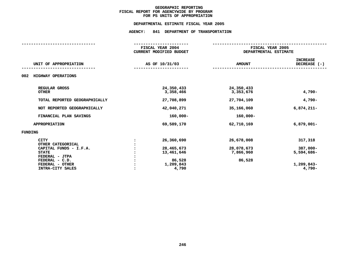## **PS UNITS OF APPROPRIATION DEPARTMENTAL**

|                                                                                                                                   | FISCAL YEAR 2004<br><b>CURRENT MODIFIED BUDGET</b>            |                                                 | FISCAL YEAR 2005<br>DEPARTMENTAL ESTIMATE          |  |  |
|-----------------------------------------------------------------------------------------------------------------------------------|---------------------------------------------------------------|-------------------------------------------------|----------------------------------------------------|--|--|
| UNIT OF APPROPRIATION                                                                                                             | AS OF 10/31/03                                                | <b>AMOUNT</b>                                   | <b>INCREASE</b><br>DECREASE $(-)$                  |  |  |
| 002<br>HIGHWAY OPERATIONS                                                                                                         |                                                               |                                                 |                                                    |  |  |
| REGULAR GROSS<br><b>OTHER</b>                                                                                                     | 24,350,433<br>3,358,466                                       | 24,350,433<br>3,353,676                         | $4,790-$                                           |  |  |
| TOTAL REPORTED GEOGRAPHICALLY                                                                                                     | 27,708,899                                                    | 27,704,109                                      | $4,790-$                                           |  |  |
| NOT REPORTED GEOGRAPHICALLY                                                                                                       | 42,040,271                                                    | 35,166,060                                      | $6,874,211-$                                       |  |  |
| FINANCIAL PLAN SAVINGS                                                                                                            | $160,000 -$                                                   | $160,000 -$                                     |                                                    |  |  |
| <b>APPROPRIATION</b>                                                                                                              | 69,589,170                                                    | 62,710,169                                      | $6,879,001 -$                                      |  |  |
| FUNDING                                                                                                                           |                                                               |                                                 |                                                    |  |  |
| <b>CITY</b><br>OTHER CATEGORICAL<br>CAPITAL FUNDS - I.F.A.<br><b>STATE</b><br>FEDERAL - JTPA<br>FEDERAL - C.D.<br>FEDERAL - OTHER | 26,360,690<br>28,465,673<br>13,461,646<br>86,528<br>1,209,843 | 26,678,008<br>28,078,673<br>7,866,960<br>86,528 | 317,318<br>$387,000 -$<br>5,594,686-<br>1,209,843- |  |  |
| INTRA-CITY SALES                                                                                                                  | 4,790                                                         |                                                 | $4,790-$                                           |  |  |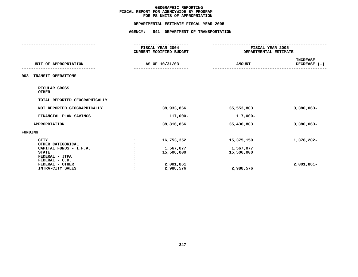## **PS UNITS OF APPROPRIATION DEPARTMENTAL**

|                                                                            |                | DEPARTMENTAL ESTIMATE FISCAL YEAR 2005      |                         |                                           |  |
|----------------------------------------------------------------------------|----------------|---------------------------------------------|-------------------------|-------------------------------------------|--|
|                                                                            | <b>AGENCY:</b> | 841 DEPARTMENT OF TRANSPORTATION            |                         |                                           |  |
|                                                                            |                | FISCAL YEAR 2004<br>CURRENT MODIFIED BUDGET |                         | FISCAL YEAR 2005<br>DEPARTMENTAL ESTIMATE |  |
| UNIT OF APPROPRIATION                                                      |                | AS OF 10/31/03                              | <b>AMOUNT</b>           | <b>INCREASE</b><br>DECREASE (-)           |  |
| TRANSIT OPERATIONS<br>003                                                  |                |                                             |                         |                                           |  |
| REGULAR GROSS<br><b>OTHER</b>                                              |                |                                             |                         |                                           |  |
| TOTAL REPORTED GEOGRAPHICALLY                                              |                |                                             |                         |                                           |  |
| NOT REPORTED GEOGRAPHICALLY                                                |                | 38,933,866                                  | 35,553,803              | $3,380,063 -$                             |  |
| FINANCIAL PLAN SAVINGS                                                     |                | 117,000-                                    | 117,000-                |                                           |  |
| <b>APPROPRIATION</b>                                                       |                | 38,816,866                                  | 35,436,803              | $3,380,063 -$                             |  |
| <b>FUNDING</b>                                                             |                |                                             |                         |                                           |  |
| <b>CITY</b><br>OTHER CATEGORICAL                                           | $\ddot{\cdot}$ | 16,753,352                                  | 15,375,150              | 1,378,202-                                |  |
| CAPITAL FUNDS - I.F.A.<br><b>STATE</b><br>FEDERAL - JTPA<br>FEDERAL - C.D. |                | 1,567,077<br>15,506,000                     | 1,567,077<br>15,506,000 |                                           |  |
| FEDERAL - OTHER<br>INTRA-CITY SALES                                        |                | 2,001,861<br>2,988,576                      | 2,988,576               | $2,001,861-$                              |  |
|                                                                            |                |                                             |                         |                                           |  |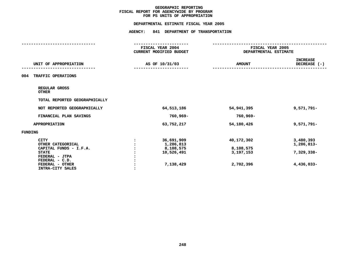## **PS UNITS OF APPROPRIATION DEPARTMENTAL**

|                                     |                      | DEPARTMENTAL ESTIMATE FISCAL YEAR 2005 |                       |                                 |
|-------------------------------------|----------------------|----------------------------------------|-----------------------|---------------------------------|
|                                     | <b>AGENCY:</b>       | 841 DEPARTMENT OF TRANSPORTATION       |                       |                                 |
|                                     |                      | FISCAL YEAR 2004                       | FISCAL YEAR 2005      |                                 |
|                                     |                      | CURRENT MODIFIED BUDGET                | DEPARTMENTAL ESTIMATE |                                 |
| UNIT OF APPROPRIATION               |                      | AS OF 10/31/03                         | <b>AMOUNT</b>         | <b>INCREASE</b><br>DECREASE (-) |
| 004 TRAFFIC OPERATIONS              |                      |                                        |                       |                                 |
| REGULAR GROSS<br><b>OTHER</b>       |                      |                                        |                       |                                 |
| TOTAL REPORTED GEOGRAPHICALLY       |                      |                                        |                       |                                 |
| NOT REPORTED GEOGRAPHICALLY         |                      | 64,513,186                             | 54,941,395            | 9,571,791-                      |
| FINANCIAL PLAN SAVINGS              |                      | 760,969-                               | 760,969-              |                                 |
| APPROPRIATION                       |                      | 63,752,217                             | 54,180,426            | 9,571,791-                      |
| FUNDING                             |                      |                                        |                       |                                 |
| <b>CITY</b><br>OTHER CATEGORICAL    | $\ddot{\phantom{a}}$ | 36,691,909<br>1,286,813                | 40,172,302            | 3,480,393<br>1,286,813-         |
| CAPITAL FUNDS - I.F.A.              |                      | 8,108,575                              | 8,108,575             |                                 |
| <b>STATE</b>                        |                      | 10,526,491                             | 3,197,153             | 7,329,338-                      |
| FEDERAL - JTPA                      |                      |                                        |                       |                                 |
| FEDERAL - C.D.                      |                      |                                        |                       |                                 |
| FEDERAL - OTHER<br>INTRA-CITY SALES |                      | 7,138,429                              | 2,702,396             | 4,436,033-                      |
|                                     |                      |                                        |                       |                                 |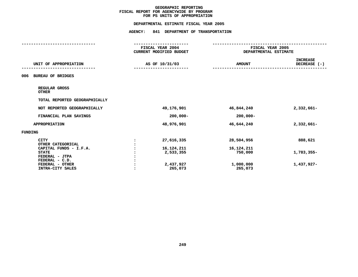### **PS UNITS OF APPROPRIATION DEPARTMENTAL**

|                                                       |                                             | DEPARTMENTAL ESTIMATE FISCAL YEAR 2005 |                       |                                           |  |  |
|-------------------------------------------------------|---------------------------------------------|----------------------------------------|-----------------------|-------------------------------------------|--|--|
|                                                       | <b>AGENCY:</b>                              | 841 DEPARTMENT OF TRANSPORTATION       |                       |                                           |  |  |
|                                                       | FISCAL YEAR 2004<br>CURRENT MODIFIED BUDGET |                                        |                       | FISCAL YEAR 2005<br>DEPARTMENTAL ESTIMATE |  |  |
| UNIT OF APPROPRIATION                                 |                                             | AS OF 10/31/03                         | <b>AMOUNT</b>         | <b>INCREASE</b><br>DECREASE (-)           |  |  |
| <b>BUREAU OF BRIDGES</b><br>006                       |                                             |                                        |                       |                                           |  |  |
| REGULAR GROSS<br><b>OTHER</b>                         |                                             |                                        |                       |                                           |  |  |
| TOTAL REPORTED GEOGRAPHICALLY                         |                                             |                                        |                       |                                           |  |  |
| NOT REPORTED GEOGRAPHICALLY                           |                                             | 49,176,901                             | 46,844,240            | 2,332,661-                                |  |  |
| FINANCIAL PLAN SAVINGS                                |                                             | $200,000 -$                            | $200,000 -$           |                                           |  |  |
| <b>APPROPRIATION</b>                                  |                                             | 48,976,901                             | 46,644,240            | $2,332,661-$                              |  |  |
| <b>FUNDING</b>                                        |                                             |                                        |                       |                                           |  |  |
| <b>CITY</b><br>OTHER CATEGORICAL                      | $\ddot{\cdot}$                              | 27,616,335                             | 28,504,956            | 888,621                                   |  |  |
| CAPITAL FUNDS - I.F.A.<br><b>STATE</b>                |                                             | 16,124,211<br>2,533,355                | 16,124,211<br>750,000 | 1,783,355-                                |  |  |
| FEDERAL - JTPA                                        |                                             |                                        |                       |                                           |  |  |
| FEDERAL - C.D.<br>FEDERAL - OTHER<br>INTRA-CITY SALES |                                             | 2,437,927<br>265,073                   | 1,000,000<br>265,073  | 1,437,927-                                |  |  |
|                                                       |                                             |                                        |                       |                                           |  |  |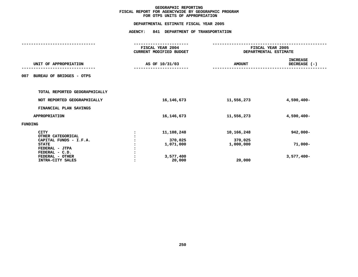### **OTPS UNITS OF APPROPRIATION DEPARTMENTAL**

|                                 |  | FISCAL YEAR 2004        | FISCAL YEAR 2005      |                 |  |
|---------------------------------|--|-------------------------|-----------------------|-----------------|--|
|                                 |  | CURRENT MODIFIED BUDGET | DEPARTMENTAL ESTIMATE |                 |  |
|                                 |  |                         |                       | <b>INCREASE</b> |  |
| UNIT OF APPROPRIATION           |  | AS OF 10/31/03          | <b>AMOUNT</b>         | DECREASE (-)    |  |
| BUREAU OF BRIDGES - OTPS<br>007 |  |                         |                       |                 |  |
| TOTAL REPORTED GEOGRAPHICALLY   |  |                         |                       |                 |  |
| NOT REPORTED GEOGRAPHICALLY     |  | 16, 146, 673            | 11,556,273            | 4,590,400-      |  |
| FINANCIAL PLAN SAVINGS          |  |                         |                       |                 |  |
| <b>APPROPRIATION</b>            |  | 16, 146, 673            | 11,556,273            | 4,590,400-      |  |
| <b>FUNDING</b>                  |  |                         |                       |                 |  |
| <b>CITY</b>                     |  | 11,108,248              | 10,166,248            | $942,000 -$     |  |
| OTHER CATEGORICAL               |  |                         |                       |                 |  |
| CAPITAL FUNDS - I.F.A.          |  | 370,025                 | 370,025               |                 |  |
| <b>STATE</b>                    |  | 1,071,000               | 1,000,000             | $71,000 -$      |  |
| FEDERAL - JTPA                  |  |                         |                       |                 |  |
| FEDERAL - C.D.                  |  |                         |                       |                 |  |
| FEDERAL - OTHER                 |  | 3,577,400               |                       | $3,577,400-$    |  |
| INTRA-CITY SALES                |  | 20,000                  | 20,000                |                 |  |
|                                 |  |                         |                       |                 |  |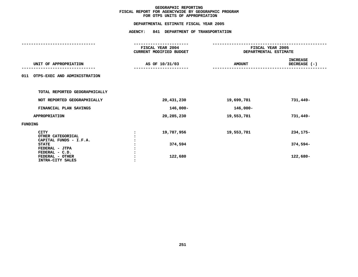### **OTPS UNITS OF APPROPRIATION DEPARTMENTAL**

|         |                                                            |  | FISCAL YEAR 2004<br>CURRENT MODIFIED BUDGET | FISCAL YEAR 2005<br>DEPARTMENTAL ESTIMATE |                                 |  |
|---------|------------------------------------------------------------|--|---------------------------------------------|-------------------------------------------|---------------------------------|--|
|         | UNIT OF APPROPRIATION                                      |  | AS OF 10/31/03                              | <b>AMOUNT</b>                             | <b>INCREASE</b><br>DECREASE (-) |  |
|         | 011 OTPS-EXEC AND ADMINISTRATION                           |  |                                             |                                           |                                 |  |
|         | TOTAL REPORTED GEOGRAPHICALLY                              |  |                                             |                                           |                                 |  |
|         | NOT REPORTED GEOGRAPHICALLY                                |  | 20,431,230                                  | 19,699,781                                | 731,449-                        |  |
|         | FINANCIAL PLAN SAVINGS                                     |  | 146,000-                                    | 146,000-                                  |                                 |  |
|         | <b>APPROPRIATION</b>                                       |  | 20,285,230                                  | 19,553,781                                | 731,449-                        |  |
| FUNDING |                                                            |  |                                             |                                           |                                 |  |
|         | <b>CITY</b><br>OTHER CATEGORICAL<br>CAPITAL FUNDS - I.F.A. |  | 19,787,956                                  | 19,553,781                                | 234,175-                        |  |
|         | <b>STATE</b><br>FEDERAL - JTPA                             |  | 374,594                                     |                                           | 374,594-                        |  |
|         | FEDERAL - C.D.<br>FEDERAL - OTHER<br>INTRA-CITY SALES      |  | 122,680                                     |                                           | 122,680-                        |  |
|         |                                                            |  |                                             |                                           |                                 |  |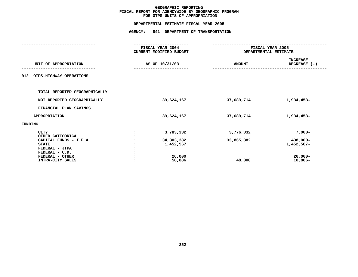### **OTPS UNITS OF APPROPRIATION DEPARTMENTAL**

|         |                                        | FISCAL YEAR 2004<br><b>CURRENT MODIFIED BUDGET</b> | FISCAL YEAR 2005<br>DEPARTMENTAL ESTIMATE |                                 |  |
|---------|----------------------------------------|----------------------------------------------------|-------------------------------------------|---------------------------------|--|
|         | UNIT OF APPROPRIATION                  | AS OF 10/31/03                                     | <b>AMOUNT</b>                             | <b>INCREASE</b><br>DECREASE (-) |  |
| 012     | OTPS-HIGHWAY OPERATIONS                |                                                    |                                           |                                 |  |
|         | TOTAL REPORTED GEOGRAPHICALLY          |                                                    |                                           |                                 |  |
|         | NOT REPORTED GEOGRAPHICALLY            | 39,624,167                                         | 37,689,714                                | 1,934,453-                      |  |
|         | FINANCIAL PLAN SAVINGS                 |                                                    |                                           |                                 |  |
|         | <b>APPROPRIATION</b>                   | 39,624,167                                         | 37,689,714                                | 1,934,453-                      |  |
| FUNDING |                                        |                                                    |                                           |                                 |  |
|         | <b>CITY</b><br>OTHER CATEGORICAL       | 3,783,332                                          | 3,776,332                                 | $7,000-$                        |  |
|         | CAPITAL FUNDS - I.F.A.<br><b>STATE</b> | 34,303,382<br>1,452,567                            | 33,865,382                                | 438,000-<br>1,452,567-          |  |
|         | FEDERAL - JTPA<br>FEDERAL - C.D.       |                                                    |                                           |                                 |  |
|         | FEDERAL - OTHER<br>INTRA-CITY SALES    | 26,000<br>58,886                                   | 48,000                                    | $26,000 -$<br>10,886-           |  |
|         |                                        |                                                    |                                           |                                 |  |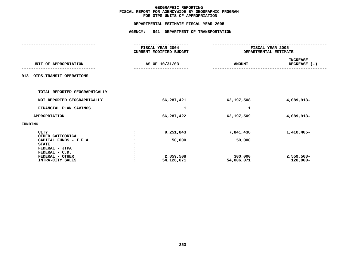### **OTPS UNITS OF APPROPRIATION DEPARTMENTAL**

|         |                                                            |  | FISCAL YEAR 2004<br>CURRENT MODIFIED BUDGET | FISCAL YEAR 2005<br>DEPARTMENTAL ESTIMATE |                                 |  |
|---------|------------------------------------------------------------|--|---------------------------------------------|-------------------------------------------|---------------------------------|--|
|         | UNIT OF APPROPRIATION                                      |  | AS OF 10/31/03                              | <b>AMOUNT</b>                             | <b>INCREASE</b><br>DECREASE (-) |  |
| 013     | OTPS-TRANSIT OPERATIONS                                    |  |                                             |                                           |                                 |  |
|         | TOTAL REPORTED GEOGRAPHICALLY                              |  |                                             |                                           |                                 |  |
|         | NOT REPORTED GEOGRAPHICALLY                                |  | 66,287,421                                  | 62,197,508                                | 4,089,913-                      |  |
|         | FINANCIAL PLAN SAVINGS                                     |  | 1                                           | 1                                         |                                 |  |
|         | <b>APPROPRIATION</b>                                       |  | 66,287,422                                  | 62,197,509                                | 4,089,913-                      |  |
| FUNDING |                                                            |  |                                             |                                           |                                 |  |
|         | <b>CITY</b><br>OTHER CATEGORICAL<br>CAPITAL FUNDS - I.F.A. |  | 9,251,843<br>50,000                         | 7,841,438<br>50,000                       | $1,410,405-$                    |  |
|         | <b>STATE</b><br>FEDERAL - JTPA<br>FEDERAL - C.D.           |  |                                             |                                           |                                 |  |
|         | FEDERAL - OTHER<br>INTRA-CITY SALES                        |  | 2,859,508<br>54,126,071                     | 300,000<br>54,006,071                     | 2,559,508-<br>120,000-          |  |
|         |                                                            |  |                                             |                                           |                                 |  |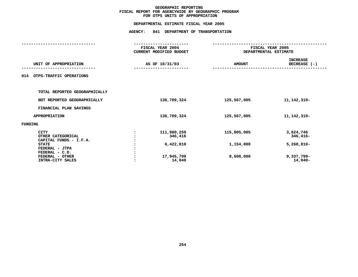### **OTPS UNITS OF APPROPRIATION DEPARTMENTAL**

|                                                                                                                                                       | FISCAL YEAR 2004<br><b>CURRENT MODIFIED BUDGET</b>          | FISCAL YEAR 2005<br>DEPARTMENTAL ESTIMATE |                                                                |  |  |
|-------------------------------------------------------------------------------------------------------------------------------------------------------|-------------------------------------------------------------|-------------------------------------------|----------------------------------------------------------------|--|--|
| UNIT OF APPROPRIATION                                                                                                                                 | AS OF 10/31/03                                              | <b>AMOUNT</b>                             | <b>INCREASE</b><br>DECREASE (-)                                |  |  |
| OTPS-TRAFFIC OPERATIONS<br>014                                                                                                                        |                                                             |                                           |                                                                |  |  |
| TOTAL REPORTED GEOGRAPHICALLY                                                                                                                         |                                                             |                                           |                                                                |  |  |
| NOT REPORTED GEOGRAPHICALLY                                                                                                                           | 136,709,324                                                 | 125,567,005                               | 11, 142, 319-                                                  |  |  |
| FINANCIAL PLAN SAVINGS                                                                                                                                |                                                             |                                           |                                                                |  |  |
| <b>APPROPRIATION</b>                                                                                                                                  | 136,709,324                                                 | 125,567,005                               | 11, 142, 319-                                                  |  |  |
| FUNDING                                                                                                                                               |                                                             |                                           |                                                                |  |  |
| <b>CITY</b><br>OTHER CATEGORICAL<br>CAPITAL FUNDS - I.F.A.<br><b>STATE</b><br>FEDERAL - JTPA<br>FEDERAL - C.D.<br>FEDERAL - OTHER<br>INTRA-CITY SALES | 111,980,259<br>346,416<br>6,422,810<br>17,945,799<br>14,040 | 115,805,005<br>1,154,000<br>8,608,000     | 3,824,746<br>346,416-<br>$5,268,810-$<br>9,337,799-<br>14,040- |  |  |
|                                                                                                                                                       |                                                             |                                           |                                                                |  |  |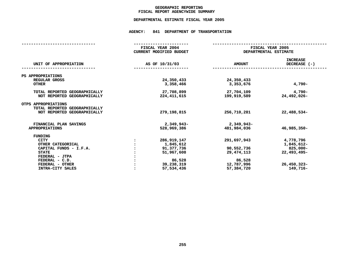### **GEOGRAPHICC REPORTING<br>ENCYWIDE SU<br>--- ------**-**FISCAL**

# **REPORT AGENCYWIDE SUMMARY DEPARTMENTAL ESTIMATE FISCAL YEAR <sup>2005</sup>**

## **AGENCY: <sup>841</sup> DEPARTMENT OF TRANSPORTATION**

|                                                      |                | FISCAL YEAR 2004<br>CURRENT MODIFIED BUDGET | FISCAL YEAR 2005<br>DEPARTMENTAL ESTIMATE |                                 |  |
|------------------------------------------------------|----------------|---------------------------------------------|-------------------------------------------|---------------------------------|--|
| UNIT OF APPROPRIATION                                | AS OF 10/31/03 |                                             | <b>AMOUNT</b>                             | <b>INCREASE</b><br>DECREASE (-) |  |
| PS APPROPRIATIONS                                    |                |                                             |                                           |                                 |  |
| REGULAR GROSS                                        |                | 24,350,433                                  | 24,350,433                                |                                 |  |
| <b>OTHER</b>                                         |                | 3,358,466                                   | 3,353,676                                 | $4,790-$                        |  |
| TOTAL REPORTED GEOGRAPHICALLY                        |                | 27,708,899                                  | 27,704,109                                | 4,790-                          |  |
| NOT REPORTED GEOGRAPHICALLY                          |                | 224, 411, 615                               | 199,919,589                               | 24,492,026-                     |  |
| OTPS APPROPRIATIONS<br>TOTAL REPORTED GEOGRAPHICALLY |                |                                             |                                           |                                 |  |
| NOT REPORTED GEOGRAPHICALLY                          |                | 279,198,815                                 | 256,710,281                               | 22,488,534-                     |  |
|                                                      |                |                                             |                                           |                                 |  |
| FINANCIAL PLAN SAVINGS                               |                | $2,349,943-$                                | 2,349,943-                                |                                 |  |
| <b>APPROPRIATIONS</b>                                |                | 528,969,386                                 | 481,984,036                               | $46,985,350 -$                  |  |
| <b>FUNDING</b>                                       |                |                                             |                                           |                                 |  |
| <b>CITY</b>                                          |                | 286, 919, 147                               | 291,697,943                               | 4,778,796                       |  |
| OTHER CATEGORICAL                                    |                | 1,845,612                                   |                                           | 1,845,612-                      |  |
| CAPITAL FUNDS - I.F.A.                               |                | 91,377,736                                  | 90,552,736                                | 825,000-                        |  |
| <b>STATE</b>                                         |                | 51,967,608                                  | 29, 474, 113                              | 22,493,495-                     |  |
| FEDERAL - JTPA                                       |                |                                             |                                           |                                 |  |
| $FEDERAL - C.D.$                                     |                | 86,528                                      | 86,528                                    |                                 |  |
| FEDERAL - OTHER                                      |                | 39,238,319                                  | 12,787,996                                | $26,450,323 -$                  |  |
| INTRA-CITY SALES                                     |                | 57,534,436                                  | 57,384,720                                | 149,716-                        |  |
|                                                      |                |                                             |                                           |                                 |  |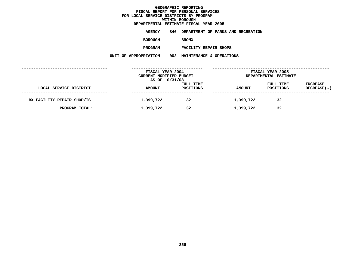**ESTIMATE FISCAL YEAR <sup>2005</sup> AGENCY <sup>846</sup> DEPARTMENT OF PARKS AND RECREATION**

**BOROUGH**

BRONX<br>FACILITY REPAIR SHOPS **PROGRAM**

**FACILITY REPAIR SHOPS UNIT OF APPROPRIATION <sup>002</sup> MAINTENANCE & OPERATIONS**

|                            | FISCAL YEAR 2004<br>CURRENT MODIFIED BUDGET<br>AS OF 10/31/03 |                        | FISCAL YEAR 2005<br>DEPARTMENTAL ESTIMATE |                        |                                |
|----------------------------|---------------------------------------------------------------|------------------------|-------------------------------------------|------------------------|--------------------------------|
| LOCAL SERVICE DISTRICT     | <b>AMOUNT</b>                                                 | FULL TIME<br>POSITIONS | <b>AMOUNT</b>                             | FULL TIME<br>POSITIONS | <b>INCREASE</b><br>DECREASE(-) |
| BX FACILITY REPAIR SHOP/TS | 1,399,722                                                     | 32                     | 1,399,722                                 | 32                     |                                |
| PROGRAM TOTAL:             | 1,399,722                                                     | 32                     | 1,399,722                                 | 32                     |                                |
|                            |                                                               |                        |                                           |                        |                                |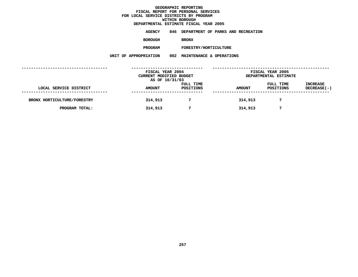**ESTIMATE FISCAL YEAR <sup>2005</sup> AGENCY <sup>846</sup> DEPARTMENT OF PARKS AND RECREATION**

**BOROUGH**

BRONX<br>FORESTRY/HORTICULTURE **PROGRAM**

**FORESTRY/HORTICULTURE UNIT OF APPROPRIATION <sup>002</sup> MAINTENANCE & OPERATIONS**

|                             | FISCAL YEAR 2004<br>CURRENT MODIFIED BUDGET<br>AS OF 10/31/03 |                        | FISCAL YEAR 2005<br>DEPARTMENTAL ESTIMATE |                        |                                       |  |
|-----------------------------|---------------------------------------------------------------|------------------------|-------------------------------------------|------------------------|---------------------------------------|--|
| LOCAL SERVICE DISTRICT      | <b>AMOUNT</b>                                                 | FULL TIME<br>POSITIONS | <b>AMOUNT</b>                             | FULL TIME<br>POSITIONS | <b>INCREASE</b><br><b>DECREASE(-)</b> |  |
| BRONX HORTICULTURE/FORESTRY | 314,913                                                       |                        | 314,913                                   |                        |                                       |  |
| PROGRAM TOTAL:              | 314,913                                                       | 7                      | 314,913                                   |                        |                                       |  |
|                             |                                                               |                        |                                           |                        |                                       |  |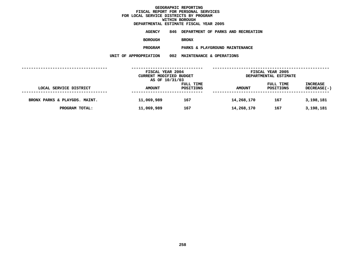**ESTIMATE FISCAL YEAR <sup>2005</sup> AGENCY <sup>846</sup> DEPARTMENT OF PARKS AND RECREATION**

**BOROUGH**

BRONX<br>PARKS & PLAYGROUND MAINTENANCE **PROGRAM**

**PARKS & PLAYGROUND MAINTENANCE UNIT OF APPROPRIATION <sup>002</sup> MAINTENANCE & OPERATIONS**

|                               | FISCAL YEAR 2004<br>CURRENT MODIFIED BUDGET<br>AS OF 10/31/03 |                        | FISCAL YEAR 2005<br>DEPARTMENTAL ESTIMATE |                               |                                       |
|-------------------------------|---------------------------------------------------------------|------------------------|-------------------------------------------|-------------------------------|---------------------------------------|
| LOCAL SERVICE DISTRICT        | <b>AMOUNT</b>                                                 | FULL TIME<br>POSITIONS | <b>AMOUNT</b>                             | FULL TIME<br><b>POSITIONS</b> | <b>INCREASE</b><br><b>DECREASE(-)</b> |
| BRONX PARKS & PLAYGDS. MAINT. | 11,069,989                                                    | 167                    | 14,268,170                                | 167                           | 3,198,181                             |
| PROGRAM TOTAL:                | 11,069,989                                                    | 167                    | 14,268,170                                | 167                           | 3,198,181                             |
|                               |                                                               |                        |                                           |                               |                                       |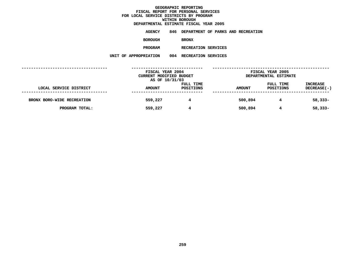**ESTIMATE FISCAL YEAR <sup>2005</sup> AGENCY <sup>846</sup> DEPARTMENT OF PARKS AND RECREATION**

**BOROUGH**

BRONX<br>RECREATION SERVICES **PROGRAM**

**RECREATION SERVICES UNIT OF APPROPRIATION <sup>004</sup> RECREATION SERVICES**

|                            | FISCAL YEAR 2004<br>CURRENT MODIFIED BUDGET<br>AS OF 10/31/03 |                        | FISCAL YEAR 2005<br>DEPARTMENTAL ESTIMATE |                        |                                       |
|----------------------------|---------------------------------------------------------------|------------------------|-------------------------------------------|------------------------|---------------------------------------|
| LOCAL SERVICE DISTRICT     | <b>AMOUNT</b>                                                 | FULL TIME<br>POSITIONS | <b>AMOUNT</b>                             | FULL TIME<br>POSITIONS | <b>INCREASE</b><br><b>DECREASE(-)</b> |
| BRONX BORO-WIDE RECREATION | 559,227                                                       | 4                      | 500,894                                   | 4                      | $58,333 -$                            |
| PROGRAM TOTAL:             | 559,227                                                       | 4                      | 500,894                                   | 4                      | $58,333 -$                            |
|                            |                                                               |                        |                                           |                        |                                       |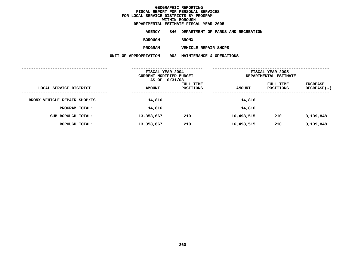**ESTIMATE FISCAL YEAR <sup>2005</sup> AGENCY <sup>846</sup> DEPARTMENT OF PARKS AND RECREATION**

**BOROUGH**

BRONX<br>VEHICLE REPAIR SHOPS **PROGRAM**

**VEHICLE REPAIR SHOPS UNIT OF APPROPRIATION <sup>002</sup> MAINTENANCE & OPERATIONS**

|                              | FISCAL YEAR 2004<br>CURRENT MODIFIED BUDGET<br>AS OF 10/31/03 |                        | FISCAL YEAR 2005<br>DEPARTMENTAL ESTIMATE |                        |                           |
|------------------------------|---------------------------------------------------------------|------------------------|-------------------------------------------|------------------------|---------------------------|
| LOCAL SERVICE DISTRICT       | <b>AMOUNT</b>                                                 | FULL TIME<br>POSITIONS | <b>AMOUNT</b>                             | FULL TIME<br>POSITIONS | INCREASE<br>$DECREASE(-)$ |
| BRONX VEHICLE REPAIR SHOP/TS | 14,816                                                        |                        | 14,816                                    |                        |                           |
| PROGRAM TOTAL:               | 14,816                                                        |                        | 14,816                                    |                        |                           |
| SUB BOROUGH TOTAL:           | 13,358,667                                                    | 210                    | 16,498,515                                | 210                    | 3,139,848                 |
| BOROUGH TOTAL:               | 13,358,667                                                    | 210                    | 16,498,515                                | 210                    | 3,139,848                 |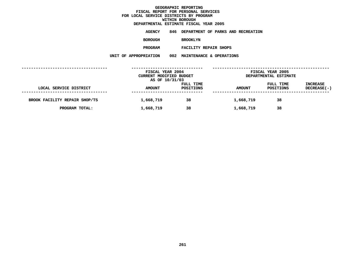**ESTIMATE FISCAL YEAR <sup>2005</sup> AGENCY <sup>846</sup> DEPARTMENT OF PARKS AND RECREATION**

**BOROUGH**

BROOKLYN<br>FACILITY REPAIR SHOPS **PROGRAM**

**FACILITY REPAIR SHOPS UNIT OF APPROPRIATION <sup>002</sup> MAINTENANCE & OPERATIONS**

|                               | FISCAL YEAR 2004        |           |               | FISCAL YEAR 2005<br>DEPARTMENTAL ESTIMATE |                 |  |
|-------------------------------|-------------------------|-----------|---------------|-------------------------------------------|-----------------|--|
|                               | CURRENT MODIFIED BUDGET |           |               |                                           |                 |  |
|                               | AS OF 10/31/03          |           |               |                                           |                 |  |
|                               |                         | FULL TIME |               | FULL TIME                                 | <b>INCREASE</b> |  |
| LOCAL SERVICE DISTRICT        | <b>AMOUNT</b>           | POSITIONS | <b>AMOUNT</b> | POSITIONS                                 | DECREASE(-)     |  |
|                               |                         |           |               |                                           |                 |  |
| BROOK FACILITY REPAIR SHOP/TS | 1,668,719               | 38        | 1,668,719     | 38                                        |                 |  |
|                               |                         |           |               |                                           |                 |  |
| PROGRAM TOTAL:                | 1,668,719               | 38        | 1,668,719     | 38                                        |                 |  |
|                               |                         |           |               |                                           |                 |  |
|                               |                         |           |               |                                           |                 |  |
|                               |                         |           |               |                                           |                 |  |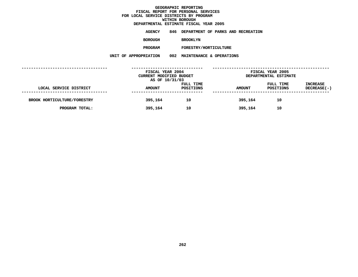**ESTIMATE FISCAL YEAR <sup>2005</sup> AGENCY <sup>846</sup> DEPARTMENT OF PARKS AND RECREATION**

**BOROUGH**

BROOKLYN<br>FORESTRY/HORTICULTURE

**PROGRAM**

**FORESTRY/HORTICULTURE UNIT OF APPROPRIATION <sup>002</sup> MAINTENANCE & OPERATIONS**

|                             | FISCAL YEAR 2004<br>CURRENT MODIFIED BUDGET<br>AS OF 10/31/03 |                        |               | FISCAL YEAR 2005<br>DEPARTMENTAL ESTIMATE |                                       |
|-----------------------------|---------------------------------------------------------------|------------------------|---------------|-------------------------------------------|---------------------------------------|
| LOCAL SERVICE DISTRICT      | <b>AMOUNT</b>                                                 | FULL TIME<br>POSITIONS | <b>AMOUNT</b> | FULL TIME<br>POSITIONS                    | <b>INCREASE</b><br><b>DECREASE(-)</b> |
| BROOK HORTICULTURE/FORESTRY | 395,164                                                       | 10                     | 395,164       | 10                                        |                                       |
| PROGRAM TOTAL:              | 395,164                                                       | 10                     | 395,164       | 10                                        |                                       |
|                             |                                                               |                        |               |                                           |                                       |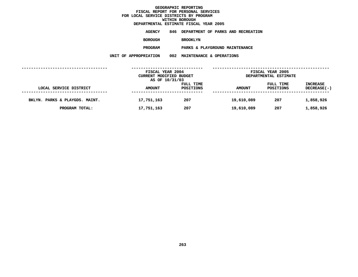**ESTIMATE FISCAL YEAR <sup>2005</sup> AGENCY <sup>846</sup> DEPARTMENT OF PARKS AND RECREATION**

**BOROUGH**

BROOKLYN<br>PARKS & PLAYGROUND MAINTENANCE **PROGRAM**

**PARKS & PLAYGROUND MAINTENANCE UNIT OF APPROPRIATION <sup>002</sup> MAINTENANCE & OPERATIONS**

|                                | FISCAL YEAR 2004<br>CURRENT MODIFIED BUDGET<br>AS OF 10/31/03 |                        | FISCAL YEAR 2005<br>DEPARTMENTAL ESTIMATE |                        |                                       |
|--------------------------------|---------------------------------------------------------------|------------------------|-------------------------------------------|------------------------|---------------------------------------|
| LOCAL SERVICE DISTRICT         | <b>AMOUNT</b>                                                 | FULL TIME<br>POSITIONS | <b>AMOUNT</b>                             | FULL TIME<br>POSITIONS | <b>INCREASE</b><br><b>DECREASE(-)</b> |
| BKLYN. PARKS & PLAYGDS. MAINT. | 17,751,163                                                    | 207                    | 19,610,089                                | 207                    | 1,858,926                             |
| PROGRAM TOTAL:                 | 17,751,163                                                    | 207                    | 19,610,089                                | 207                    | 1,858,926                             |
|                                |                                                               |                        |                                           |                        |                                       |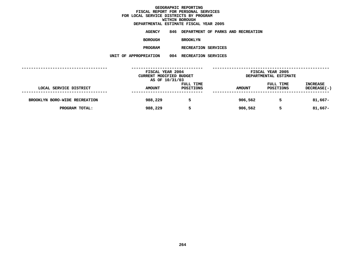**ESTIMATE FISCAL YEAR <sup>2005</sup> AGENCY <sup>846</sup> DEPARTMENT OF PARKS AND RECREATION**

**BOROUGH**

BROOKLYN<br>RECREATION SERVICES

**PROGRAM**

**RECREATION SERVICES UNIT OF APPROPRIATION <sup>004</sup> RECREATION SERVICES**

|                               | FISCAL YEAR 2004<br>CURRENT MODIFIED BUDGET<br>AS OF 10/31/03 |                        |               | FISCAL YEAR 2005<br>DEPARTMENTAL ESTIMATE |                                       |
|-------------------------------|---------------------------------------------------------------|------------------------|---------------|-------------------------------------------|---------------------------------------|
| LOCAL SERVICE DISTRICT        | <b>AMOUNT</b>                                                 | FULL TIME<br>POSITIONS | <b>AMOUNT</b> | FULL TIME<br>POSITIONS                    | <b>INCREASE</b><br><b>DECREASE(-)</b> |
| BROOKLYN BORO-WIDE RECREATION | 988,229                                                       | 5                      | 906,562       | 5                                         | $81,667-$                             |
| PROGRAM TOTAL:                | 988,229                                                       | 5                      | 906,562       | 5                                         | $81,667-$                             |
|                               |                                                               |                        |               |                                           |                                       |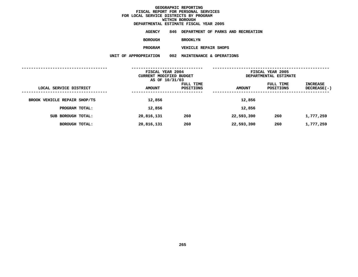**ESTIMATE FISCAL YEAR <sup>2005</sup> AGENCY <sup>846</sup> DEPARTMENT OF PARKS AND RECREATION**

**BOROUGH**

BROOKLYN<br>VEHICLE REPAIR SHOPS **PROGRAM**

**VEHICLE REPAIR SHOPS UNIT OF APPROPRIATION <sup>002</sup> MAINTENANCE & OPERATIONS**

|                              |                   | FISCAL YEAR 2004<br>CURRENT MODIFIED BUDGET<br>AS OF 10/31/03 |                        |               | FISCAL YEAR 2005<br>DEPARTMENTAL ESTIMATE |                                               |  |
|------------------------------|-------------------|---------------------------------------------------------------|------------------------|---------------|-------------------------------------------|-----------------------------------------------|--|
| LOCAL SERVICE DISTRICT       | ----------------- | <b>AMOUNT</b><br>----------------                             | FULL TIME<br>POSITIONS | <b>AMOUNT</b> | FULL TIME<br>POSITIONS                    | INCREASE<br>DECREASE(-)<br>------------------ |  |
| BROOK VEHICLE REPAIR SHOP/TS |                   | 12,856                                                        |                        | 12,856        |                                           |                                               |  |
| PROGRAM TOTAL:               |                   | 12,856                                                        |                        | 12,856        |                                           |                                               |  |
| SUB BOROUGH TOTAL:           |                   | 20,816,131                                                    | 260                    | 22,593,390    | 260                                       | 1,777,259                                     |  |
| BOROUGH TOTAL:               |                   | 20,816,131                                                    | 260                    | 22,593,390    | 260                                       | 1,777,259                                     |  |
|                              |                   |                                                               |                        |               |                                           |                                               |  |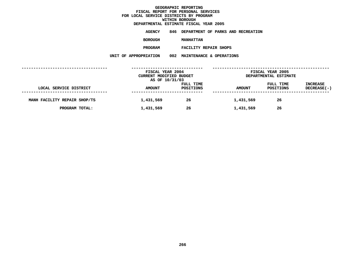**ESTIMATE FISCAL YEAR <sup>2005</sup> AGENCY <sup>846</sup> DEPARTMENT OF PARKS AND RECREATION**

**BOROUGH**

 **MANHATTAN PROGRAM**

**FACILITY REPAIR SHOPS UNIT OF APPROPRIATION <sup>002</sup> MAINTENANCE & OPERATIONS**

|                              | FISCAL YEAR 2004<br>CURRENT MODIFIED BUDGET<br>AS OF 10/31/03 |                        | FISCAL YEAR 2005<br>DEPARTMENTAL ESTIMATE |                        |                                |
|------------------------------|---------------------------------------------------------------|------------------------|-------------------------------------------|------------------------|--------------------------------|
| LOCAL SERVICE DISTRICT       | <b>AMOUNT</b>                                                 | FULL TIME<br>POSITIONS | <b>AMOUNT</b>                             | FULL TIME<br>POSITIONS | <b>INCREASE</b><br>DECREASE(-) |
| MANH FACILITY REPAIR SHOP/TS | 1,431,569                                                     | 26                     | 1,431,569                                 | 26                     |                                |
| PROGRAM TOTAL:               | 1,431,569                                                     | 26                     | 1,431,569                                 | 26                     |                                |
|                              |                                                               |                        |                                           |                        |                                |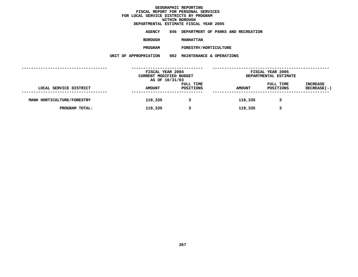**ESTIMATE FISCAL YEAR <sup>2005</sup> AGENCY <sup>846</sup> DEPARTMENT OF PARKS AND RECREATION**

**BOROUGH**

 **MANHATTAN PROGRAM**

**FORESTRY/HORTICULTURE UNIT OF APPROPRIATION <sup>002</sup> MAINTENANCE & OPERATIONS**

|                            | FISCAL YEAR 2004<br>CURRENT MODIFIED BUDGET<br>AS OF 10/31/03 |                        |               | FISCAL YEAR 2005<br>DEPARTMENTAL ESTIMATE |                                |  |
|----------------------------|---------------------------------------------------------------|------------------------|---------------|-------------------------------------------|--------------------------------|--|
| LOCAL SERVICE DISTRICT     | <b>AMOUNT</b>                                                 | FULL TIME<br>POSITIONS | <b>AMOUNT</b> | FULL TIME<br>POSITIONS                    | <b>INCREASE</b><br>DECREASE(-) |  |
| MANH HORTICULTURE/FORESTRY | 119,335                                                       |                        | 119,335       |                                           |                                |  |
| PROGRAM TOTAL:             | 119,335                                                       | 3                      | 119,335       | 3                                         |                                |  |
|                            |                                                               |                        |               |                                           |                                |  |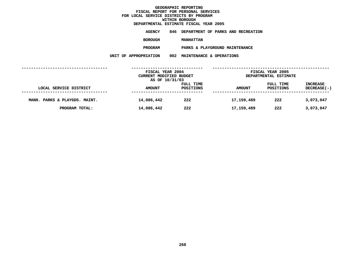**ESTIMATE FISCAL YEAR <sup>2005</sup> AGENCY <sup>846</sup> DEPARTMENT OF PARKS AND RECREATION**

**BOROUGH**

**MANHATTAN<br>PARKS & PLAYGROUND MAINTENANCE PROGRAM**

**PARKS & PLAYGROUND MAINTENANCE UNIT OF APPROPRIATION <sup>002</sup> MAINTENANCE & OPERATIONS**

|                               | FISCAL YEAR 2004<br>CURRENT MODIFIED BUDGET<br>AS OF 10/31/03 |                        | FISCAL YEAR 2005<br>DEPARTMENTAL ESTIMATE |                        |                                       |
|-------------------------------|---------------------------------------------------------------|------------------------|-------------------------------------------|------------------------|---------------------------------------|
| LOCAL SERVICE DISTRICT        | <b>AMOUNT</b>                                                 | FULL TIME<br>POSITIONS | <b>AMOUNT</b>                             | FULL TIME<br>POSITIONS | <b>INCREASE</b><br><b>DECREASE(-)</b> |
| MANH. PARKS & PLAYGDS. MAINT. | 14,086,442                                                    | 222                    | 17, 159, 489                              | 222                    | 3,073,047                             |
| PROGRAM TOTAL:                | 14,086,442                                                    | 222                    | 17, 159, 489                              | 222                    | 3,073,047                             |
|                               |                                                               |                        |                                           |                        |                                       |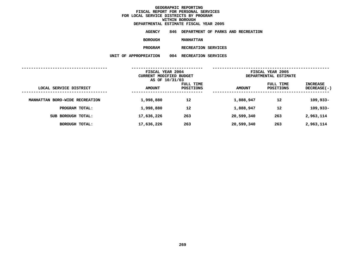**ESTIMATE FISCAL YEAR <sup>2005</sup> AGENCY <sup>846</sup> DEPARTMENT OF PARKS AND RECREATION**

**BOROUGH**

 **MANHATTAN PROGRAM**

**RECREATION SERVICES UNIT OF APPROPRIATION <sup>004</sup> RECREATION SERVICES**

|                                | FISCAL YEAR 2004<br>CURRENT MODIFIED BUDGET<br>AS OF 10/31/03 |                        | FISCAL YEAR 2005<br>DEPARTMENTAL ESTIMATE |                        |                                |
|--------------------------------|---------------------------------------------------------------|------------------------|-------------------------------------------|------------------------|--------------------------------|
| LOCAL SERVICE DISTRICT         | <b>AMOUNT</b>                                                 | FULL TIME<br>POSITIONS | <b>AMOUNT</b>                             | FULL TIME<br>POSITIONS | <b>INCREASE</b><br>DECREASE(-) |
| MANHATTAN BORO-WIDE RECREATION | 1,998,880                                                     | 12                     | 1,888,947                                 | 12                     | $109,933-$                     |
| PROGRAM TOTAL:                 | 1,998,880                                                     | 12                     | 1,888,947                                 | 12                     | 109,933-                       |
| SUB BOROUGH TOTAL:             | 17,636,226                                                    | 263                    | 20,599,340                                | 263                    | 2,963,114                      |
| <b>BOROUGH TOTAL:</b>          | 17,636,226                                                    | 263                    | 20,599,340                                | 263                    | 2,963,114                      |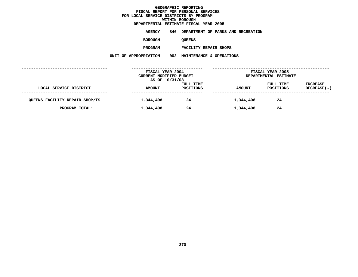**ESTIMATE FISCAL YEAR <sup>2005</sup> AGENCY <sup>846</sup> DEPARTMENT OF PARKS AND RECREATION**

**BOROUGH**

QUEENS<br>FACILITY REPAIR SHOPS **PROGRAM**

**FACILITY REPAIR SHOPS UNIT OF APPROPRIATION <sup>002</sup> MAINTENANCE & OPERATIONS**

|                                | FISCAL YEAR 2004<br>CURRENT MODIFIED BUDGET<br>AS OF 10/31/03 |                        | FISCAL YEAR 2005<br>DEPARTMENTAL ESTIMATE |                        |                                       |
|--------------------------------|---------------------------------------------------------------|------------------------|-------------------------------------------|------------------------|---------------------------------------|
| LOCAL SERVICE DISTRICT         | <b>AMOUNT</b>                                                 | FULL TIME<br>POSITIONS | <b>AMOUNT</b>                             | FULL TIME<br>POSITIONS | <b>INCREASE</b><br><b>DECREASE(-)</b> |
| QUEENS FACILITY REPAIR SHOP/TS | 1,344,408                                                     | 24                     | 1,344,408                                 | 24                     |                                       |
| PROGRAM TOTAL:                 | 1,344,408                                                     | 24                     | 1,344,408                                 | 24                     |                                       |
|                                |                                                               |                        |                                           |                        |                                       |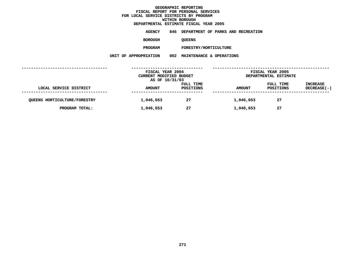**ESTIMATE FISCAL YEAR <sup>2005</sup> AGENCY <sup>846</sup> DEPARTMENT OF PARKS AND RECREATION**

**BOROUGH**

QUEENS<br>FORESTRY/HORTICULTURE **PROGRAM**

**FORESTRY/HORTICULTURE UNIT OF APPROPRIATION <sup>002</sup> MAINTENANCE & OPERATIONS**

|                                     | FISCAL YEAR 2004<br>CURRENT MODIFIED BUDGET<br>AS OF 10/31/03 |                        |               | FISCAL YEAR 2005<br>DEPARTMENTAL ESTIMATE |                                       |  |
|-------------------------------------|---------------------------------------------------------------|------------------------|---------------|-------------------------------------------|---------------------------------------|--|
| LOCAL SERVICE DISTRICT              | <b>AMOUNT</b>                                                 | FULL TIME<br>POSITIONS | <b>AMOUNT</b> | FULL TIME<br>POSITIONS                    | <b>INCREASE</b><br><b>DECREASE(-)</b> |  |
| <b>QUEENS HORTICULTURE/FORESTRY</b> | 1,046,653                                                     | 27                     | 1,046,653     | 27                                        |                                       |  |
| PROGRAM TOTAL:                      | 1,046,653                                                     | 27                     | 1,046,653     | 27                                        |                                       |  |
|                                     |                                                               |                        |               |                                           |                                       |  |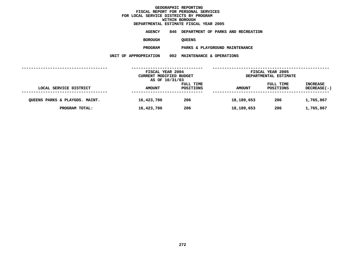**ESTIMATE FISCAL YEAR <sup>2005</sup> AGENCY <sup>846</sup> DEPARTMENT OF PARKS AND RECREATION**

**BOROUGH**

QUEENS<br>PARKS & PLAYGROUND MAINTENANCE **PROGRAM**

**PARKS & PLAYGROUND MAINTENANCE UNIT OF APPROPRIATION <sup>002</sup> MAINTENANCE & OPERATIONS**

|                                | FISCAL YEAR 2004<br>CURRENT MODIFIED BUDGET<br>AS OF 10/31/03 |                        | FISCAL YEAR 2005<br>DEPARTMENTAL ESTIMATE |                        |                                       |
|--------------------------------|---------------------------------------------------------------|------------------------|-------------------------------------------|------------------------|---------------------------------------|
| LOCAL SERVICE DISTRICT         | <b>AMOUNT</b>                                                 | FULL TIME<br>POSITIONS | <b>AMOUNT</b>                             | FULL TIME<br>POSITIONS | <b>INCREASE</b><br><b>DECREASE(-)</b> |
| QUEENS PARKS & PLAYGDS. MAINT. | 16,423,786                                                    | 206                    | 18,189,653                                | 206                    | 1,765,867                             |
| PROGRAM TOTAL:                 | 16,423,786                                                    | 206                    | 18,189,653                                | 206                    | 1,765,867                             |
|                                |                                                               |                        |                                           |                        |                                       |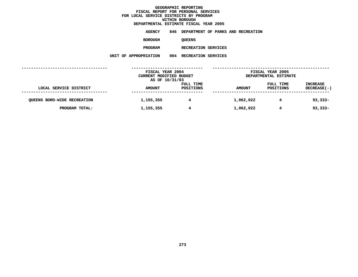**ESTIMATE FISCAL YEAR <sup>2005</sup> AGENCY <sup>846</sup> DEPARTMENT OF PARKS AND RECREATION**

**BOROUGH**

QUEENS<br>RECREATION SERVICES **PROGRAM**

**RECREATION SERVICES UNIT OF APPROPRIATION <sup>004</sup> RECREATION SERVICES**

|                                    | FISCAL YEAR 2004<br>CURRENT MODIFIED BUDGET |                        |               | FISCAL YEAR 2005<br>DEPARTMENTAL ESTIMATE |                                |  |
|------------------------------------|---------------------------------------------|------------------------|---------------|-------------------------------------------|--------------------------------|--|
| LOCAL SERVICE DISTRICT             | AS OF 10/31/03<br><b>AMOUNT</b>             | FULL TIME<br>POSITIONS | <b>AMOUNT</b> | FULL TIME<br>POSITIONS                    | INCREASE<br><b>DECREASE(-)</b> |  |
| <b>QUEENS BORO-WIDE RECREATION</b> | 1,155,355                                   | 4                      | 1,062,022     | 4                                         | $93,333 -$                     |  |
| PROGRAM TOTAL:                     | 1,155,355                                   | 4                      | 1,062,022     | 4                                         | $93,333 -$                     |  |
|                                    |                                             |                        |               |                                           |                                |  |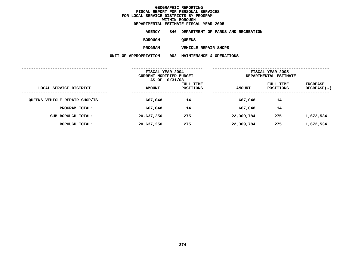**ESTIMATE FISCAL YEAR <sup>2005</sup> AGENCY <sup>846</sup> DEPARTMENT OF PARKS AND RECREATION**

**BOROUGH**

QUEENS<br>VEHICLE REPAIR SHOPS

**PROGRAM**

**VEHICLE REPAIR SHOPS UNIT OF APPROPRIATION <sup>002</sup> MAINTENANCE & OPERATIONS**

|                               | FISCAL YEAR 2004<br>CURRENT MODIFIED BUDGET<br>AS OF 10/31/03 |                        | FISCAL YEAR 2005<br>DEPARTMENTAL ESTIMATE |                               |                         |
|-------------------------------|---------------------------------------------------------------|------------------------|-------------------------------------------|-------------------------------|-------------------------|
| LOCAL SERVICE DISTRICT        | <b>AMOUNT</b>                                                 | FULL TIME<br>POSITIONS | <b>AMOUNT</b>                             | FULL TIME<br><b>POSITIONS</b> | INCREASE<br>DECREASE(-) |
| QUEENS VEHICLE REPAIR SHOP/TS | 667,048                                                       | 14                     | 667,048                                   | 14                            |                         |
| PROGRAM TOTAL:                | 667,048                                                       | 14                     | 667,048                                   | 14                            |                         |
| SUB BOROUGH TOTAL:            | 20,637,250                                                    | 275                    | 22,309,784                                | 275                           | 1,672,534               |
| BOROUGH TOTAL:                | 20,637,250                                                    | 275                    | 22,309,784                                | 275                           | 1,672,534               |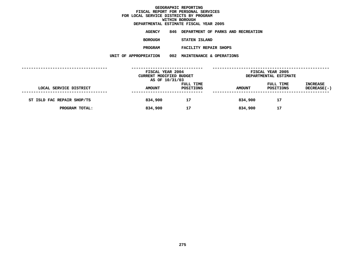**ESTIMATE FISCAL YEAR <sup>2005</sup> AGENCY <sup>846</sup> DEPARTMENT OF PARKS AND RECREATION**

**BOROUGH**

 **STATEN ISLAND PROGRAM**

**FACILITY REPAIR SHOPS UNIT OF APPROPRIATION <sup>002</sup> MAINTENANCE & OPERATIONS**

|                            | FISCAL YEAR 2004<br>CURRENT MODIFIED BUDGET<br>AS OF 10/31/03 |                        | FISCAL YEAR 2005<br>DEPARTMENTAL ESTIMATE |                        |                                |
|----------------------------|---------------------------------------------------------------|------------------------|-------------------------------------------|------------------------|--------------------------------|
| LOCAL SERVICE DISTRICT     | <b>AMOUNT</b>                                                 | FULL TIME<br>POSITIONS | <b>AMOUNT</b>                             | FULL TIME<br>POSITIONS | <b>INCREASE</b><br>DECREASE(-) |
| ST ISLD FAC REPAIR SHOP/TS | 834,900                                                       | 17                     | 834,900                                   | 17                     |                                |
| PROGRAM TOTAL:             | 834,900                                                       | 17                     | 834,900                                   | 17                     |                                |
|                            |                                                               |                        |                                           |                        |                                |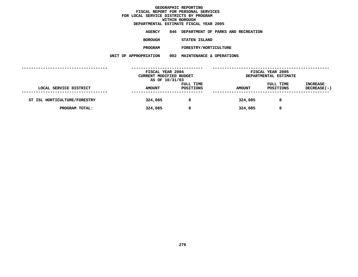**DEPARTMENTAL**

**ESTIMATE FISCAL YEAR <sup>2005</sup> AGENCY <sup>846</sup> DEPARTMENT OF PARKS AND RECREATION**

**BOROUGH**

 **STATEN ISLAND PROGRAM**

**FORESTRY/HORTICULTURE UNIT OF APPROPRIATION <sup>002</sup> MAINTENANCE & OPERATIONS**

|                              | FISCAL YEAR 2004<br>CURRENT MODIFIED BUDGET<br>AS OF 10/31/03 |                        | FISCAL YEAR 2005<br>DEPARTMENTAL ESTIMATE |                        |                                       |
|------------------------------|---------------------------------------------------------------|------------------------|-------------------------------------------|------------------------|---------------------------------------|
| LOCAL SERVICE DISTRICT       | <b>AMOUNT</b>                                                 | FULL TIME<br>POSITIONS | <b>AMOUNT</b>                             | FULL TIME<br>POSITIONS | <b>INCREASE</b><br><b>DECREASE(-)</b> |
| ST ISL HORTICULTURE/FORESTRY | 324,085                                                       | 8                      | 324,085                                   | 8                      |                                       |
| PROGRAM TOTAL:               | 324,085                                                       | 8                      | 324,085                                   | 8                      |                                       |
|                              |                                                               |                        |                                           |                        |                                       |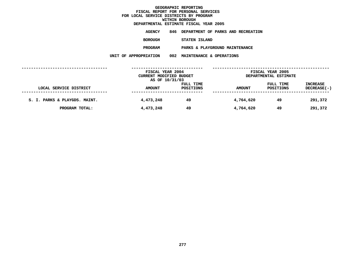**ESTIMATE FISCAL YEAR <sup>2005</sup> AGENCY <sup>846</sup> DEPARTMENT OF PARKS AND RECREATION**

**BOROUGH**

 **STATEN ISLAND PROGRAM**

**PARKS & PLAYGROUND MAINTENANCE UNIT OF APPROPRIATION <sup>002</sup> MAINTENANCE & OPERATIONS**

|                               | FISCAL YEAR 2004<br>CURRENT MODIFIED BUDGET<br>AS OF 10/31/03 |                        | FISCAL YEAR 2005<br>DEPARTMENTAL ESTIMATE |                        |                                |
|-------------------------------|---------------------------------------------------------------|------------------------|-------------------------------------------|------------------------|--------------------------------|
| LOCAL SERVICE DISTRICT        | <b>AMOUNT</b>                                                 | FULL TIME<br>POSITIONS | <b>AMOUNT</b>                             | FULL TIME<br>POSITIONS | <b>INCREASE</b><br>DECREASE(-) |
| S. I. PARKS & PLAYGDS. MAINT. | 4,473,248                                                     | 49                     | 4,764,620                                 | 49                     | 291,372                        |
| PROGRAM TOTAL:                | 4,473,248                                                     | 49                     | 4,764,620                                 | 49                     | 291,372                        |
|                               |                                                               |                        |                                           |                        |                                |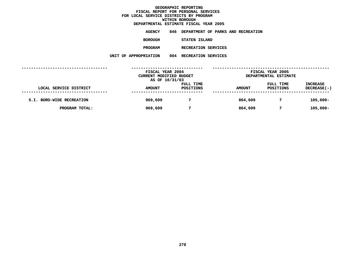**ESTIMATE FISCAL YEAR <sup>2005</sup> AGENCY <sup>846</sup> DEPARTMENT OF PARKS AND RECREATION BOROUGHSTATEN ISLAND**

**PROGRAM**

**RECREATION SERVICES UNIT OF APPROPRIATION <sup>004</sup> RECREATION SERVICES**

|                           | FISCAL YEAR 2004<br>CURRENT MODIFIED BUDGET |                        |               | FISCAL YEAR 2005<br>DEPARTMENTAL ESTIMATE |                                       |  |
|---------------------------|---------------------------------------------|------------------------|---------------|-------------------------------------------|---------------------------------------|--|
| LOCAL SERVICE DISTRICT    | AS OF 10/31/03<br><b>AMOUNT</b>             | FULL TIME<br>POSITIONS | <b>AMOUNT</b> | FULL TIME<br>POSITIONS                    | <b>INCREASE</b><br><b>DECREASE(-)</b> |  |
| S.I. BORO-WIDE RECREATION | 969,609                                     |                        | 864,609       |                                           | $105,000 -$                           |  |
| PROGRAM TOTAL:            | 969,609                                     | 7                      | 864,609       |                                           | $105,000 -$                           |  |
|                           |                                             |                        |               |                                           |                                       |  |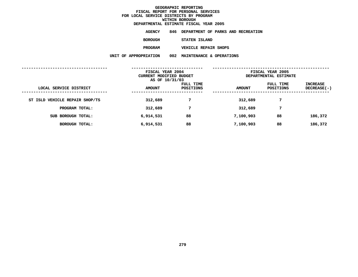| DEPARTMENTAL ESTIMATE FISCAL YEAR 2005 |                                        |  |  |  |
|----------------------------------------|----------------------------------------|--|--|--|
| AGENCY                                 | 846 DEPARTMENT OF PARKS AND RECREATION |  |  |  |
| <b>BOROUGH</b>                         | STATEN ISLAND                          |  |  |  |
| <b>PROGRAM</b>                         | <b>VEHICLE REPAIR SHOPS</b>            |  |  |  |

**VEHICLE REPAIR SHOPS UNIT OF APPROPRIATION <sup>002</sup> MAINTENANCE & OPERATIONS**

| FISCAL YEAR 2004<br>CURRENT MODIFIED BUDGET |                        | FISCAL YEAR 2005<br>DEPARTMENTAL ESTIMATE |                        |                         |
|---------------------------------------------|------------------------|-------------------------------------------|------------------------|-------------------------|
| <b>AMOUNT</b>                               | FULL TIME<br>POSITIONS | <b>AMOUNT</b>                             | FULL TIME<br>POSITIONS | INCREASE<br>DECREASE(-) |
| 312,689                                     | 7                      | 312,689                                   | 7                      |                         |
| 312,689                                     | 7                      | 312,689                                   | 7                      |                         |
| 6,914,531                                   | 88                     | 7,100,903                                 | 88                     | 186,372                 |
| 6,914,531                                   | 88                     | 7,100,903                                 | 88                     | 186,372                 |
|                                             |                        | AS OF 10/31/03                            |                        |                         |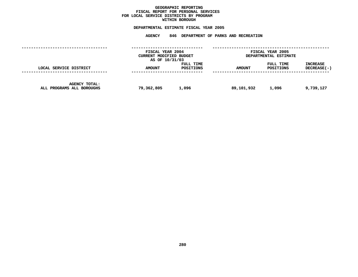#### **GEOGRAPHICC REPORTING<br>PERSONAL S<br>ICTS BY PRO FISCAL REPORT FOR PERSONAL SERVICES FOR LOCAL SERVICE DISTRICTS BY PROGRAM WITHIN**

### WITHIN BOROUGH<br>D<mark>EPARTMENTAL ESTIMATE FISC</mark>

# **ESTIMATE FISCAL YEAR <sup>2005</sup> AGENCY <sup>846</sup> DEPARTMENT OF PARKS AND RECREATION**

|                                                   | FISCAL YEAR 2004<br>CURRENT MODIFIED BUDGET<br>AS OF 10/31/03 |                        | FISCAL YEAR 2005<br>DEPARTMENTAL ESTIMATE |                               |                                |
|---------------------------------------------------|---------------------------------------------------------------|------------------------|-------------------------------------------|-------------------------------|--------------------------------|
| LOCAL SERVICE DISTRICT                            | <b>AMOUNT</b>                                                 | FULL TIME<br>POSITIONS | <b>AMOUNT</b>                             | FULL TIME<br><b>POSITIONS</b> | <b>INCREASE</b><br>DECREASE(-) |
| <b>AGENCY TOTAL:</b><br>ALL PROGRAMS ALL BOROUGHS | 79,362,805                                                    | 1,096                  | 89,101,932                                | 1,096                         | 9,739,127                      |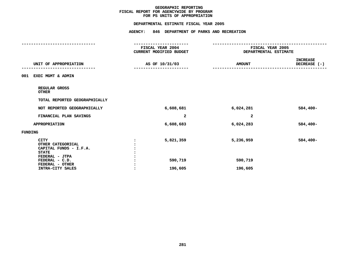### **PS UNITS OF APPROPRIATION DEPARTMENTAL**

|                                                                                              |                | DEPARTMENTAL ESTIMATE FISCAL YEAR 2005             |                                                         |                                 |
|----------------------------------------------------------------------------------------------|----------------|----------------------------------------------------|---------------------------------------------------------|---------------------------------|
|                                                                                              |                | AGENCY: 846 DEPARTMENT OF PARKS AND RECREATION     |                                                         |                                 |
|                                                                                              |                | ---------------                                    |                                                         |                                 |
|                                                                                              |                | <b>FISCAL YEAR 2004</b><br>CURRENT MODIFIED BUDGET | <b>FISCAL YEAR 2005</b><br><b>DEPARTMENTAL ESTIMATE</b> |                                 |
| UNIT OF APPROPRIATION                                                                        |                | AS OF 10/31/03                                     | <b>AMOUNT</b>                                           | <b>INCREASE</b><br>DECREASE (-) |
| 001 EXEC MGMT & ADMIN                                                                        |                |                                                    |                                                         |                                 |
| REGULAR GROSS<br><b>OTHER</b>                                                                |                |                                                    |                                                         |                                 |
| TOTAL REPORTED GEOGRAPHICALLY                                                                |                |                                                    |                                                         |                                 |
| NOT REPORTED GEOGRAPHICALLY                                                                  |                | 6,608,681                                          | 6,024,281                                               | $584,400-$                      |
| FINANCIAL PLAN SAVINGS                                                                       |                | 2                                                  | 2                                                       |                                 |
| APPROPRIATION                                                                                |                | 6,608,683                                          | 6,024,283                                               | $584,400-$                      |
| FUNDING                                                                                      |                |                                                    |                                                         |                                 |
| <b>CITY</b><br>OTHER CATEGORICAL<br>CAPITAL FUNDS - I.F.A.<br><b>STATE</b><br>FEDERAL - JTPA | $\ddot{\cdot}$ | 5,821,359                                          | 5,236,959                                               | $584,400-$                      |
| FEDERAL - C.D.                                                                               |                | 590,719                                            | 590,719                                                 |                                 |
| FEDERAL - OTHER<br>INTRA-CITY SALES                                                          |                | 196,605                                            | 196,605                                                 |                                 |
|                                                                                              |                |                                                    |                                                         |                                 |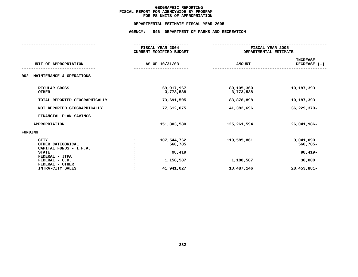### **PS UNITS OF APPROPRIATION DEPARTMENTAL**

**ESTIMATE FISCAL YEAR <sup>2005</sup> AGENCY: <sup>846</sup> DEPARTMENT OF PARKS AND RECREATION**

|                                                            | FISCAL YEAR 2004<br><b>CURRENT MODIFIED BUDGET</b> |                         | FISCAL YEAR 2005<br>DEPARTMENTAL ESTIMATE |  |  |
|------------------------------------------------------------|----------------------------------------------------|-------------------------|-------------------------------------------|--|--|
| UNIT OF APPROPRIATION                                      | AS OF 10/31/03                                     | <b>AMOUNT</b>           | <b>INCREASE</b><br>DECREASE (-)           |  |  |
| MAINTENANCE & OPERATIONS<br>002                            |                                                    |                         |                                           |  |  |
| REGULAR GROSS<br><b>OTHER</b>                              | 69,917,967<br>3,773,538                            | 80,105,360<br>3,773,538 | 10,187,393                                |  |  |
| TOTAL REPORTED GEOGRAPHICALLY                              | 73,691,505                                         | 83,878,898              | 10,187,393                                |  |  |
| NOT REPORTED GEOGRAPHICALLY                                | 77,612,075                                         | 41,382,696              | 36,229,379-                               |  |  |
| FINANCIAL PLAN SAVINGS                                     |                                                    |                         |                                           |  |  |
| <b>APPROPRIATION</b>                                       | 151,303,580                                        | 125,261,594             | 26,041,986-                               |  |  |
| FUNDING                                                    |                                                    |                         |                                           |  |  |
| <b>CITY</b><br>OTHER CATEGORICAL<br>CAPITAL FUNDS - I.F.A. | 107,544,762<br>560,785                             | 110,585,861             | 3,041,099<br>560,785-                     |  |  |
| <b>STATE</b><br>FEDERAL - JTPA                             | 98,419                                             |                         | $98,419-$                                 |  |  |
| FEDERAL - C.D.<br>FEDERAL - OTHER                          | 1,158,587                                          | 1,188,587               | 30,000                                    |  |  |
| INTRA-CITY SALES                                           | 41,941,027                                         | 13,487,146              | 28, 453, 881-                             |  |  |
|                                                            |                                                    |                         |                                           |  |  |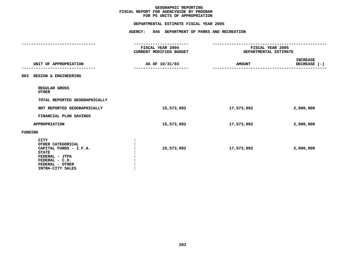### **PS UNITS OF APPROPRIATION DEPARTMENTAL**

|                                                                                                                                                       |                                                    | DEPARTMENTAL ESTIMATE FISCAL YEAR 2005 |               |                                                         |  |  |
|-------------------------------------------------------------------------------------------------------------------------------------------------------|----------------------------------------------------|----------------------------------------|---------------|---------------------------------------------------------|--|--|
|                                                                                                                                                       | AGENCY: 846 DEPARTMENT OF PARKS AND RECREATION     |                                        |               |                                                         |  |  |
|                                                                                                                                                       |                                                    |                                        |               |                                                         |  |  |
|                                                                                                                                                       | <b>FISCAL YEAR 2004</b><br>CURRENT MODIFIED BUDGET |                                        |               | <b>FISCAL YEAR 2005</b><br><b>DEPARTMENTAL ESTIMATE</b> |  |  |
| UNIT OF APPROPRIATION                                                                                                                                 | AS OF 10/31/03                                     |                                        | <b>AMOUNT</b> | <b>INCREASE</b><br>DECREASE (-)                         |  |  |
| 003 DESIGN & ENGINEERING                                                                                                                              |                                                    |                                        |               |                                                         |  |  |
| REGULAR GROSS<br><b>OTHER</b>                                                                                                                         |                                                    |                                        |               |                                                         |  |  |
| TOTAL REPORTED GEOGRAPHICALLY                                                                                                                         |                                                    |                                        |               |                                                         |  |  |
| NOT REPORTED GEOGRAPHICALLY                                                                                                                           |                                                    | 15,573,092                             | 17,573,092    | 2,000,000                                               |  |  |
| FINANCIAL PLAN SAVINGS                                                                                                                                |                                                    |                                        |               |                                                         |  |  |
| <b>APPROPRIATION</b>                                                                                                                                  |                                                    | 15,573,092                             | 17,573,092    | 2,000,000                                               |  |  |
| <b>FUNDING</b>                                                                                                                                        |                                                    |                                        |               |                                                         |  |  |
| <b>CITY</b><br>OTHER CATEGORICAL<br>CAPITAL FUNDS - I.F.A.<br><b>STATE</b><br>FEDERAL - JTPA<br>FEDERAL - C.D.<br>FEDERAL - OTHER<br>INTRA-CITY SALES | $\cdot$                                            | 15,573,092                             | 17,573,092    | 2,000,000                                               |  |  |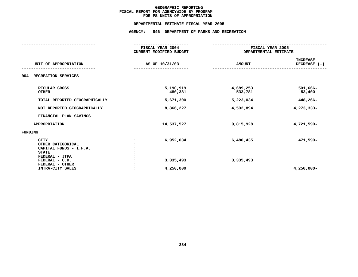### **PS UNITS OF APPROPRIATION DEPARTMENTAL**

**ESTIMATE FISCAL YEAR <sup>2005</sup> AGENCY: <sup>846</sup> DEPARTMENT OF PARKS AND RECREATION**

|                                                                                              | FISCAL YEAR 2004<br><b>CURRENT MODIFIED BUDGET</b> | FISCAL YEAR 2005<br>DEPARTMENTAL ESTIMATE |                                 |
|----------------------------------------------------------------------------------------------|----------------------------------------------------|-------------------------------------------|---------------------------------|
| UNIT OF APPROPRIATION                                                                        | AS OF 10/31/03                                     | <b>AMOUNT</b>                             | <b>INCREASE</b><br>DECREASE (-) |
| RECREATION SERVICES<br>004                                                                   |                                                    |                                           |                                 |
| REGULAR GROSS<br><b>OTHER</b>                                                                | 5,190,919<br>480,381                               | 4,689,253<br>533,781                      | $501,666 -$<br>53,400           |
| TOTAL REPORTED GEOGRAPHICALLY                                                                | 5,671,300                                          | 5,223,034                                 | 448,266-                        |
| NOT REPORTED GEOGRAPHICALLY                                                                  | 8,866,227                                          | 4,592,894                                 | 4,273,333-                      |
| FINANCIAL PLAN SAVINGS                                                                       |                                                    |                                           |                                 |
| <b>APPROPRIATION</b>                                                                         | 14,537,527                                         | 9,815,928                                 | 4,721,599-                      |
| FUNDING                                                                                      |                                                    |                                           |                                 |
| <b>CITY</b><br>OTHER CATEGORICAL<br>CAPITAL FUNDS - I.F.A.<br><b>STATE</b><br>FEDERAL - JTPA | 6,952,034                                          | 6,480,435                                 | 471,599-                        |
| FEDERAL - C.D.<br>FEDERAL - OTHER<br>INTRA-CITY SALES                                        | 3,335,493<br>4,250,000                             | 3,335,493                                 | $4,250,000 -$                   |
|                                                                                              |                                                    |                                           |                                 |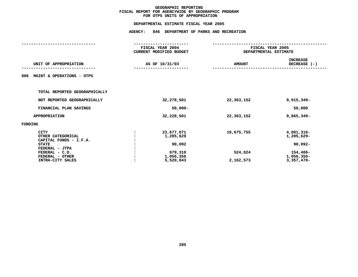## **OTPS UNITS OF APPROPRIATION DEPARTMENTAL**

**ESTIMATE FISCAL YEAR <sup>2005</sup> AGENCY: <sup>846</sup> DEPARTMENT OF PARKS AND RECREATION**

|                                  | FISCAL YEAR 2004               |               | FISCAL YEAR 2005<br>DEPARTMENTAL ESTIMATE |  |
|----------------------------------|--------------------------------|---------------|-------------------------------------------|--|
|                                  | <b>CURRENT MODIFIED BUDGET</b> |               |                                           |  |
|                                  |                                |               | <b>INCREASE</b>                           |  |
| UNIT OF APPROPRIATION            | AS OF 10/31/03                 | <b>AMOUNT</b> | DECREASE (-)                              |  |
|                                  |                                |               |                                           |  |
| MAINT & OPERATIONS - OTPS<br>006 |                                |               |                                           |  |
|                                  |                                |               |                                           |  |
| TOTAL REPORTED GEOGRAPHICALLY    |                                |               |                                           |  |
| NOT REPORTED GEOGRAPHICALLY      | 32,278,501                     | 22,363,152    | $9,915,349-$                              |  |
| FINANCIAL PLAN SAVINGS           | $50,000 -$                     |               | 50,000                                    |  |
| <b>APPROPRIATION</b>             | 32,228,501                     | 22,363,152    | $9,865,349-$                              |  |
| FUNDING                          |                                |               |                                           |  |
| <b>CITY</b>                      | 23,677,071                     | 19,675,755    | 4,001,316-                                |  |
| OTHER CATEGORICAL                | 1,205,629                      |               | 1,205,629-                                |  |
| CAPITAL FUNDS - I.F.A.           |                                |               |                                           |  |
| <b>STATE</b>                     | 90,092                         |               | 90,092-                                   |  |
| FEDERAL - JTPA                   |                                |               |                                           |  |
| FEDERAL - C.D.                   | 679,310                        | 524,824       | 154,486-                                  |  |
| FEDERAL - OTHER                  | 1,056,356                      |               | 1,056,356-                                |  |
| INTRA-CITY SALES                 | 5,520,043                      | 2,162,573     | $3,357,470-$                              |  |
|                                  |                                |               |                                           |  |
|                                  |                                |               |                                           |  |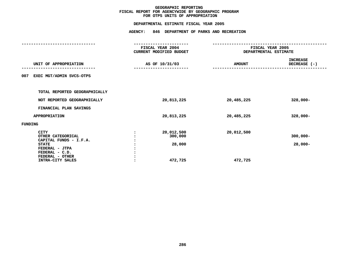## **OTPS UNITS OF APPROPRIATION DEPARTMENTAL**

**ESTIMATE FISCAL YEAR <sup>2005</sup> AGENCY: <sup>846</sup> DEPARTMENT OF PARKS AND RECREATION**

| FISCAL YEAR 2004<br>CURRENT MODIFIED BUDGET | FISCAL YEAR 2005<br>DEPARTMENTAL ESTIMATE |                                 |
|---------------------------------------------|-------------------------------------------|---------------------------------|
| AS OF 10/31/03                              | <b>AMOUNT</b>                             | <b>INCREASE</b><br>DECREASE (-) |
|                                             |                                           |                                 |
|                                             |                                           |                                 |
| 20,813,225                                  | 20,485,225                                | $328,000 -$                     |
|                                             |                                           |                                 |
| 20,813,225                                  | 20,485,225                                | $328,000 -$                     |
|                                             |                                           |                                 |
| 20,012,500<br>300,000<br>28,000<br>472,725  | 20,012,500<br>472,725                     | $300,000 -$<br>$28,000-$        |
|                                             |                                           |                                 |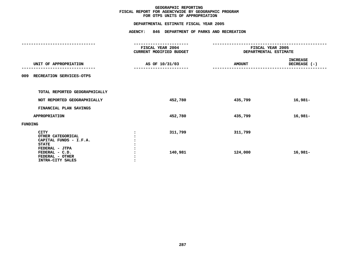## **OTPS UNITS OF APPROPRIATION DEPARTMENTAL**

**ESTIMATE FISCAL YEAR <sup>2005</sup> AGENCY: <sup>846</sup> DEPARTMENT OF PARKS AND RECREATION**

| FISCAL YEAR 2004<br>CURRENT MODIFIED BUDGET | FISCAL YEAR 2005<br>DEPARTMENTAL ESTIMATE |                          |
|---------------------------------------------|-------------------------------------------|--------------------------|
| AS OF 10/31/03                              | <b>AMOUNT</b>                             | INCREASE<br>DECREASE (-) |
|                                             |                                           |                          |
|                                             |                                           |                          |
| 452,780                                     | 435,799                                   | 16,981-                  |
|                                             |                                           |                          |
| 452,780                                     | 435,799                                   | $16,981-$                |
|                                             |                                           |                          |
| 311,799<br>140,981                          | 311,799<br>124,000                        | 16,981-                  |
|                                             |                                           |                          |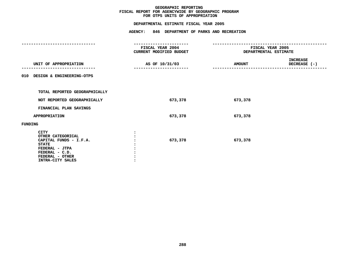## **OTPS UNITS OF APPROPRIATION DEPARTMENTAL**

| AGENCY: 846 DEPARTMENT OF PARKS AND RECREATION                                  |                                                                |                                        |  |
|---------------------------------------------------------------------------------|----------------------------------------------------------------|----------------------------------------|--|
| ------------------<br><b>FISCAL YEAR 2004</b><br><b>CURRENT MODIFIED BUDGET</b> | -----------------<br>FISCAL YEAR 2005<br>DEPARTMENTAL ESTIMATE |                                        |  |
| AS OF 10/31/03                                                                  | <b>AMOUNT</b>                                                  | <b>INCREASE</b><br>DECREASE (-)        |  |
|                                                                                 |                                                                |                                        |  |
|                                                                                 |                                                                |                                        |  |
| 673,378                                                                         | 673,378                                                        |                                        |  |
|                                                                                 |                                                                |                                        |  |
| 673,378                                                                         | 673,378                                                        |                                        |  |
|                                                                                 |                                                                |                                        |  |
| 673,378                                                                         | 673,378                                                        |                                        |  |
|                                                                                 |                                                                | DEPARTMENTAL ESTIMATE FISCAL YEAR 2005 |  |